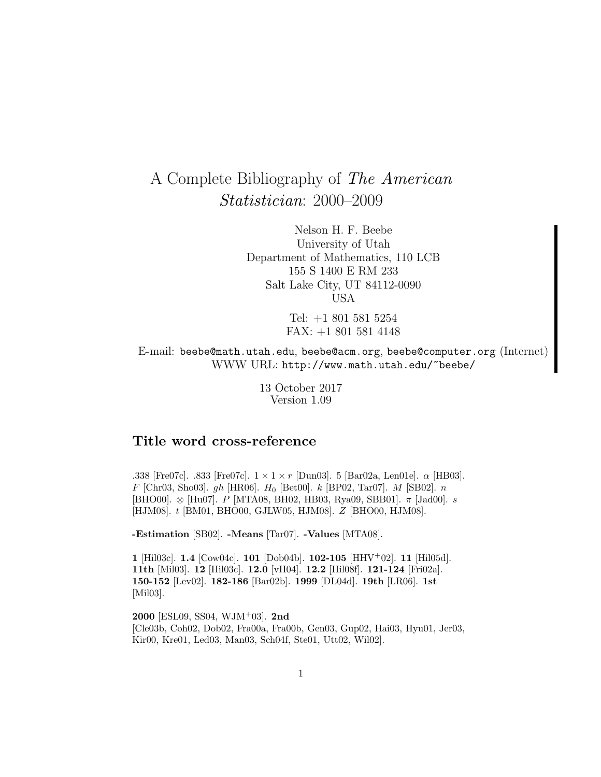# A Complete Bibliography of The American Statistician: 2000–2009

Nelson H. F. Beebe University of Utah Department of Mathematics, 110 LCB 155 S 1400 E RM 233 Salt Lake City, UT 84112-0090 USA

> Tel: +1 801 581 5254 FAX: +1 801 581 4148

E-mail: beebe@math.utah.edu, beebe@acm.org, beebe@computer.org (Internet) WWW URL: http://www.math.utah.edu/~beebe/

> 13 October 2017 Version 1.09

# **Title word cross-reference**

.338 [Fre07c]. .833 [Fre07c].  $1 \times 1 \times r$  [Dun03]. 5 [Bar02a, Len01e].  $\alpha$  [HB03].  $F$  [Chr03, Sho03]. gh [HR06].  $H_0$  [Bet00]. k [BP02, Tar07]. M [SB02]. n [BHO00].  $\otimes$  [Hu07]. P [MTA08, BH02, HB03, Rya09, SBB01].  $\pi$  [Jad00]. s [HJM08]. t [BM01, BHO00, GJLW05, HJM08]. Z [BHO00, HJM08].

**-Estimation** [SB02]. **-Means** [Tar07]. **-Values** [MTA08].

**1** [Hil03c]. **1.4** [Cow04c]. **101** [Dob04b]. **102-105** [HHV<sup>+</sup>02]. **11** [Hil05d]. **11th** [Mil03]. **12** [Hil03c]. **12.0** [vH04]. **12.2** [Hil08f]. **121-124** [Fri02a]. **150-152** [Lev02]. **182-186** [Bar02b]. **1999** [DL04d]. **19th** [LR06]. **1st** [Mil03].

**2000** [ESL09, SS04, WJM<sup>+</sup>03]. **2nd** [Cle03b, Coh02, Dob02, Fra00a, Fra00b, Gen03, Gup02, Hai03, Hyu01, Jer03, Kir00, Kre01, Led03, Man03, Sch04f, Ste01, Utt02, Wil02].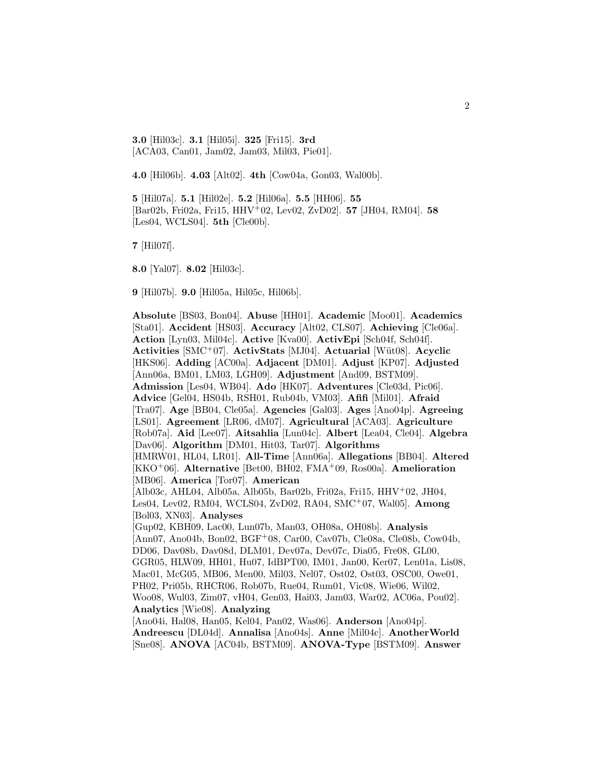**3.0** [Hil03c]. **3.1** [Hil05i]. **325** [Fri15]. **3rd** [ACA03, Can01, Jam02, Jam03, Mil03, Pie01].

**4.0** [Hil06b]. **4.03** [Alt02]. **4th** [Cow04a, Gon03, Wal00b].

**5** [Hil07a]. **5.1** [Hil02e]. **5.2** [Hil06a]. **5.5** [HH06]. **55** [Bar02b, Fri02a, Fri15, HHV<sup>+</sup>02, Lev02, ZvD02]. **57** [JH04, RM04]. **58** [Les04, WCLS04]. **5th** [Cle00b].

**7** [Hil07f].

**8.0** [Yal07]. **8.02** [Hil03c].

**9** [Hil07b]. **9.0** [Hil05a, Hil05c, Hil06b].

**Absolute** [BS03, Bon04]. **Abuse** [HH01]. **Academic** [Moo01]. **Academics** [Sta01]. **Accident** [HS03]. **Accuracy** [Alt02, CLS07]. **Achieving** [Cle06a]. **Action** [Lyn03, Mil04c]. **Active** [Kva00]. **ActivEpi** [Sch04f, Sch04f]. **Activities** [SMC<sup>+</sup>07]. **ActivStats** [MJ04]. **Actuarial** [W¨ut08]. **Acyclic** [HKS06]. **Adding** [AC00a]. **Adjacent** [DM01]. **Adjust** [KP07]. **Adjusted** [Ann06a, BM01, LM03, LGH09]. **Adjustment** [And09, BSTM09]. **Admission** [Les04, WB04]. **Ado** [HK07]. **Adventures** [Cle03d, Pic06]. **Advice** [Gel04, HS04b, RSH01, Rub04b, VM03]. **Afifi** [Mil01]. **Afraid** [Tra07]. **Age** [BB04, Cle05a]. **Agencies** [Gal03]. **Ages** [Ano04p]. **Agreeing** [LS01]. **Agreement** [LR06, dM07]. **Agricultural** [ACA03]. **Agriculture** [Rob07a]. **Aid** [Lee07]. **Aitsahlia** [Lun04c]. **Albert** [Lea04, Cle04]. **Algebra** [Dav06]. **Algorithm** [DM01, Hit03, Tar07]. **Algorithms** [HMRW01, HL04, LR01]. **All-Time** [Ann06a]. **Allegations** [BB04]. **Altered** [KKO<sup>+</sup>06]. **Alternative** [Bet00, BH02, FMA<sup>+</sup>09, Ros00a]. **Amelioration** [MB06]. **America** [Tor07]. **American** [Alb03c, AHL04, Alb05a, Alb05b, Bar02b, Fri02a, Fri15, HHV<sup>+</sup>02, JH04, Les04, Lev02, RM04, WCLS04, ZvD02, RA04, SMC<sup>+</sup>07, Wal05]. **Among** [Bol03, XN03]. **Analyses** [Gup02, KBH09, Lac00, Lun07b, Man03, OH08a, OH08b]. **Analysis** [Ann07, Ano04b, Bon02, BGF<sup>+</sup>08, Car00, Cav07b, Cle08a, Cle08b, Cow04b, DD06, Dav08b, Dav08d, DLM01, Dev07a, Dev07c, Dia05, Fre08, GL00, GGR05, HLW09, HH01, Hu07, IdBPT00, IM01, Jan00, Ker07, Len01a, Lis08, Mac01, McG05, MB06, Men00, Mil03, Nel07, Ost02, Ost03, OSC00, Owe01, PH02, Pri05b, RHCR06, Rob07b, Rue04, Rum01, Vic08, Wie06, Wil02, Woo08, Wul03, Zim07, vH04, Gen03, Hai03, Jam03, War02, AC06a, Pou02]. **Analytics** [Wie08]. **Analyzing** [Ano04i, Hal08, Han05, Kel04, Pan02, Was06]. **Anderson** [Ano04p]. **Andreescu** [DL04d]. **Annalisa** [Ano04s]. **Anne** [Mil04c]. **AnotherWorld** [Sne08]. **ANOVA** [AC04b, BSTM09]. **ANOVA-Type** [BSTM09]. **Answer**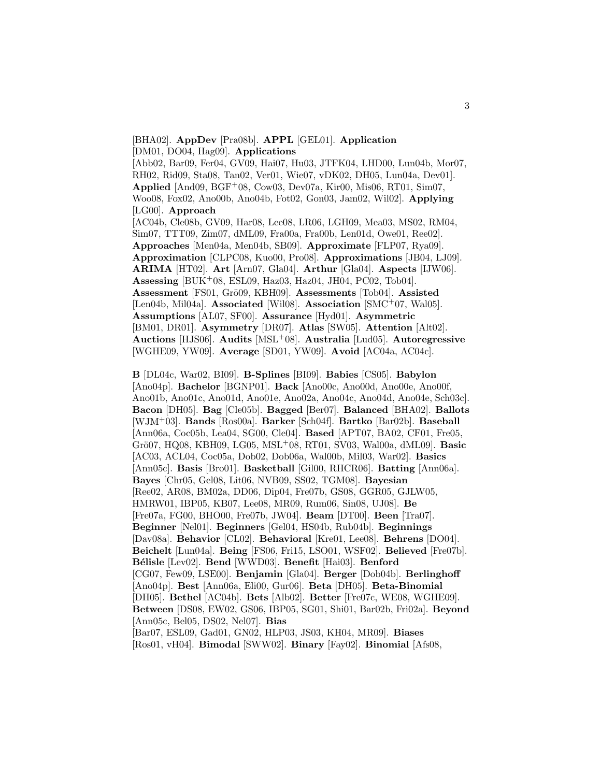[BHA02]. **AppDev** [Pra08b]. **APPL** [GEL01]. **Application** [DM01, DO04, Hag09]. **Applications**

[Abb02, Bar09, Fer04, GV09, Hai07, Hu03, JTFK04, LHD00, Lun04b, Mor07, RH02, Rid09, Sta08, Tan02, Ver01, Wie07, vDK02, DH05, Lun04a, Dev01]. **Applied** [And09, BGF<sup>+</sup>08, Cow03, Dev07a, Kir00, Mis06, RT01, Sim07, Woo08, Fox02, Ano00b, Ano04b, Fot02, Gon03, Jam02, Wil02]. **Applying** [LG00]. **Approach**

[AC04b, Cle08b, GV09, Har08, Lee08, LR06, LGH09, Mea03, MS02, RM04, Sim07, TTT09, Zim07, dML09, Fra00a, Fra00b, Len01d, Owe01, Ree02]. **Approaches** [Men04a, Men04b, SB09]. **Approximate** [FLP07, Rya09]. **Approximation** [CLPC08, Kuo00, Pro08]. **Approximations** [JB04, LJ09]. **ARIMA** [HT02]. **Art** [Arn07, Gla04]. **Arthur** [Gla04]. **Aspects** [IJW06]. **Assessing** [BUK<sup>+</sup>08, ESL09, Haz03, Haz04, JH04, PC02, Tob04]. **Assessment** [FS01, Grö09, KBH09]. **Assessments** [Tob04]. **Assisted** [Len04b, Mil04a]. **Associated** [Wil08]. **Association** [SMC<sup>+</sup>07, Wal05]. **Assumptions** [AL07, SF00]. **Assurance** [Hyd01]. **Asymmetric** [BM01, DR01]. **Asymmetry** [DR07]. **Atlas** [SW05]. **Attention** [Alt02]. **Auctions** [HJS06]. **Audits** [MSL<sup>+</sup>08]. **Australia** [Lud05]. **Autoregressive** [WGHE09, YW09]. **Average** [SD01, YW09]. **Avoid** [AC04a, AC04c].

**B** [DL04c, War02, BI09]. **B-Splines** [BI09]. **Babies** [CS05]. **Babylon** [Ano04p]. **Bachelor** [BGNP01]. **Back** [Ano00c, Ano00d, Ano00e, Ano00f, Ano01b, Ano01c, Ano01d, Ano01e, Ano02a, Ano04c, Ano04d, Ano04e, Sch03c]. **Bacon** [DH05]. **Bag** [Cle05b]. **Bagged** [Ber07]. **Balanced** [BHA02]. **Ballots** [WJM<sup>+</sup>03]. **Bands** [Ros00a]. **Barker** [Sch04f]. **Bartko** [Bar02b]. **Baseball** [Ann06a, Coc05b, Lea04, SG00, Cle04]. **Based** [APT07, BA02, CF01, Fre05, Gr¨o07, HQ08, KBH09, LG05, MSL<sup>+</sup>08, RT01, SV03, Wal00a, dML09]. **Basic** [AC03, ACL04, Coc05a, Dob02, Dob06a, Wal00b, Mil03, War02]. **Basics** [Ann05c]. **Basis** [Bro01]. **Basketball** [Gil00, RHCR06]. **Batting** [Ann06a]. **Bayes** [Chr05, Gel08, Lit06, NVB09, SS02, TGM08]. **Bayesian** [Ree02, AR08, BM02a, DD06, Dip04, Fre07b, GS08, GGR05, GJLW05, HMRW01, IBP05, KB07, Lee08, MR09, Rum06, Sin08, UJ08]. **Be** [Fre07a, FG00, BHO00, Fre07b, JW04]. **Beam** [DT00]. **Been** [Tra07]. **Beginner** [Nel01]. **Beginners** [Gel04, HS04b, Rub04b]. **Beginnings** [Dav08a]. **Behavior** [CL02]. **Behavioral** [Kre01, Lee08]. **Behrens** [DO04]. **Beichelt** [Lun04a]. **Being** [FS06, Fri15, LSO01, WSF02]. **Believed** [Fre07b]. **B´elisle** [Lev02]. **Bend** [WWD03]. **Benefit** [Hai03]. **Benford** [CG07, Few09, LSE00]. **Benjamin** [Gla04]. **Berger** [Dob04b]. **Berlinghoff** [Ano04p]. **Best** [Ann06a, Eli00, Gur06]. **Beta** [DH05]. **Beta-Binomial** [DH05]. **Bethel** [AC04b]. **Bets** [Alb02]. **Better** [Fre07c, WE08, WGHE09]. **Between** [DS08, EW02, GS06, IBP05, SG01, Shi01, Bar02b, Fri02a]. **Beyond** [Ann05c, Bel05, DS02, Nel07]. **Bias** [Bar07, ESL09, Gad01, GN02, HLP03, JS03, KH04, MR09]. **Biases** [Ros01, vH04]. **Bimodal** [SWW02]. **Binary** [Fay02]. **Binomial** [Afs08,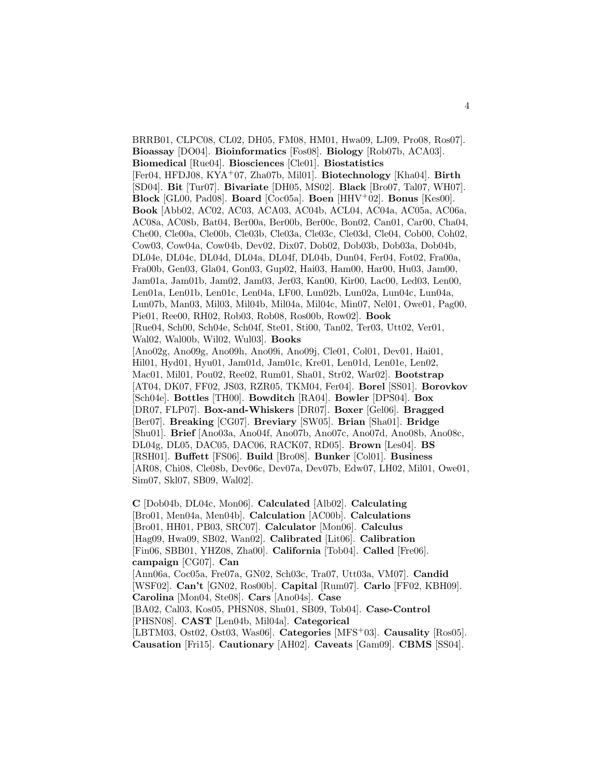BRRB01, CLPC08, CL02, DH05, FM08, HM01, Hwa09, LJ09, Pro08, Ros07]. **Bioassay** [DO04]. **Bioinformatics** [Fos08]. **Biology** [Rob07b, ACA03]. **Biomedical** [Rue04]. **Biosciences** [Cle01]. **Biostatistics** [Fer04, HFDJ08, KYA<sup>+</sup>07, Zha07b, Mil01]. **Biotechnology** [Kha04]. **Birth** [SD04]. **Bit** [Tur07]. **Bivariate** [DH05, MS02]. **Black** [Bro07, Tal07, WH07]. **Block** [GL00, Pad08]. **Board** [Coc05a]. **Boen** [HHV<sup>+</sup>02]. **Bonus** [Kes00]. **Book** [Abb02, AC02, AC03, ACA03, AC04b, ACL04, AC04a, AC05a, AC06a, AC08a, AC08b, Bat04, Ber00a, Ber00b, Ber00c, Bon02, Can01, Car00, Cha04, Che00, Cle00a, Cle00b, Cle03b, Cle03a, Cle03c, Cle03d, Cle04, Cob00, Coh02, Cow03, Cow04a, Cow04b, Dev02, Dix07, Dob02, Dob03b, Dob03a, Dob04b, DL04e, DL04c, DL04d, DL04a, DL04f, DL04b, Dun04, Fer04, Fot02, Fra00a, Fra00b, Gen03, Gla04, Gon03, Gup02, Hai03, Ham00, Har00, Hu03, Jam00, Jam01a, Jam01b, Jam02, Jam03, Jer03, Kan00, Kir00, Lac00, Led03, Len00, Len01a, Len01b, Len01c, Len04a, LF00, Lun02b, Lun02a, Lun04c, Lun04a, Lun07b, Man03, Mil03, Mil04b, Mil04a, Mil04c, Min07, Nel01, Owe01, Pag00, Pie01, Ree00, RH02, Rob03, Rob08, Ros00b, Row02]. **Book** [Rue04, Sch00, Sch04e, Sch04f, Ste01, Sti00, Tan02, Ter03, Utt02, Ver01, Wal02, Wal00b, Wil02, Wul03]. **Books** [Ano02g, Ano09g, Ano09h, Ano09i, Ano09j, Cle01, Col01, Dev01, Hai01, Hil01, Hyd01, Hyu01, Jam01d, Jam01c, Kre01, Len01d, Len01e, Len02, Mac01, Mil01, Pou02, Ree02, Rum01, Sha01, Str02, War02]. **Bootstrap** [AT04, DK07, FF02, JS03, RZR05, TKM04, Fer04]. **Borel** [SS01]. **Borovkov** [Sch04e]. **Bottles** [TH00]. **Bowditch** [RA04]. **Bowler** [DPS04]. **Box** [DR07, FLP07]. **Box-and-Whiskers** [DR07]. **Boxer** [Gel06]. **Bragged** [Ber07]. **Breaking** [CG07]. **Breviary** [SW05]. **Brian** [Sha01]. **Bridge** [Shu01]. **Brief** [Ano03a, Ano04f, Ano07b, Ano07c, Ano07d, Ano08b, Ano08c, DL04g, DL05, DAC05, DAC06, RACK07, RD05]. **Brown** [Les04]. **BS** [RSH01]. **Buffett** [FS06]. **Build** [Bro08]. **Bunker** [Col01]. **Business** [AR08, Chi08, Cle08b, Dev06c, Dev07a, Dev07b, Edw07, LH02, Mil01, Owe01, Sim07, Skl07, SB09, Wal02].

**C** [Dob04b, DL04c, Mon06]. **Calculated** [Alb02]. **Calculating** [Bro01, Men04a, Men04b]. **Calculation** [AC00b]. **Calculations** [Bro01, HH01, PB03, SRC07]. **Calculator** [Mon06]. **Calculus** [Hag09, Hwa09, SB02, Wan02]. **Calibrated** [Lit06]. **Calibration** [Fin06, SBB01, YHZ08, Zha00]. **California** [Tob04]. **Called** [Fre06]. **campaign** [CG07]. **Can** [Ann06a, Coc05a, Fre07a, GN02, Sch03c, Tra07, Utt03a, VM07]. **Candid** [WSF02]. **Can't** [GN02, Ros00b]. **Capital** [Rum07]. **Carlo** [FF02, KBH09]. **Carolina** [Mon04, Ste08]. **Cars** [Ano04s]. **Case** [BA02, Cal03, Kos05, PHSN08, Shu01, SB09, Tob04]. **Case-Control** [PHSN08]. **CAST** [Len04b, Mil04a]. **Categorical** [LBTM03, Ost02, Ost03, Was06]. **Categories** [MFS<sup>+</sup>03]. **Causality** [Ros05]. **Causation** [Fri15]. **Cautionary** [AH02]. **Caveats** [Gam09]. **CBMS** [SS04].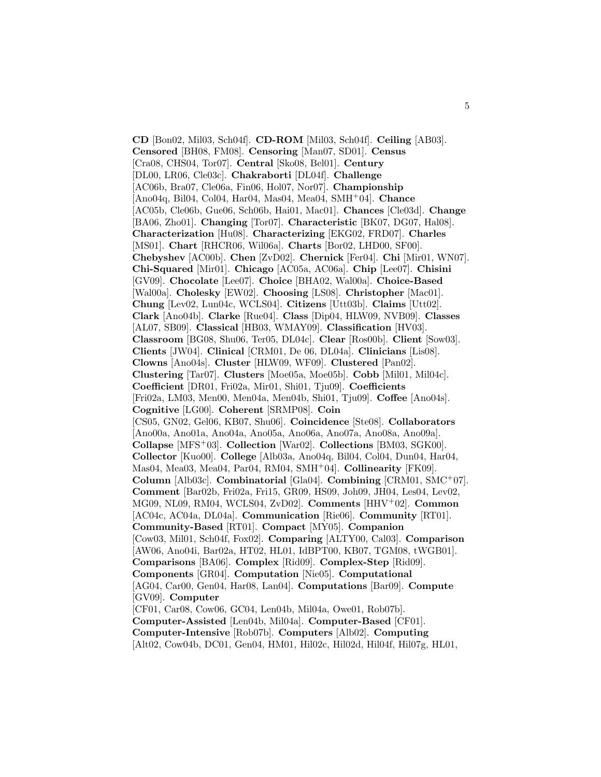**CD** [Bon02, Mil03, Sch04f]. **CD-ROM** [Mil03, Sch04f]. **Ceiling** [AB03]. **Censored** [BH08, FM08]. **Censoring** [Man07, SD01]. **Census** [Cra08, CHS04, Tor07]. **Central** [Sko08, Bel01]. **Century** [DL00, LR06, Cle03c]. **Chakraborti** [DL04f]. **Challenge** [AC06b, Bra07, Cle06a, Fin06, Hol07, Nor07]. **Championship** [Ano04q, Bil04, Col04, Har04, Mas04, Mea04, SMH<sup>+</sup>04]. **Chance** [AC05b, Cle06b, Gue06, Sch06b, Hai01, Mac01]. **Chances** [Cle03d]. **Change** [BA06, Zho01]. **Changing** [Tor07]. **Characteristic** [BK07, DG07, Hal08]. **Characterization** [Hu08]. **Characterizing** [EKG02, FRD07]. **Charles** [MS01]. **Chart** [RHCR06, Wil06a]. **Charts** [Bor02, LHD00, SF00]. **Chebyshev** [AC00b]. **Chen** [ZvD02]. **Chernick** [Fer04]. **Chi** [Mir01, WN07]. **Chi-Squared** [Mir01]. **Chicago** [AC05a, AC06a]. **Chip** [Lee07]. **Chisini** [GV09]. **Chocolate** [Lee07]. **Choice** [BHA02, Wal00a]. **Choice-Based** [Wal00a]. **Cholesky** [EW02]. **Choosing** [LS08]. **Christopher** [Mac01]. **Chung** [Lev02, Lun04c, WCLS04]. **Citizens** [Utt03b]. **Claims** [Utt02]. **Clark** [Ano04b]. **Clarke** [Rue04]. **Class** [Dip04, HLW09, NVB09]. **Classes** [AL07, SB09]. **Classical** [HB03, WMAY09]. **Classification** [HV03]. **Classroom** [BG08, Shu06, Ter05, DL04c]. **Clear** [Ros00b]. **Client** [Sow03]. **Clients** [JW04]. **Clinical** [CRM01, De 06, DL04a]. **Clinicians** [Lis08]. **Clowns** [Ano04s]. **Cluster** [HLW09, WF09]. **Clustered** [Pan02]. **Clustering** [Tar07]. **Clusters** [Moe05a, Moe05b]. **Cobb** [Mil01, Mil04c]. **Coefficient** [DR01, Fri02a, Mir01, Shi01, Tju09]. **Coefficients** [Fri02a, LM03, Men00, Men04a, Men04b, Shi01, Tju09]. **Coffee** [Ano04s]. **Cognitive** [LG00]. **Coherent** [SRMP08]. **Coin** [CS05, GN02, Gel06, KB07, Shu06]. **Coincidence** [Ste08]. **Collaborators** [Ano00a, Ano01a, Ano04a, Ano05a, Ano06a, Ano07a, Ano08a, Ano09a]. **Collapse** [MFS<sup>+</sup>03]. **Collection** [War02]. **Collections** [BM03, SGK00]. **Collector** [Kuo00]. **College** [Alb03a, Ano04q, Bil04, Col04, Dun04, Har04, Mas04, Mea03, Mea04, Par04, RM04, SMH<sup>+</sup>04]. **Collinearity** [FK09]. **Column** [Alb03c]. **Combinatorial** [Gla04]. **Combining** [CRM01, SMC<sup>+</sup>07]. **Comment** [Bar02b, Fri02a, Fri15, GR09, HS09, Joh09, JH04, Les04, Lev02, MG09, NL09, RM04, WCLS04, ZvD02]. **Comments** [HHV<sup>+</sup>02]. **Common** [AC04c, AC04a, DL04a]. **Communication** [Rie06]. **Community** [RT01]. **Community-Based** [RT01]. **Compact** [MY05]. **Companion** [Cow03, Mil01, Sch04f, Fox02]. **Comparing** [ALTY00, Cal03]. **Comparison** [AW06, Ano04i, Bar02a, HT02, HL01, IdBPT00, KB07, TGM08, tWGB01]. **Comparisons** [BA06]. **Complex** [Rid09]. **Complex-Step** [Rid09]. **Components** [GR04]. **Computation** [Nie05]. **Computational** [AG04, Car00, Gen04, Har08, Lan04]. **Computations** [Bar09]. **Compute** [GV09]. **Computer** [CF01, Car08, Cow06, GC04, Len04b, Mil04a, Owe01, Rob07b]. **Computer-Assisted** [Len04b, Mil04a]. **Computer-Based** [CF01]. **Computer-Intensive** [Rob07b]. **Computers** [Alb02]. **Computing**

[Alt02, Cow04b, DC01, Gen04, HM01, Hil02c, Hil02d, Hil04f, Hil07g, HL01,

5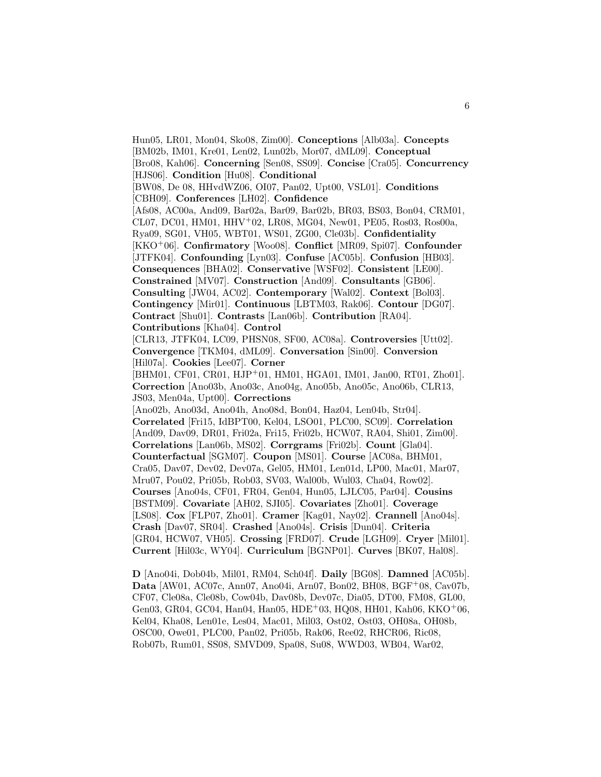Hun05, LR01, Mon04, Sko08, Zim00]. **Conceptions** [Alb03a]. **Concepts** [BM02b, IM01, Kre01, Len02, Lun02b, Mor07, dML09]. **Conceptual** [Bro08, Kah06]. **Concerning** [Sen08, SS09]. **Concise** [Cra05]. **Concurrency** [HJS06]. **Condition** [Hu08]. **Conditional** [BW08, De 08, HHvdWZ06, OI07, Pan02, Upt00, VSL01]. **Conditions** [CBH09]. **Conferences** [LH02]. **Confidence** [Afs08, AC00a, And09, Bar02a, Bar09, Bar02b, BR03, BS03, Bon04, CRM01, CL07, DC01, HM01, HHV<sup>+</sup>02, LR08, MG04, New01, PE05, Ros03, Ros00a, Rya09, SG01, VH05, WBT01, WS01, ZG00, Cle03b]. **Confidentiality** [KKO<sup>+</sup>06]. **Confirmatory** [Woo08]. **Conflict** [MR09, Spi07]. **Confounder** [JTFK04]. **Confounding** [Lyn03]. **Confuse** [AC05b]. **Confusion** [HB03]. **Consequences** [BHA02]. **Conservative** [WSF02]. **Consistent** [LE00]. **Constrained** [MV07]. **Construction** [And09]. **Consultants** [GB06]. **Consulting** [JW04, AC02]. **Contemporary** [Wal02]. **Context** [Bol03]. **Contingency** [Mir01]. **Continuous** [LBTM03, Rak06]. **Contour** [DG07]. **Contract** [Shu01]. **Contrasts** [Lan06b]. **Contribution** [RA04]. **Contributions** [Kha04]. **Control** [CLR13, JTFK04, LC09, PHSN08, SF00, AC08a]. **Controversies** [Utt02]. **Convergence** [TKM04, dML09]. **Conversation** [Sin00]. **Conversion** [Hil07a]. **Cookies** [Lee07]. **Corner** [BHM01, CF01, CR01, HJP<sup>+</sup>01, HM01, HGA01, IM01, Jan00, RT01, Zho01]. **Correction** [Ano03b, Ano03c, Ano04g, Ano05b, Ano05c, Ano06b, CLR13, JS03, Men04a, Upt00]. **Corrections** [Ano02b, Ano03d, Ano04h, Ano08d, Bon04, Haz04, Len04b, Str04]. **Correlated** [Fri15, IdBPT00, Kel04, LSO01, PLC00, SC09]. **Correlation** [And09, Dav09, DR01, Fri02a, Fri15, Fri02b, HCW07, RA04, Shi01, Zim00]. **Correlations** [Lan06b, MS02]. **Corrgrams** [Fri02b]. **Count** [Gla04]. **Counterfactual** [SGM07]. **Coupon** [MS01]. **Course** [AC08a, BHM01, Cra05, Dav07, Dev02, Dev07a, Gel05, HM01, Len01d, LP00, Mac01, Mar07, Mru07, Pou02, Pri05b, Rob03, SV03, Wal00b, Wul03, Cha04, Row02]. **Courses** [Ano04s, CF01, FR04, Gen04, Hun05, LJLC05, Par04]. **Cousins** [BSTM09]. **Covariate** [AH02, SJI05]. **Covariates** [Zho01]. **Coverage** [LS08]. **Cox** [FLP07, Zho01]. **Cramer** [Kag01, Nay02]. **Crannell** [Ano04s]. **Crash** [Dav07, SR04]. **Crashed** [Ano04s]. **Crisis** [Dun04]. **Criteria** [GR04, HCW07, VH05]. **Crossing** [FRD07]. **Crude** [LGH09]. **Cryer** [Mil01]. **Current** [Hil03c, WY04]. **Curriculum** [BGNP01]. **Curves** [BK07, Hal08].

**D** [Ano04i, Dob04b, Mil01, RM04, Sch04f]. **Daily** [BG08]. **Damned** [AC05b]. **Data** [AW01, AC07c, Ann07, Ano04i, Arn07, Bon02, BH08, BGF<sup>+</sup>08, Cav07b, CF07, Cle08a, Cle08b, Cow04b, Dav08b, Dev07c, Dia05, DT00, FM08, GL00, Gen03, GR04, GC04, Han04, Han05, HDE<sup>+</sup>03, HQ08, HH01, Kah06, KKO<sup>+</sup>06, Kel04, Kha08, Len01e, Les04, Mac01, Mil03, Ost02, Ost03, OH08a, OH08b, OSC00, Owe01, PLC00, Pan02, Pri05b, Rak06, Ree02, RHCR06, Ric08, Rob07b, Rum01, SS08, SMVD09, Spa08, Su08, WWD03, WB04, War02,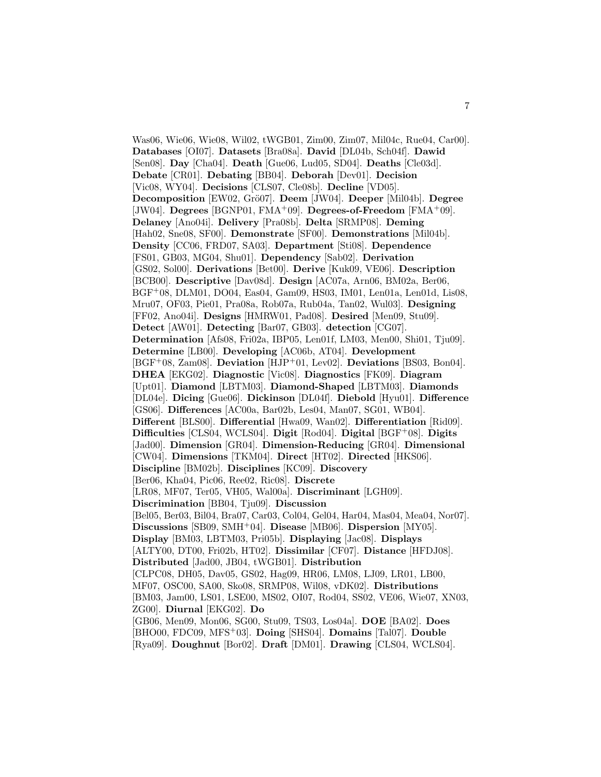Was06, Wie06, Wie08, Wil02, tWGB01, Zim00, Zim07, Mil04c, Rue04, Car00]. **Databases** [OI07]. **Datasets** [Bra08a]. **David** [DL04b, Sch04f]. **Dawid** [Sen08]. **Day** [Cha04]. **Death** [Gue06, Lud05, SD04]. **Deaths** [Cle03d]. **Debate** [CR01]. **Debating** [BB04]. **Deborah** [Dev01]. **Decision** [Vic08, WY04]. **Decisions** [CLS07, Cle08b]. **Decline** [VD05]. **Decomposition** [EW02, Grö07]. **Deem** [JW04]. **Deeper** [Mil04b]. **Degree** [JW04]. **Degrees** [BGNP01, FMA<sup>+</sup>09]. **Degrees-of-Freedom** [FMA<sup>+</sup>09]. **Delaney** [Ano04i]. **Delivery** [Pra08b]. **Delta** [SRMP08]. **Deming** [Hah02, Sne08, SF00]. **Demonstrate** [SF00]. **Demonstrations** [Mil04b]. **Density** [CC06, FRD07, SA03]. **Department** [Sti08]. **Dependence** [FS01, GB03, MG04, Shu01]. **Dependency** [Sab02]. **Derivation** [GS02, Sol00]. **Derivations** [Bet00]. **Derive** [Kuk09, VE06]. **Description** [BCB00]. **Descriptive** [Dav08d]. **Design** [AC07a, Arn06, BM02a, Ber06, BGF<sup>+</sup>08, DLM01, DO04, Eas04, Gam09, HS03, IM01, Len01a, Len01d, Lis08, Mru07, OF03, Pie01, Pra08a, Rob07a, Rub04a, Tan02, Wul03]. **Designing** [FF02, Ano04i]. **Designs** [HMRW01, Pad08]. **Desired** [Men09, Stu09]. **Detect** [AW01]. **Detecting** [Bar07, GB03]. **detection** [CG07]. **Determination** [Afs08, Fri02a, IBP05, Len01f, LM03, Men00, Shi01, Tju09]. **Determine** [LB00]. **Developing** [AC06b, AT04]. **Development** [BGF<sup>+</sup>08, Zam08]. **Deviation** [HJP<sup>+</sup>01, Lev02]. **Deviations** [BS03, Bon04]. **DHEA** [EKG02]. **Diagnostic** [Vic08]. **Diagnostics** [FK09]. **Diagram** [Upt01]. **Diamond** [LBTM03]. **Diamond-Shaped** [LBTM03]. **Diamonds** [DL04e]. **Dicing** [Gue06]. **Dickinson** [DL04f]. **Diebold** [Hyu01]. **Difference** [GS06]. **Differences** [AC00a, Bar02b, Les04, Man07, SG01, WB04]. **Different** [BLS00]. **Differential** [Hwa09, Wan02]. **Differentiation** [Rid09]. **Difficulties** [CLS04, WCLS04]. **Digit** [Rod04]. **Digital** [BGF<sup>+</sup>08]. **Digits** [Jad00]. **Dimension** [GR04]. **Dimension-Reducing** [GR04]. **Dimensional** [CW04]. **Dimensions** [TKM04]. **Direct** [HT02]. **Directed** [HKS06]. **Discipline** [BM02b]. **Disciplines** [KC09]. **Discovery** [Ber06, Kha04, Pic06, Ree02, Ric08]. **Discrete** [LR08, MF07, Ter05, VH05, Wal00a]. **Discriminant** [LGH09]. **Discrimination** [BB04, Tju09]. **Discussion** [Bel05, Ber03, Bil04, Bra07, Car03, Col04, Gel04, Har04, Mas04, Mea04, Nor07]. **Discussions** [SB09, SMH<sup>+</sup>04]. **Disease** [MB06]. **Dispersion** [MY05]. **Display** [BM03, LBTM03, Pri05b]. **Displaying** [Jac08]. **Displays** [ALTY00, DT00, Fri02b, HT02]. **Dissimilar** [CF07]. **Distance** [HFDJ08]. **Distributed** [Jad00, JB04, tWGB01]. **Distribution** [CLPC08, DH05, Dav05, GS02, Hag09, HR06, LM08, LJ09, LR01, LB00, MF07, OSC00, SA00, Sko08, SRMP08, Wil08, vDK02]. **Distributions** [BM03, Jam00, LS01, LSE00, MS02, OI07, Rod04, SS02, VE06, Wie07, XN03, ZG00]. **Diurnal** [EKG02]. **Do** [GB06, Men09, Mon06, SG00, Stu09, TS03, Los04a]. **DOE** [BA02]. **Does** [BHO00, FDC09, MFS<sup>+</sup>03]. **Doing** [SHS04]. **Domains** [Tal07]. **Double** [Rya09]. **Doughnut** [Bor02]. **Draft** [DM01]. **Drawing** [CLS04, WCLS04].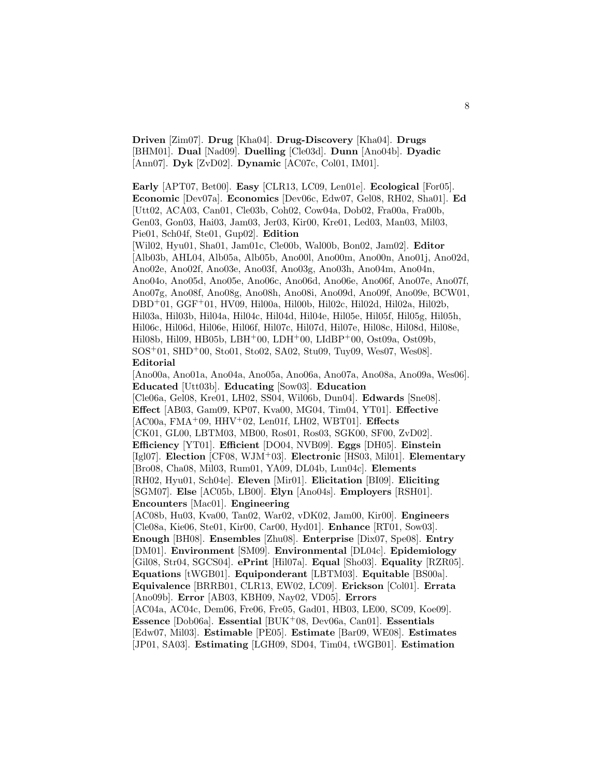**Driven** [Zim07]. **Drug** [Kha04]. **Drug-Discovery** [Kha04]. **Drugs** [BHM01]. **Dual** [Nad09]. **Duelling** [Cle03d]. **Dunn** [Ano04b]. **Dyadic** [Ann07]. **Dyk** [ZvD02]. **Dynamic** [AC07c, Col01, IM01].

**Early** [APT07, Bet00]. **Easy** [CLR13, LC09, Len01e]. **Ecological** [For05]. **Economic** [Dev07a]. **Economics** [Dev06c, Edw07, Gel08, RH02, Sha01]. **Ed** [Utt02, ACA03, Can01, Cle03b, Coh02, Cow04a, Dob02, Fra00a, Fra00b, Gen03, Gon03, Hai03, Jam03, Jer03, Kir00, Kre01, Led03, Man03, Mil03, Pie01, Sch04f, Ste01, Gup02]. **Edition**

[Wil02, Hyu01, Sha01, Jam01c, Cle00b, Wal00b, Bon02, Jam02]. **Editor** [Alb03b, AHL04, Alb05a, Alb05b, Ano00l, Ano00m, Ano00n, Ano01j, Ano02d, Ano02e, Ano02f, Ano03e, Ano03f, Ano03g, Ano03h, Ano04m, Ano04n, Ano04o, Ano05d, Ano05e, Ano06c, Ano06d, Ano06e, Ano06f, Ano07e, Ano07f, Ano07g, Ano08f, Ano08g, Ano08h, Ano08i, Ano09d, Ano09f, Ano09e, BCW01, DBD<sup>+</sup>01, GGF<sup>+</sup>01, HV09, Hil00a, Hil00b, Hil02c, Hil02d, Hil02a, Hil02b, Hil03a, Hil03b, Hil04a, Hil04c, Hil04d, Hil04e, Hil05e, Hil05f, Hil05g, Hil05h, Hil06c, Hil06d, Hil06e, Hil06f, Hil07c, Hil07d, Hil07e, Hil08c, Hil08d, Hil08e, Hil08b, Hil09, HB05b, LBH+00, LDH+00, LIdBP+00, Ost09a, Ost09b, SOS<sup>+</sup>01, SHD<sup>+</sup>00, Sto01, Sto02, SA02, Stu09, Tuy09, Wes07, Wes08]. **Editorial**

[Ano00a, Ano01a, Ano04a, Ano05a, Ano06a, Ano07a, Ano08a, Ano09a, Wes06]. **Educated** [Utt03b]. **Educating** [Sow03]. **Education** [Cle06a, Gel08, Kre01, LH02, SS04, Wil06b, Dun04]. **Edwards** [Sne08]. **Effect** [AB03, Gam09, KP07, Kva00, MG04, Tim04, YT01]. **Effective** [AC00a, FMA<sup>+</sup>09, HHV<sup>+</sup>02, Len01f, LH02, WBT01]. **Effects** [CK01, GL00, LBTM03, MB00, Ros01, Ros03, SGK00, SF00, ZvD02]. **Efficiency** [YT01]. **Efficient** [DO04, NVB09]. **Eggs** [DH05]. **Einstein** [Igl07]. **Election** [CF08, WJM<sup>+</sup>03]. **Electronic** [HS03, Mil01]. **Elementary** [Bro08, Cha08, Mil03, Rum01, YA09, DL04b, Lun04c]. **Elements** [RH02, Hyu01, Sch04e]. **Eleven** [Mir01]. **Elicitation** [BI09]. **Eliciting** [SGM07]. **Else** [AC05b, LB00]. **Elyn** [Ano04s]. **Employers** [RSH01]. **Encounters** [Mac01]. **Engineering** [AC08b, Hu03, Kva00, Tan02, War02, vDK02, Jam00, Kir00]. **Engineers** [Cle08a, Kie06, Ste01, Kir00, Car00, Hyd01]. **Enhance** [RT01, Sow03]. **Enough** [BH08]. **Ensembles** [Zhu08]. **Enterprise** [Dix07, Spe08]. **Entry** [DM01]. **Environment** [SM09]. **Environmental** [DL04c]. **Epidemiology** [Gil08, Str04, SGCS04]. **ePrint** [Hil07a]. **Equal** [Sho03]. **Equality** [RZR05]. **Equations** [tWGB01]. **Equiponderant** [LBTM03]. **Equitable** [BS00a]. **Equivalence** [BRRB01, CLR13, EW02, LC09]. **Erickson** [Col01]. **Errata** [Ano09b]. **Error** [AB03, KBH09, Nay02, VD05]. **Errors** [AC04a, AC04c, Dem06, Fre06, Fre05, Gad01, HB03, LE00, SC09, Koe09]. **Essence** [Dob06a]. **Essential** [BUK<sup>+</sup>08, Dev06a, Can01]. **Essentials** [Edw07, Mil03]. **Estimable** [PE05]. **Estimate** [Bar09, WE08]. **Estimates** [JP01, SA03]. **Estimating** [LGH09, SD04, Tim04, tWGB01]. **Estimation**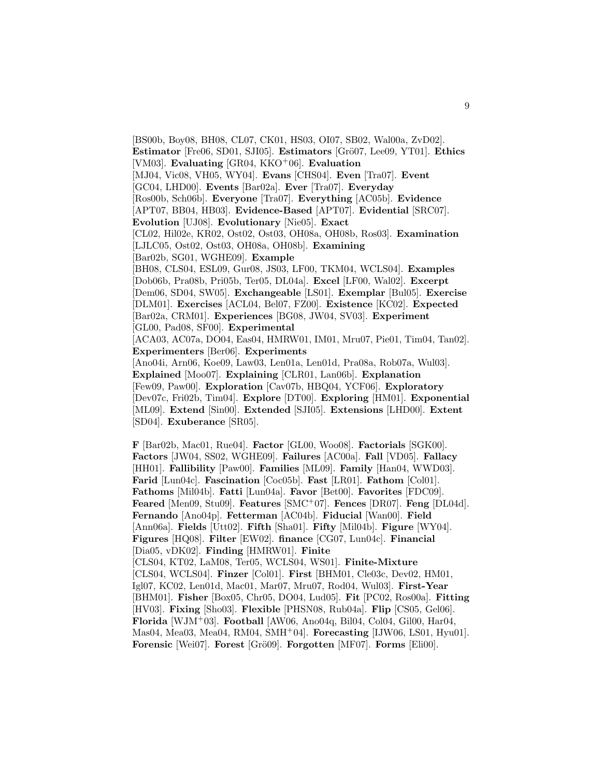[BS00b, Boy08, BH08, CL07, CK01, HS03, OI07, SB02, Wal00a, ZvD02]. **Estimator** [Fre06, SD01, SJI05]. **Estimators** [Grö07, Lee09, YT01]. **Ethics** [VM03]. **Evaluating** [GR04, KKO<sup>+</sup>06]. **Evaluation** [MJ04, Vic08, VH05, WY04]. **Evans** [CHS04]. **Even** [Tra07]. **Event** [GC04, LHD00]. **Events** [Bar02a]. **Ever** [Tra07]. **Everyday** [Ros00b, Sch06b]. **Everyone** [Tra07]. **Everything** [AC05b]. **Evidence** [APT07, BB04, HB03]. **Evidence-Based** [APT07]. **Evidential** [SRC07]. **Evolution** [UJ08]. **Evolutionary** [Nie05]. **Exact** [CL02, Hil02e, KR02, Ost02, Ost03, OH08a, OH08b, Ros03]. **Examination** [LJLC05, Ost02, Ost03, OH08a, OH08b]. **Examining** [Bar02b, SG01, WGHE09]. **Example** [BH08, CLS04, ESL09, Gur08, JS03, LF00, TKM04, WCLS04]. **Examples** [Dob06b, Pra08b, Pri05b, Ter05, DL04a]. **Excel** [LF00, Wal02]. **Excerpt** [Dem06, SD04, SW05]. **Exchangeable** [LS01]. **Exemplar** [Bul05]. **Exercise** [DLM01]. **Exercises** [ACL04, Bel07, FZ00]. **Existence** [KC02]. **Expected** [Bar02a, CRM01]. **Experiences** [BG08, JW04, SV03]. **Experiment** [GL00, Pad08, SF00]. **Experimental** [ACA03, AC07a, DO04, Eas04, HMRW01, IM01, Mru07, Pie01, Tim04, Tan02]. **Experimenters** [Ber06]. **Experiments** [Ano04i, Arn06, Koe09, Law03, Len01a, Len01d, Pra08a, Rob07a, Wul03]. **Explained** [Moo07]. **Explaining** [CLR01, Lan06b]. **Explanation** [Few09, Paw00]. **Exploration** [Cav07b, HBQ04, YCF06]. **Exploratory** [Dev07c, Fri02b, Tim04]. **Explore** [DT00]. **Exploring** [HM01]. **Exponential**

[ML09]. **Extend** [Sin00]. **Extended** [SJI05]. **Extensions** [LHD00]. **Extent** [SD04]. **Exuberance** [SR05].

**F** [Bar02b, Mac01, Rue04]. **Factor** [GL00, Woo08]. **Factorials** [SGK00]. **Factors** [JW04, SS02, WGHE09]. **Failures** [AC00a]. **Fall** [VD05]. **Fallacy** [HH01]. **Fallibility** [Paw00]. **Families** [ML09]. **Family** [Han04, WWD03]. **Farid** [Lun04c]. **Fascination** [Coc05b]. **Fast** [LR01]. **Fathom** [Col01]. **Fathoms** [Mil04b]. **Fatti** [Lun04a]. **Favor** [Bet00]. **Favorites** [FDC09]. **Feared** [Men09, Stu09]. **Features** [SMC<sup>+</sup>07]. **Fences** [DR07]. **Feng** [DL04d]. **Fernando** [Ano04p]. **Fetterman** [AC04b]. **Fiducial** [Wan00]. **Field** [Ann06a]. **Fields** [Utt02]. **Fifth** [Sha01]. **Fifty** [Mil04b]. **Figure** [WY04]. **Figures** [HQ08]. **Filter** [EW02]. **finance** [CG07, Lun04c]. **Financial** [Dia05, vDK02]. **Finding** [HMRW01]. **Finite** [CLS04, KT02, LaM08, Ter05, WCLS04, WS01]. **Finite-Mixture** [CLS04, WCLS04]. **Finzer** [Col01]. **First** [BHM01, Cle03c, Dev02, HM01, Igl07, KC02, Len01d, Mac01, Mar07, Mru07, Rod04, Wul03]. **First-Year** [BHM01]. **Fisher** [Box05, Chr05, DO04, Lud05]. **Fit** [PC02, Ros00a]. **Fitting** [HV03]. **Fixing** [Sho03]. **Flexible** [PHSN08, Rub04a]. **Flip** [CS05, Gel06]. **Florida** [WJM<sup>+</sup>03]. **Football** [AW06, Ano04q, Bil04, Col04, Gil00, Har04, Mas04, Mea03, Mea04, RM04, SMH<sup>+</sup>04]. **Forecasting** [IJW06, LS01, Hyu01]. **Forensic** [Wei07]. **Forest** [Grö09]. **Forgotten** [MF07]. **Forms** [Eli00].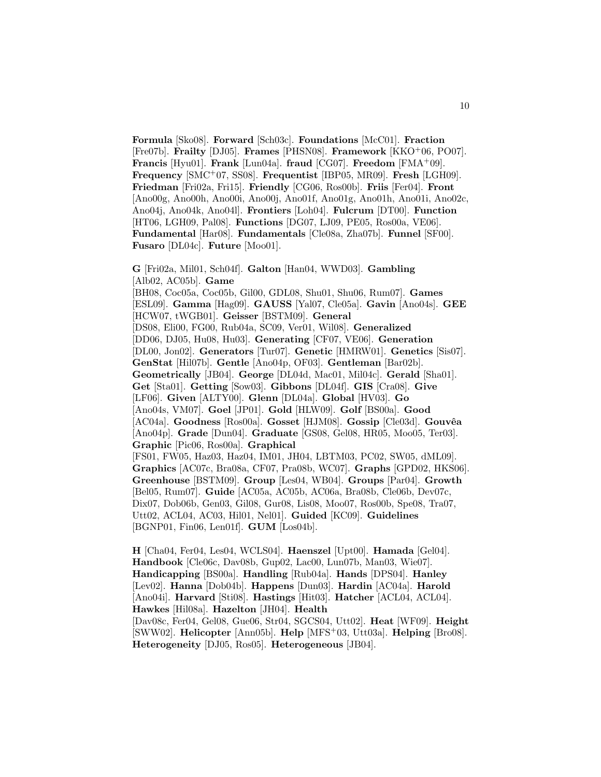**Formula** [Sko08]. **Forward** [Sch03c]. **Foundations** [McC01]. **Fraction** [Fre07b]. **Frailty** [DJ05]. **Frames** [PHSN08]. **Framework** [KKO<sup>+</sup>06, PO07]. **Francis** [Hyu01]. **Frank** [Lun04a]. **fraud** [CG07]. **Freedom** [FMA<sup>+</sup>09]. **Frequency** [SMC<sup>+</sup>07, SS08]. **Frequentist** [IBP05, MR09]. **Fresh** [LGH09]. **Friedman** [Fri02a, Fri15]. **Friendly** [CG06, Ros00b]. **Friis** [Fer04]. **Front** [Ano00g, Ano00h, Ano00i, Ano00j, Ano01f, Ano01g, Ano01h, Ano01i, Ano02c, Ano04j, Ano04k, Ano04l]. **Frontiers** [Loh04]. **Fulcrum** [DT00]. **Function** [HT06, LGH09, Pal08]. **Functions** [DG07, LJ09, PE05, Ros00a, VE06]. **Fundamental** [Har08]. **Fundamentals** [Cle08a, Zha07b]. **Funnel** [SF00]. **Fusaro** [DL04c]. **Future** [Moo01].

**G** [Fri02a, Mil01, Sch04f]. **Galton** [Han04, WWD03]. **Gambling** [Alb02, AC05b]. **Game** [BH08, Coc05a, Coc05b, Gil00, GDL08, Shu01, Shu06, Rum07]. **Games** [ESL09]. **Gamma** [Hag09]. **GAUSS** [Yal07, Cle05a]. **Gavin** [Ano04s]. **GEE** [HCW07, tWGB01]. **Geisser** [BSTM09]. **General** [DS08, Eli00, FG00, Rub04a, SC09, Ver01, Wil08]. **Generalized** [DD06, DJ05, Hu08, Hu03]. **Generating** [CF07, VE06]. **Generation** [DL00, Jon02]. **Generators** [Tur07]. **Genetic** [HMRW01]. **Genetics** [Sis07]. **GenStat** [Hil07b]. **Gentle** [Ano04p, OF03]. **Gentleman** [Bar02b]. **Geometrically** [JB04]. **George** [DL04d, Mac01, Mil04c]. **Gerald** [Sha01]. **Get** [Sta01]. **Getting** [Sow03]. **Gibbons** [DL04f]. **GIS** [Cra08]. **Give** [LF06]. **Given** [ALTY00]. **Glenn** [DL04a]. **Global** [HV03]. **Go** [Ano04s, VM07]. **Goel** [JP01]. **Gold** [HLW09]. **Golf** [BS00a]. **Good** [AC04a]. **Goodness** [Ros00a]. **Gosset** [HJM08]. **Gossip** [Cle03d]. **Gouvêa** [Ano04p]. **Grade** [Dun04]. **Graduate** [GS08, Gel08, HR05, Moo05, Ter03]. **Graphic** [Pic06, Ros00a]. **Graphical** [FS01, FW05, Haz03, Haz04, IM01, JH04, LBTM03, PC02, SW05, dML09]. **Graphics** [AC07c, Bra08a, CF07, Pra08b, WC07]. **Graphs** [GPD02, HKS06]. **Greenhouse** [BSTM09]. **Group** [Les04, WB04]. **Groups** [Par04]. **Growth** [Bel05, Rum07]. **Guide** [AC05a, AC05b, AC06a, Bra08b, Cle06b, Dev07c, Dix07, Dob06b, Gen03, Gil08, Gur08, Lis08, Moo07, Ros00b, Spe08, Tra07, Utt02, ACL04, AC03, Hil01, Nel01]. **Guided** [KC09]. **Guidelines** [BGNP01, Fin06, Len01f]. **GUM** [Los04b].

**H** [Cha04, Fer04, Les04, WCLS04]. **Haenszel** [Upt00]. **Hamada** [Gel04]. **Handbook** [Cle06c, Dav08b, Gup02, Lac00, Lun07b, Man03, Wie07]. **Handicapping** [BS00a]. **Handling** [Rub04a]. **Hands** [DPS04]. **Hanley** [Lev02]. **Hanna** [Dob04b]. **Happens** [Dun03]. **Hardin** [AC04a]. **Harold** [Ano04i]. **Harvard** [Sti08]. **Hastings** [Hit03]. **Hatcher** [ACL04, ACL04]. **Hawkes** [Hil08a]. **Hazelton** [JH04]. **Health** [Dav08c, Fer04, Gel08, Gue06, Str04, SGCS04, Utt02]. **Heat** [WF09]. **Height** [SWW02]. **Helicopter** [Ann05b]. **Help** [MFS<sup>+</sup>03, Utt03a]. **Helping** [Bro08]. **Heterogeneity** [DJ05, Ros05]. **Heterogeneous** [JB04].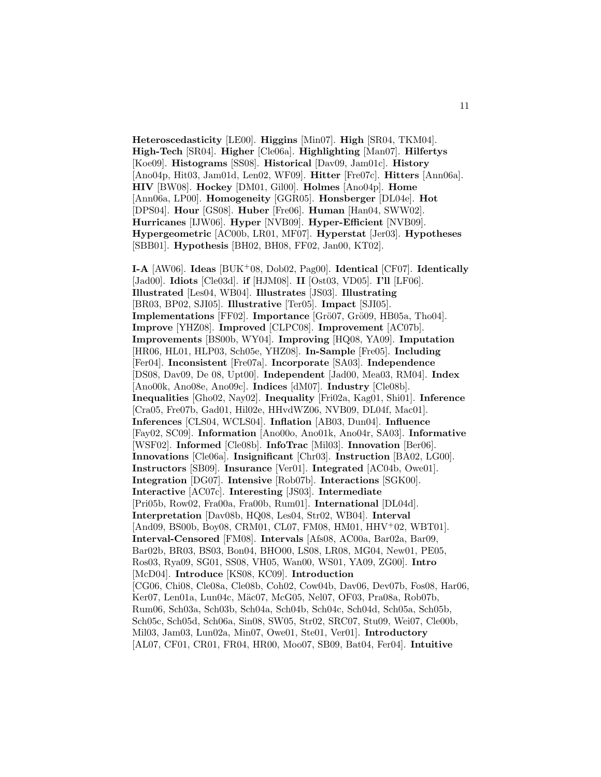**Heteroscedasticity** [LE00]. **Higgins** [Min07]. **High** [SR04, TKM04]. **High-Tech** [SR04]. **Higher** [Cle06a]. **Highlighting** [Man07]. **Hilfertys** [Koe09]. **Histograms** [SS08]. **Historical** [Dav09, Jam01c]. **History** [Ano04p, Hit03, Jam01d, Len02, WF09]. **Hitter** [Fre07c]. **Hitters** [Ann06a]. **HIV** [BW08]. **Hockey** [DM01, Gil00]. **Holmes** [Ano04p]. **Home** [Ann06a, LP00]. **Homogeneity** [GGR05]. **Honsberger** [DL04e]. **Hot** [DPS04]. **Hour** [GS08]. **Huber** [Fre06]. **Human** [Han04, SWW02]. **Hurricanes** [IJW06]. **Hyper** [NVB09]. **Hyper-Efficient** [NVB09]. **Hypergeometric** [AC00b, LR01, MF07]. **Hyperstat** [Jer03]. **Hypotheses** [SBB01]. **Hypothesis** [BH02, BH08, FF02, Jan00, KT02].

**I-A** [AW06]. **Ideas** [BUK<sup>+</sup>08, Dob02, Pag00]. **Identical** [CF07]. **Identically** [Jad00]. **Idiots** [Cle03d]. **if** [HJM08]. **II** [Ost03, VD05]. **I'll** [LF06]. **Illustrated** [Les04, WB04]. **Illustrates** [JS03]. **Illustrating** [BR03, BP02, SJI05]. **Illustrative** [Ter05]. **Impact** [SJI05]. **Implementations** [FF02]. **Importance** [Grö07, Grö09, HB05a, Tho04]. **Improve** [YHZ08]. **Improved** [CLPC08]. **Improvement** [AC07b]. **Improvements** [BS00b, WY04]. **Improving** [HQ08, YA09]. **Imputation** [HR06, HL01, HLP03, Sch05e, YHZ08]. **In-Sample** [Fre05]. **Including** [Fer04]. **Inconsistent** [Fre07a]. **Incorporate** [SA03]. **Independence** [DS08, Dav09, De 08, Upt00]. **Independent** [Jad00, Mea03, RM04]. **Index** [Ano00k, Ano08e, Ano09c]. **Indices** [dM07]. **Industry** [Cle08b]. **Inequalities** [Gho02, Nay02]. **Inequality** [Fri02a, Kag01, Shi01]. **Inference** [Cra05, Fre07b, Gad01, Hil02e, HHvdWZ06, NVB09, DL04f, Mac01]. **Inferences** [CLS04, WCLS04]. **Inflation** [AB03, Dun04]. **Influence** [Fay02, SC09]. **Information** [Ano00o, Ano01k, Ano04r, SA03]. **Informative** [WSF02]. **Informed** [Cle08b]. **InfoTrac** [Mil03]. **Innovation** [Ber06]. **Innovations** [Cle06a]. **Insignificant** [Chr03]. **Instruction** [BA02, LG00]. **Instructors** [SB09]. **Insurance** [Ver01]. **Integrated** [AC04b, Owe01]. **Integration** [DG07]. **Intensive** [Rob07b]. **Interactions** [SGK00]. **Interactive** [AC07c]. **Interesting** [JS03]. **Intermediate** [Pri05b, Row02, Fra00a, Fra00b, Rum01]. **International** [DL04d]. **Interpretation** [Dav08b, HQ08, Les04, Str02, WB04]. **Interval** [And09, BS00b, Boy08, CRM01, CL07, FM08, HM01, HHV+02, WBT01]. **Interval-Censored** [FM08]. **Intervals** [Afs08, AC00a, Bar02a, Bar09, Bar02b, BR03, BS03, Bon04, BHO00, LS08, LR08, MG04, New01, PE05, Ros03, Rya09, SG01, SS08, VH05, Wan00, WS01, YA09, ZG00]. **Intro** [McD04]. **Introduce** [KS08, KC09]. **Introduction** [CG06, Chi08, Cle08a, Cle08b, Coh02, Cow04b, Dav06, Dev07b, Fos08, Har06, Ker07, Len01a, Lun04c, Mäc07, McG05, Nel07, OF03, Pra08a, Rob07b, Rum06, Sch03a, Sch03b, Sch04a, Sch04b, Sch04c, Sch04d, Sch05a, Sch05b, Sch05c, Sch05d, Sch06a, Sin08, SW05, Str02, SRC07, Stu09, Wei07, Cle00b, Mil03, Jam03, Lun02a, Min07, Owe01, Ste01, Ver01]. **Introductory** [AL07, CF01, CR01, FR04, HR00, Moo07, SB09, Bat04, Fer04]. **Intuitive**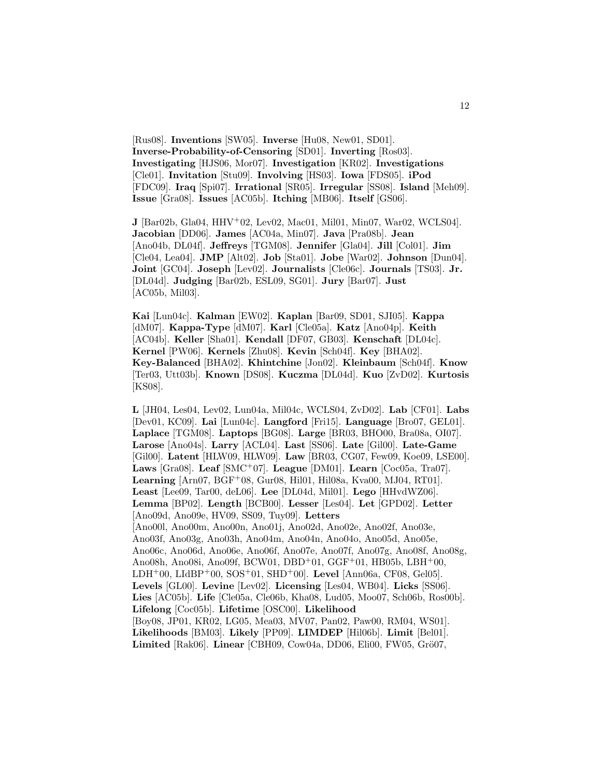[Rus08]. **Inventions** [SW05]. **Inverse** [Hu08, New01, SD01]. **Inverse-Probability-of-Censoring** [SD01]. **Inverting** [Ros03]. **Investigating** [HJS06, Mor07]. **Investigation** [KR02]. **Investigations** [Cle01]. **Invitation** [Stu09]. **Involving** [HS03]. **Iowa** [FDS05]. **iPod** [FDC09]. **Iraq** [Spi07]. **Irrational** [SR05]. **Irregular** [SS08]. **Island** [Meh09]. **Issue** [Gra08]. **Issues** [AC05b]. **Itching** [MB06]. **Itself** [GS06].

**J** [Bar02b, Gla04, HHV<sup>+</sup>02, Lev02, Mac01, Mil01, Min07, War02, WCLS04]. **Jacobian** [DD06]. **James** [AC04a, Min07]. **Java** [Pra08b]. **Jean** [Ano04b, DL04f]. **Jeffreys** [TGM08]. **Jennifer** [Gla04]. **Jill** [Col01]. **Jim** [Cle04, Lea04]. **JMP** [Alt02]. **Job** [Sta01]. **Jobe** [War02]. **Johnson** [Dun04]. **Joint** [GC04]. **Joseph** [Lev02]. **Journalists** [Cle06c]. **Journals** [TS03]. **Jr.** [DL04d]. **Judging** [Bar02b, ESL09, SG01]. **Jury** [Bar07]. **Just** [AC05b, Mil03].

**Kai** [Lun04c]. **Kalman** [EW02]. **Kaplan** [Bar09, SD01, SJI05]. **Kappa** [dM07]. **Kappa-Type** [dM07]. **Karl** [Cle05a]. **Katz** [Ano04p]. **Keith** [AC04b]. **Keller** [Sha01]. **Kendall** [DF07, GB03]. **Kenschaft** [DL04c]. **Kernel** [PW06]. **Kernels** [Zhu08]. **Kevin** [Sch04f]. **Key** [BHA02]. **Key-Balanced** [BHA02]. **Khintchine** [Jon02]. **Kleinbaum** [Sch04f]. **Know** [Ter03, Utt03b]. **Known** [DS08]. **Kuczma** [DL04d]. **Kuo** [ZvD02]. **Kurtosis** [KS08].

**L** [JH04, Les04, Lev02, Lun04a, Mil04c, WCLS04, ZvD02]. **Lab** [CF01]. **Labs** [Dev01, KC09]. **Lai** [Lun04c]. **Langford** [Fri15]. **Language** [Bro07, GEL01]. **Laplace** [TGM08]. **Laptops** [BG08]. **Large** [BR03, BHO00, Bra08a, OI07]. **Larose** [Ano04s]. **Larry** [ACL04]. **Last** [SS06]. **Late** [Gil00]. **Late-Game** [Gil00]. **Latent** [HLW09, HLW09]. **Law** [BR03, CG07, Few09, Koe09, LSE00]. **Laws** [Gra08]. **Leaf** [SMC<sup>+</sup>07]. **League** [DM01]. **Learn** [Coc05a, Tra07]. **Learning** [Arn07, BGF<sup>+</sup>08, Gur08, Hil01, Hil08a, Kva00, MJ04, RT01]. **Least** [Lee09, Tar00, deL06]. **Lee** [DL04d, Mil01]. **Lego** [HHvdWZ06]. **Lemma** [BP02]. **Length** [BCB00]. **Lesser** [Les04]. **Let** [GPD02]. **Letter** [Ano09d, Ano09e, HV09, SS09, Tuy09]. **Letters** [Ano00l, Ano00m, Ano00n, Ano01j, Ano02d, Ano02e, Ano02f, Ano03e, Ano03f, Ano03g, Ano03h, Ano04m, Ano04n, Ano04o, Ano05d, Ano05e, Ano06c, Ano06d, Ano06e, Ano06f, Ano07e, Ano07f, Ano07g, Ano08f, Ano08g, Ano08h, Ano08i, Ano09f, BCW01, DBD<sup>+</sup>01, GGF<sup>+</sup>01, HB05b, LBH<sup>+</sup>00, LDH<sup>+</sup>00, LIdBP<sup>+</sup>00, SOS<sup>+</sup>01, SHD<sup>+</sup>00]. **Level** [Ann06a, CF08, Gel05]. **Levels** [GL00]. **Levine** [Lev02]. **Licensing** [Les04, WB04]. **Licks** [SS06]. **Lies** [AC05b]. **Life** [Cle05a, Cle06b, Kha08, Lud05, Moo07, Sch06b, Ros00b]. **Lifelong** [Coc05b]. **Lifetime** [OSC00]. **Likelihood** [Boy08, JP01, KR02, LG05, Mea03, MV07, Pan02, Paw00, RM04, WS01]. **Likelihoods** [BM03]. **Likely** [PP09]. **LIMDEP** [Hil06b]. **Limit** [Bel01]. **Limited** [Rak06]. **Linear** [CBH09, Cow04a, DD06, Eli00, FW05, Grö07,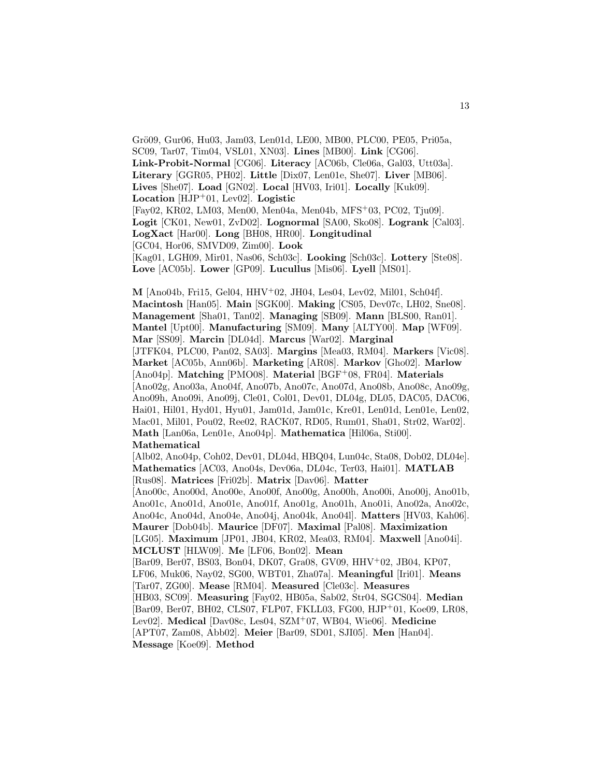Grö09, Gur06, Hu03, Jam03, Len01d, LE00, MB00, PLC00, PE05, Pri05a, SC09, Tar07, Tim04, VSL01, XN03]. **Lines** [MB00]. **Link** [CG06]. **Link-Probit-Normal** [CG06]. **Literacy** [AC06b, Cle06a, Gal03, Utt03a]. **Literary** [GGR05, PH02]. **Little** [Dix07, Len01e, She07]. **Liver** [MB06]. **Lives** [She07]. **Load** [GN02]. **Local** [HV03, Iri01]. **Locally** [Kuk09]. **Location** [HJP<sup>+</sup>01, Lev02]. **Logistic** [Fay02, KR02, LM03, Men00, Men04a, Men04b, MFS<sup>+</sup>03, PC02, Tju09]. **Logit** [CK01, New01, ZvD02]. **Lognormal** [SA00, Sko08]. **Logrank** [Cal03]. **LogXact** [Har00]. **Long** [BH08, HR00]. **Longitudinal** [GC04, Hor06, SMVD09, Zim00]. **Look** [Kag01, LGH09, Mir01, Nas06, Sch03c]. **Looking** [Sch03c]. **Lottery** [Ste08]. **Love** [AC05b]. **Lower** [GP09]. **Lucullus** [Mis06]. **Lyell** [MS01].

**M** [Ano04b, Fri15, Gel04, HHV<sup>+</sup>02, JH04, Les04, Lev02, Mil01, Sch04f]. **Macintosh** [Han05]. **Main** [SGK00]. **Making** [CS05, Dev07c, LH02, Sne08]. **Management** [Sha01, Tan02]. **Managing** [SB09]. **Mann** [BLS00, Ran01]. **Mantel** [Upt00]. **Manufacturing** [SM09]. **Many** [ALTY00]. **Map** [WF09]. **Mar** [SS09]. **Marcin** [DL04d]. **Marcus** [War02]. **Marginal** [JTFK04, PLC00, Pan02, SA03]. **Margins** [Mea03, RM04]. **Markers** [Vic08]. **Market** [AC05b, Ann06b]. **Marketing** [AR08]. **Markov** [Gho02]. **Marlow** [Ano04p]. **Matching** [PMO08]. **Material** [BGF<sup>+</sup>08, FR04]. **Materials** [Ano02g, Ano03a, Ano04f, Ano07b, Ano07c, Ano07d, Ano08b, Ano08c, Ano09g, Ano09h, Ano09i, Ano09j, Cle01, Col01, Dev01, DL04g, DL05, DAC05, DAC06, Hai01, Hil01, Hyd01, Hyu01, Jam01d, Jam01c, Kre01, Len01d, Len01e, Len02, Mac01, Mil01, Pou02, Ree02, RACK07, RD05, Rum01, Sha01, Str02, War02]. **Math** [Lan06a, Len01e, Ano04p]. **Mathematica** [Hil06a, Sti00]. **Mathematical** [Alb02, Ano04p, Coh02, Dev01, DL04d, HBQ04, Lun04c, Sta08, Dob02, DL04e]. **Mathematics** [AC03, Ano04s, Dev06a, DL04c, Ter03, Hai01]. **MATLAB** [Rus08]. **Matrices** [Fri02b]. **Matrix** [Dav06]. **Matter** [Ano00c, Ano00d, Ano00e, Ano00f, Ano00g, Ano00h, Ano00i, Ano00j, Ano01b, Ano01c, Ano01d, Ano01e, Ano01f, Ano01g, Ano01h, Ano01i, Ano02a, Ano02c, Ano04c, Ano04d, Ano04e, Ano04j, Ano04k, Ano04l]. **Matters** [HV03, Kah06]. **Maurer** [Dob04b]. **Maurice** [DF07]. **Maximal** [Pal08]. **Maximization** [LG05]. **Maximum** [JP01, JB04, KR02, Mea03, RM04]. **Maxwell** [Ano04i]. **MCLUST** [HLW09]. **Me** [LF06, Bon02]. **Mean** [Bar09, Ber07, BS03, Bon04, DK07, Gra08, GV09, HHV<sup>+</sup>02, JB04, KP07, LF06, Muk06, Nay02, SG00, WBT01, Zha07a]. **Meaningful** [Iri01]. **Means** [Tar07, ZG00]. **Mease** [RM04]. **Measured** [Cle03c]. **Measures** [HB03, SC09]. **Measuring** [Fay02, HB05a, Sab02, Str04, SGCS04]. **Median** [Bar09, Ber07, BH02, CLS07, FLP07, FKLL03, FG00, HJP<sup>+</sup>01, Koe09, LR08,

Lev02]. **Medical** [Dav08c, Les04, SZM<sup>+</sup>07, WB04, Wie06]. **Medicine** [APT07, Zam08, Abb02]. **Meier** [Bar09, SD01, SJI05]. **Men** [Han04]. **Message** [Koe09]. **Method**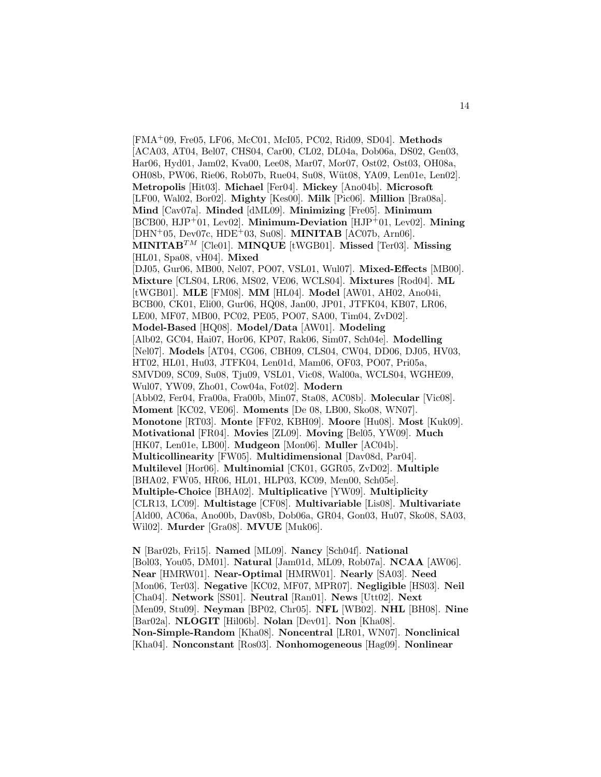[FMA<sup>+</sup>09, Fre05, LF06, McC01, McI05, PC02, Rid09, SD04]. **Methods** [ACA03, AT04, Bel07, CHS04, Car00, CL02, DL04a, Dob06a, DS02, Gen03, Har06, Hyd01, Jam02, Kva00, Lee08, Mar07, Mor07, Ost02, Ost03, OH08a, OH08b, PW06, Rie06, Rob07b, Rue04, Su08, Wüt08, YA09, Len01e, Len02. **Metropolis** [Hit03]. **Michael** [Fer04]. **Mickey** [Ano04b]. **Microsoft** [LF00, Wal02, Bor02]. **Mighty** [Kes00]. **Milk** [Pic06]. **Million** [Bra08a]. **Mind** [Cav07a]. **Minded** [dML09]. **Minimizing** [Fre05]. **Minimum** [BCB00, HJP<sup>+</sup>01, Lev02]. **Minimum-Deviation** [HJP<sup>+</sup>01, Lev02]. **Mining** [DHN<sup>+</sup>05, Dev07c, HDE<sup>+</sup>03, Su08]. **MINITAB** [AC07b, Arn06]. **MINITAB**TM [Cle01]. **MINQUE** [tWGB01]. **Missed** [Ter03]. **Missing** [HL01, Spa08, vH04]. **Mixed** [DJ05, Gur06, MB00, Nel07, PO07, VSL01, Wul07]. **Mixed-Effects** [MB00]. **Mixture** [CLS04, LR06, MS02, VE06, WCLS04]. **Mixtures** [Rod04]. **ML** [tWGB01]. **MLE** [FM08]. **MM** [HL04]. **Model** [AW01, AH02, Ano04i, BCB00, CK01, Eli00, Gur06, HQ08, Jan00, JP01, JTFK04, KB07, LR06, LE00, MF07, MB00, PC02, PE05, PO07, SA00, Tim04, ZvD02]. **Model-Based** [HQ08]. **Model/Data** [AW01]. **Modeling** [Alb02, GC04, Hai07, Hor06, KP07, Rak06, Sim07, Sch04e]. **Modelling** [Nel07]. **Models** [AT04, CG06, CBH09, CLS04, CW04, DD06, DJ05, HV03, HT02, HL01, Hu03, JTFK04, Len01d, Mam06, OF03, PO07, Pri05a, SMVD09, SC09, Su08, Tju09, VSL01, Vic08, Wal00a, WCLS04, WGHE09, Wul07, YW09, Zho01, Cow04a, Fot02]. **Modern** [Abb02, Fer04, Fra00a, Fra00b, Min07, Sta08, AC08b]. **Molecular** [Vic08]. **Moment** [KC02, VE06]. **Moments** [De 08, LB00, Sko08, WN07]. **Monotone** [RT03]. **Monte** [FF02, KBH09]. **Moore** [Hu08]. **Most** [Kuk09]. **Motivational** [FR04]. **Movies** [ZL09]. **Moving** [Bel05, YW09]. **Much** [HK07, Len01e, LB00]. **Mudgeon** [Mon06]. **Muller** [AC04b]. **Multicollinearity** [FW05]. **Multidimensional** [Dav08d, Par04]. **Multilevel** [Hor06]. **Multinomial** [CK01, GGR05, ZvD02]. **Multiple** [BHA02, FW05, HR06, HL01, HLP03, KC09, Men00, Sch05e]. **Multiple-Choice** [BHA02]. **Multiplicative** [YW09]. **Multiplicity** [CLR13, LC09]. **Multistage** [CF08]. **Multivariable** [Lis08]. **Multivariate** [Ald00, AC06a, Ano00b, Dav08b, Dob06a, GR04, Gon03, Hu07, Sko08, SA03, Wil02]. **Murder** [Gra08]. **MVUE** [Muk06].

**N** [Bar02b, Fri15]. **Named** [ML09]. **Nancy** [Sch04f]. **National** [Bol03, You05, DM01]. **Natural** [Jam01d, ML09, Rob07a]. **NCAA** [AW06]. **Near** [HMRW01]. **Near-Optimal** [HMRW01]. **Nearly** [SA03]. **Need** [Mon06, Ter03]. **Negative** [KC02, MF07, MPR07]. **Negligible** [HS03]. **Neil** [Cha04]. **Network** [SS01]. **Neutral** [Ran01]. **News** [Utt02]. **Next** [Men09, Stu09]. **Neyman** [BP02, Chr05]. **NFL** [WB02]. **NHL** [BH08]. **Nine** [Bar02a]. **NLOGIT** [Hil06b]. **Nolan** [Dev01]. **Non** [Kha08]. **Non-Simple-Random** [Kha08]. **Noncentral** [LR01, WN07]. **Nonclinical** [Kha04]. **Nonconstant** [Ros03]. **Nonhomogeneous** [Hag09]. **Nonlinear**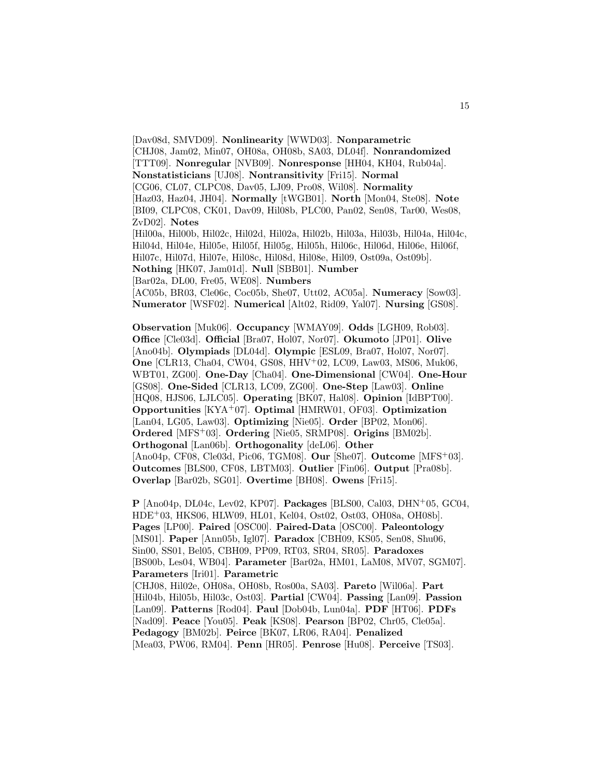[Dav08d, SMVD09]. **Nonlinearity** [WWD03]. **Nonparametric** [CHJ08, Jam02, Min07, OH08a, OH08b, SA03, DL04f]. **Nonrandomized** [TTT09]. **Nonregular** [NVB09]. **Nonresponse** [HH04, KH04, Rub04a]. **Nonstatisticians** [UJ08]. **Nontransitivity** [Fri15]. **Normal** [CG06, CL07, CLPC08, Dav05, LJ09, Pro08, Wil08]. **Normality** [Haz03, Haz04, JH04]. **Normally** [tWGB01]. **North** [Mon04, Ste08]. **Note** [BI09, CLPC08, CK01, Dav09, Hil08b, PLC00, Pan02, Sen08, Tar00, Wes08, ZvD02]. **Notes** [Hil00a, Hil00b, Hil02c, Hil02d, Hil02a, Hil02b, Hil03a, Hil03b, Hil04a, Hil04c, Hil04d, Hil04e, Hil05e, Hil05f, Hil05g, Hil05h, Hil06c, Hil06d, Hil06e, Hil06f, Hil07c, Hil07d, Hil07e, Hil08c, Hil08d, Hil08e, Hil09, Ost09a, Ost09b]. **Nothing** [HK07, Jam01d]. **Null** [SBB01]. **Number** [Bar02a, DL00, Fre05, WE08]. **Numbers** [AC05b, BR03, Cle06c, Coc05b, She07, Utt02, AC05a]. **Numeracy** [Sow03]. **Numerator** [WSF02]. **Numerical** [Alt02, Rid09, Yal07]. **Nursing** [GS08].

**Observation** [Muk06]. **Occupancy** [WMAY09]. **Odds** [LGH09, Rob03]. **Office** [Cle03d]. **Official** [Bra07, Hol07, Nor07]. **Okumoto** [JP01]. **Olive** [Ano04b]. **Olympiads** [DL04d]. **Olympic** [ESL09, Bra07, Hol07, Nor07]. **One** [CLR13, Cha04, CW04, GS08, HHV<sup>+</sup>02, LC09, Law03, MS06, Muk06, WBT01, ZG00]. **One-Day** [Cha04]. **One-Dimensional** [CW04]. **One-Hour** [GS08]. **One-Sided** [CLR13, LC09, ZG00]. **One-Step** [Law03]. **Online** [HQ08, HJS06, LJLC05]. **Operating** [BK07, Hal08]. **Opinion** [IdBPT00]. **Opportunities** [KYA<sup>+</sup>07]. **Optimal** [HMRW01, OF03]. **Optimization** [Lan04, LG05, Law03]. **Optimizing** [Nie05]. **Order** [BP02, Mon06]. **Ordered** [MFS<sup>+</sup>03]. **Ordering** [Nie05, SRMP08]. **Origins** [BM02b]. **Orthogonal** [Lan06b]. **Orthogonality** [deL06]. **Other** [Ano04p, CF08, Cle03d, Pic06, TGM08]. **Our** [She07]. **Outcome** [MFS<sup>+</sup>03]. **Outcomes** [BLS00, CF08, LBTM03]. **Outlier** [Fin06]. **Output** [Pra08b]. **Overlap** [Bar02b, SG01]. **Overtime** [BH08]. **Owens** [Fri15].

**P** [Ano04p, DL04c, Lev02, KP07]. **Packages** [BLS00, Cal03, DHN<sup>+</sup>05, GC04, HDE<sup>+</sup>03, HKS06, HLW09, HL01, Kel04, Ost02, Ost03, OH08a, OH08b]. **Pages** [LP00]. **Paired** [OSC00]. **Paired-Data** [OSC00]. **Paleontology** [MS01]. **Paper** [Ann05b, Igl07]. **Paradox** [CBH09, KS05, Sen08, Shu06, Sin00, SS01, Bel05, CBH09, PP09, RT03, SR04, SR05]. **Paradoxes** [BS00b, Les04, WB04]. **Parameter** [Bar02a, HM01, LaM08, MV07, SGM07]. **Parameters** [Iri01]. **Parametric** [CHJ08, Hil02e, OH08a, OH08b, Ros00a, SA03]. **Pareto** [Wil06a]. **Part** [Hil04b, Hil05b, Hil03c, Ost03]. **Partial** [CW04]. **Passing** [Lan09]. **Passion** [Lan09]. **Patterns** [Rod04]. **Paul** [Dob04b, Lun04a]. **PDF** [HT06]. **PDFs** [Nad09]. **Peace** [You05]. **Peak** [KS08]. **Pearson** [BP02, Chr05, Cle05a]. **Pedagogy** [BM02b]. **Peirce** [BK07, LR06, RA04]. **Penalized** [Mea03, PW06, RM04]. **Penn** [HR05]. **Penrose** [Hu08]. **Perceive** [TS03].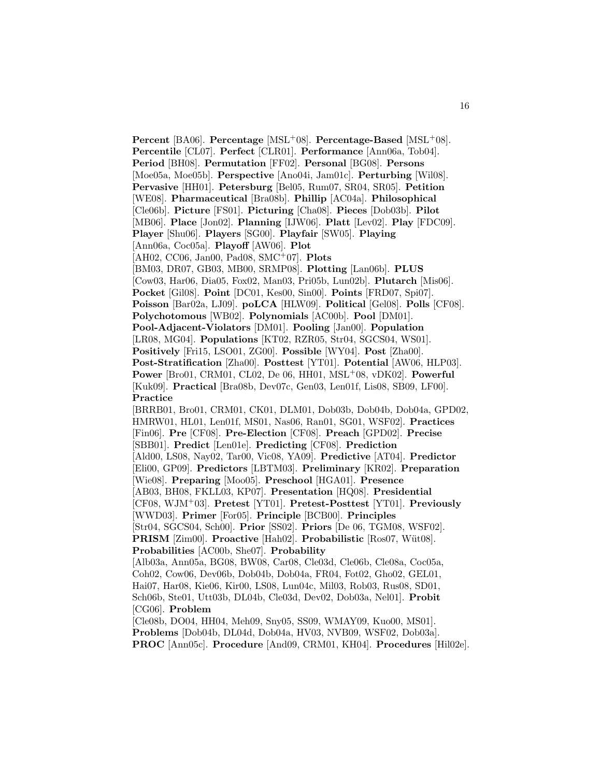**Percent** [BA06]. **Percentage** [MSL<sup>+</sup>08]. **Percentage-Based** [MSL<sup>+</sup>08]. **Percentile** [CL07]. **Perfect** [CLR01]. **Performance** [Ann06a, Tob04]. **Period** [BH08]. **Permutation** [FF02]. **Personal** [BG08]. **Persons** [Moe05a, Moe05b]. **Perspective** [Ano04i, Jam01c]. **Perturbing** [Wil08]. **Pervasive** [HH01]. **Petersburg** [Bel05, Rum07, SR04, SR05]. **Petition** [WE08]. **Pharmaceutical** [Bra08b]. **Phillip** [AC04a]. **Philosophical** [Cle06b]. **Picture** [FS01]. **Picturing** [Cha08]. **Pieces** [Dob03b]. **Pilot** [MB06]. **Place** [Jon02]. **Planning** [IJW06]. **Platt** [Lev02]. **Play** [FDC09]. **Player** [Shu06]. **Players** [SG00]. **Playfair** [SW05]. **Playing** [Ann06a, Coc05a]. **Playoff** [AW06]. **Plot** [AH02, CC06, Jan00, Pad08, SMC<sup>+</sup>07]. **Plots** [BM03, DR07, GB03, MB00, SRMP08]. **Plotting** [Lan06b]. **PLUS** [Cow03, Har06, Dia05, Fox02, Man03, Pri05b, Lun02b]. **Plutarch** [Mis06]. **Pocket** [Gil08]. **Point** [DC01, Kes00, Sin00]. **Points** [FRD07, Spi07]. **Poisson** [Bar02a, LJ09]. **poLCA** [HLW09]. **Political** [Gel08]. **Polls** [CF08]. **Polychotomous** [WB02]. **Polynomials** [AC00b]. **Pool** [DM01]. **Pool-Adjacent-Violators** [DM01]. **Pooling** [Jan00]. **Population** [LR08, MG04]. **Populations** [KT02, RZR05, Str04, SGCS04, WS01]. **Positively** [Fri15, LSO01, ZG00]. **Possible** [WY04]. **Post** [Zha00]. **Post-Stratification** [Zha00]. **Posttest** [YT01]. **Potential** [AW06, HLP03]. **Power** [Bro01, CRM01, CL02, De 06, HH01, MSL<sup>+</sup>08, vDK02]. **Powerful** [Kuk09]. **Practical** [Bra08b, Dev07c, Gen03, Len01f, Lis08, SB09, LF00]. **Practice** [BRRB01, Bro01, CRM01, CK01, DLM01, Dob03b, Dob04b, Dob04a, GPD02, HMRW01, HL01, Len01f, MS01, Nas06, Ran01, SG01, WSF02]. **Practices** [Fin06]. **Pre** [CF08]. **Pre-Election** [CF08]. **Preach** [GPD02]. **Precise** [SBB01]. **Predict** [Len01e]. **Predicting** [CF08]. **Prediction** [Ald00, LS08, Nay02, Tar00, Vic08, YA09]. **Predictive** [AT04]. **Predictor** [Eli00, GP09]. **Predictors** [LBTM03]. **Preliminary** [KR02]. **Preparation** [Wie08]. **Preparing** [Moo05]. **Preschool** [HGA01]. **Presence** [AB03, BH08, FKLL03, KP07]. **Presentation** [HQ08]. **Presidential** [CF08, WJM<sup>+</sup>03]. **Pretest** [YT01]. **Pretest-Posttest** [YT01]. **Previously** [WWD03]. **Primer** [For05]. **Principle** [BCB00]. **Principles** [Str04, SGCS04, Sch00]. **Prior** [SS02]. **Priors** [De 06, TGM08, WSF02]. **PRISM** [Zim00]. **Proactive** [Hah02]. **Probabilistic** [Ros07, Wüt08]. **Probabilities** [AC00b, She07]. **Probability** [Alb03a, Ann05a, BG08, BW08, Car08, Cle03d, Cle06b, Cle08a, Coc05a, Coh02, Cow06, Dev06b, Dob04b, Dob04a, FR04, Fot02, Gho02, GEL01, Hai07, Har08, Kie06, Kir00, LS08, Lun04c, Mil03, Rob03, Rus08, SD01, Sch06b, Ste01, Utt03b, DL04b, Cle03d, Dev02, Dob03a, Nel01]. **Probit** [CG06]. **Problem** [Cle08b, DO04, HH04, Meh09, Sny05, SS09, WMAY09, Kuo00, MS01].

**Problems** [Dob04b, DL04d, Dob04a, HV03, NVB09, WSF02, Dob03a]. **PROC** [Ann05c]. **Procedure** [And09, CRM01, KH04]. **Procedures** [Hil02e].

16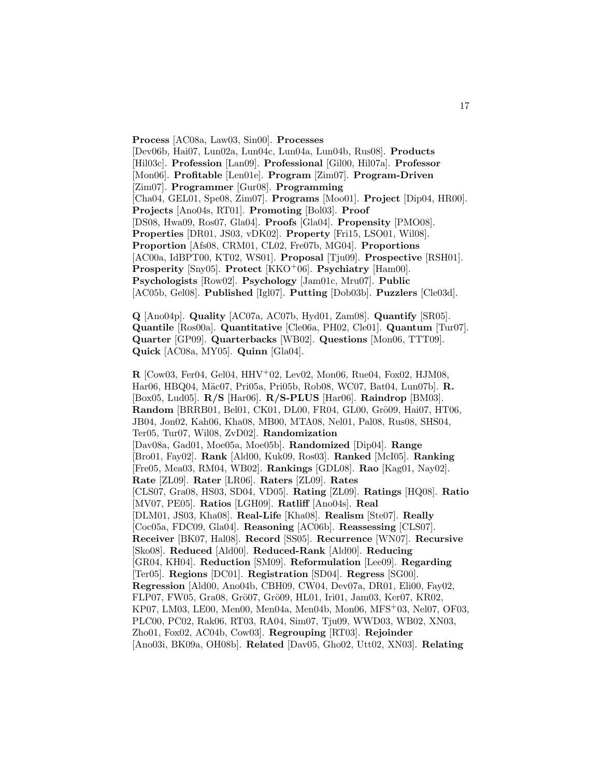**Process** [AC08a, Law03, Sin00]. **Processes** [Dev06b, Hai07, Lun02a, Lun04c, Lun04a, Lun04b, Rus08]. **Products** [Hil03c]. **Profession** [Lan09]. **Professional** [Gil00, Hil07a]. **Professor** [Mon06]. **Profitable** [Len01e]. **Program** [Zim07]. **Program-Driven** [Zim07]. **Programmer** [Gur08]. **Programming** [Cha04, GEL01, Spe08, Zim07]. **Programs** [Moo01]. **Project** [Dip04, HR00]. **Projects** [Ano04s, RT01]. **Promoting** [Bol03]. **Proof** [DS08, Hwa09, Ros07, Gla04]. **Proofs** [Gla04]. **Propensity** [PMO08]. **Properties** [DR01, JS03, vDK02]. **Property** [Fri15, LSO01, Wil08]. **Proportion** [Afs08, CRM01, CL02, Fre07b, MG04]. **Proportions** [AC00a, IdBPT00, KT02, WS01]. **Proposal** [Tju09]. **Prospective** [RSH01]. **Prosperity** [Sny05]. **Protect** [KKO<sup>+</sup>06]. **Psychiatry** [Ham00]. **Psychologists** [Row02]. **Psychology** [Jam01c, Mru07]. **Public** [AC05b, Gel08]. **Published** [Igl07]. **Putting** [Dob03b]. **Puzzlers** [Cle03d].

**Q** [Ano04p]. **Quality** [AC07a, AC07b, Hyd01, Zam08]. **Quantify** [SR05]. **Quantile** [Ros00a]. **Quantitative** [Cle06a, PH02, Cle01]. **Quantum** [Tur07]. **Quarter** [GP09]. **Quarterbacks** [WB02]. **Questions** [Mon06, TTT09]. **Quick** [AC08a, MY05]. **Quinn** [Gla04].

**R** [Cow03, Fer04, Gel04, HHV<sup>+</sup>02, Lev02, Mon06, Rue04, Fox02, HJM08, Har06, HBQ04, Mäc07, Pri05a, Pri05b, Rob08, WC07, Bat04, Lun07b]. **R.** [Box05, Lud05]. **R/S** [Har06]. **R/S-PLUS** [Har06]. **Raindrop** [BM03]. Random [BRRB01, Bel01, CK01, DL00, FR04, GL00, Grö09, Hai07, HT06, JB04, Jon02, Kah06, Kha08, MB00, MTA08, Nel01, Pal08, Rus08, SHS04, Ter05, Tur07, Wil08, ZvD02]. **Randomization** [Dav08a, Gad01, Moe05a, Moe05b]. **Randomized** [Dip04]. **Range** [Bro01, Fay02]. **Rank** [Ald00, Kuk09, Ros03]. **Ranked** [McI05]. **Ranking** [Fre05, Mea03, RM04, WB02]. **Rankings** [GDL08]. **Rao** [Kag01, Nay02]. **Rate** [ZL09]. **Rater** [LR06]. **Raters** [ZL09]. **Rates** [CLS07, Gra08, HS03, SD04, VD05]. **Rating** [ZL09]. **Ratings** [HQ08]. **Ratio** [MV07, PE05]. **Ratios** [LGH09]. **Ratliff** [Ano04s]. **Real** [DLM01, JS03, Kha08]. **Real-Life** [Kha08]. **Realism** [Ste07]. **Really** [Coc05a, FDC09, Gla04]. **Reasoning** [AC06b]. **Reassessing** [CLS07]. **Receiver** [BK07, Hal08]. **Record** [SS05]. **Recurrence** [WN07]. **Recursive** [Sko08]. **Reduced** [Ald00]. **Reduced-Rank** [Ald00]. **Reducing** [GR04, KH04]. **Reduction** [SM09]. **Reformulation** [Lee09]. **Regarding** [Ter05]. **Regions** [DC01]. **Registration** [SD04]. **Regress** [SG00]. **Regression** [Ald00, Ano04b, CBH09, CW04, Dev07a, DR01, Eli00, Fay02, FLP07, FW05, Gra08, Grö07, Grö09, HL01, Iri01, Jam03, Ker07, KR02, KP07, LM03, LE00, Men00, Men04a, Men04b, Mon06, MFS<sup>+</sup>03, Nel07, OF03, PLC00, PC02, Rak06, RT03, RA04, Sim07, Tju09, WWD03, WB02, XN03, Zho01, Fox02, AC04b, Cow03]. **Regrouping** [RT03]. **Rejoinder** [Ano03i, BK09a, OH08b]. **Related** [Dav05, Gho02, Utt02, XN03]. **Relating**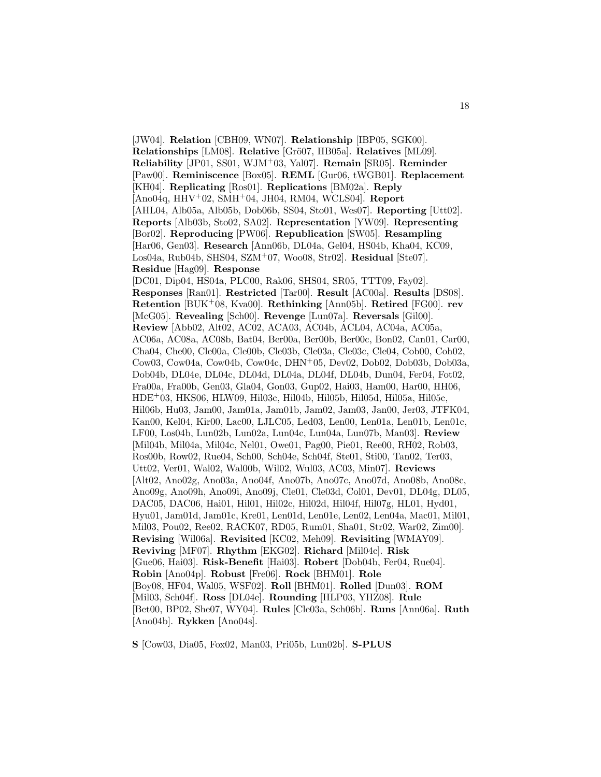[JW04]. **Relation** [CBH09, WN07]. **Relationship** [IBP05, SGK00]. **Relationships** [LM08]. **Relative** [Grö07, HB05a]. **Relatives** [ML09]. **Reliability** [JP01, SS01, WJM<sup>+</sup>03, Yal07]. **Remain** [SR05]. **Reminder** [Paw00]. **Reminiscence** [Box05]. **REML** [Gur06, tWGB01]. **Replacement** [KH04]. **Replicating** [Ros01]. **Replications** [BM02a]. **Reply** [Ano04q, HHV<sup>+</sup>02, SMH<sup>+</sup>04, JH04, RM04, WCLS04]. **Report** [AHL04, Alb05a, Alb05b, Dob06b, SS04, Sto01, Wes07]. **Reporting** [Utt02]. **Reports** [Alb03b, Sto02, SA02]. **Representation** [YW09]. **Representing** [Bor02]. **Reproducing** [PW06]. **Republication** [SW05]. **Resampling** [Har06, Gen03]. **Research** [Ann06b, DL04a, Gel04, HS04b, Kha04, KC09, Los04a, Rub04b, SHS04, SZM<sup>+</sup>07, Woo08, Str02]. **Residual** [Ste07]. **Residue** [Hag09]. **Response** [DC01, Dip04, HS04a, PLC00, Rak06, SHS04, SR05, TTT09, Fay02]. **Responses** [Ran01]. **Restricted** [Tar00]. **Result** [AC00a]. **Results** [DS08]. **Retention** [BUK<sup>+</sup>08, Kva00]. **Rethinking** [Ann05b]. **Retired** [FG00]. **rev** [McG05]. **Revealing** [Sch00]. **Revenge** [Lun07a]. **Reversals** [Gil00]. **Review** [Abb02, Alt02, AC02, ACA03, AC04b, ACL04, AC04a, AC05a, AC06a, AC08a, AC08b, Bat04, Ber00a, Ber00b, Ber00c, Bon02, Can01, Car00, Cha04, Che00, Cle00a, Cle00b, Cle03b, Cle03a, Cle03c, Cle04, Cob00, Coh02, Cow03, Cow04a, Cow04b, Cow04c, DHN<sup>+</sup>05, Dev02, Dob02, Dob03b, Dob03a, Dob04b, DL04e, DL04c, DL04d, DL04a, DL04f, DL04b, Dun04, Fer04, Fot02, Fra00a, Fra00b, Gen03, Gla04, Gon03, Gup02, Hai03, Ham00, Har00, HH06, HDE<sup>+</sup>03, HKS06, HLW09, Hil03c, Hil04b, Hil05b, Hil05d, Hil05a, Hil05c, Hil06b, Hu03, Jam00, Jam01a, Jam01b, Jam02, Jam03, Jan00, Jer03, JTFK04, Kan00, Kel04, Kir00, Lac00, LJLC05, Led03, Len00, Len01a, Len01b, Len01c, LF00, Los04b, Lun02b, Lun02a, Lun04c, Lun04a, Lun07b, Man03]. **Review** [Mil04b, Mil04a, Mil04c, Nel01, Owe01, Pag00, Pie01, Ree00, RH02, Rob03, Ros00b, Row02, Rue04, Sch00, Sch04e, Sch04f, Ste01, Sti00, Tan02, Ter03, Utt02, Ver01, Wal02, Wal00b, Wil02, Wul03, AC03, Min07]. **Reviews** [Alt02, Ano02g, Ano03a, Ano04f, Ano07b, Ano07c, Ano07d, Ano08b, Ano08c, Ano09g, Ano09h, Ano09i, Ano09j, Cle01, Cle03d, Col01, Dev01, DL04g, DL05, DAC05, DAC06, Hai01, Hil01, Hil02c, Hil02d, Hil04f, Hil07g, HL01, Hyd01, Hyu01, Jam01d, Jam01c, Kre01, Len01d, Len01e, Len02, Len04a, Mac01, Mil01, Mil03, Pou02, Ree02, RACK07, RD05, Rum01, Sha01, Str02, War02, Zim00]. **Revising** [Wil06a]. **Revisited** [KC02, Meh09]. **Revisiting** [WMAY09]. **Reviving** [MF07]. **Rhythm** [EKG02]. **Richard** [Mil04c]. **Risk** [Gue06, Hai03]. **Risk-Benefit** [Hai03]. **Robert** [Dob04b, Fer04, Rue04]. **Robin** [Ano04p]. **Robust** [Fre06]. **Rock** [BHM01]. **Role** [Boy08, HF04, Wal05, WSF02]. **Roll** [BHM01]. **Rolled** [Dun03]. **ROM** [Mil03, Sch04f]. **Ross** [DL04e]. **Rounding** [HLP03, YHZ08]. **Rule** [Bet00, BP02, She07, WY04]. **Rules** [Cle03a, Sch06b]. **Runs** [Ann06a]. **Ruth** [Ano04b]. **Rykken** [Ano04s].

**S** [Cow03, Dia05, Fox02, Man03, Pri05b, Lun02b]. **S-PLUS**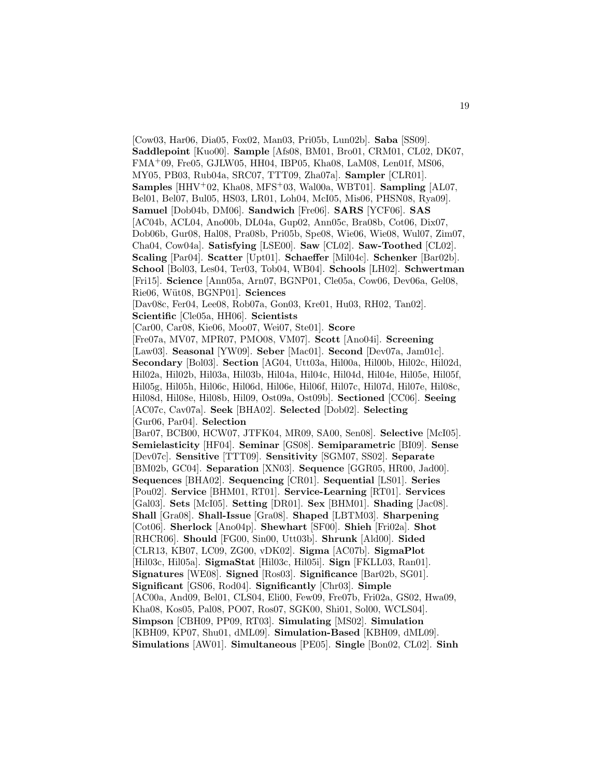[Cow03, Har06, Dia05, Fox02, Man03, Pri05b, Lun02b]. **Saba** [SS09]. **Saddlepoint** [Kuo00]. **Sample** [Afs08, BM01, Bro01, CRM01, CL02, DK07, FMA<sup>+</sup>09, Fre05, GJLW05, HH04, IBP05, Kha08, LaM08, Len01f, MS06, MY05, PB03, Rub04a, SRC07, TTT09, Zha07a]. **Sampler** [CLR01]. **Samples** [HHV<sup>+</sup>02, Kha08, MFS<sup>+</sup>03, Wal00a, WBT01]. **Sampling** [AL07, Bel01, Bel07, Bul05, HS03, LR01, Loh04, McI05, Mis06, PHSN08, Rya09]. **Samuel** [Dob04b, DM06]. **Sandwich** [Fre06]. **SARS** [YCF06]. **SAS** [AC04b, ACL04, Ano00b, DL04a, Gup02, Ann05c, Bra08b, Cot06, Dix07, Dob06b, Gur08, Hal08, Pra08b, Pri05b, Spe08, Wie06, Wie08, Wul07, Zim07, Cha04, Cow04a]. **Satisfying** [LSE00]. **Saw** [CL02]. **Saw-Toothed** [CL02]. **Scaling** [Par04]. **Scatter** [Upt01]. **Schaeffer** [Mil04c]. **Schenker** [Bar02b]. **School** [Bol03, Les04, Ter03, Tob04, WB04]. **Schools** [LH02]. **Schwertman** [Fri15]. **Science** [Ann05a, Arn07, BGNP01, Cle05a, Cow06, Dev06a, Gel08, Rie06, W¨ut08, BGNP01]. **Sciences** [Dav08c, Fer04, Lee08, Rob07a, Gon03, Kre01, Hu03, RH02, Tan02]. **Scientific** [Cle05a, HH06]. **Scientists** [Car00, Car08, Kie06, Moo07, Wei07, Ste01]. **Score** [Fre07a, MV07, MPR07, PMO08, VM07]. **Scott** [Ano04i]. **Screening** [Law03]. **Seasonal** [YW09]. **Seber** [Mac01]. **Second** [Dev07a, Jam01c]. **Secondary** [Bol03]. **Section** [AG04, Utt03a, Hil00a, Hil00b, Hil02c, Hil02d, Hil02a, Hil02b, Hil03a, Hil03b, Hil04a, Hil04c, Hil04d, Hil04e, Hil05e, Hil05f, Hil05g, Hil05h, Hil06c, Hil06d, Hil06e, Hil06f, Hil07c, Hil07d, Hil07e, Hil08c, Hil08d, Hil08e, Hil08b, Hil09, Ost09a, Ost09b]. **Sectioned** [CC06]. **Seeing** [AC07c, Cav07a]. **Seek** [BHA02]. **Selected** [Dob02]. **Selecting** [Gur06, Par04]. **Selection** [Bar07, BCB00, HCW07, JTFK04, MR09, SA00, Sen08]. **Selective** [McI05]. **Semielasticity** [HF04]. **Seminar** [GS08]. **Semiparametric** [BI09]. **Sense** [Dev07c]. **Sensitive** [TTT09]. **Sensitivity** [SGM07, SS02]. **Separate** [BM02b, GC04]. **Separation** [XN03]. **Sequence** [GGR05, HR00, Jad00]. **Sequences** [BHA02]. **Sequencing** [CR01]. **Sequential** [LS01]. **Series** [Pou02]. **Service** [BHM01, RT01]. **Service-Learning** [RT01]. **Services** [Gal03]. **Sets** [McI05]. **Setting** [DR01]. **Sex** [BHM01]. **Shading** [Jac08]. **Shall** [Gra08]. **Shall-Issue** [Gra08]. **Shaped** [LBTM03]. **Sharpening** [Cot06]. **Sherlock** [Ano04p]. **Shewhart** [SF00]. **Shieh** [Fri02a]. **Shot** [RHCR06]. **Should** [FG00, Sin00, Utt03b]. **Shrunk** [Ald00]. **Sided** [CLR13, KB07, LC09, ZG00, vDK02]. **Sigma** [AC07b]. **SigmaPlot** [Hil03c, Hil05a]. **SigmaStat** [Hil03c, Hil05i]. **Sign** [FKLL03, Ran01]. **Signatures** [WE08]. **Signed** [Ros03]. **Significance** [Bar02b, SG01]. **Significant** [GS06, Rod04]. **Significantly** [Chr03]. **Simple** [AC00a, And09, Bel01, CLS04, Eli00, Few09, Fre07b, Fri02a, GS02, Hwa09, Kha08, Kos05, Pal08, PO07, Ros07, SGK00, Shi01, Sol00, WCLS04]. **Simpson** [CBH09, PP09, RT03]. **Simulating** [MS02]. **Simulation** [KBH09, KP07, Shu01, dML09]. **Simulation-Based** [KBH09, dML09]. **Simulations** [AW01]. **Simultaneous** [PE05]. **Single** [Bon02, CL02]. **Sinh**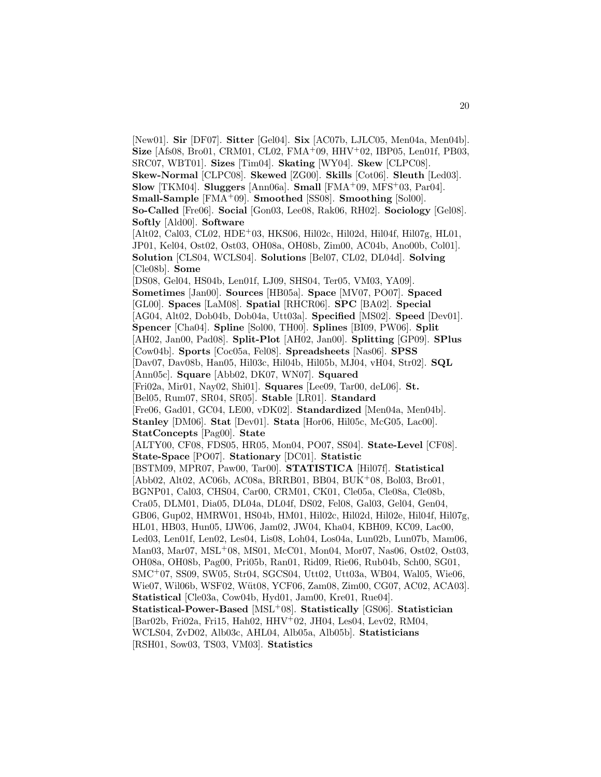[New01]. **Sir** [DF07]. **Sitter** [Gel04]. **Six** [AC07b, LJLC05, Men04a, Men04b]. **Size** [Afs08, Bro01, CRM01, CL02, FMA<sup>+</sup>09, HHV<sup>+</sup>02, IBP05, Len01f, PB03, SRC07, WBT01]. **Sizes** [Tim04]. **Skating** [WY04]. **Skew** [CLPC08]. **Skew-Normal** [CLPC08]. **Skewed** [ZG00]. **Skills** [Cot06]. **Sleuth** [Led03]. **Slow** [TKM04]. **Sluggers** [Ann06a]. **Small** [FMA<sup>+</sup>09, MFS<sup>+</sup>03, Par04]. **Small-Sample** [FMA<sup>+</sup>09]. **Smoothed** [SS08]. **Smoothing** [Sol00]. **So-Called** [Fre06]. **Social** [Gon03, Lee08, Rak06, RH02]. **Sociology** [Gel08]. **Softly** [Ald00]. **Software** [Alt02, Cal03, CL02, HDE+03, HKS06, Hil02c, Hil02d, Hil04f, Hil07g, HL01, JP01, Kel04, Ost02, Ost03, OH08a, OH08b, Zim00, AC04b, Ano00b, Col01]. **Solution** [CLS04, WCLS04]. **Solutions** [Bel07, CL02, DL04d]. **Solving** [Cle08b]. **Some** [DS08, Gel04, HS04b, Len01f, LJ09, SHS04, Ter05, VM03, YA09]. **Sometimes** [Jan00]. **Sources** [HB05a]. **Space** [MV07, PO07]. **Spaced** [GL00]. **Spaces** [LaM08]. **Spatial** [RHCR06]. **SPC** [BA02]. **Special** [AG04, Alt02, Dob04b, Dob04a, Utt03a]. **Specified** [MS02]. **Speed** [Dev01]. **Spencer** [Cha04]. **Spline** [Sol00, TH00]. **Splines** [BI09, PW06]. **Split** [AH02, Jan00, Pad08]. **Split-Plot** [AH02, Jan00]. **Splitting** [GP09]. **SPlus** [Cow04b]. **Sports** [Coc05a, Fel08]. **Spreadsheets** [Nas06]. **SPSS** [Dav07, Dav08b, Han05, Hil03c, Hil04b, Hil05b, MJ04, vH04, Str02]. **SQL** [Ann05c]. **Square** [Abb02, DK07, WN07]. **Squared** [Fri02a, Mir01, Nay02, Shi01]. **Squares** [Lee09, Tar00, deL06]. **St.** [Bel05, Rum07, SR04, SR05]. **Stable** [LR01]. **Standard** [Fre06, Gad01, GC04, LE00, vDK02]. **Standardized** [Men04a, Men04b]. **Stanley** [DM06]. **Stat** [Dev01]. **Stata** [Hor06, Hil05c, McG05, Lac00]. **StatConcepts** [Pag00]. **State** [ALTY00, CF08, FDS05, HR05, Mon04, PO07, SS04]. **State-Level** [CF08]. **State-Space** [PO07]. **Stationary** [DC01]. **Statistic** [BSTM09, MPR07, Paw00, Tar00]. **STATISTICA** [Hil07f]. **Statistical** [Abb02, Alt02, AC06b, AC08a, BRRB01, BB04, BUK<sup>+</sup>08, Bol03, Bro01, BGNP01, Cal03, CHS04, Car00, CRM01, CK01, Cle05a, Cle08a, Cle08b, Cra05, DLM01, Dia05, DL04a, DL04f, DS02, Fel08, Gal03, Gel04, Gen04, GB06, Gup02, HMRW01, HS04b, HM01, Hil02c, Hil02d, Hil02e, Hil04f, Hil07g, HL01, HB03, Hun05, IJW06, Jam02, JW04, Kha04, KBH09, KC09, Lac00, Led03, Len01f, Len02, Les04, Lis08, Loh04, Los04a, Lun02b, Lun07b, Mam06, Man03, Mar07, MSL<sup>+</sup>08, MS01, McC01, Mon04, Mor07, Nas06, Ost02, Ost03, OH08a, OH08b, Pag00, Pri05b, Ran01, Rid09, Rie06, Rub04b, Sch00, SG01, SMC<sup>+</sup>07, SS09, SW05, Str04, SGCS04, Utt02, Utt03a, WB04, Wal05, Wie06, Wie07, Wil06b, WSF02, Wüt08, YCF06, Zam08, Zim00, CG07, AC02, ACA03]. **Statistical** [Cle03a, Cow04b, Hyd01, Jam00, Kre01, Rue04]. **Statistical-Power-Based** [MSL<sup>+</sup>08]. **Statistically** [GS06]. **Statistician** [Bar02b, Fri02a, Fri15, Hah02, HHV<sup>+</sup>02, JH04, Les04, Lev02, RM04, WCLS04, ZvD02, Alb03c, AHL04, Alb05a, Alb05b]. **Statisticians** [RSH01, Sow03, TS03, VM03]. **Statistics**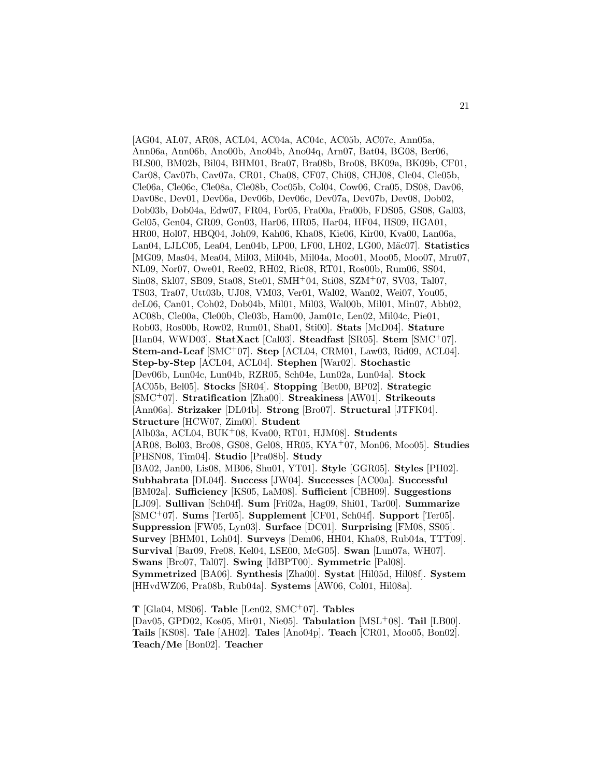[AG04, AL07, AR08, ACL04, AC04a, AC04c, AC05b, AC07c, Ann05a, Ann06a, Ann06b, Ano00b, Ano04b, Ano04q, Arn07, Bat04, BG08, Ber06, BLS00, BM02b, Bil04, BHM01, Bra07, Bra08b, Bro08, BK09a, BK09b, CF01, Car08, Cav07b, Cav07a, CR01, Cha08, CF07, Chi08, CHJ08, Cle04, Cle05b, Cle06a, Cle06c, Cle08a, Cle08b, Coc05b, Col04, Cow06, Cra05, DS08, Dav06, Dav08c, Dev01, Dev06a, Dev06b, Dev06c, Dev07a, Dev07b, Dev08, Dob02, Dob03b, Dob04a, Edw07, FR04, For05, Fra00a, Fra00b, FDS05, GS08, Gal03, Gel05, Gen04, GR09, Gon03, Har06, HR05, Har04, HF04, HS09, HGA01, HR00, Hol07, HBQ04, Joh09, Kah06, Kha08, Kie06, Kir00, Kva00, Lan06a, Lan04, LJLC05, Lea04, Len04b, LP00, LF00, LH02, LG00, M¨ac07]. **Statistics** [MG09, Mas04, Mea04, Mil03, Mil04b, Mil04a, Moo01, Moo05, Moo07, Mru07, NL09, Nor07, Owe01, Ree02, RH02, Ric08, RT01, Ros00b, Rum06, SS04, Sin08, Skl07, SB09, Sta08, Ste01, SMH<sup>+</sup>04, Sti08, SZM<sup>+</sup>07, SV03, Tal07, TS03, Tra07, Utt03b, UJ08, VM03, Ver01, Wal02, Wan02, Wei07, You05, deL06, Can01, Coh02, Dob04b, Mil01, Mil03, Wal00b, Mil01, Min07, Abb02, AC08b, Cle00a, Cle00b, Cle03b, Ham00, Jam01c, Len02, Mil04c, Pie01, Rob03, Ros00b, Row02, Rum01, Sha01, Sti00]. **Stats** [McD04]. **Stature** [Han04, WWD03]. **StatXact** [Cal03]. **Steadfast** [SR05]. **Stem** [SMC<sup>+</sup>07]. **Stem-and-Leaf** [SMC<sup>+</sup>07]. **Step** [ACL04, CRM01, Law03, Rid09, ACL04]. **Step-by-Step** [ACL04, ACL04]. **Stephen** [War02]. **Stochastic** [Dev06b, Lun04c, Lun04b, RZR05, Sch04e, Lun02a, Lun04a]. **Stock** [AC05b, Bel05]. **Stocks** [SR04]. **Stopping** [Bet00, BP02]. **Strategic** [SMC<sup>+</sup>07]. **Stratification** [Zha00]. **Streakiness** [AW01]. **Strikeouts** [Ann06a]. **Strizaker** [DL04b]. **Strong** [Bro07]. **Structural** [JTFK04]. **Structure** [HCW07, Zim00]. **Student** [Alb03a, ACL04, BUK<sup>+</sup>08, Kva00, RT01, HJM08]. **Students** [AR08, Bol03, Bro08, GS08, Gel08, HR05, KYA<sup>+</sup>07, Mon06, Moo05]. **Studies** [PHSN08, Tim04]. **Studio** [Pra08b]. **Study** [BA02, Jan00, Lis08, MB06, Shu01, YT01]. **Style** [GGR05]. **Styles** [PH02]. **Subhabrata** [DL04f]. **Success** [JW04]. **Successes** [AC00a]. **Successful** [BM02a]. **Sufficiency** [KS05, LaM08]. **Sufficient** [CBH09]. **Suggestions** [LJ09]. **Sullivan** [Sch04f]. **Sum** [Fri02a, Hag09, Shi01, Tar00]. **Summarize** [SMC<sup>+</sup>07]. **Sums** [Ter05]. **Supplement** [CF01, Sch04f]. **Support** [Ter05]. **Suppression** [FW05, Lyn03]. **Surface** [DC01]. **Surprising** [FM08, SS05]. **Survey** [BHM01, Loh04]. **Surveys** [Dem06, HH04, Kha08, Rub04a, TTT09]. **Survival** [Bar09, Fre08, Kel04, LSE00, McG05]. **Swan** [Lun07a, WH07]. **Swans** [Bro07, Tal07]. **Swing** [IdBPT00]. **Symmetric** [Pal08]. **Symmetrized** [BA06]. **Synthesis** [Zha00]. **Systat** [Hil05d, Hil08f]. **System** [HHvdWZ06, Pra08b, Rub04a]. **Systems** [AW06, Col01, Hil08a].

**T** [Gla04, MS06]. **Table** [Len02, SMC<sup>+</sup>07]. **Tables** [Dav05, GPD02, Kos05, Mir01, Nie05]. **Tabulation** [MSL<sup>+</sup>08]. **Tail** [LB00]. **Tails** [KS08]. **Tale** [AH02]. **Tales** [Ano04p]. **Teach** [CR01, Moo05, Bon02]. **Teach/Me** [Bon02]. **Teacher**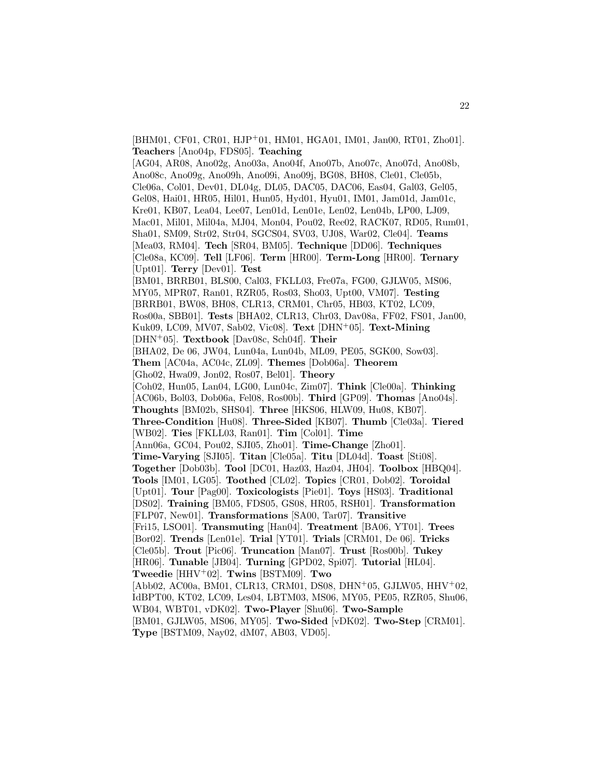[BHM01, CF01, CR01, HJP<sup>+</sup>01, HM01, HGA01, IM01, Jan00, RT01, Zho01]. **Teachers** [Ano04p, FDS05]. **Teaching** [AG04, AR08, Ano02g, Ano03a, Ano04f, Ano07b, Ano07c, Ano07d, Ano08b, Ano08c, Ano09g, Ano09h, Ano09i, Ano09j, BG08, BH08, Cle01, Cle05b, Cle06a, Col01, Dev01, DL04g, DL05, DAC05, DAC06, Eas04, Gal03, Gel05, Gel08, Hai01, HR05, Hil01, Hun05, Hyd01, Hyu01, IM01, Jam01d, Jam01c, Kre01, KB07, Lea04, Lee07, Len01d, Len01e, Len02, Len04b, LP00, LJ09, Mac01, Mil01, Mil04a, MJ04, Mon04, Pou02, Ree02, RACK07, RD05, Rum01, Sha01, SM09, Str02, Str04, SGCS04, SV03, UJ08, War02, Cle04]. **Teams** [Mea03, RM04]. **Tech** [SR04, BM05]. **Technique** [DD06]. **Techniques** [Cle08a, KC09]. **Tell** [LF06]. **Term** [HR00]. **Term-Long** [HR00]. **Ternary** [Upt01]. **Terry** [Dev01]. **Test** [BM01, BRRB01, BLS00, Cal03, FKLL03, Fre07a, FG00, GJLW05, MS06, MY05, MPR07, Ran01, RZR05, Ros03, Sho03, Upt00, VM07]. **Testing** [BRRB01, BW08, BH08, CLR13, CRM01, Chr05, HB03, KT02, LC09, Ros00a, SBB01]. **Tests** [BHA02, CLR13, Chr03, Dav08a, FF02, FS01, Jan00, Kuk09, LC09, MV07, Sab02, Vic08]. **Text** [DHN<sup>+</sup>05]. **Text-Mining** [DHN<sup>+</sup>05]. **Textbook** [Dav08c, Sch04f]. **Their** [BHA02, De 06, JW04, Lun04a, Lun04b, ML09, PE05, SGK00, Sow03]. **Them** [AC04a, AC04c, ZL09]. **Themes** [Dob06a]. **Theorem** [Gho02, Hwa09, Jon02, Ros07, Bel01]. **Theory** [Coh02, Hun05, Lan04, LG00, Lun04c, Zim07]. **Think** [Cle00a]. **Thinking** [AC06b, Bol03, Dob06a, Fel08, Ros00b]. **Third** [GP09]. **Thomas** [Ano04s]. **Thoughts** [BM02b, SHS04]. **Three** [HKS06, HLW09, Hu08, KB07]. **Three-Condition** [Hu08]. **Three-Sided** [KB07]. **Thumb** [Cle03a]. **Tiered** [WB02]. **Ties** [FKLL03, Ran01]. **Tim** [Col01]. **Time** [Ann06a, GC04, Pou02, SJI05, Zho01]. **Time-Change** [Zho01]. **Time-Varying** [SJI05]. **Titan** [Cle05a]. **Titu** [DL04d]. **Toast** [Sti08]. **Together** [Dob03b]. **Tool** [DC01, Haz03, Haz04, JH04]. **Toolbox** [HBQ04]. **Tools** [IM01, LG05]. **Toothed** [CL02]. **Topics** [CR01, Dob02]. **Toroidal** [Upt01]. **Tour** [Pag00]. **Toxicologists** [Pie01]. **Toys** [HS03]. **Traditional** [DS02]. **Training** [BM05, FDS05, GS08, HR05, RSH01]. **Transformation** [FLP07, New01]. **Transformations** [SA00, Tar07]. **Transitive** [Fri15, LSO01]. **Transmuting** [Han04]. **Treatment** [BA06, YT01]. **Trees** [Bor02]. **Trends** [Len01e]. **Trial** [YT01]. **Trials** [CRM01, De 06]. **Tricks** [Cle05b]. **Trout** [Pic06]. **Truncation** [Man07]. **Trust** [Ros00b]. **Tukey** [HR06]. **Tunable** [JB04]. **Turning** [GPD02, Spi07]. **Tutorial** [HL04]. **Tweedie** [HHV<sup>+</sup>02]. **Twins** [BSTM09]. **Two** [Abb02, AC00a, BM01, CLR13, CRM01, DS08, DHN<sup>+</sup>05, GJLW05, HHV<sup>+</sup>02, IdBPT00, KT02, LC09, Les04, LBTM03, MS06, MY05, PE05, RZR05, Shu06, WB04, WBT01, vDK02]. **Two-Player** [Shu06]. **Two-Sample** [BM01, GJLW05, MS06, MY05]. **Two-Sided** [vDK02]. **Two-Step** [CRM01]. **Type** [BSTM09, Nay02, dM07, AB03, VD05].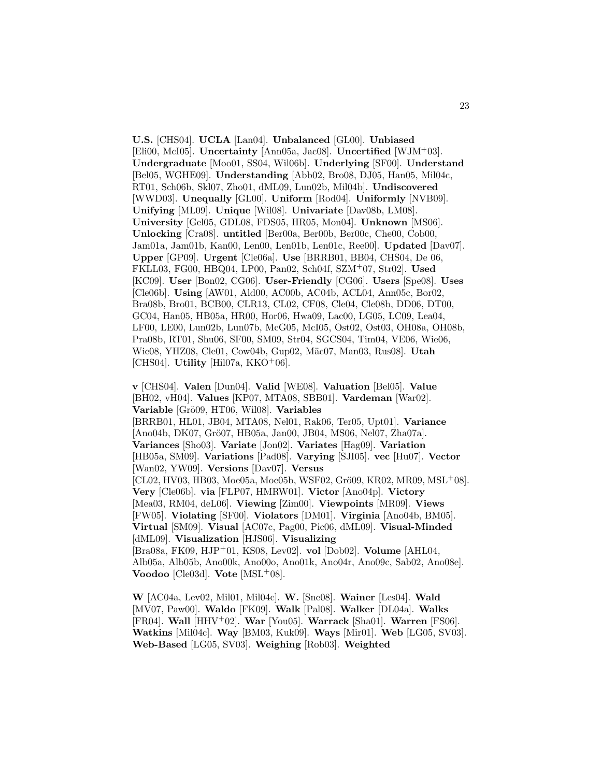**U.S.** [CHS04]. **UCLA** [Lan04]. **Unbalanced** [GL00]. **Unbiased** [Eli00, McI05]. **Uncertainty** [Ann05a, Jac08]. **Uncertified** [WJM<sup>+</sup>03]. **Undergraduate** [Moo01, SS04, Wil06b]. **Underlying** [SF00]. **Understand** [Bel05, WGHE09]. **Understanding** [Abb02, Bro08, DJ05, Han05, Mil04c, RT01, Sch06b, Skl07, Zho01, dML09, Lun02b, Mil04b]. **Undiscovered** [WWD03]. **Unequally** [GL00]. **Uniform** [Rod04]. **Uniformly** [NVB09]. **Unifying** [ML09]. **Unique** [Wil08]. **Univariate** [Dav08b, LM08]. **University** [Gel05, GDL08, FDS05, HR05, Mon04]. **Unknown** [MS06]. **Unlocking** [Cra08]. **untitled** [Ber00a, Ber00b, Ber00c, Che00, Cob00, Jam01a, Jam01b, Kan00, Len00, Len01b, Len01c, Ree00]. **Updated** [Dav07]. **Upper** [GP09]. **Urgent** [Cle06a]. **Use** [BRRB01, BB04, CHS04, De 06, FKLL03, FG00, HBQ04, LP00, Pan02, Sch04f, SZM<sup>+</sup>07, Str02]. **Used** [KC09]. **User** [Bon02, CG06]. **User-Friendly** [CG06]. **Users** [Spe08]. **Uses** [Cle06b]. **Using** [AW01, Ald00, AC00b, AC04b, ACL04, Ann05c, Bor02, Bra08b, Bro01, BCB00, CLR13, CL02, CF08, Cle04, Cle08b, DD06, DT00, GC04, Han05, HB05a, HR00, Hor06, Hwa09, Lac00, LG05, LC09, Lea04, LF00, LE00, Lun02b, Lun07b, McG05, McI05, Ost02, Ost03, OH08a, OH08b, Pra08b, RT01, Shu06, SF00, SM09, Str04, SGCS04, Tim04, VE06, Wie06, Wie08, YHZ08, Cle01, Cow04b, Gup02, M¨ac07, Man03, Rus08]. **Utah** [CHS04]. **Utility** [Hil07a, KKO<sup>+</sup>06].

**v** [CHS04]. **Valen** [Dun04]. **Valid** [WE08]. **Valuation** [Bel05]. **Value** [BH02, vH04]. **Values** [KP07, MTA08, SBB01]. **Vardeman** [War02]. **Variable** [Grö09, HT06, Wil08]. **Variables** [BRRB01, HL01, JB04, MTA08, Nel01, Rak06, Ter05, Upt01]. **Variance** [Ano04b, DK07, Grö07, HB05a, Jan00, JB04, MS06, Nel07, Zha07a]. **Variances** [Sho03]. **Variate** [Jon02]. **Variates** [Hag09]. **Variation** [HB05a, SM09]. **Variations** [Pad08]. **Varying** [SJI05]. **vec** [Hu07]. **Vector** [Wan02, YW09]. **Versions** [Dav07]. **Versus**  $[CL02, HV03, HB03, Moe05a, Moe05b, WSF02, Grö09, KR02, MR09, MSL<sup>+</sup>08].$ **Very** [Cle06b]. **via** [FLP07, HMRW01]. **Victor** [Ano04p]. **Victory** [Mea03, RM04, deL06]. **Viewing** [Zim00]. **Viewpoints** [MR09]. **Views** [FW05]. **Violating** [SF00]. **Violators** [DM01]. **Virginia** [Ano04b, BM05]. **Virtual** [SM09]. **Visual** [AC07c, Pag00, Pic06, dML09]. **Visual-Minded** [dML09]. **Visualization** [HJS06]. **Visualizing** [Bra08a, FK09, HJP<sup>+</sup>01, KS08, Lev02]. **vol** [Dob02]. **Volume** [AHL04, Alb05a, Alb05b, Ano00k, Ano00o, Ano01k, Ano04r, Ano09c, Sab02, Ano08e]. **Voodoo** [Cle03d]. **Vote** [MSL<sup>+</sup>08].

**W** [AC04a, Lev02, Mil01, Mil04c]. **W.** [Sne08]. **Wainer** [Les04]. **Wald** [MV07, Paw00]. **Waldo** [FK09]. **Walk** [Pal08]. **Walker** [DL04a]. **Walks** [FR04]. **Wall** [HHV<sup>+</sup>02]. **War** [You05]. **Warrack** [Sha01]. **Warren** [FS06]. **Watkins** [Mil04c]. **Way** [BM03, Kuk09]. **Ways** [Mir01]. **Web** [LG05, SV03]. **Web-Based** [LG05, SV03]. **Weighing** [Rob03]. **Weighted**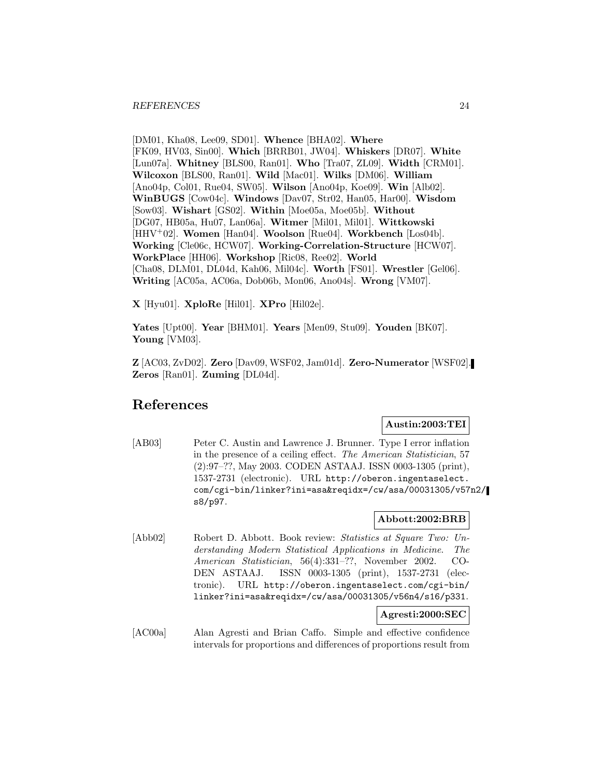[DM01, Kha08, Lee09, SD01]. **Whence** [BHA02]. **Where** [FK09, HV03, Sin00]. **Which** [BRRB01, JW04]. **Whiskers** [DR07]. **White** [Lun07a]. **Whitney** [BLS00, Ran01]. **Who** [Tra07, ZL09]. **Width** [CRM01]. **Wilcoxon** [BLS00, Ran01]. **Wild** [Mac01]. **Wilks** [DM06]. **William** [Ano04p, Col01, Rue04, SW05]. **Wilson** [Ano04p, Koe09]. **Win** [Alb02]. **WinBUGS** [Cow04c]. **Windows** [Dav07, Str02, Han05, Har00]. **Wisdom** [Sow03]. **Wishart** [GS02]. **Within** [Moe05a, Moe05b]. **Without** [DG07, HB05a, Hu07, Lan06a]. **Witmer** [Mil01, Mil01]. **Wittkowski** [HHV<sup>+</sup>02]. **Women** [Han04]. **Woolson** [Rue04]. **Workbench** [Los04b]. **Working** [Cle06c, HCW07]. **Working-Correlation-Structure** [HCW07]. **WorkPlace** [HH06]. **Workshop** [Ric08, Ree02]. **World** [Cha08, DLM01, DL04d, Kah06, Mil04c]. **Worth** [FS01]. **Wrestler** [Gel06]. **Writing** [AC05a, AC06a, Dob06b, Mon06, Ano04s]. **Wrong** [VM07].

**X** [Hyu01]. **XploRe** [Hil01]. **XPro** [Hil02e].

**Yates** [Upt00]. **Year** [BHM01]. **Years** [Men09, Stu09]. **Youden** [BK07]. **Young** [VM03].

**Z** [AC03, ZvD02]. **Zero** [Dav09, WSF02, Jam01d]. **Zero-Numerator** [WSF02]. **Zeros** [Ran01]. **Zuming** [DL04d].

# **References**

# **Austin:2003:TEI**

[AB03] Peter C. Austin and Lawrence J. Brunner. Type I error inflation in the presence of a ceiling effect. The American Statistician, 57 (2):97–??, May 2003. CODEN ASTAAJ. ISSN 0003-1305 (print), 1537-2731 (electronic). URL http://oberon.ingentaselect. com/cgi-bin/linker?ini=asa&reqidx=/cw/asa/00031305/v57n2/ s8/p97.

# **Abbott:2002:BRB**

[Abb02] Robert D. Abbott. Book review: Statistics at Square Two: Understanding Modern Statistical Applications in Medicine. The American Statistician, 56(4):331–??, November 2002. CO-DEN ASTAAJ. ISSN 0003-1305 (print), 1537-2731 (electronic). URL http://oberon.ingentaselect.com/cgi-bin/ linker?ini=asa&reqidx=/cw/asa/00031305/v56n4/s16/p331.

**Agresti:2000:SEC**

[AC00a] Alan Agresti and Brian Caffo. Simple and effective confidence intervals for proportions and differences of proportions result from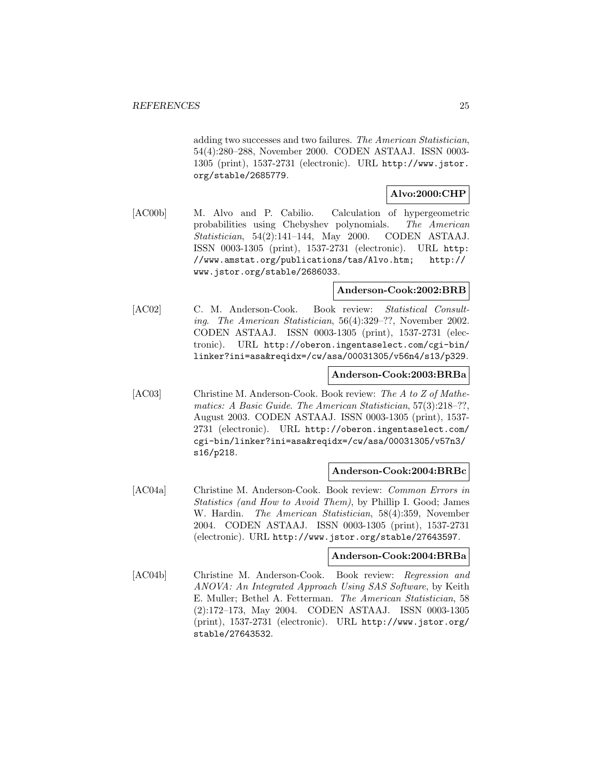adding two successes and two failures. The American Statistician, 54(4):280–288, November 2000. CODEN ASTAAJ. ISSN 0003- 1305 (print), 1537-2731 (electronic). URL http://www.jstor. org/stable/2685779.

# **Alvo:2000:CHP**

[AC00b] M. Alvo and P. Cabilio. Calculation of hypergeometric probabilities using Chebyshev polynomials. The American Statistician, 54(2):141–144, May 2000. CODEN ASTAAJ. ISSN 0003-1305 (print), 1537-2731 (electronic). URL http: //www.amstat.org/publications/tas/Alvo.htm; http:// www.jstor.org/stable/2686033.

# **Anderson-Cook:2002:BRB**

[AC02] C. M. Anderson-Cook. Book review: Statistical Consulting. The American Statistician, 56(4):329–??, November 2002. CODEN ASTAAJ. ISSN 0003-1305 (print), 1537-2731 (electronic). URL http://oberon.ingentaselect.com/cgi-bin/ linker?ini=asa&reqidx=/cw/asa/00031305/v56n4/s13/p329.

# **Anderson-Cook:2003:BRBa**

[AC03] Christine M. Anderson-Cook. Book review: The A to Z of Mathematics: A Basic Guide. The American Statistician, 57(3):218–??, August 2003. CODEN ASTAAJ. ISSN 0003-1305 (print), 1537- 2731 (electronic). URL http://oberon.ingentaselect.com/ cgi-bin/linker?ini=asa&reqidx=/cw/asa/00031305/v57n3/ s16/p218.

# **Anderson-Cook:2004:BRBc**

[AC04a] Christine M. Anderson-Cook. Book review: Common Errors in Statistics (and How to Avoid Them), by Phillip I. Good; James W. Hardin. The American Statistician, 58(4):359, November 2004. CODEN ASTAAJ. ISSN 0003-1305 (print), 1537-2731 (electronic). URL http://www.jstor.org/stable/27643597.

#### **Anderson-Cook:2004:BRBa**

[AC04b] Christine M. Anderson-Cook. Book review: Regression and ANOVA: An Integrated Approach Using SAS Software, by Keith E. Muller; Bethel A. Fetterman. The American Statistician, 58 (2):172–173, May 2004. CODEN ASTAAJ. ISSN 0003-1305 (print), 1537-2731 (electronic). URL http://www.jstor.org/ stable/27643532.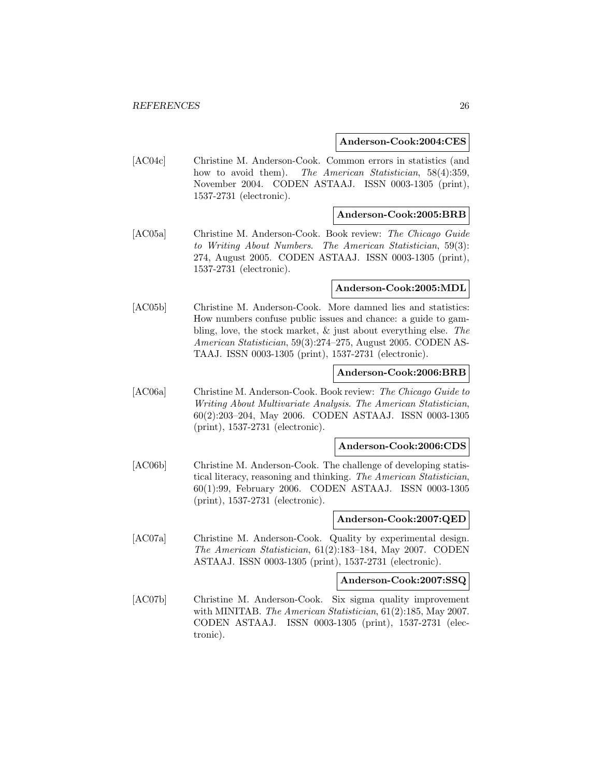#### **Anderson-Cook:2004:CES**

[AC04c] Christine M. Anderson-Cook. Common errors in statistics (and how to avoid them). The American Statistician, 58(4):359, November 2004. CODEN ASTAAJ. ISSN 0003-1305 (print), 1537-2731 (electronic).

## **Anderson-Cook:2005:BRB**

[AC05a] Christine M. Anderson-Cook. Book review: The Chicago Guide to Writing About Numbers. The American Statistician, 59(3): 274, August 2005. CODEN ASTAAJ. ISSN 0003-1305 (print), 1537-2731 (electronic).

#### **Anderson-Cook:2005:MDL**

[AC05b] Christine M. Anderson-Cook. More damned lies and statistics: How numbers confuse public issues and chance: a guide to gambling, love, the stock market, & just about everything else. The American Statistician, 59(3):274–275, August 2005. CODEN AS-TAAJ. ISSN 0003-1305 (print), 1537-2731 (electronic).

# **Anderson-Cook:2006:BRB**

[AC06a] Christine M. Anderson-Cook. Book review: The Chicago Guide to Writing About Multivariate Analysis. The American Statistician, 60(2):203–204, May 2006. CODEN ASTAAJ. ISSN 0003-1305 (print), 1537-2731 (electronic).

## **Anderson-Cook:2006:CDS**

[AC06b] Christine M. Anderson-Cook. The challenge of developing statistical literacy, reasoning and thinking. The American Statistician, 60(1):99, February 2006. CODEN ASTAAJ. ISSN 0003-1305 (print), 1537-2731 (electronic).

# **Anderson-Cook:2007:QED**

[AC07a] Christine M. Anderson-Cook. Quality by experimental design. The American Statistician, 61(2):183–184, May 2007. CODEN ASTAAJ. ISSN 0003-1305 (print), 1537-2731 (electronic).

#### **Anderson-Cook:2007:SSQ**

[AC07b] Christine M. Anderson-Cook. Six sigma quality improvement with MINITAB. The American Statistician, 61(2):185, May 2007. CODEN ASTAAJ. ISSN 0003-1305 (print), 1537-2731 (electronic).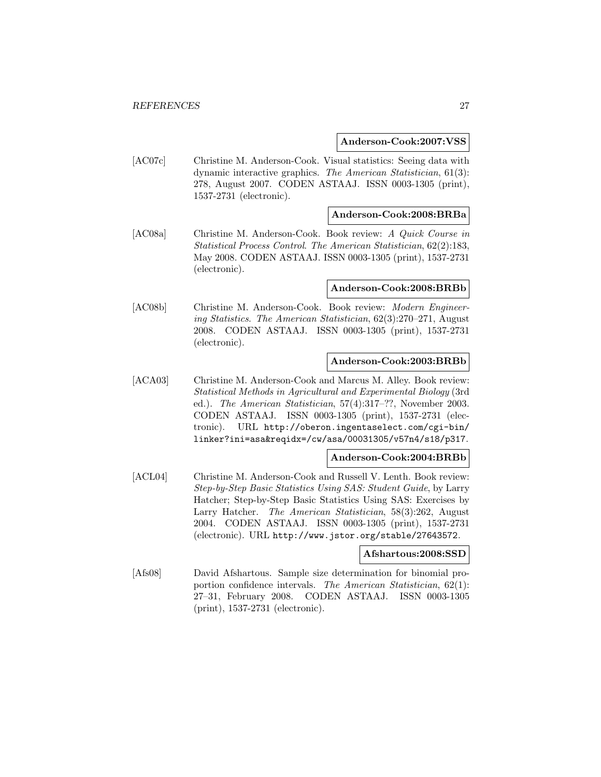#### **Anderson-Cook:2007:VSS**

[AC07c] Christine M. Anderson-Cook. Visual statistics: Seeing data with dynamic interactive graphics. The American Statistician, 61(3): 278, August 2007. CODEN ASTAAJ. ISSN 0003-1305 (print), 1537-2731 (electronic).

## **Anderson-Cook:2008:BRBa**

[AC08a] Christine M. Anderson-Cook. Book review: A Quick Course in Statistical Process Control. The American Statistician, 62(2):183, May 2008. CODEN ASTAAJ. ISSN 0003-1305 (print), 1537-2731 (electronic).

#### **Anderson-Cook:2008:BRBb**

[AC08b] Christine M. Anderson-Cook. Book review: Modern Engineering Statistics. The American Statistician, 62(3):270–271, August 2008. CODEN ASTAAJ. ISSN 0003-1305 (print), 1537-2731 (electronic).

# **Anderson-Cook:2003:BRBb**

[ACA03] Christine M. Anderson-Cook and Marcus M. Alley. Book review: Statistical Methods in Agricultural and Experimental Biology (3rd ed.). The American Statistician, 57(4):317–??, November 2003. CODEN ASTAAJ. ISSN 0003-1305 (print), 1537-2731 (electronic). URL http://oberon.ingentaselect.com/cgi-bin/ linker?ini=asa&reqidx=/cw/asa/00031305/v57n4/s18/p317.

# **Anderson-Cook:2004:BRBb**

[ACL04] Christine M. Anderson-Cook and Russell V. Lenth. Book review: Step-by-Step Basic Statistics Using SAS: Student Guide, by Larry Hatcher; Step-by-Step Basic Statistics Using SAS: Exercises by Larry Hatcher. The American Statistician, 58(3):262, August 2004. CODEN ASTAAJ. ISSN 0003-1305 (print), 1537-2731 (electronic). URL http://www.jstor.org/stable/27643572.

#### **Afshartous:2008:SSD**

[Afs08] David Afshartous. Sample size determination for binomial proportion confidence intervals. The American Statistician, 62(1): 27–31, February 2008. CODEN ASTAAJ. ISSN 0003-1305 (print), 1537-2731 (electronic).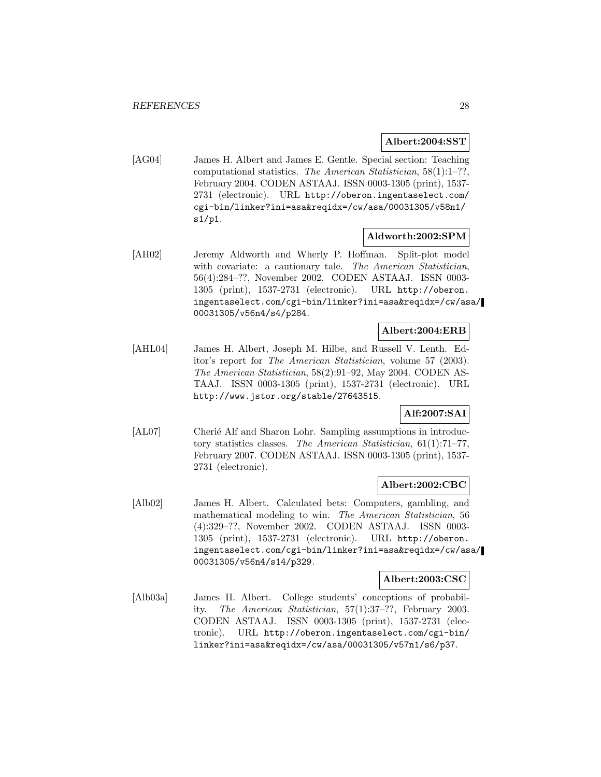# **Albert:2004:SST**

[AG04] James H. Albert and James E. Gentle. Special section: Teaching computational statistics. The American Statistician, 58(1):1–??, February 2004. CODEN ASTAAJ. ISSN 0003-1305 (print), 1537- 2731 (electronic). URL http://oberon.ingentaselect.com/ cgi-bin/linker?ini=asa&reqidx=/cw/asa/00031305/v58n1/ s1/p1.

# **Aldworth:2002:SPM**

[AH02] Jeremy Aldworth and Wherly P. Hoffman. Split-plot model with covariate: a cautionary tale. The American Statistician, 56(4):284–??, November 2002. CODEN ASTAAJ. ISSN 0003- 1305 (print), 1537-2731 (electronic). URL http://oberon. ingentaselect.com/cgi-bin/linker?ini=asa&reqidx=/cw/asa/ 00031305/v56n4/s4/p284.

## **Albert:2004:ERB**

[AHL04] James H. Albert, Joseph M. Hilbe, and Russell V. Lenth. Editor's report for The American Statistician, volume 57 (2003). The American Statistician, 58(2):91–92, May 2004. CODEN AS-TAAJ. ISSN 0003-1305 (print), 1537-2731 (electronic). URL http://www.jstor.org/stable/27643515.

# **Alf:2007:SAI**

[AL07] Cherié Alf and Sharon Lohr. Sampling assumptions in introductory statistics classes. The American Statistician, 61(1):71–77, February 2007. CODEN ASTAAJ. ISSN 0003-1305 (print), 1537- 2731 (electronic).

# **Albert:2002:CBC**

[Alb02] James H. Albert. Calculated bets: Computers, gambling, and mathematical modeling to win. The American Statistician, 56 (4):329–??, November 2002. CODEN ASTAAJ. ISSN 0003- 1305 (print), 1537-2731 (electronic). URL http://oberon. ingentaselect.com/cgi-bin/linker?ini=asa&reqidx=/cw/asa/ 00031305/v56n4/s14/p329.

#### **Albert:2003:CSC**

[Alb03a] James H. Albert. College students' conceptions of probability. The American Statistician, 57(1):37–??, February 2003. CODEN ASTAAJ. ISSN 0003-1305 (print), 1537-2731 (electronic). URL http://oberon.ingentaselect.com/cgi-bin/ linker?ini=asa&reqidx=/cw/asa/00031305/v57n1/s6/p37.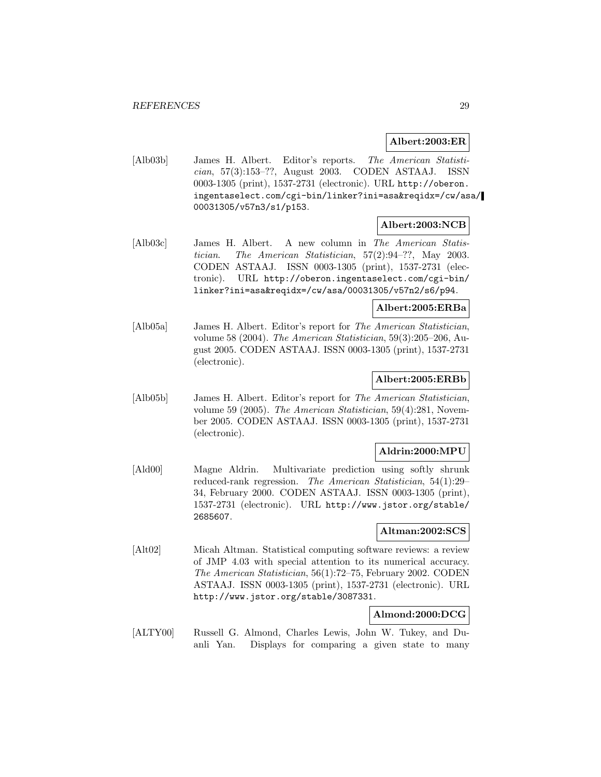# **Albert:2003:ER**

[Alb03b] James H. Albert. Editor's reports. The American Statistician, 57(3):153–??, August 2003. CODEN ASTAAJ. ISSN 0003-1305 (print), 1537-2731 (electronic). URL http://oberon. ingentaselect.com/cgi-bin/linker?ini=asa&reqidx=/cw/asa/ 00031305/v57n3/s1/p153.

# **Albert:2003:NCB**

[Alb03c] James H. Albert. A new column in The American Statistician. The American Statistician, 57(2):94–??, May 2003. CODEN ASTAAJ. ISSN 0003-1305 (print), 1537-2731 (electronic). URL http://oberon.ingentaselect.com/cgi-bin/ linker?ini=asa&reqidx=/cw/asa/00031305/v57n2/s6/p94.

# **Albert:2005:ERBa**

[Alb05a] James H. Albert. Editor's report for The American Statistician, volume 58 (2004). The American Statistician, 59(3):205–206, August 2005. CODEN ASTAAJ. ISSN 0003-1305 (print), 1537-2731 (electronic).

## **Albert:2005:ERBb**

[Alb05b] James H. Albert. Editor's report for The American Statistician, volume 59 (2005). The American Statistician, 59(4):281, November 2005. CODEN ASTAAJ. ISSN 0003-1305 (print), 1537-2731 (electronic).

# **Aldrin:2000:MPU**

[Ald00] Magne Aldrin. Multivariate prediction using softly shrunk reduced-rank regression. The American Statistician, 54(1):29– 34, February 2000. CODEN ASTAAJ. ISSN 0003-1305 (print), 1537-2731 (electronic). URL http://www.jstor.org/stable/ 2685607.

## **Altman:2002:SCS**

[Alt02] Micah Altman. Statistical computing software reviews: a review of JMP 4.03 with special attention to its numerical accuracy. The American Statistician, 56(1):72–75, February 2002. CODEN ASTAAJ. ISSN 0003-1305 (print), 1537-2731 (electronic). URL http://www.jstor.org/stable/3087331.

# **Almond:2000:DCG**

[ALTY00] Russell G. Almond, Charles Lewis, John W. Tukey, and Duanli Yan. Displays for comparing a given state to many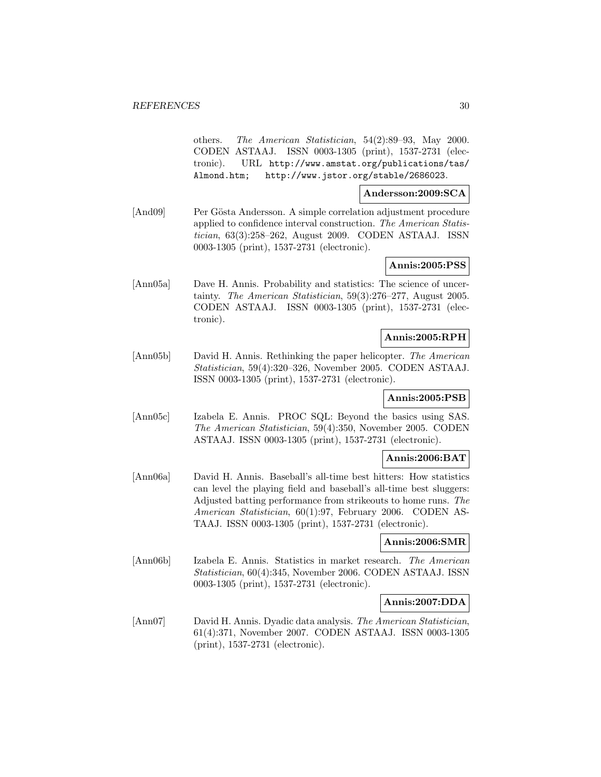others. The American Statistician, 54(2):89–93, May 2000. CODEN ASTAAJ. ISSN 0003-1305 (print), 1537-2731 (electronic). URL http://www.amstat.org/publications/tas/ Almond.htm; http://www.jstor.org/stable/2686023.

## **Andersson:2009:SCA**

[And09] Per Gösta Andersson. A simple correlation adjustment procedure applied to confidence interval construction. The American Statistician, 63(3):258–262, August 2009. CODEN ASTAAJ. ISSN 0003-1305 (print), 1537-2731 (electronic).

# **Annis:2005:PSS**

[Ann05a] Dave H. Annis. Probability and statistics: The science of uncertainty. The American Statistician, 59(3):276–277, August 2005. CODEN ASTAAJ. ISSN 0003-1305 (print), 1537-2731 (electronic).

# **Annis:2005:RPH**

[Ann05b] David H. Annis. Rethinking the paper helicopter. The American Statistician, 59(4):320–326, November 2005. CODEN ASTAAJ. ISSN 0003-1305 (print), 1537-2731 (electronic).

# **Annis:2005:PSB**

[Ann05c] Izabela E. Annis. PROC SQL: Beyond the basics using SAS. The American Statistician, 59(4):350, November 2005. CODEN ASTAAJ. ISSN 0003-1305 (print), 1537-2731 (electronic).

# **Annis:2006:BAT**

[Ann06a] David H. Annis. Baseball's all-time best hitters: How statistics can level the playing field and baseball's all-time best sluggers: Adjusted batting performance from strikeouts to home runs. The American Statistician, 60(1):97, February 2006. CODEN AS-TAAJ. ISSN 0003-1305 (print), 1537-2731 (electronic).

# **Annis:2006:SMR**

[Ann06b] Izabela E. Annis. Statistics in market research. The American Statistician, 60(4):345, November 2006. CODEN ASTAAJ. ISSN 0003-1305 (print), 1537-2731 (electronic).

#### **Annis:2007:DDA**

[Ann07] David H. Annis. Dyadic data analysis. The American Statistician, 61(4):371, November 2007. CODEN ASTAAJ. ISSN 0003-1305 (print), 1537-2731 (electronic).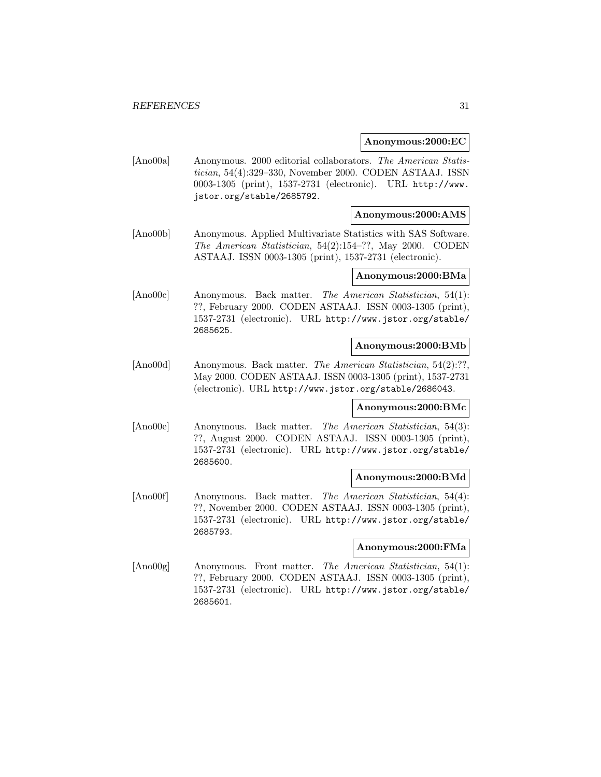#### **Anonymous:2000:EC**

[Ano00a] Anonymous. 2000 editorial collaborators. The American Statistician, 54(4):329–330, November 2000. CODEN ASTAAJ. ISSN 0003-1305 (print), 1537-2731 (electronic). URL http://www. jstor.org/stable/2685792.

## **Anonymous:2000:AMS**

[Ano00b] Anonymous. Applied Multivariate Statistics with SAS Software. The American Statistician, 54(2):154–??, May 2000. CODEN ASTAAJ. ISSN 0003-1305 (print), 1537-2731 (electronic).

#### **Anonymous:2000:BMa**

[Ano00c] Anonymous. Back matter. The American Statistician, 54(1): ??, February 2000. CODEN ASTAAJ. ISSN 0003-1305 (print), 1537-2731 (electronic). URL http://www.jstor.org/stable/ 2685625.

## **Anonymous:2000:BMb**

[Ano00d] Anonymous. Back matter. The American Statistician, 54(2):??, May 2000. CODEN ASTAAJ. ISSN 0003-1305 (print), 1537-2731 (electronic). URL http://www.jstor.org/stable/2686043.

#### **Anonymous:2000:BMc**

[Ano00e] Anonymous. Back matter. The American Statistician, 54(3): ??, August 2000. CODEN ASTAAJ. ISSN 0003-1305 (print), 1537-2731 (electronic). URL http://www.jstor.org/stable/ 2685600.

#### **Anonymous:2000:BMd**

[Ano00f] Anonymous. Back matter. The American Statistician, 54(4): ??, November 2000. CODEN ASTAAJ. ISSN 0003-1305 (print), 1537-2731 (electronic). URL http://www.jstor.org/stable/ 2685793.

#### **Anonymous:2000:FMa**

[Ano00g] Anonymous. Front matter. The American Statistician, 54(1): ??, February 2000. CODEN ASTAAJ. ISSN 0003-1305 (print), 1537-2731 (electronic). URL http://www.jstor.org/stable/ 2685601.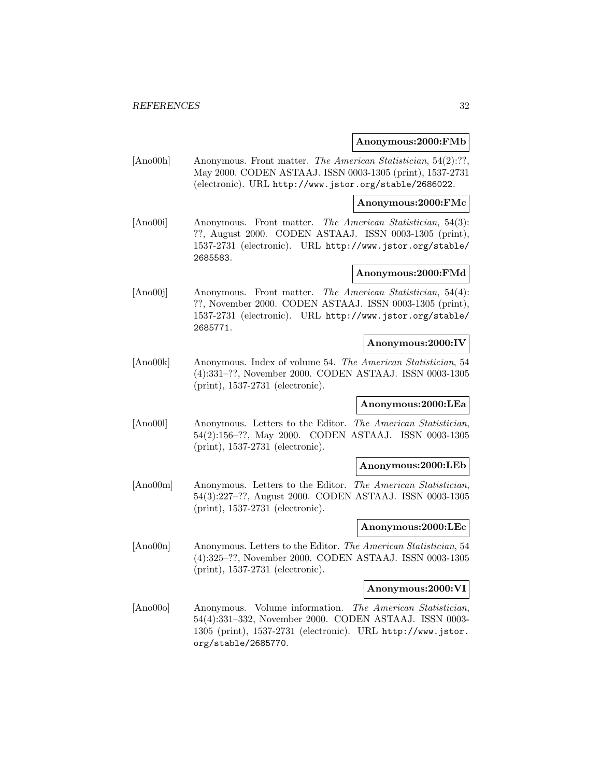## **Anonymous:2000:FMb**

[Ano00h] Anonymous. Front matter. The American Statistician, 54(2):??, May 2000. CODEN ASTAAJ. ISSN 0003-1305 (print), 1537-2731 (electronic). URL http://www.jstor.org/stable/2686022.

#### **Anonymous:2000:FMc**

[Ano00i] Anonymous. Front matter. The American Statistician, 54(3): ??, August 2000. CODEN ASTAAJ. ISSN 0003-1305 (print), 1537-2731 (electronic). URL http://www.jstor.org/stable/ 2685583.

## **Anonymous:2000:FMd**

[Ano00j] Anonymous. Front matter. The American Statistician, 54(4): ??, November 2000. CODEN ASTAAJ. ISSN 0003-1305 (print), 1537-2731 (electronic). URL http://www.jstor.org/stable/ 2685771.

## **Anonymous:2000:IV**

[Ano00k] Anonymous. Index of volume 54. The American Statistician, 54 (4):331–??, November 2000. CODEN ASTAAJ. ISSN 0003-1305 (print), 1537-2731 (electronic).

# **Anonymous:2000:LEa**

[Ano00l] Anonymous. Letters to the Editor. The American Statistician, 54(2):156–??, May 2000. CODEN ASTAAJ. ISSN 0003-1305 (print), 1537-2731 (electronic).

#### **Anonymous:2000:LEb**

[Ano00m] Anonymous. Letters to the Editor. The American Statistician, 54(3):227–??, August 2000. CODEN ASTAAJ. ISSN 0003-1305 (print), 1537-2731 (electronic).

#### **Anonymous:2000:LEc**

[Ano00n] Anonymous. Letters to the Editor. The American Statistician, 54 (4):325–??, November 2000. CODEN ASTAAJ. ISSN 0003-1305 (print), 1537-2731 (electronic).

# **Anonymous:2000:VI**

[Ano00o] Anonymous. Volume information. The American Statistician, 54(4):331–332, November 2000. CODEN ASTAAJ. ISSN 0003- 1305 (print), 1537-2731 (electronic). URL http://www.jstor. org/stable/2685770.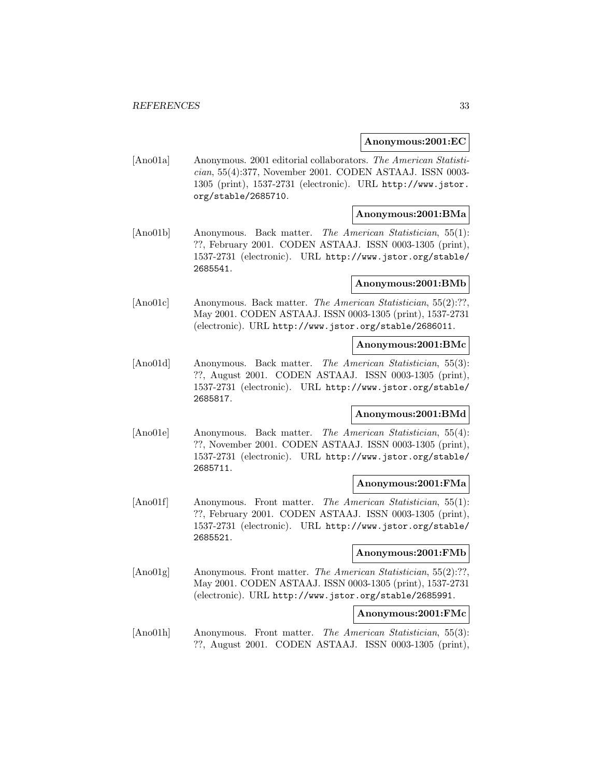#### **Anonymous:2001:EC**

[Ano01a] Anonymous. 2001 editorial collaborators. The American Statistician, 55(4):377, November 2001. CODEN ASTAAJ. ISSN 0003- 1305 (print), 1537-2731 (electronic). URL http://www.jstor. org/stable/2685710.

# **Anonymous:2001:BMa**

[Ano01b] Anonymous. Back matter. The American Statistician, 55(1): ??, February 2001. CODEN ASTAAJ. ISSN 0003-1305 (print), 1537-2731 (electronic). URL http://www.jstor.org/stable/ 2685541.

#### **Anonymous:2001:BMb**

[Ano01c] Anonymous. Back matter. The American Statistician, 55(2):??, May 2001. CODEN ASTAAJ. ISSN 0003-1305 (print), 1537-2731 (electronic). URL http://www.jstor.org/stable/2686011.

#### **Anonymous:2001:BMc**

[Ano01d] Anonymous. Back matter. The American Statistician, 55(3): ??, August 2001. CODEN ASTAAJ. ISSN 0003-1305 (print), 1537-2731 (electronic). URL http://www.jstor.org/stable/ 2685817.

# **Anonymous:2001:BMd**

[Ano01e] Anonymous. Back matter. The American Statistician, 55(4): ??, November 2001. CODEN ASTAAJ. ISSN 0003-1305 (print), 1537-2731 (electronic). URL http://www.jstor.org/stable/ 2685711.

#### **Anonymous:2001:FMa**

[Ano01f] Anonymous. Front matter. The American Statistician, 55(1): ??, February 2001. CODEN ASTAAJ. ISSN 0003-1305 (print), 1537-2731 (electronic). URL http://www.jstor.org/stable/ 2685521.

## **Anonymous:2001:FMb**

[Ano01g] Anonymous. Front matter. The American Statistician, 55(2):??, May 2001. CODEN ASTAAJ. ISSN 0003-1305 (print), 1537-2731 (electronic). URL http://www.jstor.org/stable/2685991.

# **Anonymous:2001:FMc**

[Ano01h] Anonymous. Front matter. The American Statistician, 55(3): ??, August 2001. CODEN ASTAAJ. ISSN 0003-1305 (print),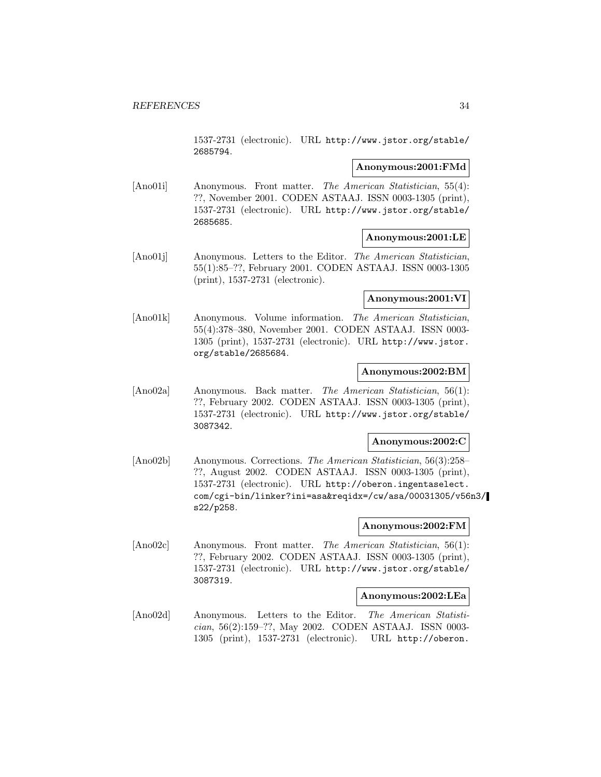1537-2731 (electronic). URL http://www.jstor.org/stable/ 2685794.

## **Anonymous:2001:FMd**

[Ano01i] Anonymous. Front matter. The American Statistician, 55(4): ??, November 2001. CODEN ASTAAJ. ISSN 0003-1305 (print), 1537-2731 (electronic). URL http://www.jstor.org/stable/ 2685685.

# **Anonymous:2001:LE**

[Ano01j] Anonymous. Letters to the Editor. The American Statistician, 55(1):85–??, February 2001. CODEN ASTAAJ. ISSN 0003-1305 (print), 1537-2731 (electronic).

# **Anonymous:2001:VI**

[Ano01k] Anonymous. Volume information. The American Statistician, 55(4):378–380, November 2001. CODEN ASTAAJ. ISSN 0003- 1305 (print), 1537-2731 (electronic). URL http://www.jstor. org/stable/2685684.

# **Anonymous:2002:BM**

[Ano02a] Anonymous. Back matter. The American Statistician, 56(1): ??, February 2002. CODEN ASTAAJ. ISSN 0003-1305 (print), 1537-2731 (electronic). URL http://www.jstor.org/stable/ 3087342.

# **Anonymous:2002:C**

[Ano02b] Anonymous. Corrections. The American Statistician, 56(3):258– ??, August 2002. CODEN ASTAAJ. ISSN 0003-1305 (print), 1537-2731 (electronic). URL http://oberon.ingentaselect. com/cgi-bin/linker?ini=asa&reqidx=/cw/asa/00031305/v56n3/ s22/p258.

# **Anonymous:2002:FM**

[Ano02c] Anonymous. Front matter. The American Statistician, 56(1): ??, February 2002. CODEN ASTAAJ. ISSN 0003-1305 (print), 1537-2731 (electronic). URL http://www.jstor.org/stable/ 3087319.

# **Anonymous:2002:LEa**

[Ano02d] Anonymous. Letters to the Editor. The American Statistician, 56(2):159–??, May 2002. CODEN ASTAAJ. ISSN 0003- 1305 (print), 1537-2731 (electronic). URL http://oberon.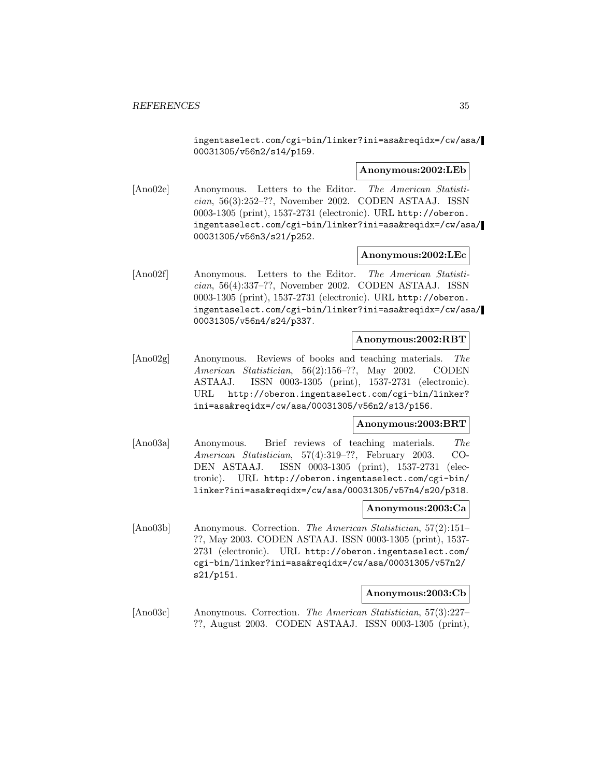ingentaselect.com/cgi-bin/linker?ini=asa&reqidx=/cw/asa/ 00031305/v56n2/s14/p159.

#### **Anonymous:2002:LEb**

[Ano02e] Anonymous. Letters to the Editor. The American Statistician, 56(3):252–??, November 2002. CODEN ASTAAJ. ISSN 0003-1305 (print), 1537-2731 (electronic). URL http://oberon. ingentaselect.com/cgi-bin/linker?ini=asa&reqidx=/cw/asa/ 00031305/v56n3/s21/p252.

## **Anonymous:2002:LEc**

[Ano02f] Anonymous. Letters to the Editor. The American Statistician, 56(4):337–??, November 2002. CODEN ASTAAJ. ISSN 0003-1305 (print), 1537-2731 (electronic). URL http://oberon. ingentaselect.com/cgi-bin/linker?ini=asa&reqidx=/cw/asa/ 00031305/v56n4/s24/p337.

# **Anonymous:2002:RBT**

[Ano02g] Anonymous. Reviews of books and teaching materials. The American Statistician, 56(2):156–??, May 2002. CODEN ASTAAJ. ISSN 0003-1305 (print), 1537-2731 (electronic). URL http://oberon.ingentaselect.com/cgi-bin/linker? ini=asa&reqidx=/cw/asa/00031305/v56n2/s13/p156.

# **Anonymous:2003:BRT**

[Ano03a] Anonymous. Brief reviews of teaching materials. The American Statistician, 57(4):319–??, February 2003. CO-DEN ASTAAJ. ISSN 0003-1305 (print), 1537-2731 (electronic). URL http://oberon.ingentaselect.com/cgi-bin/ linker?ini=asa&reqidx=/cw/asa/00031305/v57n4/s20/p318.

#### **Anonymous:2003:Ca**

[Ano03b] Anonymous. Correction. The American Statistician, 57(2):151– ??, May 2003. CODEN ASTAAJ. ISSN 0003-1305 (print), 1537- 2731 (electronic). URL http://oberon.ingentaselect.com/ cgi-bin/linker?ini=asa&reqidx=/cw/asa/00031305/v57n2/ s21/p151.

#### **Anonymous:2003:Cb**

[Ano03c] Anonymous. Correction. The American Statistician, 57(3):227– ??, August 2003. CODEN ASTAAJ. ISSN 0003-1305 (print),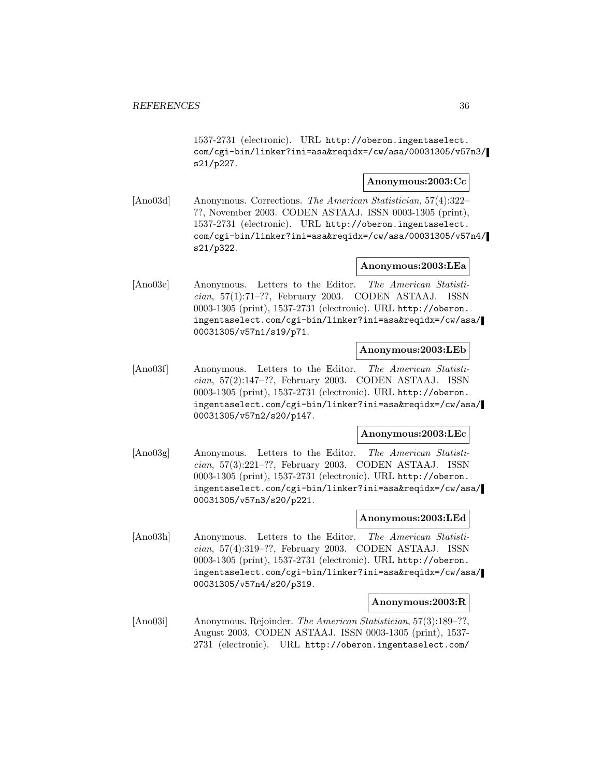1537-2731 (electronic). URL http://oberon.ingentaselect. com/cgi-bin/linker?ini=asa&reqidx=/cw/asa/00031305/v57n3/ s21/p227.

# **Anonymous:2003:Cc**

[Ano03d] Anonymous. Corrections. The American Statistician, 57(4):322– ??, November 2003. CODEN ASTAAJ. ISSN 0003-1305 (print), 1537-2731 (electronic). URL http://oberon.ingentaselect. com/cgi-bin/linker?ini=asa&reqidx=/cw/asa/00031305/v57n4/ s21/p322.

# **Anonymous:2003:LEa**

[Ano03e] Anonymous. Letters to the Editor. The American Statistician, 57(1):71–??, February 2003. CODEN ASTAAJ. ISSN 0003-1305 (print), 1537-2731 (electronic). URL http://oberon. ingentaselect.com/cgi-bin/linker?ini=asa&reqidx=/cw/asa/ 00031305/v57n1/s19/p71.

## **Anonymous:2003:LEb**

[Ano03f] Anonymous. Letters to the Editor. The American Statistician, 57(2):147–??, February 2003. CODEN ASTAAJ. ISSN 0003-1305 (print), 1537-2731 (electronic). URL http://oberon. ingentaselect.com/cgi-bin/linker?ini=asa&reqidx=/cw/asa/ 00031305/v57n2/s20/p147.

#### **Anonymous:2003:LEc**

[Ano03g] Anonymous. Letters to the Editor. The American Statistician, 57(3):221–??, February 2003. CODEN ASTAAJ. ISSN 0003-1305 (print), 1537-2731 (electronic). URL http://oberon. ingentaselect.com/cgi-bin/linker?ini=asa&reqidx=/cw/asa/ 00031305/v57n3/s20/p221.

# **Anonymous:2003:LEd**

[Ano03h] Anonymous. Letters to the Editor. The American Statistician, 57(4):319–??, February 2003. CODEN ASTAAJ. ISSN 0003-1305 (print), 1537-2731 (electronic). URL http://oberon. ingentaselect.com/cgi-bin/linker?ini=asa&reqidx=/cw/asa/ 00031305/v57n4/s20/p319.

# **Anonymous:2003:R**

[Ano03i] Anonymous. Rejoinder. The American Statistician, 57(3):189–??, August 2003. CODEN ASTAAJ. ISSN 0003-1305 (print), 1537- 2731 (electronic). URL http://oberon.ingentaselect.com/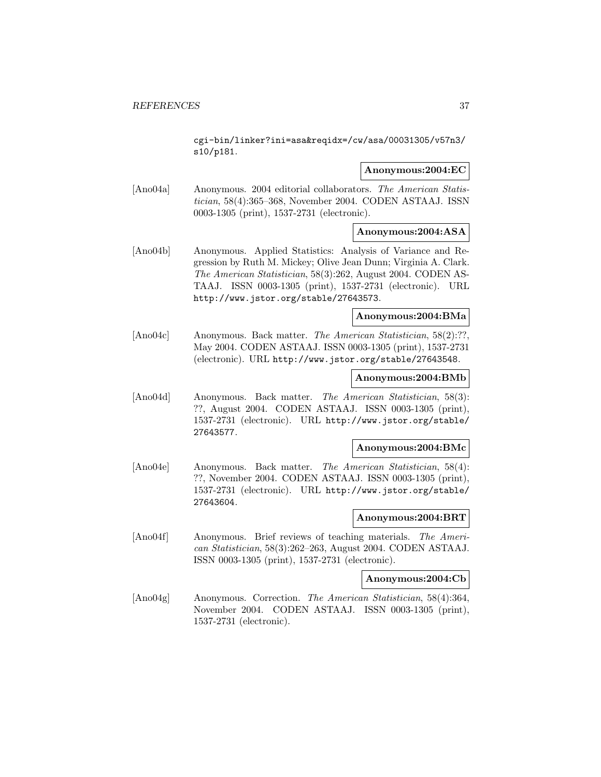cgi-bin/linker?ini=asa&reqidx=/cw/asa/00031305/v57n3/ s10/p181.

#### **Anonymous:2004:EC**

[Ano04a] Anonymous. 2004 editorial collaborators. The American Statistician, 58(4):365–368, November 2004. CODEN ASTAAJ. ISSN 0003-1305 (print), 1537-2731 (electronic).

## **Anonymous:2004:ASA**

[Ano04b] Anonymous. Applied Statistics: Analysis of Variance and Regression by Ruth M. Mickey; Olive Jean Dunn; Virginia A. Clark. The American Statistician, 58(3):262, August 2004. CODEN AS-TAAJ. ISSN 0003-1305 (print), 1537-2731 (electronic). URL http://www.jstor.org/stable/27643573.

# **Anonymous:2004:BMa**

[Ano04c] Anonymous. Back matter. The American Statistician, 58(2):??, May 2004. CODEN ASTAAJ. ISSN 0003-1305 (print), 1537-2731 (electronic). URL http://www.jstor.org/stable/27643548.

#### **Anonymous:2004:BMb**

[Ano04d] Anonymous. Back matter. The American Statistician, 58(3): ??, August 2004. CODEN ASTAAJ. ISSN 0003-1305 (print), 1537-2731 (electronic). URL http://www.jstor.org/stable/ 27643577.

#### **Anonymous:2004:BMc**

[Ano04e] Anonymous. Back matter. The American Statistician, 58(4): ??, November 2004. CODEN ASTAAJ. ISSN 0003-1305 (print), 1537-2731 (electronic). URL http://www.jstor.org/stable/ 27643604.

#### **Anonymous:2004:BRT**

[Ano04f] Anonymous. Brief reviews of teaching materials. The American Statistician, 58(3):262–263, August 2004. CODEN ASTAAJ. ISSN 0003-1305 (print), 1537-2731 (electronic).

#### **Anonymous:2004:Cb**

[Ano04g] Anonymous. Correction. The American Statistician, 58(4):364, November 2004. CODEN ASTAAJ. ISSN 0003-1305 (print), 1537-2731 (electronic).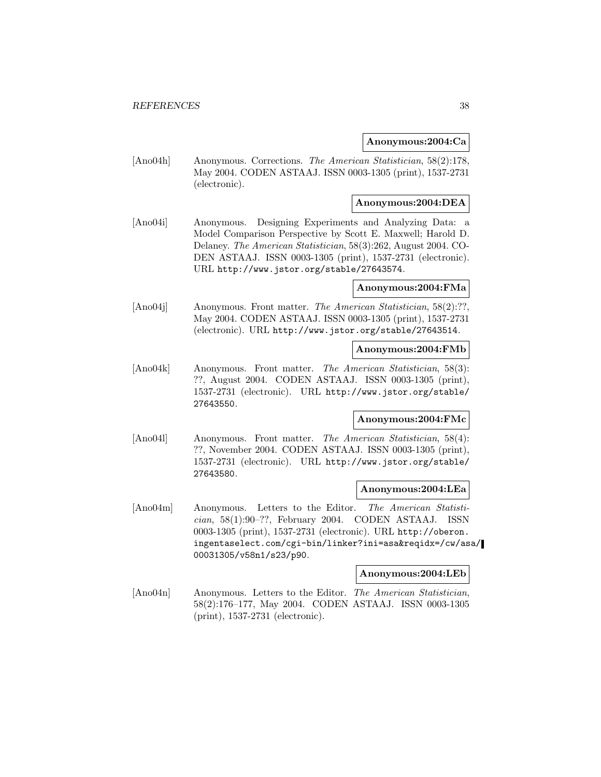### **Anonymous:2004:Ca**

[Ano04h] Anonymous. Corrections. The American Statistician, 58(2):178, May 2004. CODEN ASTAAJ. ISSN 0003-1305 (print), 1537-2731 (electronic).

### **Anonymous:2004:DEA**

[Ano04i] Anonymous. Designing Experiments and Analyzing Data: a Model Comparison Perspective by Scott E. Maxwell; Harold D. Delaney. The American Statistician, 58(3):262, August 2004. CO-DEN ASTAAJ. ISSN 0003-1305 (print), 1537-2731 (electronic). URL http://www.jstor.org/stable/27643574.

## **Anonymous:2004:FMa**

[Ano04]] Anonymous. Front matter. The American Statistician, 58(2):??, May 2004. CODEN ASTAAJ. ISSN 0003-1305 (print), 1537-2731 (electronic). URL http://www.jstor.org/stable/27643514.

#### **Anonymous:2004:FMb**

[Ano04k] Anonymous. Front matter. The American Statistician, 58(3): ??, August 2004. CODEN ASTAAJ. ISSN 0003-1305 (print), 1537-2731 (electronic). URL http://www.jstor.org/stable/ 27643550.

### **Anonymous:2004:FMc**

[Ano04l] Anonymous. Front matter. The American Statistician, 58(4): ??, November 2004. CODEN ASTAAJ. ISSN 0003-1305 (print), 1537-2731 (electronic). URL http://www.jstor.org/stable/ 27643580.

### **Anonymous:2004:LEa**

[Ano04m] Anonymous. Letters to the Editor. The American Statisti $cian$ , 58(1):90–??, February 2004. CODEN ASTAAJ. ISSN 0003-1305 (print), 1537-2731 (electronic). URL http://oberon. ingentaselect.com/cgi-bin/linker?ini=asa&reqidx=/cw/asa/ 00031305/v58n1/s23/p90.

#### **Anonymous:2004:LEb**

[Ano04n] Anonymous. Letters to the Editor. The American Statistician, 58(2):176–177, May 2004. CODEN ASTAAJ. ISSN 0003-1305 (print), 1537-2731 (electronic).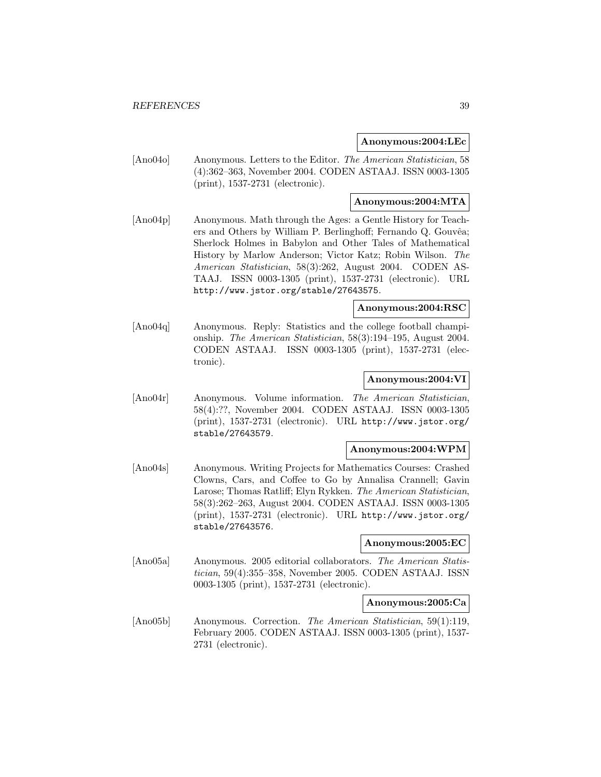#### **Anonymous:2004:LEc**

[Ano04o] Anonymous. Letters to the Editor. The American Statistician, 58 (4):362–363, November 2004. CODEN ASTAAJ. ISSN 0003-1305 (print), 1537-2731 (electronic).

### **Anonymous:2004:MTA**

[Ano04p] Anonymous. Math through the Ages: a Gentle History for Teachers and Others by William P. Berlinghoff; Fernando Q. Gouvêa; Sherlock Holmes in Babylon and Other Tales of Mathematical History by Marlow Anderson; Victor Katz; Robin Wilson. The American Statistician, 58(3):262, August 2004. CODEN AS-TAAJ. ISSN 0003-1305 (print), 1537-2731 (electronic). URL http://www.jstor.org/stable/27643575.

## **Anonymous:2004:RSC**

[Ano04q] Anonymous. Reply: Statistics and the college football championship. The American Statistician, 58(3):194–195, August 2004. CODEN ASTAAJ. ISSN 0003-1305 (print), 1537-2731 (electronic).

### **Anonymous:2004:VI**

[Ano04r] Anonymous. Volume information. The American Statistician, 58(4):??, November 2004. CODEN ASTAAJ. ISSN 0003-1305 (print), 1537-2731 (electronic). URL http://www.jstor.org/ stable/27643579.

#### **Anonymous:2004:WPM**

[Ano04s] Anonymous. Writing Projects for Mathematics Courses: Crashed Clowns, Cars, and Coffee to Go by Annalisa Crannell; Gavin Larose; Thomas Ratliff; Elyn Rykken. The American Statistician, 58(3):262–263, August 2004. CODEN ASTAAJ. ISSN 0003-1305 (print), 1537-2731 (electronic). URL http://www.jstor.org/ stable/27643576.

#### **Anonymous:2005:EC**

[Ano05a] Anonymous. 2005 editorial collaborators. The American Statistician, 59(4):355–358, November 2005. CODEN ASTAAJ. ISSN 0003-1305 (print), 1537-2731 (electronic).

#### **Anonymous:2005:Ca**

[Ano05b] Anonymous. Correction. The American Statistician, 59(1):119, February 2005. CODEN ASTAAJ. ISSN 0003-1305 (print), 1537- 2731 (electronic).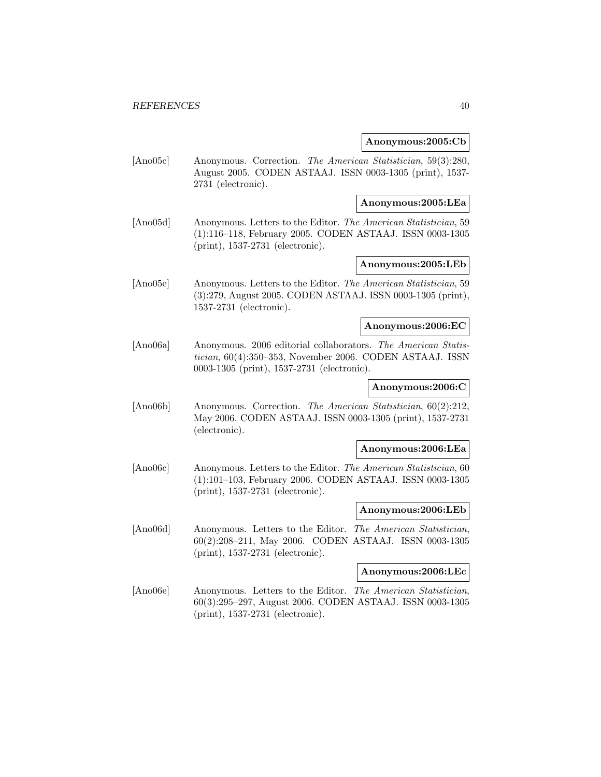#### **Anonymous:2005:Cb**

[Ano05c] Anonymous. Correction. The American Statistician, 59(3):280, August 2005. CODEN ASTAAJ. ISSN 0003-1305 (print), 1537- 2731 (electronic).

#### **Anonymous:2005:LEa**

[Ano05d] Anonymous. Letters to the Editor. The American Statistician, 59 (1):116–118, February 2005. CODEN ASTAAJ. ISSN 0003-1305 (print), 1537-2731 (electronic).

## **Anonymous:2005:LEb**

[Ano05e] Anonymous. Letters to the Editor. The American Statistician, 59 (3):279, August 2005. CODEN ASTAAJ. ISSN 0003-1305 (print), 1537-2731 (electronic).

#### **Anonymous:2006:EC**

[Ano06a] Anonymous. 2006 editorial collaborators. The American Statistician, 60(4):350–353, November 2006. CODEN ASTAAJ. ISSN 0003-1305 (print), 1537-2731 (electronic).

## **Anonymous:2006:C**

[Ano06b] Anonymous. Correction. The American Statistician, 60(2):212, May 2006. CODEN ASTAAJ. ISSN 0003-1305 (print), 1537-2731 (electronic).

#### **Anonymous:2006:LEa**

[Ano06c] Anonymous. Letters to the Editor. The American Statistician, 60 (1):101–103, February 2006. CODEN ASTAAJ. ISSN 0003-1305 (print), 1537-2731 (electronic).

#### **Anonymous:2006:LEb**

[Ano06d] Anonymous. Letters to the Editor. The American Statistician, 60(2):208–211, May 2006. CODEN ASTAAJ. ISSN 0003-1305 (print), 1537-2731 (electronic).

#### **Anonymous:2006:LEc**

[Ano06e] Anonymous. Letters to the Editor. The American Statistician, 60(3):295–297, August 2006. CODEN ASTAAJ. ISSN 0003-1305 (print), 1537-2731 (electronic).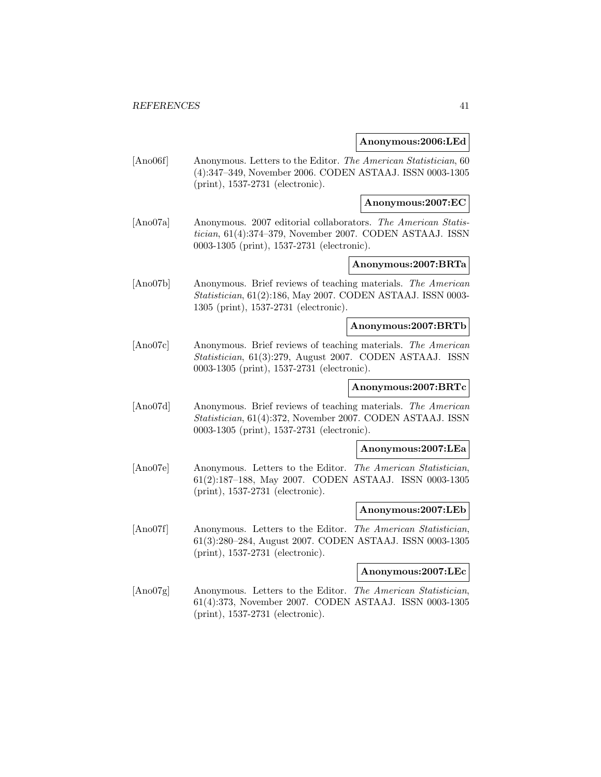#### **Anonymous:2006:LEd**

[Ano06f] Anonymous. Letters to the Editor. The American Statistician, 60 (4):347–349, November 2006. CODEN ASTAAJ. ISSN 0003-1305 (print), 1537-2731 (electronic).

### **Anonymous:2007:EC**

[Ano07a] Anonymous. 2007 editorial collaborators. The American Statistician, 61(4):374–379, November 2007. CODEN ASTAAJ. ISSN 0003-1305 (print), 1537-2731 (electronic).

## **Anonymous:2007:BRTa**

[Ano07b] Anonymous. Brief reviews of teaching materials. The American Statistician, 61(2):186, May 2007. CODEN ASTAAJ. ISSN 0003- 1305 (print), 1537-2731 (electronic).

#### **Anonymous:2007:BRTb**

[Ano07c] Anonymous. Brief reviews of teaching materials. The American Statistician, 61(3):279, August 2007. CODEN ASTAAJ. ISSN 0003-1305 (print), 1537-2731 (electronic).

## **Anonymous:2007:BRTc**

[Ano07d] Anonymous. Brief reviews of teaching materials. The American Statistician, 61(4):372, November 2007. CODEN ASTAAJ. ISSN 0003-1305 (print), 1537-2731 (electronic).

#### **Anonymous:2007:LEa**

[Ano07e] Anonymous. Letters to the Editor. The American Statistician, 61(2):187–188, May 2007. CODEN ASTAAJ. ISSN 0003-1305 (print), 1537-2731 (electronic).

#### **Anonymous:2007:LEb**

[Ano07f] Anonymous. Letters to the Editor. The American Statistician, 61(3):280–284, August 2007. CODEN ASTAAJ. ISSN 0003-1305 (print), 1537-2731 (electronic).

#### **Anonymous:2007:LEc**

[Ano07g] Anonymous. Letters to the Editor. The American Statistician, 61(4):373, November 2007. CODEN ASTAAJ. ISSN 0003-1305 (print), 1537-2731 (electronic).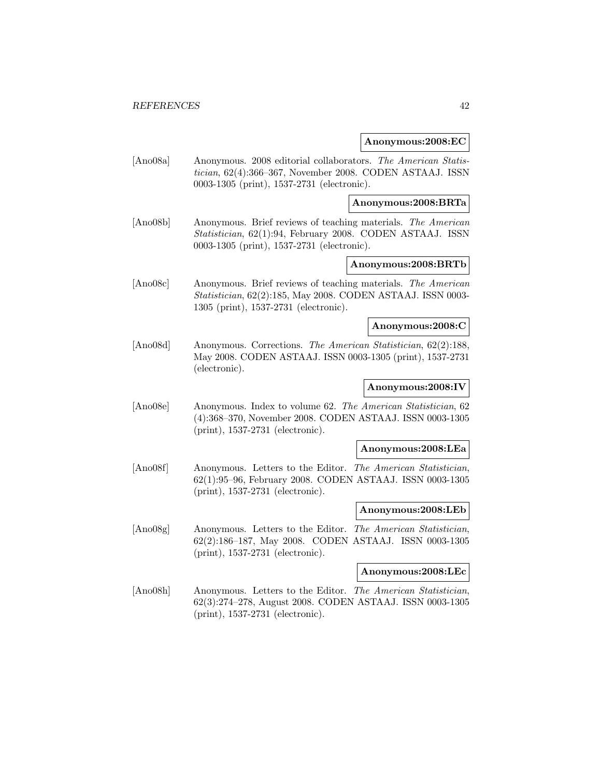#### **Anonymous:2008:EC**

[Ano08a] Anonymous. 2008 editorial collaborators. The American Statistician, 62(4):366–367, November 2008. CODEN ASTAAJ. ISSN 0003-1305 (print), 1537-2731 (electronic).

**Anonymous:2008:BRTa**

[Ano08b] Anonymous. Brief reviews of teaching materials. The American Statistician, 62(1):94, February 2008. CODEN ASTAAJ. ISSN 0003-1305 (print), 1537-2731 (electronic).

## **Anonymous:2008:BRTb**

[Ano08c] Anonymous. Brief reviews of teaching materials. The American Statistician, 62(2):185, May 2008. CODEN ASTAAJ. ISSN 0003- 1305 (print), 1537-2731 (electronic).

#### **Anonymous:2008:C**

[Ano08d] Anonymous. Corrections. The American Statistician, 62(2):188, May 2008. CODEN ASTAAJ. ISSN 0003-1305 (print), 1537-2731 (electronic).

## **Anonymous:2008:IV**

[Ano08e] Anonymous. Index to volume 62. The American Statistician, 62 (4):368–370, November 2008. CODEN ASTAAJ. ISSN 0003-1305 (print), 1537-2731 (electronic).

#### **Anonymous:2008:LEa**

[Ano08f] Anonymous. Letters to the Editor. The American Statistician, 62(1):95–96, February 2008. CODEN ASTAAJ. ISSN 0003-1305 (print), 1537-2731 (electronic).

#### **Anonymous:2008:LEb**

[Ano08g] Anonymous. Letters to the Editor. The American Statistician, 62(2):186–187, May 2008. CODEN ASTAAJ. ISSN 0003-1305 (print), 1537-2731 (electronic).

#### **Anonymous:2008:LEc**

[Ano08h] Anonymous. Letters to the Editor. The American Statistician, 62(3):274–278, August 2008. CODEN ASTAAJ. ISSN 0003-1305 (print), 1537-2731 (electronic).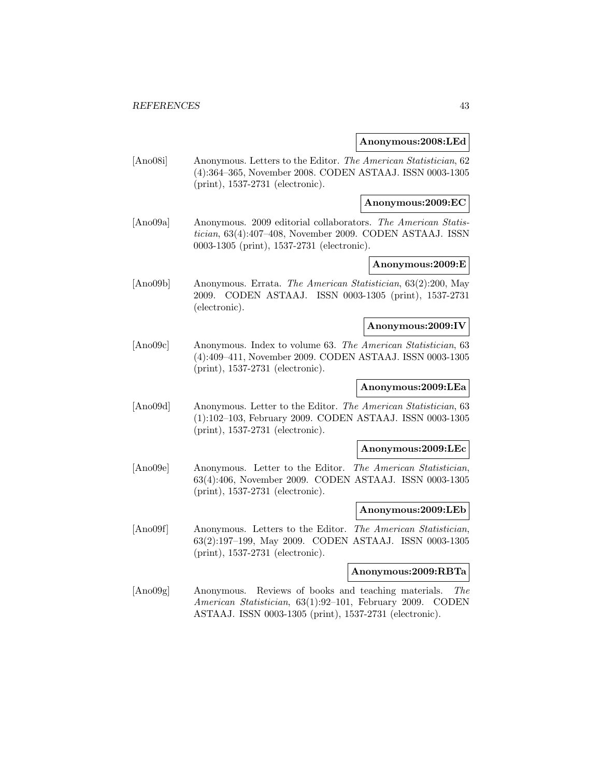#### **Anonymous:2008:LEd**

[Ano08i] Anonymous. Letters to the Editor. The American Statistician, 62 (4):364–365, November 2008. CODEN ASTAAJ. ISSN 0003-1305 (print), 1537-2731 (electronic).

#### **Anonymous:2009:EC**

[Ano09a] Anonymous. 2009 editorial collaborators. The American Statistician, 63(4):407–408, November 2009. CODEN ASTAAJ. ISSN 0003-1305 (print), 1537-2731 (electronic).

# **Anonymous:2009:E**

[Ano09b] Anonymous. Errata. The American Statistician, 63(2):200, May 2009. CODEN ASTAAJ. ISSN 0003-1305 (print), 1537-2731 (electronic).

#### **Anonymous:2009:IV**

[Ano09c] Anonymous. Index to volume 63. The American Statistician, 63 (4):409–411, November 2009. CODEN ASTAAJ. ISSN 0003-1305 (print), 1537-2731 (electronic).

## **Anonymous:2009:LEa**

[Ano09d] Anonymous. Letter to the Editor. The American Statistician, 63 (1):102–103, February 2009. CODEN ASTAAJ. ISSN 0003-1305 (print), 1537-2731 (electronic).

#### **Anonymous:2009:LEc**

[Ano09e] Anonymous. Letter to the Editor. The American Statistician, 63(4):406, November 2009. CODEN ASTAAJ. ISSN 0003-1305 (print), 1537-2731 (electronic).

#### **Anonymous:2009:LEb**

[Ano09f] Anonymous. Letters to the Editor. The American Statistician, 63(2):197–199, May 2009. CODEN ASTAAJ. ISSN 0003-1305 (print), 1537-2731 (electronic).

#### **Anonymous:2009:RBTa**

[Ano09g] Anonymous. Reviews of books and teaching materials. The American Statistician, 63(1):92–101, February 2009. CODEN ASTAAJ. ISSN 0003-1305 (print), 1537-2731 (electronic).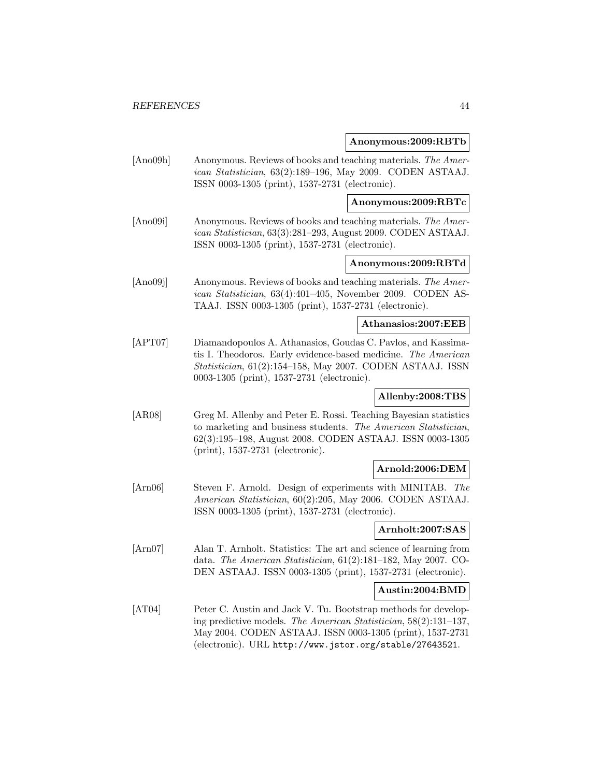#### **Anonymous:2009:RBTb**

[Ano09h] Anonymous. Reviews of books and teaching materials. The American Statistician, 63(2):189–196, May 2009. CODEN ASTAAJ. ISSN 0003-1305 (print), 1537-2731 (electronic).

**Anonymous:2009:RBTc**

[Ano09i] Anonymous. Reviews of books and teaching materials. The American Statistician, 63(3):281–293, August 2009. CODEN ASTAAJ. ISSN 0003-1305 (print), 1537-2731 (electronic).

## **Anonymous:2009:RBTd**

[Ano09j] Anonymous. Reviews of books and teaching materials. The American Statistician, 63(4):401–405, November 2009. CODEN AS-TAAJ. ISSN 0003-1305 (print), 1537-2731 (electronic).

## **Athanasios:2007:EEB**

[APT07] Diamandopoulos A. Athanasios, Goudas C. Pavlos, and Kassimatis I. Theodoros. Early evidence-based medicine. The American Statistician, 61(2):154–158, May 2007. CODEN ASTAAJ. ISSN 0003-1305 (print), 1537-2731 (electronic).

## **Allenby:2008:TBS**

[AR08] Greg M. Allenby and Peter E. Rossi. Teaching Bayesian statistics to marketing and business students. The American Statistician, 62(3):195–198, August 2008. CODEN ASTAAJ. ISSN 0003-1305 (print), 1537-2731 (electronic).

## **Arnold:2006:DEM**

[Arn06] Steven F. Arnold. Design of experiments with MINITAB. The American Statistician, 60(2):205, May 2006. CODEN ASTAAJ. ISSN 0003-1305 (print), 1537-2731 (electronic).

#### **Arnholt:2007:SAS**

[Arn07] Alan T. Arnholt. Statistics: The art and science of learning from data. The American Statistician, 61(2):181–182, May 2007. CO-DEN ASTAAJ. ISSN 0003-1305 (print), 1537-2731 (electronic).

#### **Austin:2004:BMD**

[AT04] Peter C. Austin and Jack V. Tu. Bootstrap methods for developing predictive models. The American Statistician, 58(2):131–137, May 2004. CODEN ASTAAJ. ISSN 0003-1305 (print), 1537-2731 (electronic). URL http://www.jstor.org/stable/27643521.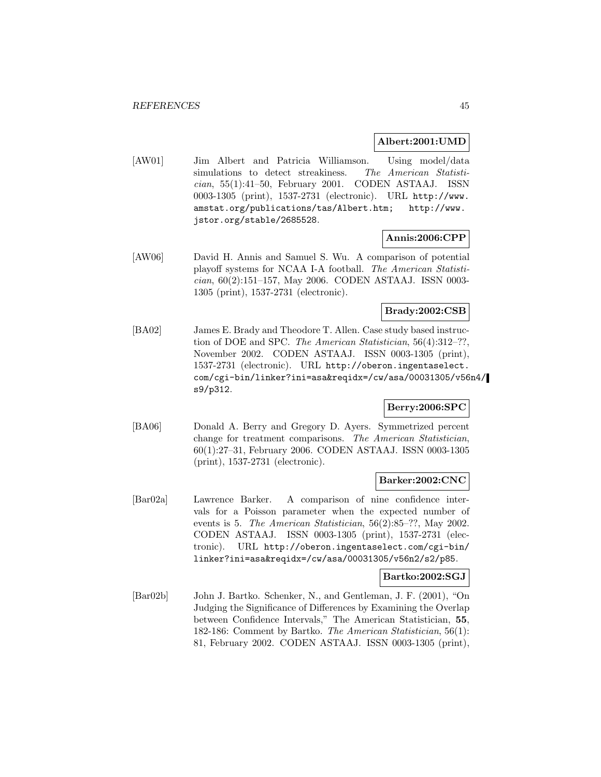#### **Albert:2001:UMD**

[AW01] Jim Albert and Patricia Williamson. Using model/data simulations to detect streakiness. The American Statistician, 55(1):41–50, February 2001. CODEN ASTAAJ. ISSN 0003-1305 (print), 1537-2731 (electronic). URL http://www. amstat.org/publications/tas/Albert.htm; http://www. jstor.org/stable/2685528.

### **Annis:2006:CPP**

[AW06] David H. Annis and Samuel S. Wu. A comparison of potential playoff systems for NCAA I-A football. The American Statistician, 60(2):151–157, May 2006. CODEN ASTAAJ. ISSN 0003- 1305 (print), 1537-2731 (electronic).

# **Brady:2002:CSB**

[BA02] James E. Brady and Theodore T. Allen. Case study based instruction of DOE and SPC. The American Statistician, 56(4):312–??, November 2002. CODEN ASTAAJ. ISSN 0003-1305 (print), 1537-2731 (electronic). URL http://oberon.ingentaselect. com/cgi-bin/linker?ini=asa&reqidx=/cw/asa/00031305/v56n4/ s9/p312.

## **Berry:2006:SPC**

[BA06] Donald A. Berry and Gregory D. Ayers. Symmetrized percent change for treatment comparisons. The American Statistician, 60(1):27–31, February 2006. CODEN ASTAAJ. ISSN 0003-1305 (print), 1537-2731 (electronic).

#### **Barker:2002:CNC**

[Bar02a] Lawrence Barker. A comparison of nine confidence intervals for a Poisson parameter when the expected number of events is 5. The American Statistician, 56(2):85–??, May 2002. CODEN ASTAAJ. ISSN 0003-1305 (print), 1537-2731 (electronic). URL http://oberon.ingentaselect.com/cgi-bin/ linker?ini=asa&reqidx=/cw/asa/00031305/v56n2/s2/p85.

### **Bartko:2002:SGJ**

[Bar02b] John J. Bartko. Schenker, N., and Gentleman, J. F. (2001), "On Judging the Significance of Differences by Examining the Overlap between Confidence Intervals," The American Statistician, **55**, 182-186: Comment by Bartko. The American Statistician, 56(1): 81, February 2002. CODEN ASTAAJ. ISSN 0003-1305 (print),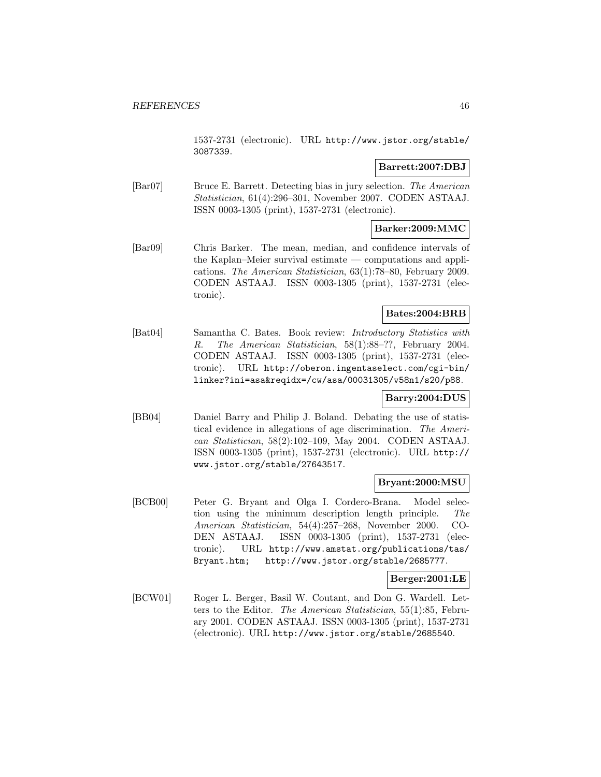1537-2731 (electronic). URL http://www.jstor.org/stable/ 3087339.

## **Barrett:2007:DBJ**

[Bar07] Bruce E. Barrett. Detecting bias in jury selection. The American Statistician, 61(4):296–301, November 2007. CODEN ASTAAJ. ISSN 0003-1305 (print), 1537-2731 (electronic).

## **Barker:2009:MMC**

[Bar09] Chris Barker. The mean, median, and confidence intervals of the Kaplan–Meier survival estimate — computations and applications. The American Statistician, 63(1):78–80, February 2009. CODEN ASTAAJ. ISSN 0003-1305 (print), 1537-2731 (electronic).

## **Bates:2004:BRB**

[Bat04] Samantha C. Bates. Book review: Introductory Statistics with R. The American Statistician, 58(1):88–??, February 2004. CODEN ASTAAJ. ISSN 0003-1305 (print), 1537-2731 (electronic). URL http://oberon.ingentaselect.com/cgi-bin/ linker?ini=asa&reqidx=/cw/asa/00031305/v58n1/s20/p88.

## **Barry:2004:DUS**

[BB04] Daniel Barry and Philip J. Boland. Debating the use of statistical evidence in allegations of age discrimination. The American Statistician, 58(2):102–109, May 2004. CODEN ASTAAJ. ISSN 0003-1305 (print), 1537-2731 (electronic). URL http:// www.jstor.org/stable/27643517.

### **Bryant:2000:MSU**

[BCB00] Peter G. Bryant and Olga I. Cordero-Brana. Model selection using the minimum description length principle. The American Statistician, 54(4):257–268, November 2000. CO-DEN ASTAAJ. ISSN 0003-1305 (print), 1537-2731 (electronic). URL http://www.amstat.org/publications/tas/ Bryant.htm; http://www.jstor.org/stable/2685777.

### **Berger:2001:LE**

[BCW01] Roger L. Berger, Basil W. Coutant, and Don G. Wardell. Letters to the Editor. The American Statistician, 55(1):85, February 2001. CODEN ASTAAJ. ISSN 0003-1305 (print), 1537-2731 (electronic). URL http://www.jstor.org/stable/2685540.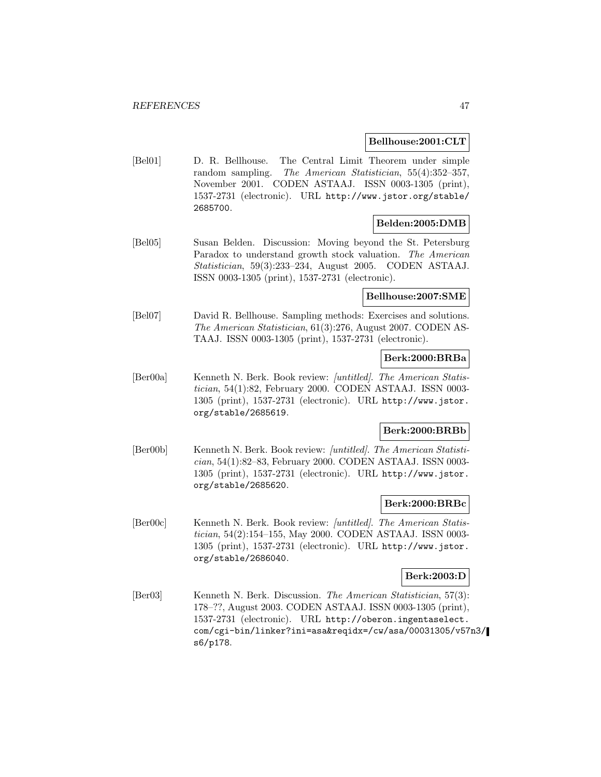#### **Bellhouse:2001:CLT**

[Bel01] D. R. Bellhouse. The Central Limit Theorem under simple random sampling. The American Statistician, 55(4):352–357, November 2001. CODEN ASTAAJ. ISSN 0003-1305 (print), 1537-2731 (electronic). URL http://www.jstor.org/stable/ 2685700.

#### **Belden:2005:DMB**

[Bel05] Susan Belden. Discussion: Moving beyond the St. Petersburg Paradox to understand growth stock valuation. The American Statistician, 59(3):233–234, August 2005. CODEN ASTAAJ. ISSN 0003-1305 (print), 1537-2731 (electronic).

# **Bellhouse:2007:SME**

[Bel07] David R. Bellhouse. Sampling methods: Exercises and solutions. The American Statistician, 61(3):276, August 2007. CODEN AS-TAAJ. ISSN 0003-1305 (print), 1537-2731 (electronic).

## **Berk:2000:BRBa**

[Ber00a] Kenneth N. Berk. Book review: [untitled]. The American Statistician, 54(1):82, February 2000. CODEN ASTAAJ. ISSN 0003- 1305 (print), 1537-2731 (electronic). URL http://www.jstor. org/stable/2685619.

# **Berk:2000:BRBb**

[Ber00b] Kenneth N. Berk. Book review: [untitled]. The American Statistician, 54(1):82–83, February 2000. CODEN ASTAAJ. ISSN 0003- 1305 (print), 1537-2731 (electronic). URL http://www.jstor. org/stable/2685620.

#### **Berk:2000:BRBc**

[Ber00c] Kenneth N. Berk. Book review: [untitled]. The American Statistician, 54(2):154–155, May 2000. CODEN ASTAAJ. ISSN 0003- 1305 (print), 1537-2731 (electronic). URL http://www.jstor. org/stable/2686040.

#### **Berk:2003:D**

[Ber03] Kenneth N. Berk. Discussion. The American Statistician, 57(3): 178–??, August 2003. CODEN ASTAAJ. ISSN 0003-1305 (print), 1537-2731 (electronic). URL http://oberon.ingentaselect. com/cgi-bin/linker?ini=asa&reqidx=/cw/asa/00031305/v57n3/ s6/p178.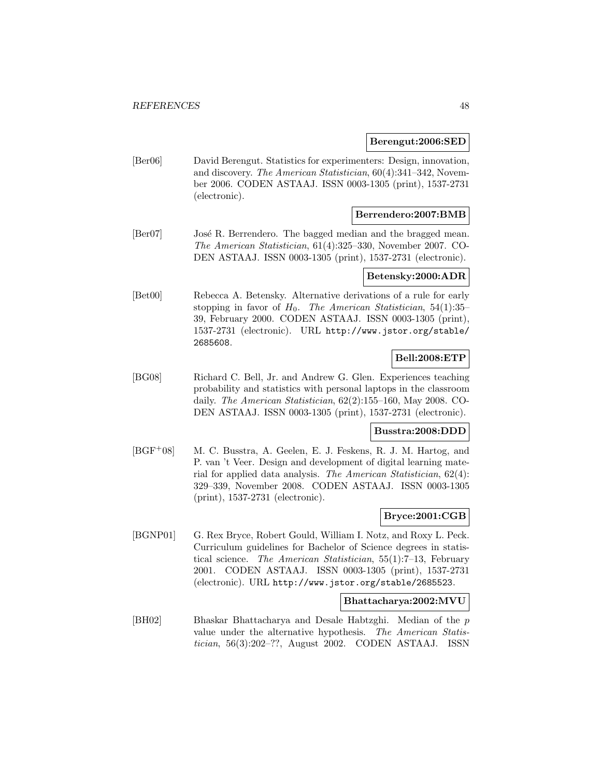#### **Berengut:2006:SED**

[Ber06] David Berengut. Statistics for experimenters: Design, innovation, and discovery. The American Statistician, 60(4):341–342, November 2006. CODEN ASTAAJ. ISSN 0003-1305 (print), 1537-2731 (electronic).

## **Berrendero:2007:BMB**

[Ber07] José R. Berrendero. The bagged median and the bragged mean. The American Statistician, 61(4):325–330, November 2007. CO-DEN ASTAAJ. ISSN 0003-1305 (print), 1537-2731 (electronic).

#### **Betensky:2000:ADR**

[Bet00] Rebecca A. Betensky. Alternative derivations of a rule for early stopping in favor of  $H_0$ . The American Statistician, 54(1):35– 39, February 2000. CODEN ASTAAJ. ISSN 0003-1305 (print), 1537-2731 (electronic). URL http://www.jstor.org/stable/ 2685608.

## **Bell:2008:ETP**

[BG08] Richard C. Bell, Jr. and Andrew G. Glen. Experiences teaching probability and statistics with personal laptops in the classroom daily. The American Statistician, 62(2):155–160, May 2008. CO-DEN ASTAAJ. ISSN 0003-1305 (print), 1537-2731 (electronic).

#### **Busstra:2008:DDD**

[BGF<sup>+</sup>08] M. C. Busstra, A. Geelen, E. J. Feskens, R. J. M. Hartog, and P. van 't Veer. Design and development of digital learning material for applied data analysis. The American Statistician, 62(4): 329–339, November 2008. CODEN ASTAAJ. ISSN 0003-1305 (print), 1537-2731 (electronic).

#### **Bryce:2001:CGB**

[BGNP01] G. Rex Bryce, Robert Gould, William I. Notz, and Roxy L. Peck. Curriculum guidelines for Bachelor of Science degrees in statistical science. The American Statistician, 55(1):7–13, February 2001. CODEN ASTAAJ. ISSN 0003-1305 (print), 1537-2731 (electronic). URL http://www.jstor.org/stable/2685523.

#### **Bhattacharya:2002:MVU**

[BH02] Bhaskar Bhattacharya and Desale Habtzghi. Median of the p value under the alternative hypothesis. The American Statistician, 56(3):202–??, August 2002. CODEN ASTAAJ. ISSN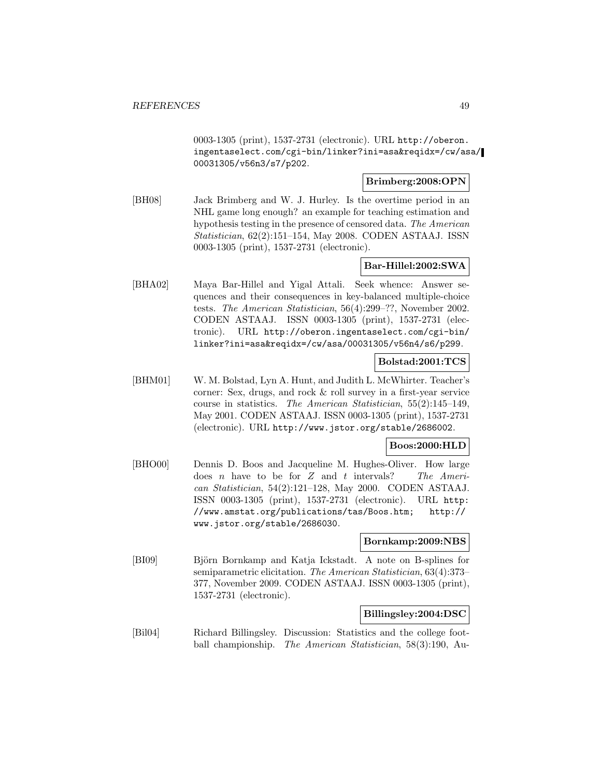0003-1305 (print), 1537-2731 (electronic). URL http://oberon. ingentaselect.com/cgi-bin/linker?ini=asa&reqidx=/cw/asa/ 00031305/v56n3/s7/p202.

# **Brimberg:2008:OPN**

[BH08] Jack Brimberg and W. J. Hurley. Is the overtime period in an NHL game long enough? an example for teaching estimation and hypothesis testing in the presence of censored data. The American Statistician, 62(2):151–154, May 2008. CODEN ASTAAJ. ISSN 0003-1305 (print), 1537-2731 (electronic).

# **Bar-Hillel:2002:SWA**

[BHA02] Maya Bar-Hillel and Yigal Attali. Seek whence: Answer sequences and their consequences in key-balanced multiple-choice tests. The American Statistician, 56(4):299–??, November 2002. CODEN ASTAAJ. ISSN 0003-1305 (print), 1537-2731 (electronic). URL http://oberon.ingentaselect.com/cgi-bin/ linker?ini=asa&reqidx=/cw/asa/00031305/v56n4/s6/p299.

### **Bolstad:2001:TCS**

[BHM01] W. M. Bolstad, Lyn A. Hunt, and Judith L. McWhirter. Teacher's corner: Sex, drugs, and rock & roll survey in a first-year service course in statistics. The American Statistician, 55(2):145–149, May 2001. CODEN ASTAAJ. ISSN 0003-1305 (print), 1537-2731 (electronic). URL http://www.jstor.org/stable/2686002.

### **Boos:2000:HLD**

[BHO00] Dennis D. Boos and Jacqueline M. Hughes-Oliver. How large does n have to be for  $Z$  and  $t$  intervals? The American Statistician, 54(2):121–128, May 2000. CODEN ASTAAJ. ISSN 0003-1305 (print), 1537-2731 (electronic). URL http: //www.amstat.org/publications/tas/Boos.htm; http:// www.jstor.org/stable/2686030.

### **Bornkamp:2009:NBS**

[BI09] Björn Bornkamp and Katja Ickstadt. A note on B-splines for semiparametric elicitation. The American Statistician, 63(4):373– 377, November 2009. CODEN ASTAAJ. ISSN 0003-1305 (print), 1537-2731 (electronic).

# **Billingsley:2004:DSC**

[Bil04] Richard Billingsley. Discussion: Statistics and the college football championship. The American Statistician, 58(3):190, Au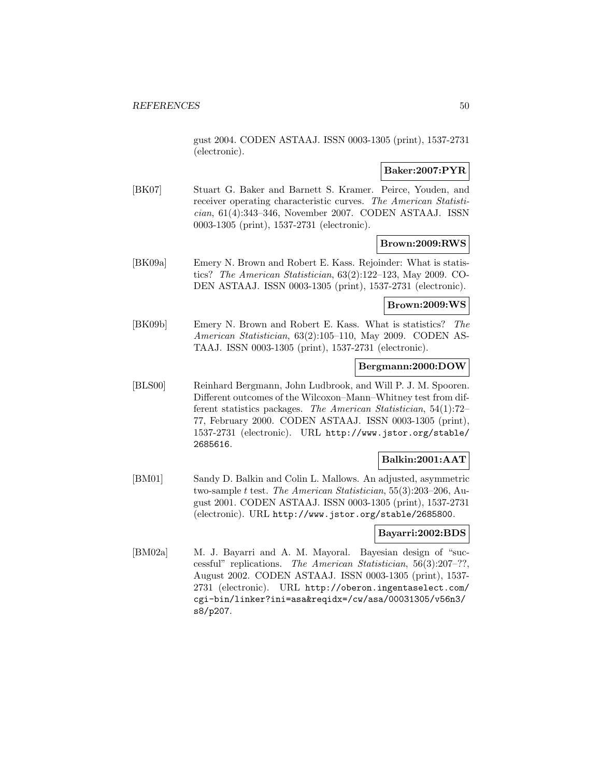gust 2004. CODEN ASTAAJ. ISSN 0003-1305 (print), 1537-2731 (electronic).

## **Baker:2007:PYR**

[BK07] Stuart G. Baker and Barnett S. Kramer. Peirce, Youden, and receiver operating characteristic curves. The American Statistician, 61(4):343–346, November 2007. CODEN ASTAAJ. ISSN 0003-1305 (print), 1537-2731 (electronic).

## **Brown:2009:RWS**

[BK09a] Emery N. Brown and Robert E. Kass. Rejoinder: What is statistics? The American Statistician, 63(2):122–123, May 2009. CO-DEN ASTAAJ. ISSN 0003-1305 (print), 1537-2731 (electronic).

### **Brown:2009:WS**

[BK09b] Emery N. Brown and Robert E. Kass. What is statistics? The American Statistician, 63(2):105–110, May 2009. CODEN AS-TAAJ. ISSN 0003-1305 (print), 1537-2731 (electronic).

# **Bergmann:2000:DOW**

[BLS00] Reinhard Bergmann, John Ludbrook, and Will P. J. M. Spooren. Different outcomes of the Wilcoxon–Mann–Whitney test from different statistics packages. The American Statistician, 54(1):72– 77, February 2000. CODEN ASTAAJ. ISSN 0003-1305 (print), 1537-2731 (electronic). URL http://www.jstor.org/stable/ 2685616.

# **Balkin:2001:AAT**

[BM01] Sandy D. Balkin and Colin L. Mallows. An adjusted, asymmetric two-sample t test. The American Statistician, 55(3):203–206, August 2001. CODEN ASTAAJ. ISSN 0003-1305 (print), 1537-2731 (electronic). URL http://www.jstor.org/stable/2685800.

## **Bayarri:2002:BDS**

[BM02a] M. J. Bayarri and A. M. Mayoral. Bayesian design of "successful" replications. The American Statistician, 56(3):207–??, August 2002. CODEN ASTAAJ. ISSN 0003-1305 (print), 1537- 2731 (electronic). URL http://oberon.ingentaselect.com/ cgi-bin/linker?ini=asa&reqidx=/cw/asa/00031305/v56n3/ s8/p207.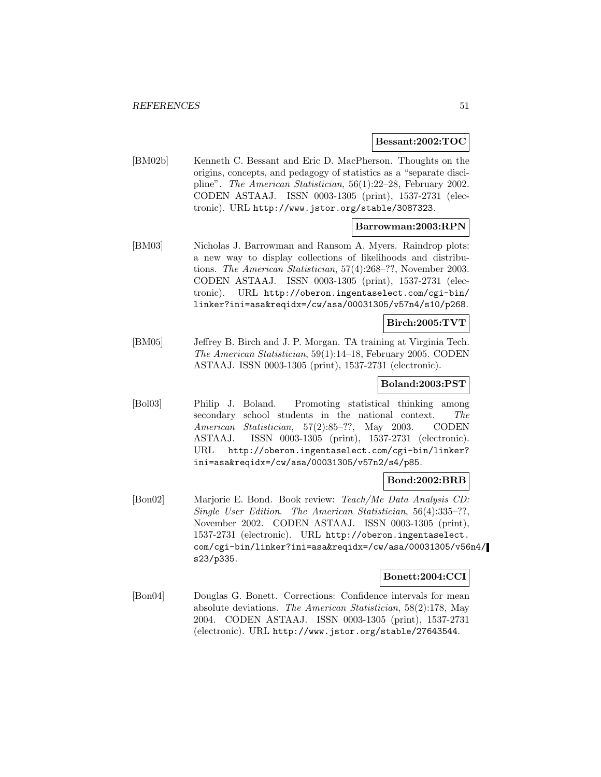#### **Bessant:2002:TOC**

[BM02b] Kenneth C. Bessant and Eric D. MacPherson. Thoughts on the origins, concepts, and pedagogy of statistics as a "separate discipline". The American Statistician, 56(1):22–28, February 2002. CODEN ASTAAJ. ISSN 0003-1305 (print), 1537-2731 (electronic). URL http://www.jstor.org/stable/3087323.

# **Barrowman:2003:RPN**

[BM03] Nicholas J. Barrowman and Ransom A. Myers. Raindrop plots: a new way to display collections of likelihoods and distributions. The American Statistician, 57(4):268–??, November 2003. CODEN ASTAAJ. ISSN 0003-1305 (print), 1537-2731 (electronic). URL http://oberon.ingentaselect.com/cgi-bin/ linker?ini=asa&reqidx=/cw/asa/00031305/v57n4/s10/p268.

## **Birch:2005:TVT**

[BM05] Jeffrey B. Birch and J. P. Morgan. TA training at Virginia Tech. The American Statistician, 59(1):14–18, February 2005. CODEN ASTAAJ. ISSN 0003-1305 (print), 1537-2731 (electronic).

## **Boland:2003:PST**

[Bol03] Philip J. Boland. Promoting statistical thinking among secondary school students in the national context. The American Statistician, 57(2):85–??, May 2003. CODEN ASTAAJ. ISSN 0003-1305 (print), 1537-2731 (electronic). URL http://oberon.ingentaselect.com/cgi-bin/linker? ini=asa&reqidx=/cw/asa/00031305/v57n2/s4/p85.

# **Bond:2002:BRB**

[Bon02] Marjorie E. Bond. Book review: Teach/Me Data Analysis CD: Single User Edition. The American Statistician, 56(4):335–??, November 2002. CODEN ASTAAJ. ISSN 0003-1305 (print), 1537-2731 (electronic). URL http://oberon.ingentaselect. com/cgi-bin/linker?ini=asa&reqidx=/cw/asa/00031305/v56n4/ s23/p335.

#### **Bonett:2004:CCI**

[Bon04] Douglas G. Bonett. Corrections: Confidence intervals for mean absolute deviations. The American Statistician, 58(2):178, May 2004. CODEN ASTAAJ. ISSN 0003-1305 (print), 1537-2731 (electronic). URL http://www.jstor.org/stable/27643544.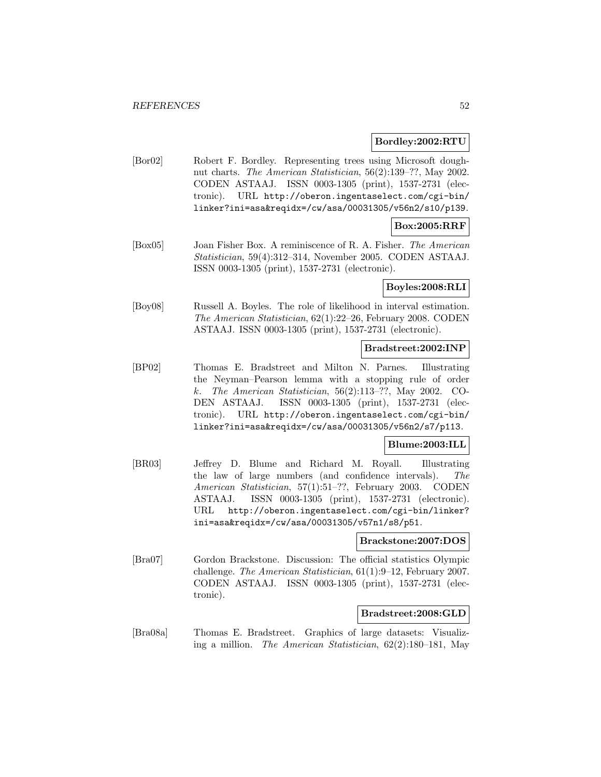#### **Bordley:2002:RTU**

[Bor02] Robert F. Bordley. Representing trees using Microsoft doughnut charts. The American Statistician, 56(2):139–??, May 2002. CODEN ASTAAJ. ISSN 0003-1305 (print), 1537-2731 (electronic). URL http://oberon.ingentaselect.com/cgi-bin/ linker?ini=asa&reqidx=/cw/asa/00031305/v56n2/s10/p139.

# **Box:2005:RRF**

[Box05] Joan Fisher Box. A reminiscence of R. A. Fisher. The American Statistician, 59(4):312–314, November 2005. CODEN ASTAAJ. ISSN 0003-1305 (print), 1537-2731 (electronic).

### **Boyles:2008:RLI**

[Boy08] Russell A. Boyles. The role of likelihood in interval estimation. The American Statistician, 62(1):22–26, February 2008. CODEN ASTAAJ. ISSN 0003-1305 (print), 1537-2731 (electronic).

#### **Bradstreet:2002:INP**

[BP02] Thomas E. Bradstreet and Milton N. Parnes. Illustrating the Neyman–Pearson lemma with a stopping rule of order k. The American Statistician, 56(2):113–??, May 2002. CO-DEN ASTAAJ. ISSN 0003-1305 (print), 1537-2731 (electronic). URL http://oberon.ingentaselect.com/cgi-bin/ linker?ini=asa&reqidx=/cw/asa/00031305/v56n2/s7/p113.

# **Blume:2003:ILL**

[BR03] Jeffrey D. Blume and Richard M. Royall. Illustrating the law of large numbers (and confidence intervals). The American Statistician, 57(1):51–??, February 2003. CODEN ASTAAJ. ISSN 0003-1305 (print), 1537-2731 (electronic). URL http://oberon.ingentaselect.com/cgi-bin/linker? ini=asa&reqidx=/cw/asa/00031305/v57n1/s8/p51.

### **Brackstone:2007:DOS**

[Bra07] Gordon Brackstone. Discussion: The official statistics Olympic challenge. The American Statistician, 61(1):9–12, February 2007. CODEN ASTAAJ. ISSN 0003-1305 (print), 1537-2731 (electronic).

### **Bradstreet:2008:GLD**

[Bra08a] Thomas E. Bradstreet. Graphics of large datasets: Visualizing a million. The American Statistician, 62(2):180–181, May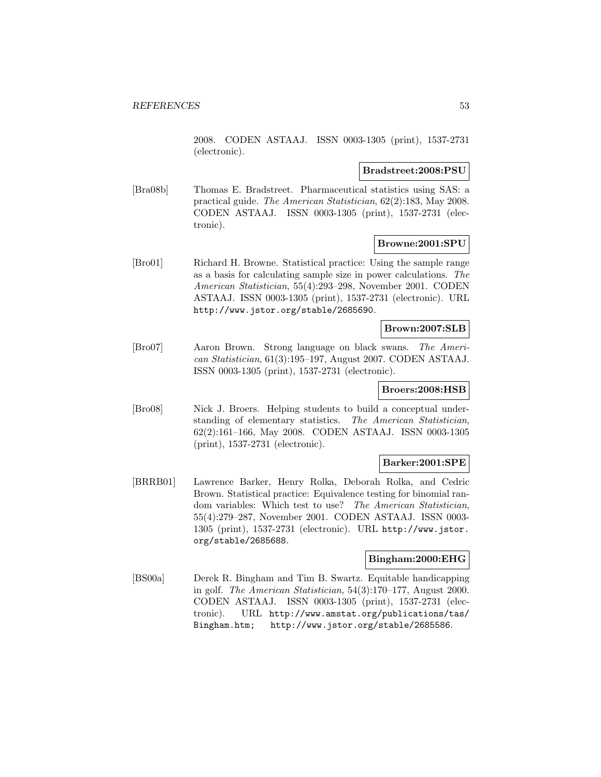2008. CODEN ASTAAJ. ISSN 0003-1305 (print), 1537-2731 (electronic).

#### **Bradstreet:2008:PSU**

[Bra08b] Thomas E. Bradstreet. Pharmaceutical statistics using SAS: a practical guide. The American Statistician, 62(2):183, May 2008. CODEN ASTAAJ. ISSN 0003-1305 (print), 1537-2731 (electronic).

## **Browne:2001:SPU**

[Bro01] Richard H. Browne. Statistical practice: Using the sample range as a basis for calculating sample size in power calculations. The American Statistician, 55(4):293–298, November 2001. CODEN ASTAAJ. ISSN 0003-1305 (print), 1537-2731 (electronic). URL http://www.jstor.org/stable/2685690.

### **Brown:2007:SLB**

[Bro07] Aaron Brown. Strong language on black swans. The American Statistician, 61(3):195–197, August 2007. CODEN ASTAAJ. ISSN 0003-1305 (print), 1537-2731 (electronic).

# **Broers:2008:HSB**

[Bro08] Nick J. Broers. Helping students to build a conceptual understanding of elementary statistics. The American Statistician, 62(2):161–166, May 2008. CODEN ASTAAJ. ISSN 0003-1305 (print), 1537-2731 (electronic).

### **Barker:2001:SPE**

[BRRB01] Lawrence Barker, Henry Rolka, Deborah Rolka, and Cedric Brown. Statistical practice: Equivalence testing for binomial random variables: Which test to use? The American Statistician, 55(4):279–287, November 2001. CODEN ASTAAJ. ISSN 0003- 1305 (print), 1537-2731 (electronic). URL http://www.jstor. org/stable/2685688.

### **Bingham:2000:EHG**

[BS00a] Derek R. Bingham and Tim B. Swartz. Equitable handicapping in golf. The American Statistician, 54(3):170–177, August 2000. CODEN ASTAAJ. ISSN 0003-1305 (print), 1537-2731 (electronic). URL http://www.amstat.org/publications/tas/ Bingham.htm; http://www.jstor.org/stable/2685586.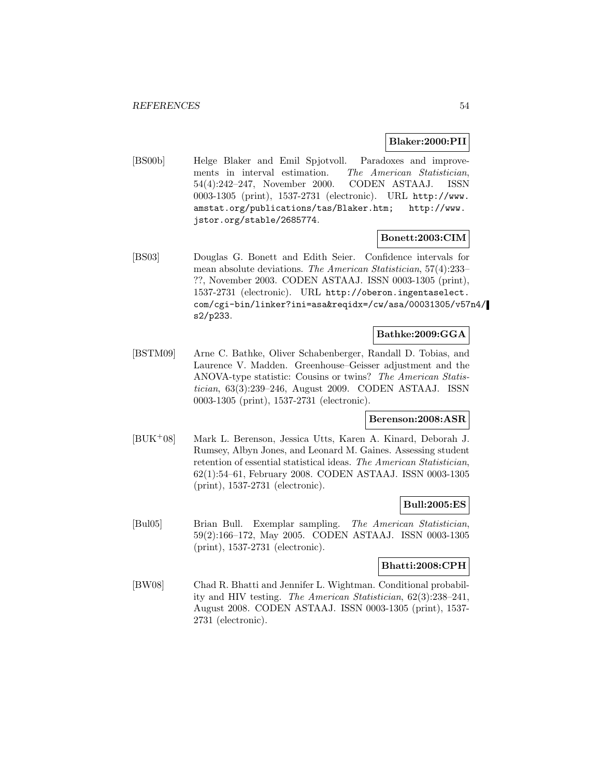#### **Blaker:2000:PII**

[BS00b] Helge Blaker and Emil Spjotvoll. Paradoxes and improvements in interval estimation. The American Statistician, 54(4):242–247, November 2000. CODEN ASTAAJ. ISSN 0003-1305 (print), 1537-2731 (electronic). URL http://www. amstat.org/publications/tas/Blaker.htm; http://www. jstor.org/stable/2685774.

### **Bonett:2003:CIM**

[BS03] Douglas G. Bonett and Edith Seier. Confidence intervals for mean absolute deviations. The American Statistician, 57(4):233– ??, November 2003. CODEN ASTAAJ. ISSN 0003-1305 (print), 1537-2731 (electronic). URL http://oberon.ingentaselect. com/cgi-bin/linker?ini=asa&reqidx=/cw/asa/00031305/v57n4/ s2/p233.

# **Bathke:2009:GGA**

[BSTM09] Arne C. Bathke, Oliver Schabenberger, Randall D. Tobias, and Laurence V. Madden. Greenhouse–Geisser adjustment and the ANOVA-type statistic: Cousins or twins? The American Statistician, 63(3):239–246, August 2009. CODEN ASTAAJ. ISSN 0003-1305 (print), 1537-2731 (electronic).

## **Berenson:2008:ASR**

[BUK<sup>+</sup>08] Mark L. Berenson, Jessica Utts, Karen A. Kinard, Deborah J. Rumsey, Albyn Jones, and Leonard M. Gaines. Assessing student retention of essential statistical ideas. The American Statistician, 62(1):54–61, February 2008. CODEN ASTAAJ. ISSN 0003-1305 (print), 1537-2731 (electronic).

#### **Bull:2005:ES**

[Bul05] Brian Bull. Exemplar sampling. The American Statistician, 59(2):166–172, May 2005. CODEN ASTAAJ. ISSN 0003-1305 (print), 1537-2731 (electronic).

# **Bhatti:2008:CPH**

[BW08] Chad R. Bhatti and Jennifer L. Wightman. Conditional probability and HIV testing. The American Statistician, 62(3):238–241, August 2008. CODEN ASTAAJ. ISSN 0003-1305 (print), 1537- 2731 (electronic).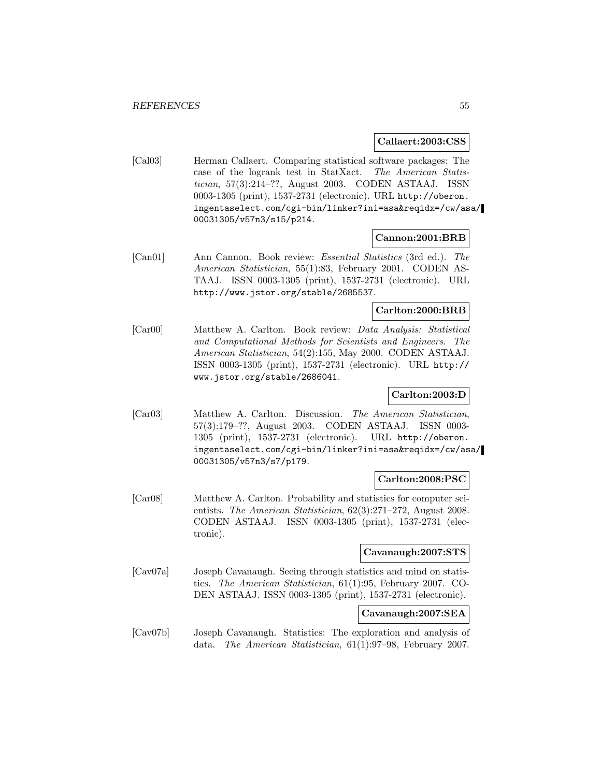#### **Callaert:2003:CSS**

[Cal03] Herman Callaert. Comparing statistical software packages: The case of the logrank test in StatXact. The American Statistician, 57(3):214–??, August 2003. CODEN ASTAAJ. ISSN 0003-1305 (print), 1537-2731 (electronic). URL http://oberon. ingentaselect.com/cgi-bin/linker?ini=asa&reqidx=/cw/asa/ 00031305/v57n3/s15/p214.

### **Cannon:2001:BRB**

[Can01] Ann Cannon. Book review: Essential Statistics (3rd ed.). The American Statistician, 55(1):83, February 2001. CODEN AS-TAAJ. ISSN 0003-1305 (print), 1537-2731 (electronic). URL http://www.jstor.org/stable/2685537.

#### **Carlton:2000:BRB**

[Car00] Matthew A. Carlton. Book review: Data Analysis: Statistical and Computational Methods for Scientists and Engineers. The American Statistician, 54(2):155, May 2000. CODEN ASTAAJ. ISSN 0003-1305 (print), 1537-2731 (electronic). URL http:// www.jstor.org/stable/2686041.

### **Carlton:2003:D**

[Car03] Matthew A. Carlton. Discussion. The American Statistician, 57(3):179–??, August 2003. CODEN ASTAAJ. ISSN 0003- 1305 (print), 1537-2731 (electronic). URL http://oberon. ingentaselect.com/cgi-bin/linker?ini=asa&reqidx=/cw/asa/ 00031305/v57n3/s7/p179.

### **Carlton:2008:PSC**

[Car08] Matthew A. Carlton. Probability and statistics for computer scientists. The American Statistician, 62(3):271–272, August 2008. CODEN ASTAAJ. ISSN 0003-1305 (print), 1537-2731 (electronic).

# **Cavanaugh:2007:STS**

[Cav07a] Joseph Cavanaugh. Seeing through statistics and mind on statistics. The American Statistician, 61(1):95, February 2007. CO-DEN ASTAAJ. ISSN 0003-1305 (print), 1537-2731 (electronic).

# **Cavanaugh:2007:SEA**

[Cav07b] Joseph Cavanaugh. Statistics: The exploration and analysis of data. The American Statistician, 61(1):97–98, February 2007.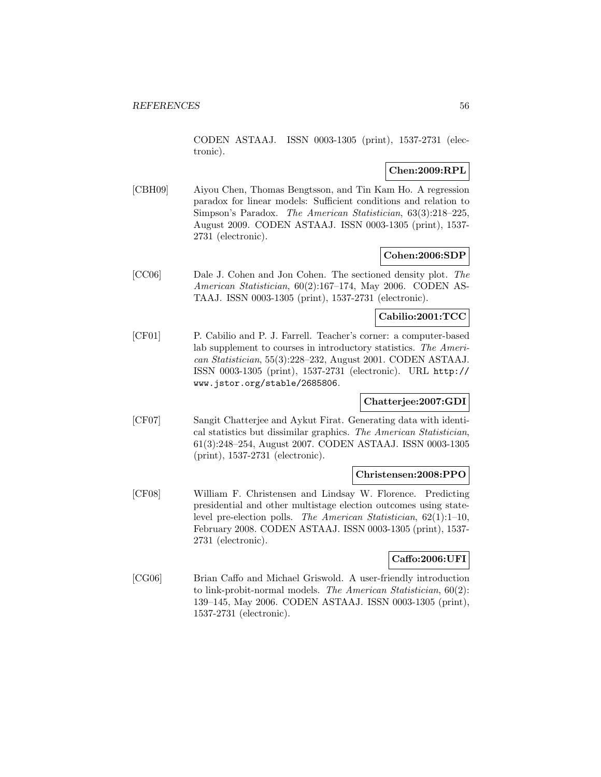CODEN ASTAAJ. ISSN 0003-1305 (print), 1537-2731 (electronic).

# **Chen:2009:RPL**

[CBH09] Aiyou Chen, Thomas Bengtsson, and Tin Kam Ho. A regression paradox for linear models: Sufficient conditions and relation to Simpson's Paradox. The American Statistician, 63(3):218–225, August 2009. CODEN ASTAAJ. ISSN 0003-1305 (print), 1537- 2731 (electronic).

### **Cohen:2006:SDP**

[CC06] Dale J. Cohen and Jon Cohen. The sectioned density plot. The American Statistician, 60(2):167–174, May 2006. CODEN AS-TAAJ. ISSN 0003-1305 (print), 1537-2731 (electronic).

### **Cabilio:2001:TCC**

[CF01] P. Cabilio and P. J. Farrell. Teacher's corner: a computer-based lab supplement to courses in introductory statistics. The American Statistician, 55(3):228–232, August 2001. CODEN ASTAAJ. ISSN 0003-1305 (print), 1537-2731 (electronic). URL http:// www.jstor.org/stable/2685806.

### **Chatterjee:2007:GDI**

[CF07] Sangit Chatterjee and Aykut Firat. Generating data with identical statistics but dissimilar graphics. The American Statistician, 61(3):248–254, August 2007. CODEN ASTAAJ. ISSN 0003-1305 (print), 1537-2731 (electronic).

### **Christensen:2008:PPO**

[CF08] William F. Christensen and Lindsay W. Florence. Predicting presidential and other multistage election outcomes using statelevel pre-election polls. The American Statistician, 62(1):1–10, February 2008. CODEN ASTAAJ. ISSN 0003-1305 (print), 1537- 2731 (electronic).

### **Caffo:2006:UFI**

[CG06] Brian Caffo and Michael Griswold. A user-friendly introduction to link-probit-normal models. The American Statistician, 60(2): 139–145, May 2006. CODEN ASTAAJ. ISSN 0003-1305 (print), 1537-2731 (electronic).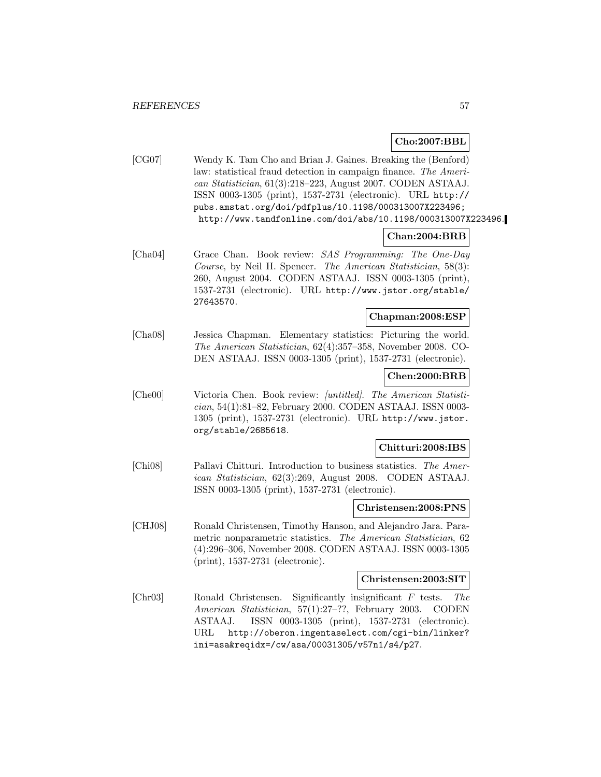## **Cho:2007:BBL**

[CG07] Wendy K. Tam Cho and Brian J. Gaines. Breaking the (Benford) law: statistical fraud detection in campaign finance. The American Statistician, 61(3):218–223, August 2007. CODEN ASTAAJ. ISSN 0003-1305 (print), 1537-2731 (electronic). URL http:// pubs.amstat.org/doi/pdfplus/10.1198/000313007X223496; http://www.tandfonline.com/doi/abs/10.1198/000313007X223496.

## **Chan:2004:BRB**

[Cha04] Grace Chan. Book review: SAS Programming: The One-Day Course, by Neil H. Spencer. The American Statistician, 58(3): 260, August 2004. CODEN ASTAAJ. ISSN 0003-1305 (print), 1537-2731 (electronic). URL http://www.jstor.org/stable/ 27643570.

## **Chapman:2008:ESP**

[Cha08] Jessica Chapman. Elementary statistics: Picturing the world. The American Statistician, 62(4):357–358, November 2008. CO-DEN ASTAAJ. ISSN 0003-1305 (print), 1537-2731 (electronic).

### **Chen:2000:BRB**

[Che00] Victoria Chen. Book review: [untitled]. The American Statistician, 54(1):81–82, February 2000. CODEN ASTAAJ. ISSN 0003- 1305 (print), 1537-2731 (electronic). URL http://www.jstor. org/stable/2685618.

#### **Chitturi:2008:IBS**

[Chi08] Pallavi Chitturi. Introduction to business statistics. The American Statistician, 62(3):269, August 2008. CODEN ASTAAJ. ISSN 0003-1305 (print), 1537-2731 (electronic).

#### **Christensen:2008:PNS**

[CHJ08] Ronald Christensen, Timothy Hanson, and Alejandro Jara. Parametric nonparametric statistics. The American Statistician, 62 (4):296–306, November 2008. CODEN ASTAAJ. ISSN 0003-1305 (print), 1537-2731 (electronic).

#### **Christensen:2003:SIT**

[Chr03] Ronald Christensen. Significantly insignificant F tests. The American Statistician, 57(1):27–??, February 2003. CODEN ASTAAJ. ISSN 0003-1305 (print), 1537-2731 (electronic). URL http://oberon.ingentaselect.com/cgi-bin/linker? ini=asa&reqidx=/cw/asa/00031305/v57n1/s4/p27.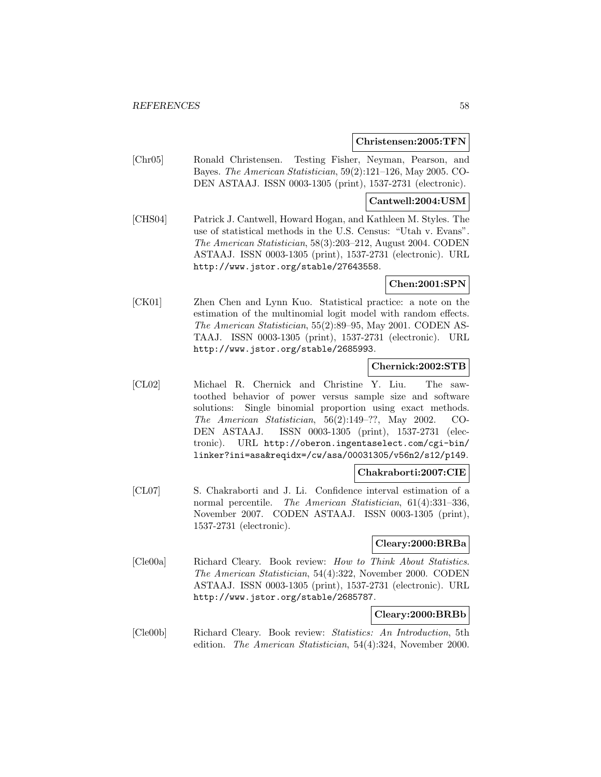#### **Christensen:2005:TFN**

[Chr05] Ronald Christensen. Testing Fisher, Neyman, Pearson, and Bayes. The American Statistician, 59(2):121–126, May 2005. CO-DEN ASTAAJ. ISSN 0003-1305 (print), 1537-2731 (electronic).

#### **Cantwell:2004:USM**

[CHS04] Patrick J. Cantwell, Howard Hogan, and Kathleen M. Styles. The use of statistical methods in the U.S. Census: "Utah v. Evans". The American Statistician, 58(3):203–212, August 2004. CODEN ASTAAJ. ISSN 0003-1305 (print), 1537-2731 (electronic). URL http://www.jstor.org/stable/27643558.

## **Chen:2001:SPN**

[CK01] Zhen Chen and Lynn Kuo. Statistical practice: a note on the estimation of the multinomial logit model with random effects. The American Statistician, 55(2):89–95, May 2001. CODEN AS-TAAJ. ISSN 0003-1305 (print), 1537-2731 (electronic). URL http://www.jstor.org/stable/2685993.

## **Chernick:2002:STB**

[CL02] Michael R. Chernick and Christine Y. Liu. The sawtoothed behavior of power versus sample size and software solutions: Single binomial proportion using exact methods. The American Statistician, 56(2):149–??, May 2002. CO-DEN ASTAAJ. ISSN 0003-1305 (print), 1537-2731 (electronic). URL http://oberon.ingentaselect.com/cgi-bin/ linker?ini=asa&reqidx=/cw/asa/00031305/v56n2/s12/p149.

#### **Chakraborti:2007:CIE**

[CL07] S. Chakraborti and J. Li. Confidence interval estimation of a normal percentile. The American Statistician, 61(4):331–336, November 2007. CODEN ASTAAJ. ISSN 0003-1305 (print), 1537-2731 (electronic).

### **Cleary:2000:BRBa**

[Cle00a] Richard Cleary. Book review: How to Think About Statistics. The American Statistician, 54(4):322, November 2000. CODEN ASTAAJ. ISSN 0003-1305 (print), 1537-2731 (electronic). URL http://www.jstor.org/stable/2685787.

#### **Cleary:2000:BRBb**

[Cle00b] Richard Cleary. Book review: Statistics: An Introduction, 5th edition. The American Statistician, 54(4):324, November 2000.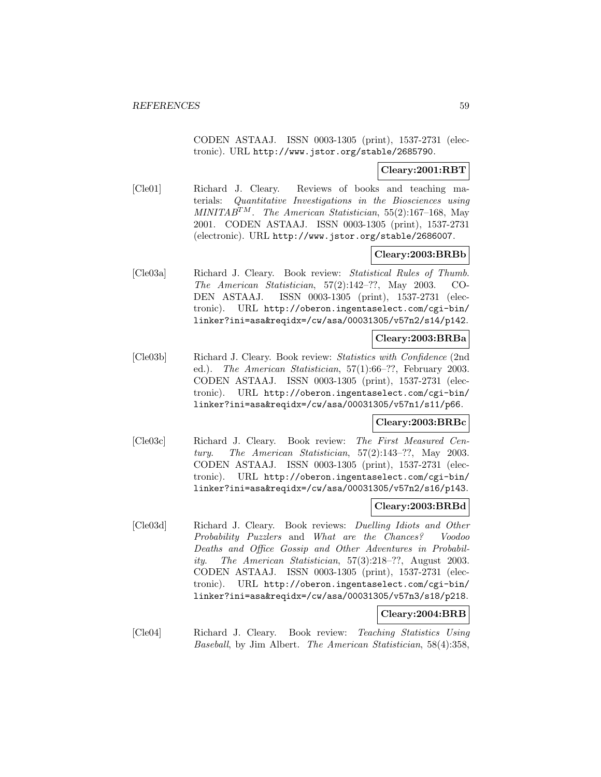CODEN ASTAAJ. ISSN 0003-1305 (print), 1537-2731 (electronic). URL http://www.jstor.org/stable/2685790.

## **Cleary:2001:RBT**

[Cle01] Richard J. Cleary. Reviews of books and teaching materials: Quantitative Investigations in the Biosciences using MINITA $B^{TM}$ . The American Statistician, 55(2):167-168, May 2001. CODEN ASTAAJ. ISSN 0003-1305 (print), 1537-2731 (electronic). URL http://www.jstor.org/stable/2686007.

## **Cleary:2003:BRBb**

[Cle03a] Richard J. Cleary. Book review: Statistical Rules of Thumb. The American Statistician, 57(2):142–??, May 2003. CO-DEN ASTAAJ. ISSN 0003-1305 (print), 1537-2731 (electronic). URL http://oberon.ingentaselect.com/cgi-bin/ linker?ini=asa&reqidx=/cw/asa/00031305/v57n2/s14/p142.

## **Cleary:2003:BRBa**

[Cle03b] Richard J. Cleary. Book review: Statistics with Confidence (2nd ed.). The American Statistician, 57(1):66–??, February 2003. CODEN ASTAAJ. ISSN 0003-1305 (print), 1537-2731 (electronic). URL http://oberon.ingentaselect.com/cgi-bin/ linker?ini=asa&reqidx=/cw/asa/00031305/v57n1/s11/p66.

## **Cleary:2003:BRBc**

[Cle03c] Richard J. Cleary. Book review: The First Measured Century. The American Statistician, 57(2):143–??, May 2003. CODEN ASTAAJ. ISSN 0003-1305 (print), 1537-2731 (electronic). URL http://oberon.ingentaselect.com/cgi-bin/ linker?ini=asa&reqidx=/cw/asa/00031305/v57n2/s16/p143.

### **Cleary:2003:BRBd**

[Cle03d] Richard J. Cleary. Book reviews: Duelling Idiots and Other Probability Puzzlers and What are the Chances? Voodoo Deaths and Office Gossip and Other Adventures in Probability. The American Statistician, 57(3):218–??, August 2003. CODEN ASTAAJ. ISSN 0003-1305 (print), 1537-2731 (electronic). URL http://oberon.ingentaselect.com/cgi-bin/ linker?ini=asa&reqidx=/cw/asa/00031305/v57n3/s18/p218.

# **Cleary:2004:BRB**

[Cle04] Richard J. Cleary. Book review: Teaching Statistics Using Baseball, by Jim Albert. The American Statistician, 58(4):358,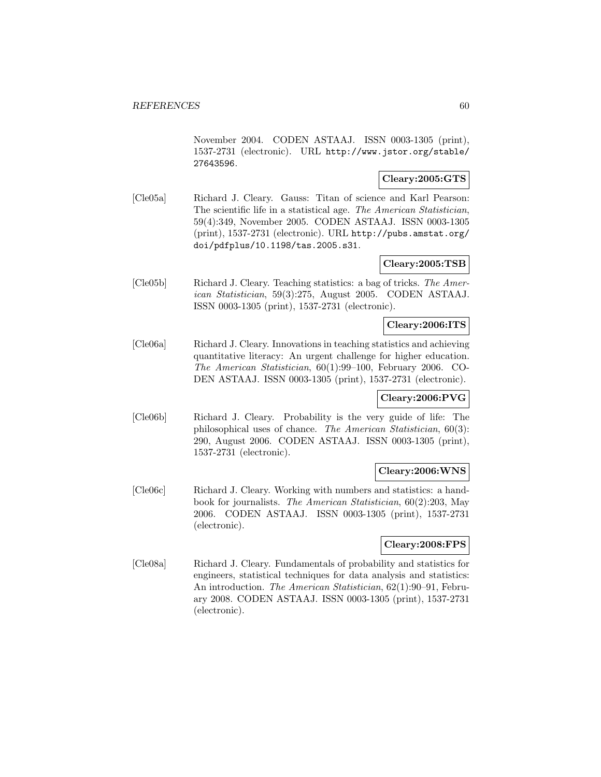November 2004. CODEN ASTAAJ. ISSN 0003-1305 (print), 1537-2731 (electronic). URL http://www.jstor.org/stable/ 27643596.

## **Cleary:2005:GTS**

[Cle05a] Richard J. Cleary. Gauss: Titan of science and Karl Pearson: The scientific life in a statistical age. The American Statistician, 59(4):349, November 2005. CODEN ASTAAJ. ISSN 0003-1305 (print), 1537-2731 (electronic). URL http://pubs.amstat.org/ doi/pdfplus/10.1198/tas.2005.s31.

# **Cleary:2005:TSB**

[Cle05b] Richard J. Cleary. Teaching statistics: a bag of tricks. The American Statistician, 59(3):275, August 2005. CODEN ASTAAJ. ISSN 0003-1305 (print), 1537-2731 (electronic).

## **Cleary:2006:ITS**

[Cle06a] Richard J. Cleary. Innovations in teaching statistics and achieving quantitative literacy: An urgent challenge for higher education. The American Statistician, 60(1):99–100, February 2006. CO-DEN ASTAAJ. ISSN 0003-1305 (print), 1537-2731 (electronic).

# **Cleary:2006:PVG**

[Cle06b] Richard J. Cleary. Probability is the very guide of life: The philosophical uses of chance. The American Statistician, 60(3): 290, August 2006. CODEN ASTAAJ. ISSN 0003-1305 (print), 1537-2731 (electronic).

### **Cleary:2006:WNS**

[Cle06c] Richard J. Cleary. Working with numbers and statistics: a handbook for journalists. The American Statistician, 60(2):203, May 2006. CODEN ASTAAJ. ISSN 0003-1305 (print), 1537-2731 (electronic).

# **Cleary:2008:FPS**

[Cle08a] Richard J. Cleary. Fundamentals of probability and statistics for engineers, statistical techniques for data analysis and statistics: An introduction. The American Statistician, 62(1):90–91, February 2008. CODEN ASTAAJ. ISSN 0003-1305 (print), 1537-2731 (electronic).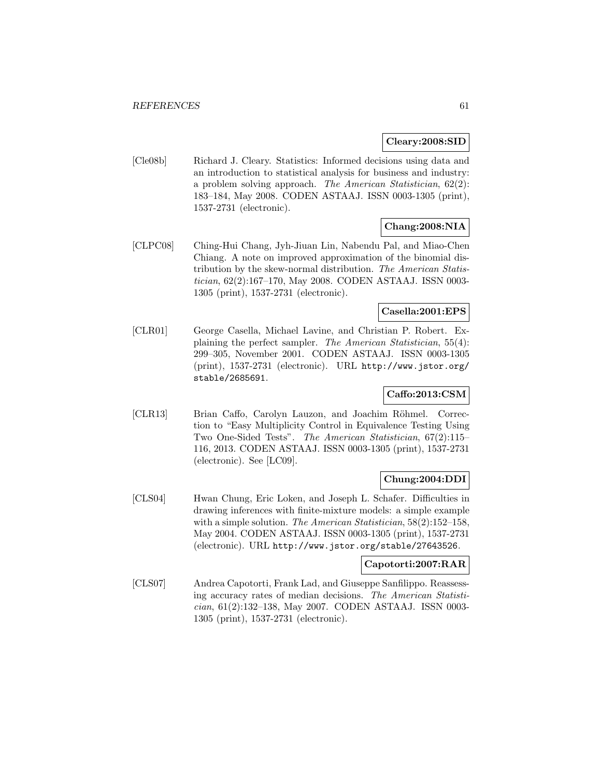### **Cleary:2008:SID**

[Cle08b] Richard J. Cleary. Statistics: Informed decisions using data and an introduction to statistical analysis for business and industry: a problem solving approach. The American Statistician, 62(2): 183–184, May 2008. CODEN ASTAAJ. ISSN 0003-1305 (print), 1537-2731 (electronic).

# **Chang:2008:NIA**

[CLPC08] Ching-Hui Chang, Jyh-Jiuan Lin, Nabendu Pal, and Miao-Chen Chiang. A note on improved approximation of the binomial distribution by the skew-normal distribution. The American Statistician, 62(2):167–170, May 2008. CODEN ASTAAJ. ISSN 0003- 1305 (print), 1537-2731 (electronic).

# **Casella:2001:EPS**

[CLR01] George Casella, Michael Lavine, and Christian P. Robert. Explaining the perfect sampler. The American Statistician, 55(4): 299–305, November 2001. CODEN ASTAAJ. ISSN 0003-1305 (print), 1537-2731 (electronic). URL http://www.jstor.org/ stable/2685691.

## **Caffo:2013:CSM**

[CLR13] Brian Caffo, Carolyn Lauzon, and Joachim Röhmel. Correction to "Easy Multiplicity Control in Equivalence Testing Using Two One-Sided Tests". The American Statistician, 67(2):115– 116, 2013. CODEN ASTAAJ. ISSN 0003-1305 (print), 1537-2731 (electronic). See [LC09].

## **Chung:2004:DDI**

[CLS04] Hwan Chung, Eric Loken, and Joseph L. Schafer. Difficulties in drawing inferences with finite-mixture models: a simple example with a simple solution. The American Statistician, 58(2):152-158, May 2004. CODEN ASTAAJ. ISSN 0003-1305 (print), 1537-2731 (electronic). URL http://www.jstor.org/stable/27643526.

### **Capotorti:2007:RAR**

[CLS07] Andrea Capotorti, Frank Lad, and Giuseppe Sanfilippo. Reassessing accuracy rates of median decisions. The American Statistician, 61(2):132–138, May 2007. CODEN ASTAAJ. ISSN 0003- 1305 (print), 1537-2731 (electronic).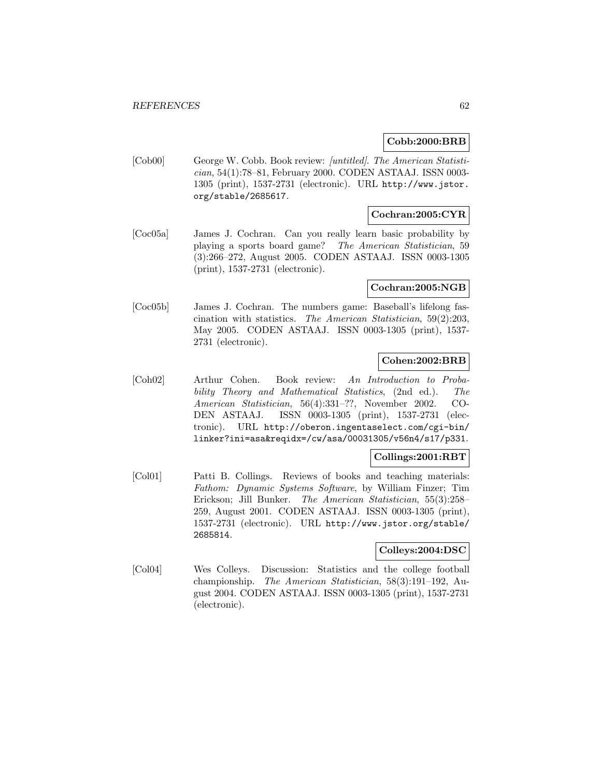## **Cobb:2000:BRB**

[Cob00] George W. Cobb. Book review: [untitled]. The American Statistician, 54(1):78–81, February 2000. CODEN ASTAAJ. ISSN 0003- 1305 (print), 1537-2731 (electronic). URL http://www.jstor. org/stable/2685617.

## **Cochran:2005:CYR**

[Coc05a] James J. Cochran. Can you really learn basic probability by playing a sports board game? The American Statistician, 59 (3):266–272, August 2005. CODEN ASTAAJ. ISSN 0003-1305 (print), 1537-2731 (electronic).

### **Cochran:2005:NGB**

[Coc05b] James J. Cochran. The numbers game: Baseball's lifelong fascination with statistics. The American Statistician, 59(2):203, May 2005. CODEN ASTAAJ. ISSN 0003-1305 (print), 1537- 2731 (electronic).

# **Cohen:2002:BRB**

[Coh02] Arthur Cohen. Book review: An Introduction to Probability Theory and Mathematical Statistics, (2nd ed.). The American Statistician, 56(4):331–??, November 2002. CO-DEN ASTAAJ. ISSN 0003-1305 (print), 1537-2731 (electronic). URL http://oberon.ingentaselect.com/cgi-bin/ linker?ini=asa&reqidx=/cw/asa/00031305/v56n4/s17/p331.

# **Collings:2001:RBT**

[Col01] Patti B. Collings. Reviews of books and teaching materials: Fathom: Dynamic Systems Software, by William Finzer; Tim Erickson; Jill Bunker. The American Statistician, 55(3):258– 259, August 2001. CODEN ASTAAJ. ISSN 0003-1305 (print), 1537-2731 (electronic). URL http://www.jstor.org/stable/ 2685814.

### **Colleys:2004:DSC**

[Col04] Wes Colleys. Discussion: Statistics and the college football championship. The American Statistician, 58(3):191–192, August 2004. CODEN ASTAAJ. ISSN 0003-1305 (print), 1537-2731 (electronic).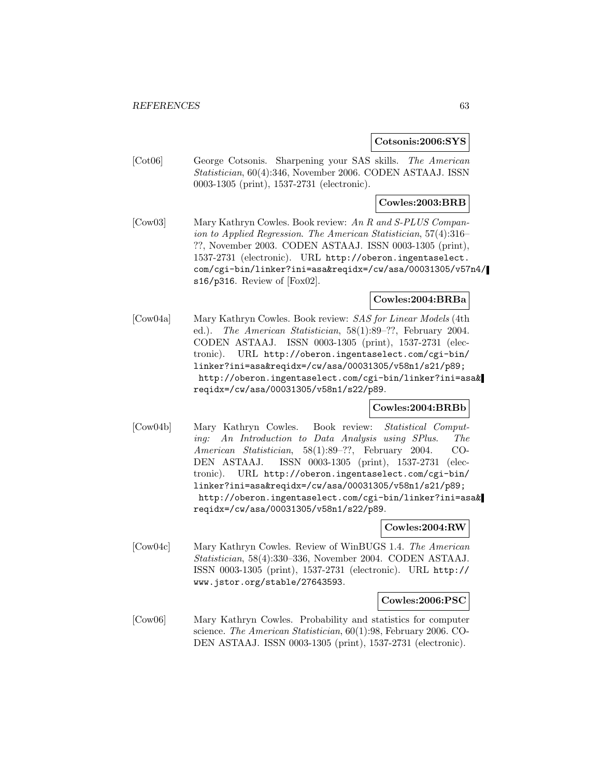#### **Cotsonis:2006:SYS**

[Cot06] George Cotsonis. Sharpening your SAS skills. The American Statistician, 60(4):346, November 2006. CODEN ASTAAJ. ISSN 0003-1305 (print), 1537-2731 (electronic).

## **Cowles:2003:BRB**

[Cow03] Mary Kathryn Cowles. Book review: An R and S-PLUS Companion to Applied Regression. The American Statistician, 57(4):316– ??, November 2003. CODEN ASTAAJ. ISSN 0003-1305 (print), 1537-2731 (electronic). URL http://oberon.ingentaselect. com/cgi-bin/linker?ini=asa&reqidx=/cw/asa/00031305/v57n4/ s16/p316. Review of [Fox02].

### **Cowles:2004:BRBa**

[Cow04a] Mary Kathryn Cowles. Book review: SAS for Linear Models (4th ed.). The American Statistician, 58(1):89–??, February 2004. CODEN ASTAAJ. ISSN 0003-1305 (print), 1537-2731 (electronic). URL http://oberon.ingentaselect.com/cgi-bin/ linker?ini=asa&reqidx=/cw/asa/00031305/v58n1/s21/p89; http://oberon.ingentaselect.com/cgi-bin/linker?ini=asa& reqidx=/cw/asa/00031305/v58n1/s22/p89.

### **Cowles:2004:BRBb**

[Cow04b] Mary Kathryn Cowles. Book review: Statistical Computing: An Introduction to Data Analysis using SPlus. The American Statistician, 58(1):89–??, February 2004. CO-DEN ASTAAJ. ISSN 0003-1305 (print), 1537-2731 (electronic). URL http://oberon.ingentaselect.com/cgi-bin/ linker?ini=asa&reqidx=/cw/asa/00031305/v58n1/s21/p89; http://oberon.ingentaselect.com/cgi-bin/linker?ini=asa& reqidx=/cw/asa/00031305/v58n1/s22/p89.

#### **Cowles:2004:RW**

[Cow04c] Mary Kathryn Cowles. Review of WinBUGS 1.4. The American Statistician, 58(4):330–336, November 2004. CODEN ASTAAJ. ISSN 0003-1305 (print), 1537-2731 (electronic). URL http:// www.jstor.org/stable/27643593.

#### **Cowles:2006:PSC**

[Cow06] Mary Kathryn Cowles. Probability and statistics for computer science. The American Statistician, 60(1):98, February 2006. CO-DEN ASTAAJ. ISSN 0003-1305 (print), 1537-2731 (electronic).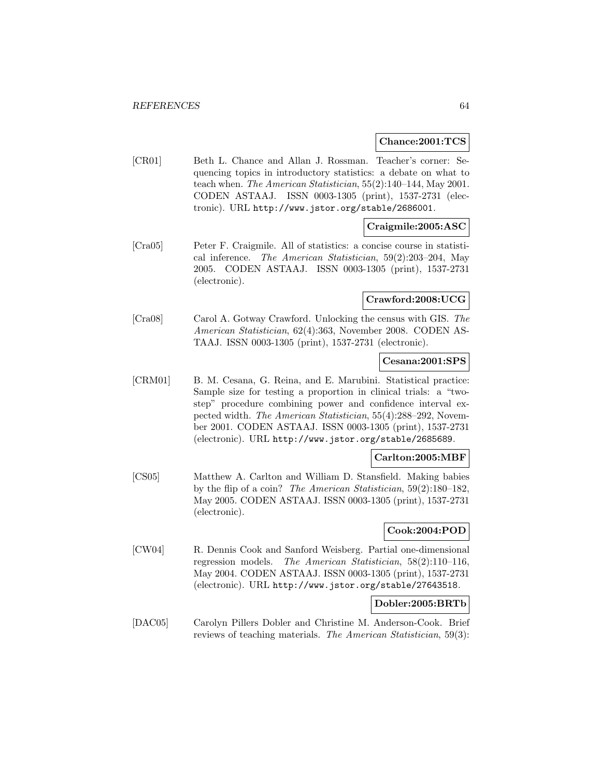#### **Chance:2001:TCS**

[CR01] Beth L. Chance and Allan J. Rossman. Teacher's corner: Sequencing topics in introductory statistics: a debate on what to teach when. The American Statistician, 55(2):140–144, May 2001. CODEN ASTAAJ. ISSN 0003-1305 (print), 1537-2731 (electronic). URL http://www.jstor.org/stable/2686001.

## **Craigmile:2005:ASC**

[Cra05] Peter F. Craigmile. All of statistics: a concise course in statistical inference. The American Statistician, 59(2):203–204, May 2005. CODEN ASTAAJ. ISSN 0003-1305 (print), 1537-2731 (electronic).

### **Crawford:2008:UCG**

[Cra08] Carol A. Gotway Crawford. Unlocking the census with GIS. The American Statistician, 62(4):363, November 2008. CODEN AS-TAAJ. ISSN 0003-1305 (print), 1537-2731 (electronic).

### **Cesana:2001:SPS**

[CRM01] B. M. Cesana, G. Reina, and E. Marubini. Statistical practice: Sample size for testing a proportion in clinical trials: a "twostep" procedure combining power and confidence interval expected width. The American Statistician, 55(4):288–292, November 2001. CODEN ASTAAJ. ISSN 0003-1305 (print), 1537-2731 (electronic). URL http://www.jstor.org/stable/2685689.

### **Carlton:2005:MBF**

[CS05] Matthew A. Carlton and William D. Stansfield. Making babies by the flip of a coin? The American Statistician, 59(2):180–182, May 2005. CODEN ASTAAJ. ISSN 0003-1305 (print), 1537-2731 (electronic).

## **Cook:2004:POD**

[CW04] R. Dennis Cook and Sanford Weisberg. Partial one-dimensional regression models. The American Statistician, 58(2):110–116, May 2004. CODEN ASTAAJ. ISSN 0003-1305 (print), 1537-2731 (electronic). URL http://www.jstor.org/stable/27643518.

## **Dobler:2005:BRTb**

[DAC05] Carolyn Pillers Dobler and Christine M. Anderson-Cook. Brief reviews of teaching materials. The American Statistician, 59(3):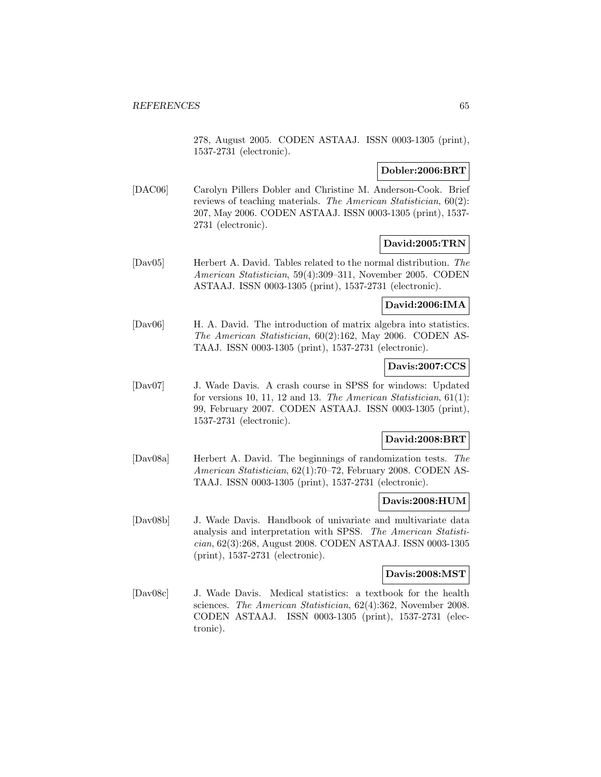278, August 2005. CODEN ASTAAJ. ISSN 0003-1305 (print), 1537-2731 (electronic).

## **Dobler:2006:BRT**

[DAC06] Carolyn Pillers Dobler and Christine M. Anderson-Cook. Brief reviews of teaching materials. The American Statistician, 60(2): 207, May 2006. CODEN ASTAAJ. ISSN 0003-1305 (print), 1537- 2731 (electronic).

## **David:2005:TRN**

[Dav05] Herbert A. David. Tables related to the normal distribution. The American Statistician, 59(4):309–311, November 2005. CODEN ASTAAJ. ISSN 0003-1305 (print), 1537-2731 (electronic).

# **David:2006:IMA**

[Dav06] H. A. David. The introduction of matrix algebra into statistics. The American Statistician, 60(2):162, May 2006. CODEN AS-TAAJ. ISSN 0003-1305 (print), 1537-2731 (electronic).

# **Davis:2007:CCS**

[Dav07] J. Wade Davis. A crash course in SPSS for windows: Updated for versions 10, 11, 12 and 13. The American Statistician, 61(1): 99, February 2007. CODEN ASTAAJ. ISSN 0003-1305 (print), 1537-2731 (electronic).

## **David:2008:BRT**

[Dav08a] Herbert A. David. The beginnings of randomization tests. The American Statistician, 62(1):70–72, February 2008. CODEN AS-TAAJ. ISSN 0003-1305 (print), 1537-2731 (electronic).

# **Davis:2008:HUM**

[Dav08b] J. Wade Davis. Handbook of univariate and multivariate data analysis and interpretation with SPSS. The American Statistician, 62(3):268, August 2008. CODEN ASTAAJ. ISSN 0003-1305 (print), 1537-2731 (electronic).

#### **Davis:2008:MST**

[Dav08c] J. Wade Davis. Medical statistics: a textbook for the health sciences. The American Statistician, 62(4):362, November 2008. CODEN ASTAAJ. ISSN 0003-1305 (print), 1537-2731 (electronic).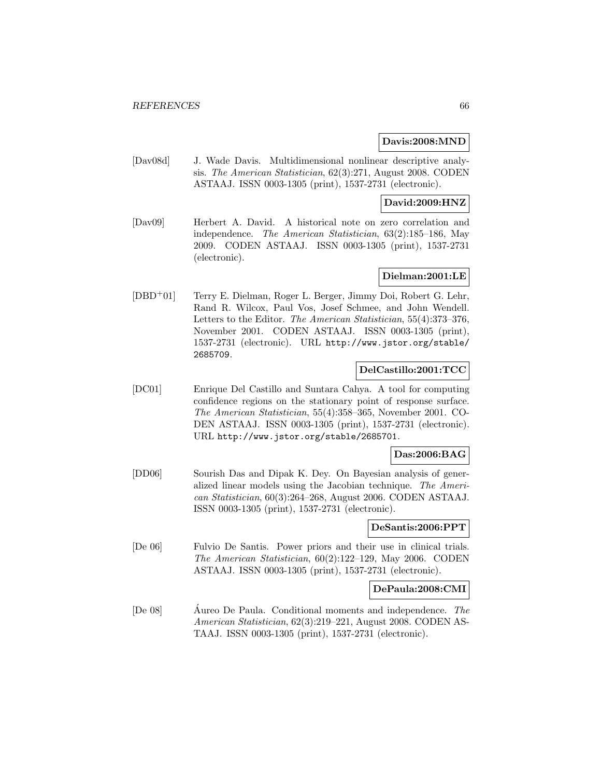#### **Davis:2008:MND**

[Dav08d] J. Wade Davis. Multidimensional nonlinear descriptive analysis. The American Statistician, 62(3):271, August 2008. CODEN ASTAAJ. ISSN 0003-1305 (print), 1537-2731 (electronic).

## **David:2009:HNZ**

[Dav09] Herbert A. David. A historical note on zero correlation and independence. The American Statistician, 63(2):185–186, May 2009. CODEN ASTAAJ. ISSN 0003-1305 (print), 1537-2731 (electronic).

# **Dielman:2001:LE**

[DBD<sup>+</sup>01] Terry E. Dielman, Roger L. Berger, Jimmy Doi, Robert G. Lehr, Rand R. Wilcox, Paul Vos, Josef Schmee, and John Wendell. Letters to the Editor. The American Statistician, 55(4):373–376, November 2001. CODEN ASTAAJ. ISSN 0003-1305 (print), 1537-2731 (electronic). URL http://www.jstor.org/stable/ 2685709.

### **DelCastillo:2001:TCC**

[DC01] Enrique Del Castillo and Suntara Cahya. A tool for computing confidence regions on the stationary point of response surface. The American Statistician, 55(4):358–365, November 2001. CO-DEN ASTAAJ. ISSN 0003-1305 (print), 1537-2731 (electronic). URL http://www.jstor.org/stable/2685701.

## **Das:2006:BAG**

[DD06] Sourish Das and Dipak K. Dey. On Bayesian analysis of generalized linear models using the Jacobian technique. The American Statistician, 60(3):264–268, August 2006. CODEN ASTAAJ. ISSN 0003-1305 (print), 1537-2731 (electronic).

#### **DeSantis:2006:PPT**

[De 06] Fulvio De Santis. Power priors and their use in clinical trials. The American Statistician, 60(2):122–129, May 2006. CODEN ASTAAJ. ISSN 0003-1305 (print), 1537-2731 (electronic).

#### **DePaula:2008:CMI**

[De 08] Aureo De Paula. Conditional moments and independence. The American Statistician, 62(3):219–221, August 2008. CODEN AS-TAAJ. ISSN 0003-1305 (print), 1537-2731 (electronic).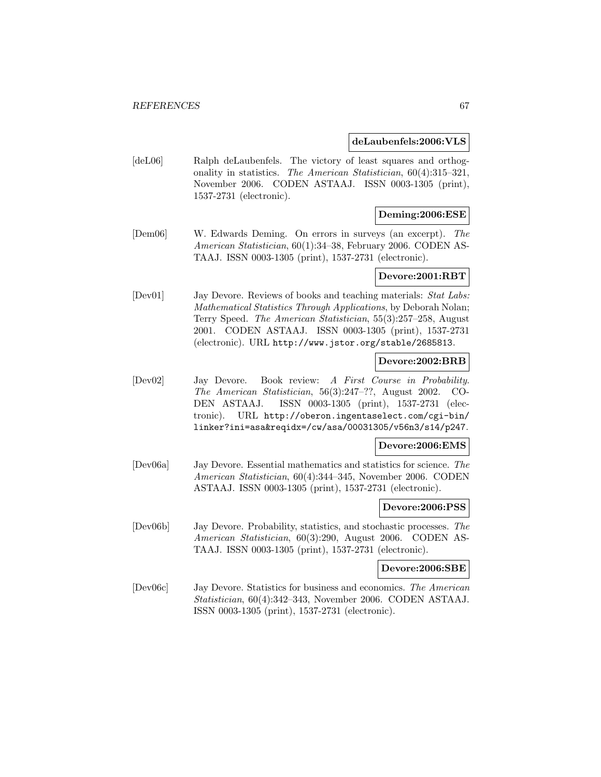#### **deLaubenfels:2006:VLS**

[deL06] Ralph deLaubenfels. The victory of least squares and orthogonality in statistics. The American Statistician, 60(4):315–321, November 2006. CODEN ASTAAJ. ISSN 0003-1305 (print), 1537-2731 (electronic).

#### **Deming:2006:ESE**

[Dem06] W. Edwards Deming. On errors in surveys (an excerpt). The American Statistician, 60(1):34–38, February 2006. CODEN AS-TAAJ. ISSN 0003-1305 (print), 1537-2731 (electronic).

## **Devore:2001:RBT**

[Dev01] Jay Devore. Reviews of books and teaching materials: Stat Labs: Mathematical Statistics Through Applications, by Deborah Nolan; Terry Speed. The American Statistician, 55(3):257–258, August 2001. CODEN ASTAAJ. ISSN 0003-1305 (print), 1537-2731 (electronic). URL http://www.jstor.org/stable/2685813.

## **Devore:2002:BRB**

[Dev02] Jay Devore. Book review: A First Course in Probability. The American Statistician, 56(3):247–??, August 2002. CO-DEN ASTAAJ. ISSN 0003-1305 (print), 1537-2731 (electronic). URL http://oberon.ingentaselect.com/cgi-bin/ linker?ini=asa&reqidx=/cw/asa/00031305/v56n3/s14/p247.

#### **Devore:2006:EMS**

[Dev06a] Jay Devore. Essential mathematics and statistics for science. The American Statistician, 60(4):344–345, November 2006. CODEN ASTAAJ. ISSN 0003-1305 (print), 1537-2731 (electronic).

## **Devore:2006:PSS**

[Dev06b] Jay Devore. Probability, statistics, and stochastic processes. The American Statistician, 60(3):290, August 2006. CODEN AS-TAAJ. ISSN 0003-1305 (print), 1537-2731 (electronic).

#### **Devore:2006:SBE**

[Dev06c] Jay Devore. Statistics for business and economics. The American Statistician, 60(4):342–343, November 2006. CODEN ASTAAJ. ISSN 0003-1305 (print), 1537-2731 (electronic).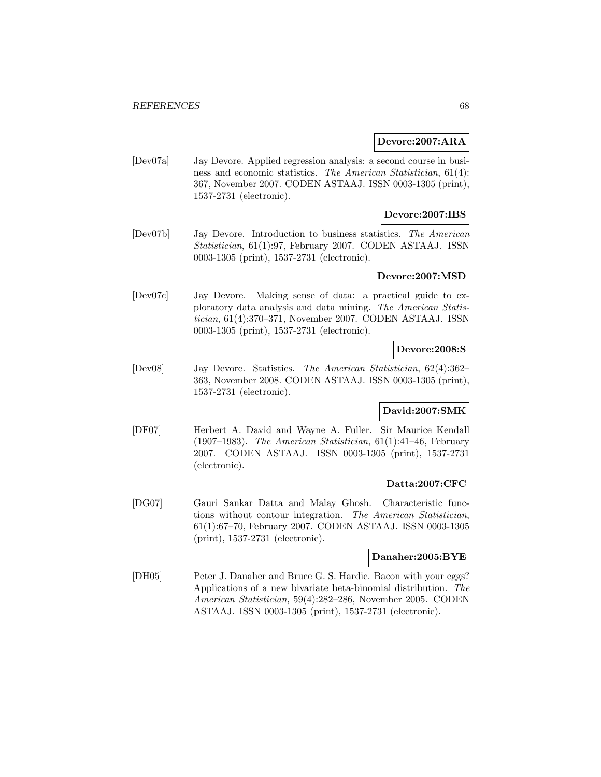#### **Devore:2007:ARA**

[Dev07a] Jay Devore. Applied regression analysis: a second course in business and economic statistics. The American Statistician, 61(4): 367, November 2007. CODEN ASTAAJ. ISSN 0003-1305 (print), 1537-2731 (electronic).

## **Devore:2007:IBS**

[Dev07b] Jay Devore. Introduction to business statistics. The American Statistician, 61(1):97, February 2007. CODEN ASTAAJ. ISSN 0003-1305 (print), 1537-2731 (electronic).

#### **Devore:2007:MSD**

[Dev07c] Jay Devore. Making sense of data: a practical guide to exploratory data analysis and data mining. The American Statistician, 61(4):370–371, November 2007. CODEN ASTAAJ. ISSN 0003-1305 (print), 1537-2731 (electronic).

## **Devore:2008:S**

[Dev08] Jay Devore. Statistics. The American Statistician, 62(4):362– 363, November 2008. CODEN ASTAAJ. ISSN 0003-1305 (print), 1537-2731 (electronic).

## **David:2007:SMK**

[DF07] Herbert A. David and Wayne A. Fuller. Sir Maurice Kendall (1907–1983). The American Statistician,  $61(1):41-46$ , February 2007. CODEN ASTAAJ. ISSN 0003-1305 (print), 1537-2731 (electronic).

### **Datta:2007:CFC**

[DG07] Gauri Sankar Datta and Malay Ghosh. Characteristic functions without contour integration. The American Statistician, 61(1):67–70, February 2007. CODEN ASTAAJ. ISSN 0003-1305 (print), 1537-2731 (electronic).

## **Danaher:2005:BYE**

[DH05] Peter J. Danaher and Bruce G. S. Hardie. Bacon with your eggs? Applications of a new bivariate beta-binomial distribution. The American Statistician, 59(4):282–286, November 2005. CODEN ASTAAJ. ISSN 0003-1305 (print), 1537-2731 (electronic).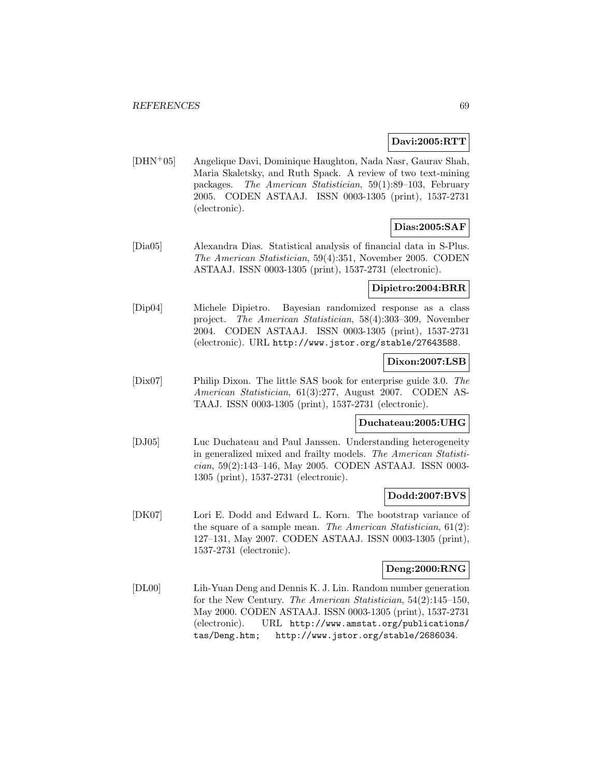## **Davi:2005:RTT**

[DHN<sup>+</sup>05] Angelique Davi, Dominique Haughton, Nada Nasr, Gaurav Shah, Maria Skaletsky, and Ruth Spack. A review of two text-mining packages. The American Statistician, 59(1):89–103, February 2005. CODEN ASTAAJ. ISSN 0003-1305 (print), 1537-2731 (electronic).

# **Dias:2005:SAF**

[Dia05] Alexandra Dias. Statistical analysis of financial data in S-Plus. The American Statistician, 59(4):351, November 2005. CODEN ASTAAJ. ISSN 0003-1305 (print), 1537-2731 (electronic).

# **Dipietro:2004:BRR**

[Dip04] Michele Dipietro. Bayesian randomized response as a class project. The American Statistician, 58(4):303–309, November 2004. CODEN ASTAAJ. ISSN 0003-1305 (print), 1537-2731 (electronic). URL http://www.jstor.org/stable/27643588.

### **Dixon:2007:LSB**

[Dix07] Philip Dixon. The little SAS book for enterprise guide 3.0. The American Statistician, 61(3):277, August 2007. CODEN AS-TAAJ. ISSN 0003-1305 (print), 1537-2731 (electronic).

## **Duchateau:2005:UHG**

[DJ05] Luc Duchateau and Paul Janssen. Understanding heterogeneity in generalized mixed and frailty models. The American Statistician, 59(2):143–146, May 2005. CODEN ASTAAJ. ISSN 0003- 1305 (print), 1537-2731 (electronic).

### **Dodd:2007:BVS**

[DK07] Lori E. Dodd and Edward L. Korn. The bootstrap variance of the square of a sample mean. The American Statistician, 61(2): 127–131, May 2007. CODEN ASTAAJ. ISSN 0003-1305 (print), 1537-2731 (electronic).

### **Deng:2000:RNG**

[DL00] Lih-Yuan Deng and Dennis K. J. Lin. Random number generation for the New Century. The American Statistician, 54(2):145–150, May 2000. CODEN ASTAAJ. ISSN 0003-1305 (print), 1537-2731 (electronic). URL http://www.amstat.org/publications/ tas/Deng.htm; http://www.jstor.org/stable/2686034.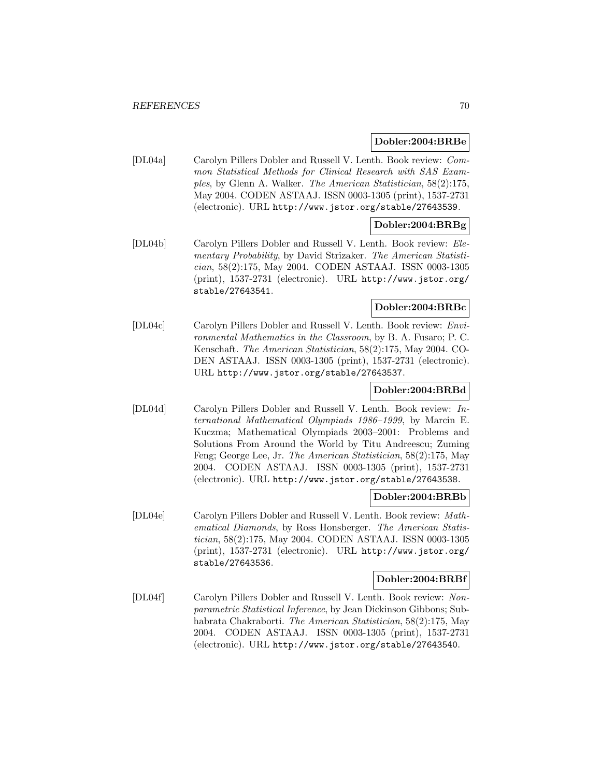#### **Dobler:2004:BRBe**

[DL04a] Carolyn Pillers Dobler and Russell V. Lenth. Book review: Common Statistical Methods for Clinical Research with SAS Examples, by Glenn A. Walker. The American Statistician, 58(2):175, May 2004. CODEN ASTAAJ. ISSN 0003-1305 (print), 1537-2731 (electronic). URL http://www.jstor.org/stable/27643539.

# **Dobler:2004:BRBg**

[DL04b] Carolyn Pillers Dobler and Russell V. Lenth. Book review: Elementary Probability, by David Strizaker. The American Statistician, 58(2):175, May 2004. CODEN ASTAAJ. ISSN 0003-1305 (print), 1537-2731 (electronic). URL http://www.jstor.org/ stable/27643541.

# **Dobler:2004:BRBc**

[DL04c] Carolyn Pillers Dobler and Russell V. Lenth. Book review: Environmental Mathematics in the Classroom, by B. A. Fusaro; P. C. Kenschaft. The American Statistician, 58(2):175, May 2004. CO-DEN ASTAAJ. ISSN 0003-1305 (print), 1537-2731 (electronic). URL http://www.jstor.org/stable/27643537.

## **Dobler:2004:BRBd**

[DL04d] Carolyn Pillers Dobler and Russell V. Lenth. Book review: International Mathematical Olympiads 1986–1999, by Marcin E. Kuczma; Mathematical Olympiads 2003–2001: Problems and Solutions From Around the World by Titu Andreescu; Zuming Feng; George Lee, Jr. The American Statistician, 58(2):175, May 2004. CODEN ASTAAJ. ISSN 0003-1305 (print), 1537-2731 (electronic). URL http://www.jstor.org/stable/27643538.

### **Dobler:2004:BRBb**

[DL04e] Carolyn Pillers Dobler and Russell V. Lenth. Book review: Mathematical Diamonds, by Ross Honsberger. The American Statistician, 58(2):175, May 2004. CODEN ASTAAJ. ISSN 0003-1305 (print), 1537-2731 (electronic). URL http://www.jstor.org/ stable/27643536.

#### **Dobler:2004:BRBf**

[DL04f] Carolyn Pillers Dobler and Russell V. Lenth. Book review: Nonparametric Statistical Inference, by Jean Dickinson Gibbons; Subhabrata Chakraborti. The American Statistician, 58(2):175, May 2004. CODEN ASTAAJ. ISSN 0003-1305 (print), 1537-2731 (electronic). URL http://www.jstor.org/stable/27643540.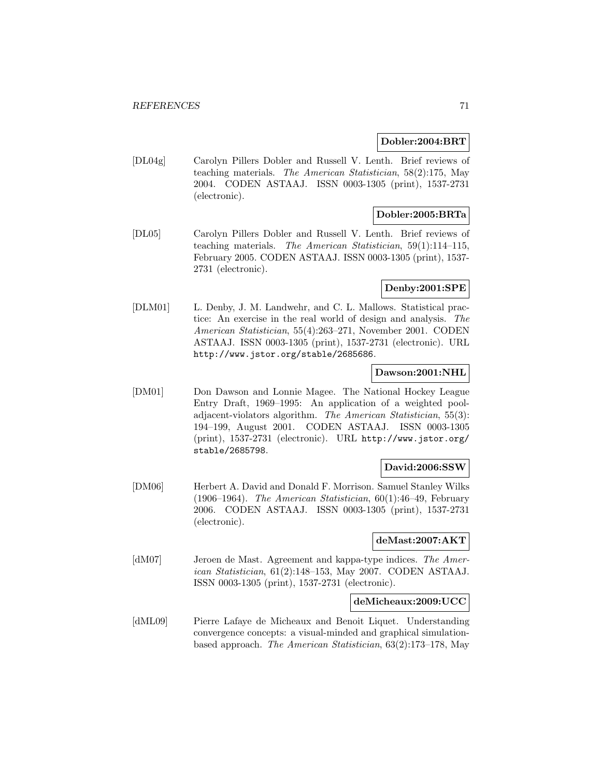#### **Dobler:2004:BRT**

[DL04g] Carolyn Pillers Dobler and Russell V. Lenth. Brief reviews of teaching materials. The American Statistician, 58(2):175, May 2004. CODEN ASTAAJ. ISSN 0003-1305 (print), 1537-2731 (electronic).

# **Dobler:2005:BRTa**

[DL05] Carolyn Pillers Dobler and Russell V. Lenth. Brief reviews of teaching materials. The American Statistician, 59(1):114–115, February 2005. CODEN ASTAAJ. ISSN 0003-1305 (print), 1537- 2731 (electronic).

## **Denby:2001:SPE**

[DLM01] L. Denby, J. M. Landwehr, and C. L. Mallows. Statistical practice: An exercise in the real world of design and analysis. The American Statistician, 55(4):263–271, November 2001. CODEN ASTAAJ. ISSN 0003-1305 (print), 1537-2731 (electronic). URL http://www.jstor.org/stable/2685686.

## **Dawson:2001:NHL**

[DM01] Don Dawson and Lonnie Magee. The National Hockey League Entry Draft, 1969–1995: An application of a weighted pooladjacent-violators algorithm. The American Statistician, 55(3): 194–199, August 2001. CODEN ASTAAJ. ISSN 0003-1305 (print), 1537-2731 (electronic). URL http://www.jstor.org/ stable/2685798.

### **David:2006:SSW**

[DM06] Herbert A. David and Donald F. Morrison. Samuel Stanley Wilks (1906–1964). The American Statistician,  $60(1):46-49$ , February 2006. CODEN ASTAAJ. ISSN 0003-1305 (print), 1537-2731 (electronic).

### **deMast:2007:AKT**

[dM07] Jeroen de Mast. Agreement and kappa-type indices. The American Statistician, 61(2):148–153, May 2007. CODEN ASTAAJ. ISSN 0003-1305 (print), 1537-2731 (electronic).

### **deMicheaux:2009:UCC**

[dML09] Pierre Lafaye de Micheaux and Benoit Liquet. Understanding convergence concepts: a visual-minded and graphical simulationbased approach. The American Statistician, 63(2):173–178, May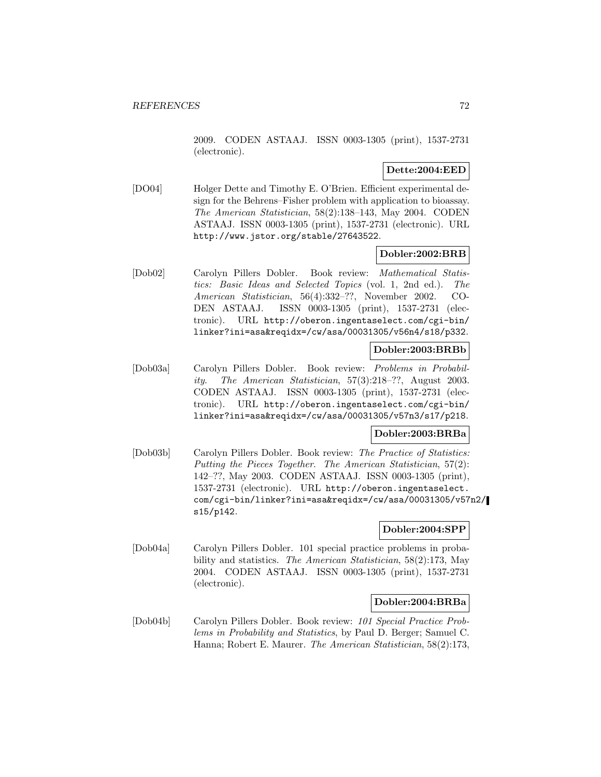2009. CODEN ASTAAJ. ISSN 0003-1305 (print), 1537-2731 (electronic).

## **Dette:2004:EED**

[DO04] Holger Dette and Timothy E. O'Brien. Efficient experimental design for the Behrens–Fisher problem with application to bioassay. The American Statistician, 58(2):138–143, May 2004. CODEN ASTAAJ. ISSN 0003-1305 (print), 1537-2731 (electronic). URL http://www.jstor.org/stable/27643522.

### **Dobler:2002:BRB**

[Dob02] Carolyn Pillers Dobler. Book review: Mathematical Statistics: Basic Ideas and Selected Topics (vol. 1, 2nd ed.). The American Statistician, 56(4):332–??, November 2002. CO-DEN ASTAAJ. ISSN 0003-1305 (print), 1537-2731 (electronic). URL http://oberon.ingentaselect.com/cgi-bin/ linker?ini=asa&reqidx=/cw/asa/00031305/v56n4/s18/p332.

## **Dobler:2003:BRBb**

[Dob03a] Carolyn Pillers Dobler. Book review: Problems in Probability. The American Statistician, 57(3):218–??, August 2003. CODEN ASTAAJ. ISSN 0003-1305 (print), 1537-2731 (electronic). URL http://oberon.ingentaselect.com/cgi-bin/ linker?ini=asa&reqidx=/cw/asa/00031305/v57n3/s17/p218.

### **Dobler:2003:BRBa**

[Dob03b] Carolyn Pillers Dobler. Book review: The Practice of Statistics: Putting the Pieces Together. The American Statistician, 57(2): 142–??, May 2003. CODEN ASTAAJ. ISSN 0003-1305 (print), 1537-2731 (electronic). URL http://oberon.ingentaselect. com/cgi-bin/linker?ini=asa&reqidx=/cw/asa/00031305/v57n2/ s15/p142.

#### **Dobler:2004:SPP**

[Dob04a] Carolyn Pillers Dobler. 101 special practice problems in probability and statistics. The American Statistician, 58(2):173, May 2004. CODEN ASTAAJ. ISSN 0003-1305 (print), 1537-2731 (electronic).

# **Dobler:2004:BRBa**

[Dob04b] Carolyn Pillers Dobler. Book review: 101 Special Practice Problems in Probability and Statistics, by Paul D. Berger; Samuel C. Hanna; Robert E. Maurer. The American Statistician, 58(2):173,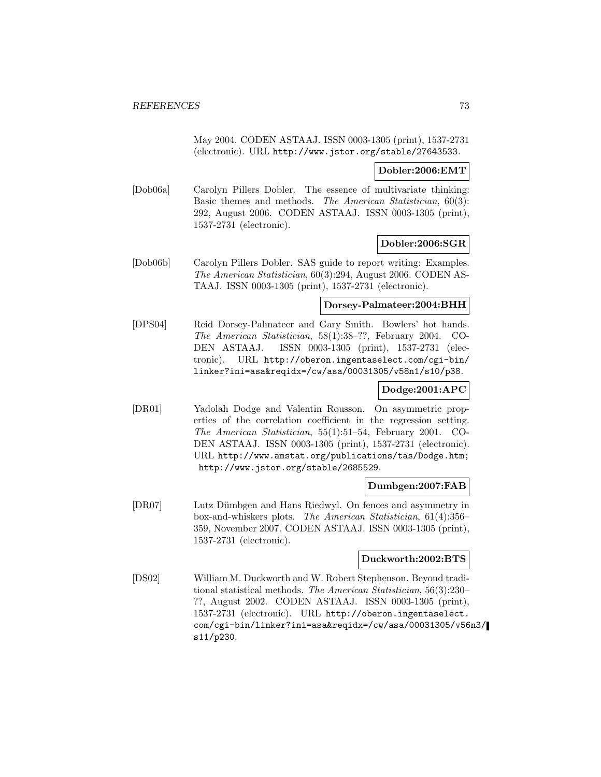May 2004. CODEN ASTAAJ. ISSN 0003-1305 (print), 1537-2731 (electronic). URL http://www.jstor.org/stable/27643533.

#### **Dobler:2006:EMT**

[Dob06a] Carolyn Pillers Dobler. The essence of multivariate thinking: Basic themes and methods. The American Statistician, 60(3): 292, August 2006. CODEN ASTAAJ. ISSN 0003-1305 (print), 1537-2731 (electronic).

#### **Dobler:2006:SGR**

[Dob06b] Carolyn Pillers Dobler. SAS guide to report writing: Examples. The American Statistician, 60(3):294, August 2006. CODEN AS-TAAJ. ISSN 0003-1305 (print), 1537-2731 (electronic).

### **Dorsey-Palmateer:2004:BHH**

[DPS04] Reid Dorsey-Palmateer and Gary Smith. Bowlers' hot hands. The American Statistician, 58(1):38–??, February 2004. CO-DEN ASTAAJ. ISSN 0003-1305 (print), 1537-2731 (electronic). URL http://oberon.ingentaselect.com/cgi-bin/ linker?ini=asa&reqidx=/cw/asa/00031305/v58n1/s10/p38.

# **Dodge:2001:APC**

[DR01] Yadolah Dodge and Valentin Rousson. On asymmetric properties of the correlation coefficient in the regression setting. The American Statistician, 55(1):51–54, February 2001. CO-DEN ASTAAJ. ISSN 0003-1305 (print), 1537-2731 (electronic). URL http://www.amstat.org/publications/tas/Dodge.htm; http://www.jstor.org/stable/2685529.

### **Dumbgen:2007:FAB**

[DR07] Lutz Dümbgen and Hans Riedwyl. On fences and asymmetry in box-and-whiskers plots. The American Statistician, 61(4):356– 359, November 2007. CODEN ASTAAJ. ISSN 0003-1305 (print), 1537-2731 (electronic).

#### **Duckworth:2002:BTS**

[DS02] William M. Duckworth and W. Robert Stephenson. Beyond traditional statistical methods. The American Statistician, 56(3):230– ??, August 2002. CODEN ASTAAJ. ISSN 0003-1305 (print), 1537-2731 (electronic). URL http://oberon.ingentaselect. com/cgi-bin/linker?ini=asa&reqidx=/cw/asa/00031305/v56n3/ s11/p230.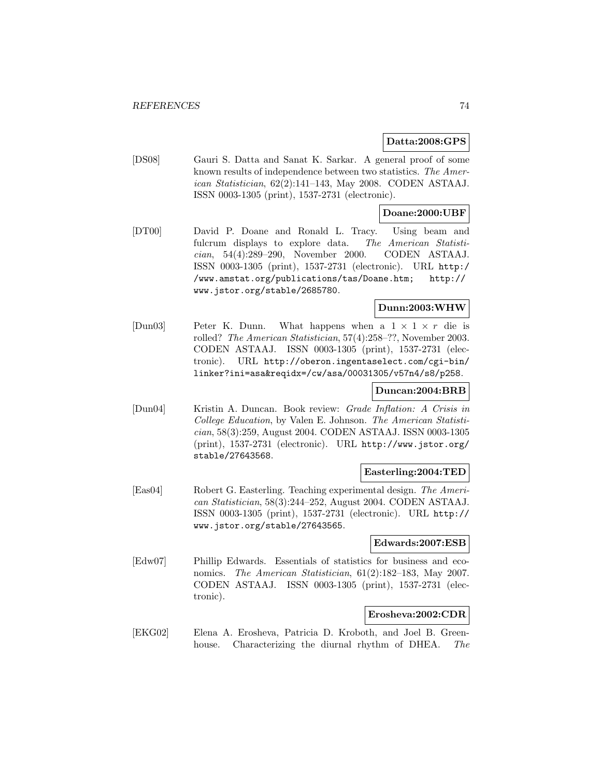### **Datta:2008:GPS**

[DS08] Gauri S. Datta and Sanat K. Sarkar. A general proof of some known results of independence between two statistics. The American Statistician, 62(2):141–143, May 2008. CODEN ASTAAJ. ISSN 0003-1305 (print), 1537-2731 (electronic).

### **Doane:2000:UBF**

[DT00] David P. Doane and Ronald L. Tracy. Using beam and fulcrum displays to explore data. The American Statistician, 54(4):289–290, November 2000. CODEN ASTAAJ. ISSN 0003-1305 (print), 1537-2731 (electronic). URL http:/ /www.amstat.org/publications/tas/Doane.htm; http:// www.jstor.org/stable/2685780.

## **Dunn:2003:WHW**

[Dun03] Peter K. Dunn. What happens when a  $1 \times 1 \times r$  die is rolled? The American Statistician, 57(4):258–??, November 2003. CODEN ASTAAJ. ISSN 0003-1305 (print), 1537-2731 (electronic). URL http://oberon.ingentaselect.com/cgi-bin/ linker?ini=asa&reqidx=/cw/asa/00031305/v57n4/s8/p258.

# **Duncan:2004:BRB**

[Dun04] Kristin A. Duncan. Book review: Grade Inflation: A Crisis in College Education, by Valen E. Johnson. The American Statistician, 58(3):259, August 2004. CODEN ASTAAJ. ISSN 0003-1305 (print), 1537-2731 (electronic). URL http://www.jstor.org/ stable/27643568.

### **Easterling:2004:TED**

[Eas04] Robert G. Easterling. Teaching experimental design. The American Statistician, 58(3):244–252, August 2004. CODEN ASTAAJ. ISSN 0003-1305 (print), 1537-2731 (electronic). URL http:// www.jstor.org/stable/27643565.

#### **Edwards:2007:ESB**

[Edw07] Phillip Edwards. Essentials of statistics for business and economics. The American Statistician, 61(2):182–183, May 2007. CODEN ASTAAJ. ISSN 0003-1305 (print), 1537-2731 (electronic).

#### **Erosheva:2002:CDR**

[EKG02] Elena A. Erosheva, Patricia D. Kroboth, and Joel B. Greenhouse. Characterizing the diurnal rhythm of DHEA. The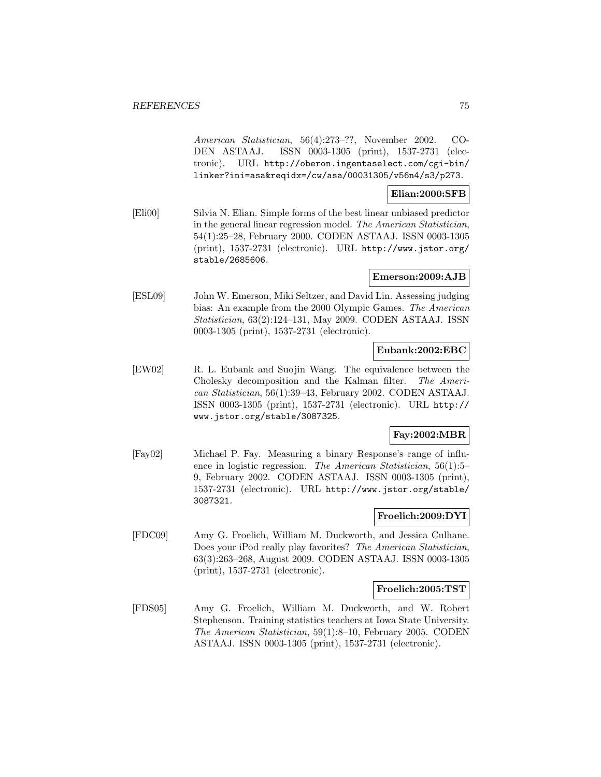American Statistician, 56(4):273–??, November 2002. CO-DEN ASTAAJ. ISSN 0003-1305 (print), 1537-2731 (electronic). URL http://oberon.ingentaselect.com/cgi-bin/ linker?ini=asa&reqidx=/cw/asa/00031305/v56n4/s3/p273.

### **Elian:2000:SFB**

[Eli00] Silvia N. Elian. Simple forms of the best linear unbiased predictor in the general linear regression model. The American Statistician, 54(1):25–28, February 2000. CODEN ASTAAJ. ISSN 0003-1305 (print), 1537-2731 (electronic). URL http://www.jstor.org/ stable/2685606.

## **Emerson:2009:AJB**

[ESL09] John W. Emerson, Miki Seltzer, and David Lin. Assessing judging bias: An example from the 2000 Olympic Games. The American Statistician, 63(2):124–131, May 2009. CODEN ASTAAJ. ISSN 0003-1305 (print), 1537-2731 (electronic).

#### **Eubank:2002:EBC**

[EW02] R. L. Eubank and Suojin Wang. The equivalence between the Cholesky decomposition and the Kalman filter. The American Statistician, 56(1):39–43, February 2002. CODEN ASTAAJ. ISSN 0003-1305 (print), 1537-2731 (electronic). URL http:// www.jstor.org/stable/3087325.

# **Fay:2002:MBR**

[Fay02] Michael P. Fay. Measuring a binary Response's range of influence in logistic regression. The American Statistician, 56(1):5– 9, February 2002. CODEN ASTAAJ. ISSN 0003-1305 (print), 1537-2731 (electronic). URL http://www.jstor.org/stable/ 3087321.

## **Froelich:2009:DYI**

[FDC09] Amy G. Froelich, William M. Duckworth, and Jessica Culhane. Does your iPod really play favorites? The American Statistician, 63(3):263–268, August 2009. CODEN ASTAAJ. ISSN 0003-1305 (print), 1537-2731 (electronic).

### **Froelich:2005:TST**

[FDS05] Amy G. Froelich, William M. Duckworth, and W. Robert Stephenson. Training statistics teachers at Iowa State University. The American Statistician, 59(1):8–10, February 2005. CODEN ASTAAJ. ISSN 0003-1305 (print), 1537-2731 (electronic).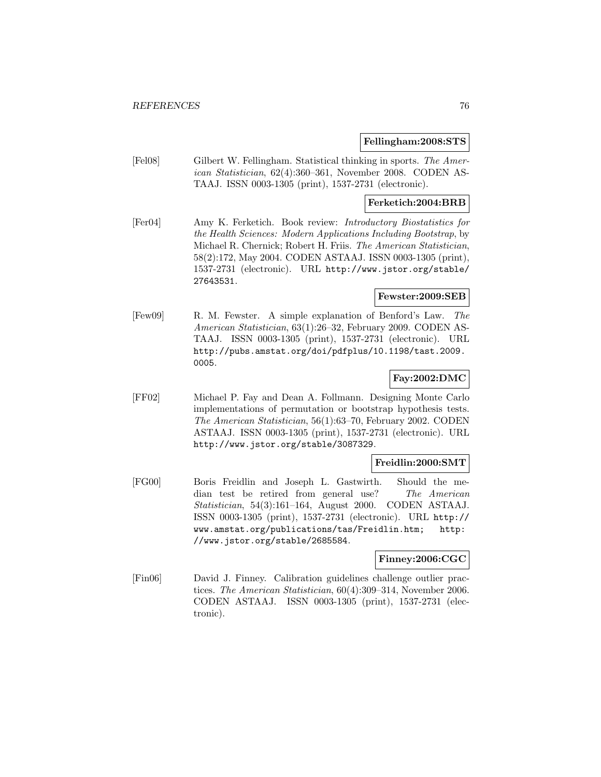#### **Fellingham:2008:STS**

[Fel08] Gilbert W. Fellingham. Statistical thinking in sports. The American Statistician, 62(4):360–361, November 2008. CODEN AS-TAAJ. ISSN 0003-1305 (print), 1537-2731 (electronic).

### **Ferketich:2004:BRB**

[Fer04] Amy K. Ferketich. Book review: Introductory Biostatistics for the Health Sciences: Modern Applications Including Bootstrap, by Michael R. Chernick; Robert H. Friis. The American Statistician, 58(2):172, May 2004. CODEN ASTAAJ. ISSN 0003-1305 (print), 1537-2731 (electronic). URL http://www.jstor.org/stable/ 27643531.

### **Fewster:2009:SEB**

[Few09] R. M. Fewster. A simple explanation of Benford's Law. The American Statistician, 63(1):26–32, February 2009. CODEN AS-TAAJ. ISSN 0003-1305 (print), 1537-2731 (electronic). URL http://pubs.amstat.org/doi/pdfplus/10.1198/tast.2009. 0005.

# **Fay:2002:DMC**

[FF02] Michael P. Fay and Dean A. Follmann. Designing Monte Carlo implementations of permutation or bootstrap hypothesis tests. The American Statistician, 56(1):63–70, February 2002. CODEN ASTAAJ. ISSN 0003-1305 (print), 1537-2731 (electronic). URL http://www.jstor.org/stable/3087329.

### **Freidlin:2000:SMT**

[FG00] Boris Freidlin and Joseph L. Gastwirth. Should the median test be retired from general use? The American Statistician, 54(3):161–164, August 2000. CODEN ASTAAJ. ISSN 0003-1305 (print), 1537-2731 (electronic). URL http:// www.amstat.org/publications/tas/Freidlin.htm; http: //www.jstor.org/stable/2685584.

### **Finney:2006:CGC**

[Fin06] David J. Finney. Calibration guidelines challenge outlier practices. The American Statistician, 60(4):309–314, November 2006. CODEN ASTAAJ. ISSN 0003-1305 (print), 1537-2731 (electronic).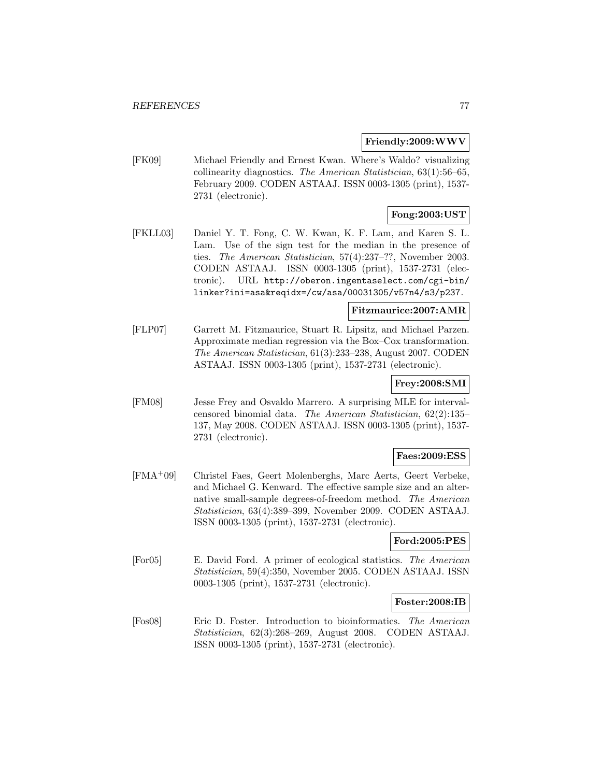#### **Friendly:2009:WWV**

[FK09] Michael Friendly and Ernest Kwan. Where's Waldo? visualizing collinearity diagnostics. The American Statistician, 63(1):56–65, February 2009. CODEN ASTAAJ. ISSN 0003-1305 (print), 1537- 2731 (electronic).

### **Fong:2003:UST**

[FKLL03] Daniel Y. T. Fong, C. W. Kwan, K. F. Lam, and Karen S. L. Lam. Use of the sign test for the median in the presence of ties. The American Statistician, 57(4):237–??, November 2003. CODEN ASTAAJ. ISSN 0003-1305 (print), 1537-2731 (electronic). URL http://oberon.ingentaselect.com/cgi-bin/ linker?ini=asa&reqidx=/cw/asa/00031305/v57n4/s3/p237.

### **Fitzmaurice:2007:AMR**

[FLP07] Garrett M. Fitzmaurice, Stuart R. Lipsitz, and Michael Parzen. Approximate median regression via the Box–Cox transformation. The American Statistician, 61(3):233–238, August 2007. CODEN ASTAAJ. ISSN 0003-1305 (print), 1537-2731 (electronic).

### **Frey:2008:SMI**

[FM08] Jesse Frey and Osvaldo Marrero. A surprising MLE for intervalcensored binomial data. The American Statistician, 62(2):135– 137, May 2008. CODEN ASTAAJ. ISSN 0003-1305 (print), 1537- 2731 (electronic).

### **Faes:2009:ESS**

[FMA<sup>+</sup>09] Christel Faes, Geert Molenberghs, Marc Aerts, Geert Verbeke, and Michael G. Kenward. The effective sample size and an alternative small-sample degrees-of-freedom method. The American Statistician, 63(4):389–399, November 2009. CODEN ASTAAJ. ISSN 0003-1305 (print), 1537-2731 (electronic).

#### **Ford:2005:PES**

[For05] E. David Ford. A primer of ecological statistics. The American Statistician, 59(4):350, November 2005. CODEN ASTAAJ. ISSN 0003-1305 (print), 1537-2731 (electronic).

#### **Foster:2008:IB**

[Fos08] Eric D. Foster. Introduction to bioinformatics. The American Statistician, 62(3):268–269, August 2008. CODEN ASTAAJ. ISSN 0003-1305 (print), 1537-2731 (electronic).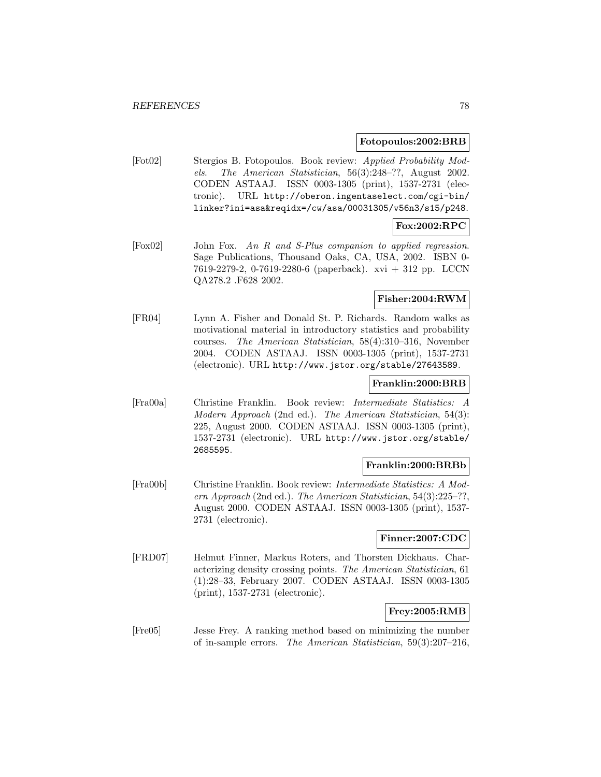#### **Fotopoulos:2002:BRB**

[Fot02] Stergios B. Fotopoulos. Book review: Applied Probability Models. The American Statistician, 56(3):248–??, August 2002. CODEN ASTAAJ. ISSN 0003-1305 (print), 1537-2731 (electronic). URL http://oberon.ingentaselect.com/cgi-bin/ linker?ini=asa&reqidx=/cw/asa/00031305/v56n3/s15/p248.

# **Fox:2002:RPC**

[Fox02] John Fox. An R and S-Plus companion to applied regression. Sage Publications, Thousand Oaks, CA, USA, 2002. ISBN 0- 7619-2279-2, 0-7619-2280-6 (paperback). xvi + 312 pp. LCCN QA278.2 .F628 2002.

### **Fisher:2004:RWM**

[FR04] Lynn A. Fisher and Donald St. P. Richards. Random walks as motivational material in introductory statistics and probability courses. The American Statistician, 58(4):310–316, November 2004. CODEN ASTAAJ. ISSN 0003-1305 (print), 1537-2731 (electronic). URL http://www.jstor.org/stable/27643589.

#### **Franklin:2000:BRB**

[Fra00a] Christine Franklin. Book review: Intermediate Statistics: A Modern Approach (2nd ed.). The American Statistician, 54(3): 225, August 2000. CODEN ASTAAJ. ISSN 0003-1305 (print), 1537-2731 (electronic). URL http://www.jstor.org/stable/ 2685595.

#### **Franklin:2000:BRBb**

[Fra00b] Christine Franklin. Book review: Intermediate Statistics: A Modern Approach (2nd ed.). The American Statistician, 54(3):225–??, August 2000. CODEN ASTAAJ. ISSN 0003-1305 (print), 1537- 2731 (electronic).

### **Finner:2007:CDC**

[FRD07] Helmut Finner, Markus Roters, and Thorsten Dickhaus. Characterizing density crossing points. The American Statistician, 61 (1):28–33, February 2007. CODEN ASTAAJ. ISSN 0003-1305 (print), 1537-2731 (electronic).

### **Frey:2005:RMB**

[Fre05] Jesse Frey. A ranking method based on minimizing the number of in-sample errors. The American Statistician, 59(3):207–216,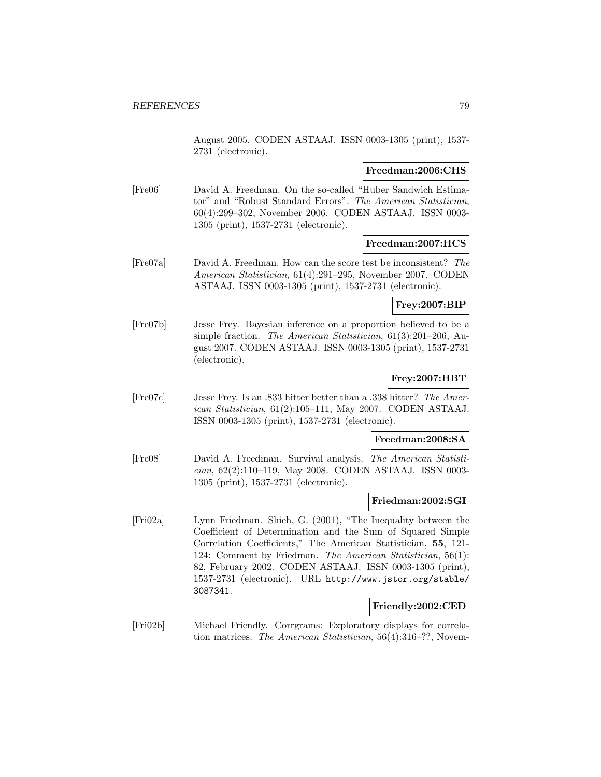August 2005. CODEN ASTAAJ. ISSN 0003-1305 (print), 1537- 2731 (electronic).

#### **Freedman:2006:CHS**

[Fre06] David A. Freedman. On the so-called "Huber Sandwich Estimator" and "Robust Standard Errors". The American Statistician, 60(4):299–302, November 2006. CODEN ASTAAJ. ISSN 0003- 1305 (print), 1537-2731 (electronic).

### **Freedman:2007:HCS**

[Fre07a] David A. Freedman. How can the score test be inconsistent? The American Statistician, 61(4):291–295, November 2007. CODEN ASTAAJ. ISSN 0003-1305 (print), 1537-2731 (electronic).

### **Frey:2007:BIP**

[Fre07b] Jesse Frey. Bayesian inference on a proportion believed to be a simple fraction. The American Statistician, 61(3):201–206, August 2007. CODEN ASTAAJ. ISSN 0003-1305 (print), 1537-2731 (electronic).

# **Frey:2007:HBT**

[Fre07c] Jesse Frey. Is an .833 hitter better than a .338 hitter? The American Statistician, 61(2):105–111, May 2007. CODEN ASTAAJ. ISSN 0003-1305 (print), 1537-2731 (electronic).

#### **Freedman:2008:SA**

[Fre08] David A. Freedman. Survival analysis. The American Statistician, 62(2):110–119, May 2008. CODEN ASTAAJ. ISSN 0003- 1305 (print), 1537-2731 (electronic).

### **Friedman:2002:SGI**

[Fri02a] Lynn Friedman. Shieh, G. (2001), "The Inequality between the Coefficient of Determination and the Sum of Squared Simple Correlation Coefficients," The American Statistician, **55**, 121- 124: Comment by Friedman. The American Statistician, 56(1): 82, February 2002. CODEN ASTAAJ. ISSN 0003-1305 (print), 1537-2731 (electronic). URL http://www.jstor.org/stable/ 3087341.

### **Friendly:2002:CED**

[Fri02b] Michael Friendly. Corrgrams: Exploratory displays for correlation matrices. The American Statistician, 56(4):316–??, Novem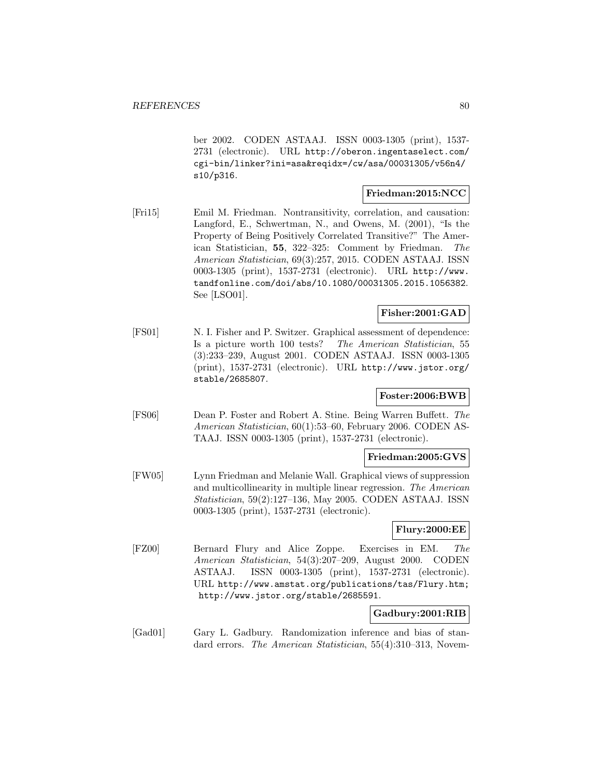ber 2002. CODEN ASTAAJ. ISSN 0003-1305 (print), 1537- 2731 (electronic). URL http://oberon.ingentaselect.com/ cgi-bin/linker?ini=asa&reqidx=/cw/asa/00031305/v56n4/ s10/p316.

## **Friedman:2015:NCC**

[Fri15] Emil M. Friedman. Nontransitivity, correlation, and causation: Langford, E., Schwertman, N., and Owens, M. (2001), "Is the Property of Being Positively Correlated Transitive?" The American Statistician, **55**, 322–325: Comment by Friedman. The American Statistician, 69(3):257, 2015. CODEN ASTAAJ. ISSN 0003-1305 (print), 1537-2731 (electronic). URL http://www. tandfonline.com/doi/abs/10.1080/00031305.2015.1056382. See [LSO01].

## **Fisher:2001:GAD**

[FS01] N. I. Fisher and P. Switzer. Graphical assessment of dependence: Is a picture worth 100 tests? The American Statistician, 55 (3):233–239, August 2001. CODEN ASTAAJ. ISSN 0003-1305 (print), 1537-2731 (electronic). URL http://www.jstor.org/ stable/2685807.

# **Foster:2006:BWB**

[FS06] Dean P. Foster and Robert A. Stine. Being Warren Buffett. The American Statistician, 60(1):53–60, February 2006. CODEN AS-TAAJ. ISSN 0003-1305 (print), 1537-2731 (electronic).

### **Friedman:2005:GVS**

[FW05] Lynn Friedman and Melanie Wall. Graphical views of suppression and multicollinearity in multiple linear regression. The American Statistician, 59(2):127–136, May 2005. CODEN ASTAAJ. ISSN 0003-1305 (print), 1537-2731 (electronic).

### **Flury:2000:EE**

[FZ00] Bernard Flury and Alice Zoppe. Exercises in EM. The American Statistician, 54(3):207–209, August 2000. CODEN ASTAAJ. ISSN 0003-1305 (print), 1537-2731 (electronic). URL http://www.amstat.org/publications/tas/Flury.htm; http://www.jstor.org/stable/2685591.

# **Gadbury:2001:RIB**

[Gad01] Gary L. Gadbury. Randomization inference and bias of standard errors. The American Statistician, 55(4):310–313, Novem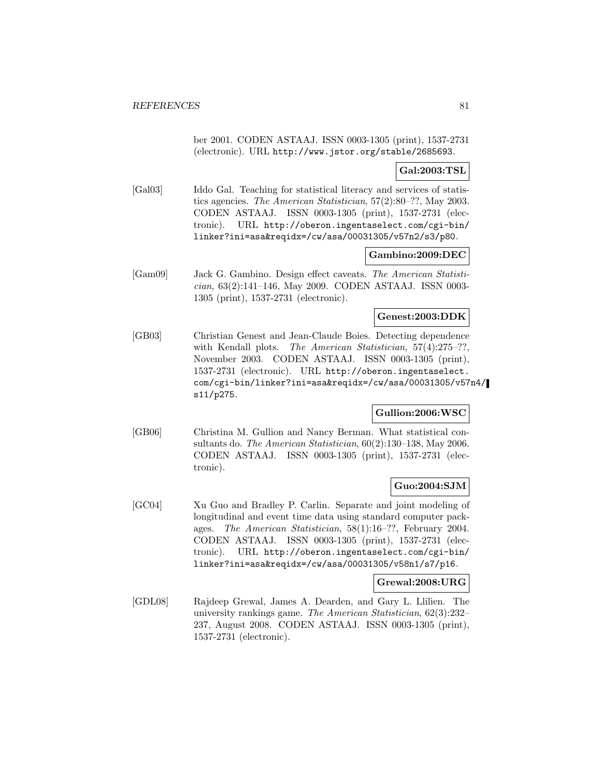ber 2001. CODEN ASTAAJ. ISSN 0003-1305 (print), 1537-2731 (electronic). URL http://www.jstor.org/stable/2685693.

### **Gal:2003:TSL**

[Gal03] Iddo Gal. Teaching for statistical literacy and services of statistics agencies. The American Statistician, 57(2):80–??, May 2003. CODEN ASTAAJ. ISSN 0003-1305 (print), 1537-2731 (electronic). URL http://oberon.ingentaselect.com/cgi-bin/ linker?ini=asa&reqidx=/cw/asa/00031305/v57n2/s3/p80.

### **Gambino:2009:DEC**

[Gam09] Jack G. Gambino. Design effect caveats. The American Statistician, 63(2):141–146, May 2009. CODEN ASTAAJ. ISSN 0003- 1305 (print), 1537-2731 (electronic).

### **Genest:2003:DDK**

[GB03] Christian Genest and Jean-Claude Boies. Detecting dependence with Kendall plots. The American Statistician, 57(4):275-??, November 2003. CODEN ASTAAJ. ISSN 0003-1305 (print), 1537-2731 (electronic). URL http://oberon.ingentaselect. com/cgi-bin/linker?ini=asa&reqidx=/cw/asa/00031305/v57n4/ s11/p275.

### **Gullion:2006:WSC**

[GB06] Christina M. Gullion and Nancy Berman. What statistical consultants do. The American Statistician, 60(2):130–138, May 2006. CODEN ASTAAJ. ISSN 0003-1305 (print), 1537-2731 (electronic).

# **Guo:2004:SJM**

[GC04] Xu Guo and Bradley P. Carlin. Separate and joint modeling of longitudinal and event time data using standard computer packages. The American Statistician, 58(1):16–??, February 2004. CODEN ASTAAJ. ISSN 0003-1305 (print), 1537-2731 (electronic). URL http://oberon.ingentaselect.com/cgi-bin/ linker?ini=asa&reqidx=/cw/asa/00031305/v58n1/s7/p16.

### **Grewal:2008:URG**

[GDL08] Rajdeep Grewal, James A. Dearden, and Gary L. Llilien. The university rankings game. The American Statistician, 62(3):232– 237, August 2008. CODEN ASTAAJ. ISSN 0003-1305 (print), 1537-2731 (electronic).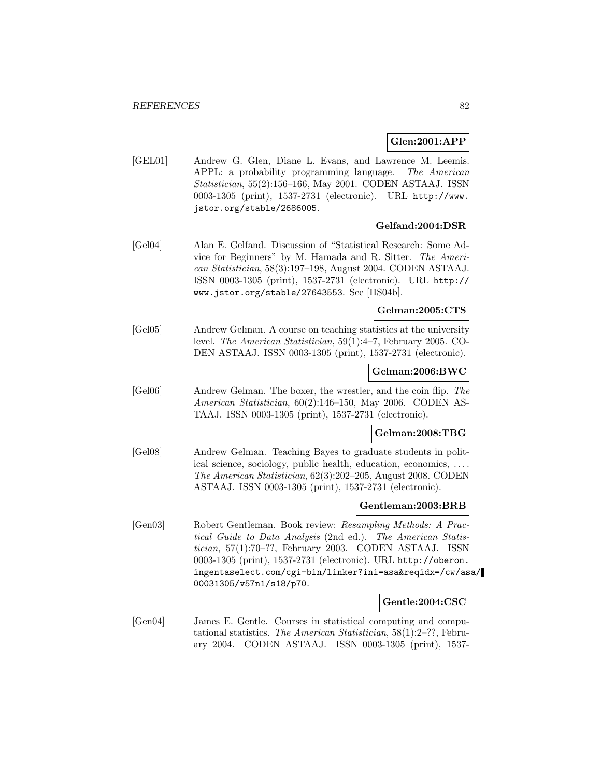### **Glen:2001:APP**

[GEL01] Andrew G. Glen, Diane L. Evans, and Lawrence M. Leemis. APPL: a probability programming language. The American Statistician, 55(2):156–166, May 2001. CODEN ASTAAJ. ISSN 0003-1305 (print), 1537-2731 (electronic). URL http://www. jstor.org/stable/2686005.

### **Gelfand:2004:DSR**

[Gel04] Alan E. Gelfand. Discussion of "Statistical Research: Some Advice for Beginners" by M. Hamada and R. Sitter. The American Statistician, 58(3):197–198, August 2004. CODEN ASTAAJ. ISSN 0003-1305 (print), 1537-2731 (electronic). URL http:// www.jstor.org/stable/27643553. See [HS04b].

# **Gelman:2005:CTS**

[Gel05] Andrew Gelman. A course on teaching statistics at the university level. The American Statistician, 59(1):4–7, February 2005. CO-DEN ASTAAJ. ISSN 0003-1305 (print), 1537-2731 (electronic).

### **Gelman:2006:BWC**

[Gel06] Andrew Gelman. The boxer, the wrestler, and the coin flip. The American Statistician, 60(2):146–150, May 2006. CODEN AS-TAAJ. ISSN 0003-1305 (print), 1537-2731 (electronic).

### **Gelman:2008:TBG**

[Gel08] Andrew Gelman. Teaching Bayes to graduate students in political science, sociology, public health, education, economics, ... . The American Statistician, 62(3):202–205, August 2008. CODEN ASTAAJ. ISSN 0003-1305 (print), 1537-2731 (electronic).

#### **Gentleman:2003:BRB**

[Gen03] Robert Gentleman. Book review: Resampling Methods: A Practical Guide to Data Analysis (2nd ed.). The American Statistician, 57(1):70–??, February 2003. CODEN ASTAAJ. ISSN 0003-1305 (print), 1537-2731 (electronic). URL http://oberon. ingentaselect.com/cgi-bin/linker?ini=asa&reqidx=/cw/asa/ 00031305/v57n1/s18/p70.

#### **Gentle:2004:CSC**

[Gen04] James E. Gentle. Courses in statistical computing and computational statistics. The American Statistician, 58(1):2–??, February 2004. CODEN ASTAAJ. ISSN 0003-1305 (print), 1537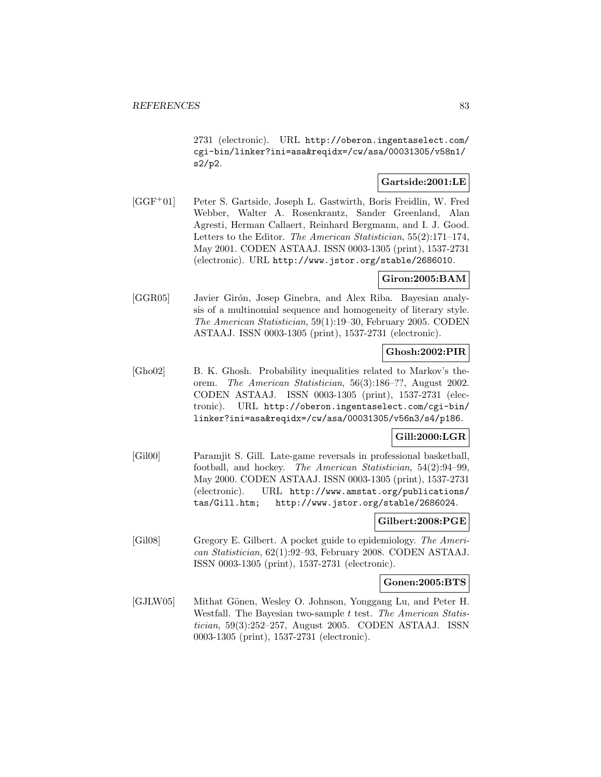2731 (electronic). URL http://oberon.ingentaselect.com/ cgi-bin/linker?ini=asa&reqidx=/cw/asa/00031305/v58n1/ s2/p2.

## **Gartside:2001:LE**

[GGF<sup>+</sup>01] Peter S. Gartside, Joseph L. Gastwirth, Boris Freidlin, W. Fred Webber, Walter A. Rosenkrantz, Sander Greenland, Alan Agresti, Herman Callaert, Reinhard Bergmann, and I. J. Good. Letters to the Editor. The American Statistician, 55(2):171–174, May 2001. CODEN ASTAAJ. ISSN 0003-1305 (print), 1537-2731 (electronic). URL http://www.jstor.org/stable/2686010.

### **Giron:2005:BAM**

[GGR05] Javier Girón, Josep Ginebra, and Alex Riba. Bayesian analysis of a multinomial sequence and homogeneity of literary style. The American Statistician, 59(1):19–30, February 2005. CODEN ASTAAJ. ISSN 0003-1305 (print), 1537-2731 (electronic).

### **Ghosh:2002:PIR**

[Gho02] B. K. Ghosh. Probability inequalities related to Markov's theorem. The American Statistician, 56(3):186–??, August 2002. CODEN ASTAAJ. ISSN 0003-1305 (print), 1537-2731 (electronic). URL http://oberon.ingentaselect.com/cgi-bin/ linker?ini=asa&reqidx=/cw/asa/00031305/v56n3/s4/p186.

# **Gill:2000:LGR**

[Gil00] Paramjit S. Gill. Late-game reversals in professional basketball, football, and hockey. The American Statistician, 54(2):94–99, May 2000. CODEN ASTAAJ. ISSN 0003-1305 (print), 1537-2731 (electronic). URL http://www.amstat.org/publications/ tas/Gill.htm; http://www.jstor.org/stable/2686024.

### **Gilbert:2008:PGE**

[Gil08] Gregory E. Gilbert. A pocket guide to epidemiology. The American Statistician, 62(1):92–93, February 2008. CODEN ASTAAJ. ISSN 0003-1305 (print), 1537-2731 (electronic).

**Gonen:2005:BTS**

[GJLW05] Mithat Gönen, Wesley O. Johnson, Yonggang Lu, and Peter H. Westfall. The Bayesian two-sample t test. The American Statistician, 59(3):252–257, August 2005. CODEN ASTAAJ. ISSN 0003-1305 (print), 1537-2731 (electronic).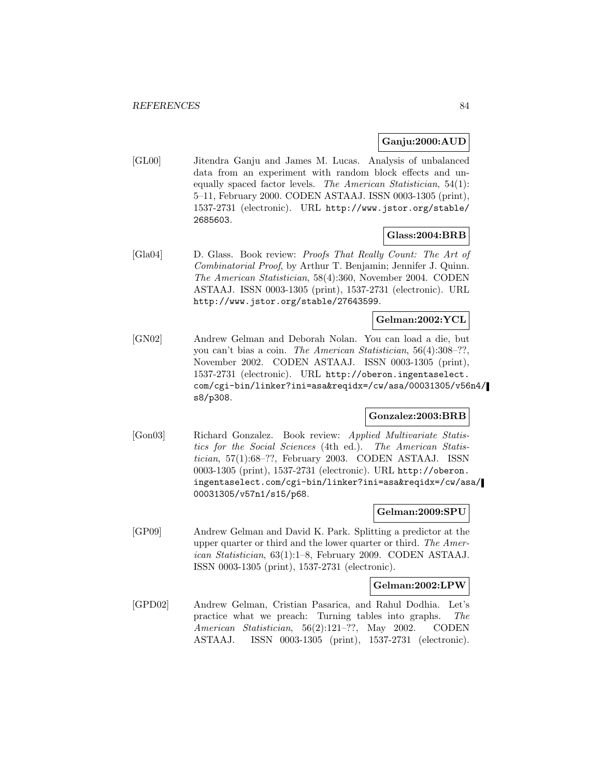### **Ganju:2000:AUD**

[GL00] Jitendra Ganju and James M. Lucas. Analysis of unbalanced data from an experiment with random block effects and unequally spaced factor levels. The American Statistician, 54(1): 5–11, February 2000. CODEN ASTAAJ. ISSN 0003-1305 (print), 1537-2731 (electronic). URL http://www.jstor.org/stable/ 2685603.

### **Glass:2004:BRB**

[Gla04] D. Glass. Book review: Proofs That Really Count: The Art of Combinatorial Proof, by Arthur T. Benjamin; Jennifer J. Quinn. The American Statistician, 58(4):360, November 2004. CODEN ASTAAJ. ISSN 0003-1305 (print), 1537-2731 (electronic). URL http://www.jstor.org/stable/27643599.

### **Gelman:2002:YCL**

[GN02] Andrew Gelman and Deborah Nolan. You can load a die, but you can't bias a coin. The American Statistician, 56(4):308–??, November 2002. CODEN ASTAAJ. ISSN 0003-1305 (print), 1537-2731 (electronic). URL http://oberon.ingentaselect. com/cgi-bin/linker?ini=asa&reqidx=/cw/asa/00031305/v56n4/ s8/p308.

### **Gonzalez:2003:BRB**

[Gon03] Richard Gonzalez. Book review: Applied Multivariate Statistics for the Social Sciences (4th ed.). The American Statistician, 57(1):68–??, February 2003. CODEN ASTAAJ. ISSN 0003-1305 (print), 1537-2731 (electronic). URL http://oberon. ingentaselect.com/cgi-bin/linker?ini=asa&reqidx=/cw/asa/ 00031305/v57n1/s15/p68.

#### **Gelman:2009:SPU**

[GP09] Andrew Gelman and David K. Park. Splitting a predictor at the upper quarter or third and the lower quarter or third. The American Statistician, 63(1):1–8, February 2009. CODEN ASTAAJ. ISSN 0003-1305 (print), 1537-2731 (electronic).

### **Gelman:2002:LPW**

[GPD02] Andrew Gelman, Cristian Pasarica, and Rahul Dodhia. Let's practice what we preach: Turning tables into graphs. The American Statistician, 56(2):121–??, May 2002. CODEN ASTAAJ. ISSN 0003-1305 (print), 1537-2731 (electronic).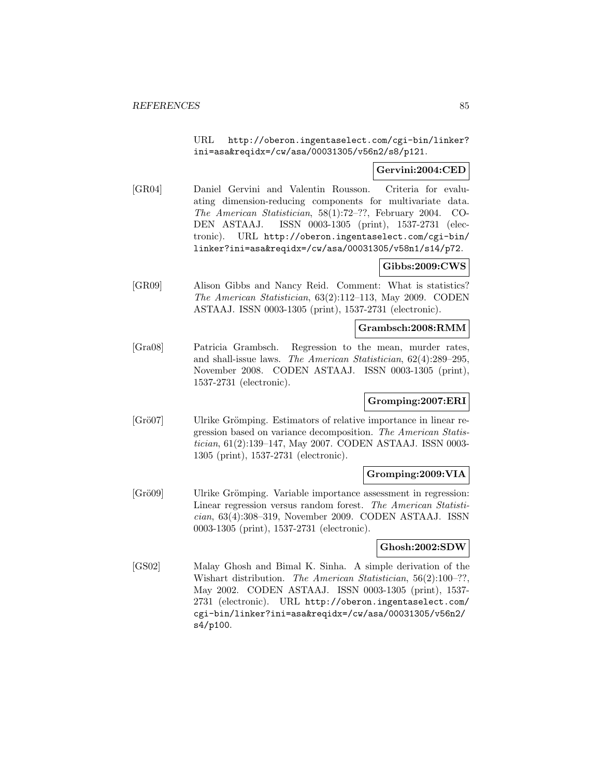URL http://oberon.ingentaselect.com/cgi-bin/linker? ini=asa&reqidx=/cw/asa/00031305/v56n2/s8/p121.

### **Gervini:2004:CED**

[GR04] Daniel Gervini and Valentin Rousson. Criteria for evaluating dimension-reducing components for multivariate data. The American Statistician, 58(1):72–??, February 2004. CO-DEN ASTAAJ. ISSN 0003-1305 (print), 1537-2731 (electronic). URL http://oberon.ingentaselect.com/cgi-bin/ linker?ini=asa&reqidx=/cw/asa/00031305/v58n1/s14/p72.

# **Gibbs:2009:CWS**

[GR09] Alison Gibbs and Nancy Reid. Comment: What is statistics? The American Statistician, 63(2):112–113, May 2009. CODEN ASTAAJ. ISSN 0003-1305 (print), 1537-2731 (electronic).

#### **Grambsch:2008:RMM**

[Gra08] Patricia Grambsch. Regression to the mean, murder rates, and shall-issue laws. The American Statistician, 62(4):289–295, November 2008. CODEN ASTAAJ. ISSN 0003-1305 (print), 1537-2731 (electronic).

### **Gromping:2007:ERI**

[Grö07] Ulrike Grömping. Estimators of relative importance in linear regression based on variance decomposition. The American Statistician, 61(2):139–147, May 2007. CODEN ASTAAJ. ISSN 0003- 1305 (print), 1537-2731 (electronic).

# **Gromping:2009:VIA**

[Grö09] Ulrike Grömping. Variable importance assessment in regression: Linear regression versus random forest. The American Statistician, 63(4):308–319, November 2009. CODEN ASTAAJ. ISSN 0003-1305 (print), 1537-2731 (electronic).

### **Ghosh:2002:SDW**

[GS02] Malay Ghosh and Bimal K. Sinha. A simple derivation of the Wishart distribution. The American Statistician, 56(2):100-??, May 2002. CODEN ASTAAJ. ISSN 0003-1305 (print), 1537- 2731 (electronic). URL http://oberon.ingentaselect.com/ cgi-bin/linker?ini=asa&reqidx=/cw/asa/00031305/v56n2/ s4/p100.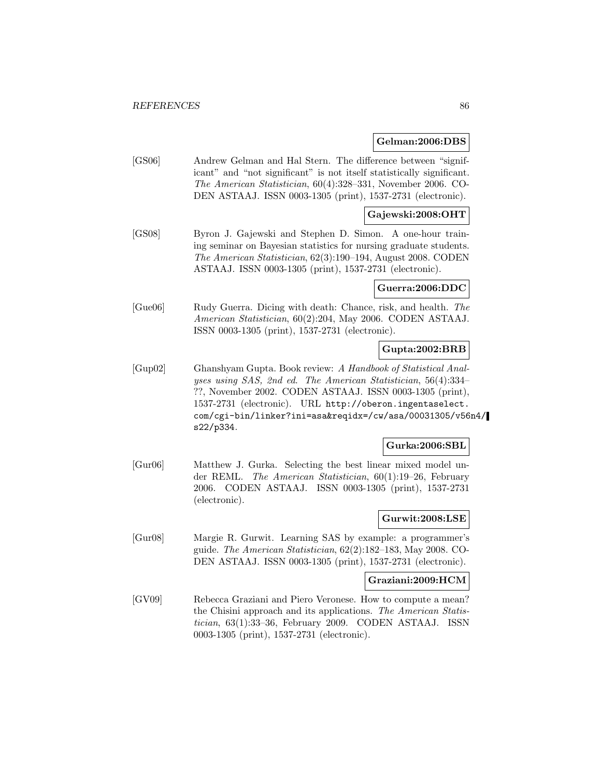#### **Gelman:2006:DBS**

[GS06] Andrew Gelman and Hal Stern. The difference between "significant" and "not significant" is not itself statistically significant. The American Statistician, 60(4):328–331, November 2006. CO-DEN ASTAAJ. ISSN 0003-1305 (print), 1537-2731 (electronic).

### **Gajewski:2008:OHT**

[GS08] Byron J. Gajewski and Stephen D. Simon. A one-hour training seminar on Bayesian statistics for nursing graduate students. The American Statistician, 62(3):190–194, August 2008. CODEN ASTAAJ. ISSN 0003-1305 (print), 1537-2731 (electronic).

### **Guerra:2006:DDC**

[Gue06] Rudy Guerra. Dicing with death: Chance, risk, and health. The American Statistician, 60(2):204, May 2006. CODEN ASTAAJ. ISSN 0003-1305 (print), 1537-2731 (electronic).

### **Gupta:2002:BRB**

[Gup02] Ghanshyam Gupta. Book review: A Handbook of Statistical Analyses using SAS, 2nd ed. The American Statistician, 56(4):334– ??, November 2002. CODEN ASTAAJ. ISSN 0003-1305 (print), 1537-2731 (electronic). URL http://oberon.ingentaselect. com/cgi-bin/linker?ini=asa&reqidx=/cw/asa/00031305/v56n4/ s22/p334.

### **Gurka:2006:SBL**

[Gur06] Matthew J. Gurka. Selecting the best linear mixed model under REML. The American Statistician, 60(1):19–26, February 2006. CODEN ASTAAJ. ISSN 0003-1305 (print), 1537-2731 (electronic).

## **Gurwit:2008:LSE**

[Gur08] Margie R. Gurwit. Learning SAS by example: a programmer's guide. The American Statistician, 62(2):182–183, May 2008. CO-DEN ASTAAJ. ISSN 0003-1305 (print), 1537-2731 (electronic).

#### **Graziani:2009:HCM**

[GV09] Rebecca Graziani and Piero Veronese. How to compute a mean? the Chisini approach and its applications. The American Statistician, 63(1):33–36, February 2009. CODEN ASTAAJ. ISSN 0003-1305 (print), 1537-2731 (electronic).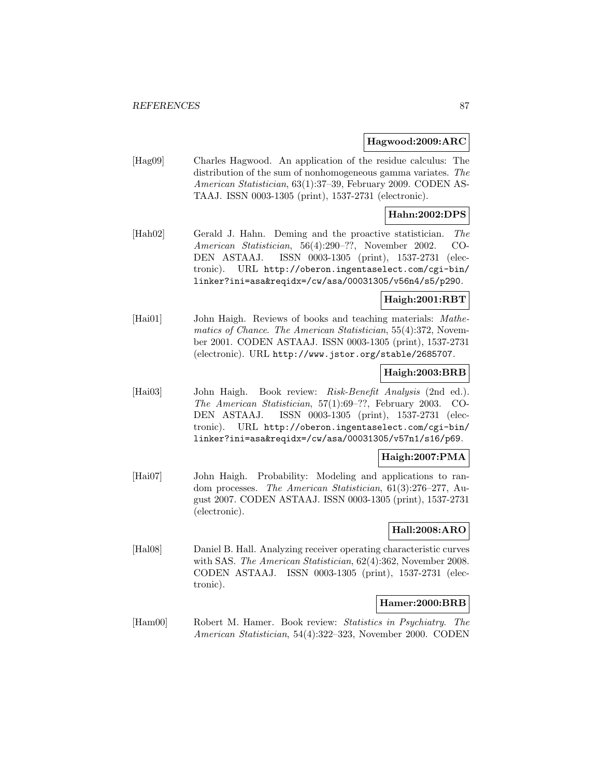#### **Hagwood:2009:ARC**

[Hag09] Charles Hagwood. An application of the residue calculus: The distribution of the sum of nonhomogeneous gamma variates. The American Statistician, 63(1):37–39, February 2009. CODEN AS-TAAJ. ISSN 0003-1305 (print), 1537-2731 (electronic).

### **Hahn:2002:DPS**

[Hah02] Gerald J. Hahn. Deming and the proactive statistician. The American Statistician, 56(4):290–??, November 2002. CO-DEN ASTAAJ. ISSN 0003-1305 (print), 1537-2731 (electronic). URL http://oberon.ingentaselect.com/cgi-bin/ linker?ini=asa&reqidx=/cw/asa/00031305/v56n4/s5/p290.

### **Haigh:2001:RBT**

[Hai01] John Haigh. Reviews of books and teaching materials: Mathematics of Chance. The American Statistician, 55(4):372, November 2001. CODEN ASTAAJ. ISSN 0003-1305 (print), 1537-2731 (electronic). URL http://www.jstor.org/stable/2685707.

### **Haigh:2003:BRB**

[Hai03] John Haigh. Book review: Risk-Benefit Analysis (2nd ed.). The American Statistician, 57(1):69–??, February 2003. CO-DEN ASTAAJ. ISSN 0003-1305 (print), 1537-2731 (electronic). URL http://oberon.ingentaselect.com/cgi-bin/ linker?ini=asa&reqidx=/cw/asa/00031305/v57n1/s16/p69.

### **Haigh:2007:PMA**

[Hai07] John Haigh. Probability: Modeling and applications to random processes. The American Statistician, 61(3):276–277, August 2007. CODEN ASTAAJ. ISSN 0003-1305 (print), 1537-2731 (electronic).

### **Hall:2008:ARO**

[Hal08] Daniel B. Hall. Analyzing receiver operating characteristic curves with SAS. The American Statistician, 62(4):362, November 2008. CODEN ASTAAJ. ISSN 0003-1305 (print), 1537-2731 (electronic).

### **Hamer:2000:BRB**

[Ham00] Robert M. Hamer. Book review: Statistics in Psychiatry. The American Statistician, 54(4):322–323, November 2000. CODEN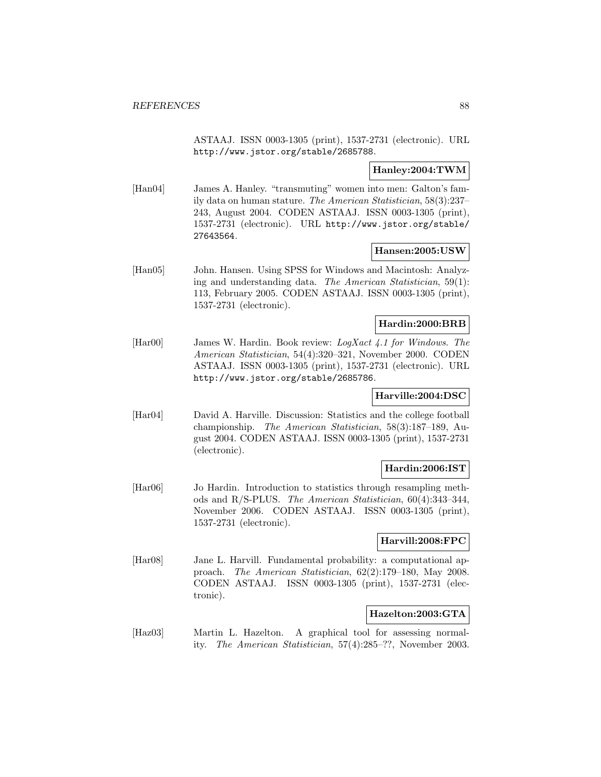ASTAAJ. ISSN 0003-1305 (print), 1537-2731 (electronic). URL http://www.jstor.org/stable/2685788.

### **Hanley:2004:TWM**

[Han04] James A. Hanley. "transmuting" women into men: Galton's family data on human stature. The American Statistician, 58(3):237– 243, August 2004. CODEN ASTAAJ. ISSN 0003-1305 (print), 1537-2731 (electronic). URL http://www.jstor.org/stable/ 27643564.

### **Hansen:2005:USW**

[Han05] John. Hansen. Using SPSS for Windows and Macintosh: Analyzing and understanding data. The American Statistician, 59(1): 113, February 2005. CODEN ASTAAJ. ISSN 0003-1305 (print), 1537-2731 (electronic).

### **Hardin:2000:BRB**

[Har00] James W. Hardin. Book review: LogXact 4.1 for Windows. The American Statistician, 54(4):320–321, November 2000. CODEN ASTAAJ. ISSN 0003-1305 (print), 1537-2731 (electronic). URL http://www.jstor.org/stable/2685786.

### **Harville:2004:DSC**

[Har04] David A. Harville. Discussion: Statistics and the college football championship. The American Statistician, 58(3):187–189, August 2004. CODEN ASTAAJ. ISSN 0003-1305 (print), 1537-2731 (electronic).

### **Hardin:2006:IST**

[Har06] Jo Hardin. Introduction to statistics through resampling methods and R/S-PLUS. The American Statistician, 60(4):343–344, November 2006. CODEN ASTAAJ. ISSN 0003-1305 (print), 1537-2731 (electronic).

### **Harvill:2008:FPC**

[Har08] Jane L. Harvill. Fundamental probability: a computational approach. The American Statistician, 62(2):179–180, May 2008. CODEN ASTAAJ. ISSN 0003-1305 (print), 1537-2731 (electronic).

# **Hazelton:2003:GTA**

[Haz03] Martin L. Hazelton. A graphical tool for assessing normality. The American Statistician, 57(4):285–??, November 2003.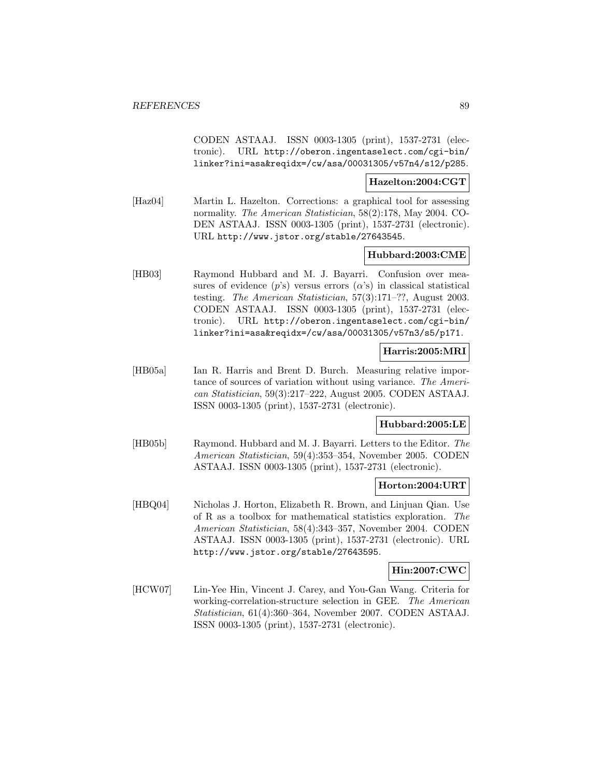CODEN ASTAAJ. ISSN 0003-1305 (print), 1537-2731 (electronic). URL http://oberon.ingentaselect.com/cgi-bin/ linker?ini=asa&reqidx=/cw/asa/00031305/v57n4/s12/p285.

#### **Hazelton:2004:CGT**

[Haz04] Martin L. Hazelton. Corrections: a graphical tool for assessing normality. The American Statistician, 58(2):178, May 2004. CO-DEN ASTAAJ. ISSN 0003-1305 (print), 1537-2731 (electronic). URL http://www.jstor.org/stable/27643545.

### **Hubbard:2003:CME**

[HB03] Raymond Hubbard and M. J. Bayarri. Confusion over measures of evidence  $(p's)$  versus errors  $(\alpha's)$  in classical statistical testing. The American Statistician, 57(3):171–??, August 2003. CODEN ASTAAJ. ISSN 0003-1305 (print), 1537-2731 (electronic). URL http://oberon.ingentaselect.com/cgi-bin/ linker?ini=asa&reqidx=/cw/asa/00031305/v57n3/s5/p171.

### **Harris:2005:MRI**

[HB05a] Ian R. Harris and Brent D. Burch. Measuring relative importance of sources of variation without using variance. The American Statistician, 59(3):217–222, August 2005. CODEN ASTAAJ. ISSN 0003-1305 (print), 1537-2731 (electronic).

### **Hubbard:2005:LE**

[HB05b] Raymond. Hubbard and M. J. Bayarri. Letters to the Editor. The American Statistician, 59(4):353–354, November 2005. CODEN ASTAAJ. ISSN 0003-1305 (print), 1537-2731 (electronic).

### **Horton:2004:URT**

[HBQ04] Nicholas J. Horton, Elizabeth R. Brown, and Linjuan Qian. Use of R as a toolbox for mathematical statistics exploration. The American Statistician, 58(4):343–357, November 2004. CODEN ASTAAJ. ISSN 0003-1305 (print), 1537-2731 (electronic). URL http://www.jstor.org/stable/27643595.

### **Hin:2007:CWC**

[HCW07] Lin-Yee Hin, Vincent J. Carey, and You-Gan Wang. Criteria for working-correlation-structure selection in GEE. The American Statistician, 61(4):360–364, November 2007. CODEN ASTAAJ. ISSN 0003-1305 (print), 1537-2731 (electronic).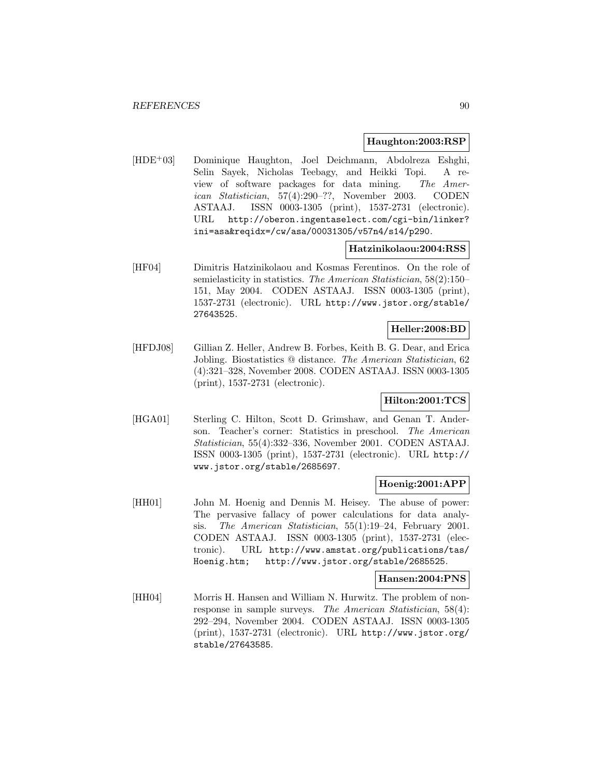#### **Haughton:2003:RSP**

[HDE<sup>+</sup>03] Dominique Haughton, Joel Deichmann, Abdolreza Eshghi, Selin Sayek, Nicholas Teebagy, and Heikki Topi. A review of software packages for data mining. The American Statistician, 57(4):290–??, November 2003. CODEN ASTAAJ. ISSN 0003-1305 (print), 1537-2731 (electronic). URL http://oberon.ingentaselect.com/cgi-bin/linker? ini=asa&reqidx=/cw/asa/00031305/v57n4/s14/p290.

#### **Hatzinikolaou:2004:RSS**

[HF04] Dimitris Hatzinikolaou and Kosmas Ferentinos. On the role of semielasticity in statistics. The American Statistician, 58(2):150– 151, May 2004. CODEN ASTAAJ. ISSN 0003-1305 (print), 1537-2731 (electronic). URL http://www.jstor.org/stable/ 27643525.

### **Heller:2008:BD**

[HFDJ08] Gillian Z. Heller, Andrew B. Forbes, Keith B. G. Dear, and Erica Jobling. Biostatistics @ distance. The American Statistician, 62 (4):321–328, November 2008. CODEN ASTAAJ. ISSN 0003-1305 (print), 1537-2731 (electronic).

### **Hilton:2001:TCS**

[HGA01] Sterling C. Hilton, Scott D. Grimshaw, and Genan T. Anderson. Teacher's corner: Statistics in preschool. The American Statistician, 55(4):332–336, November 2001. CODEN ASTAAJ. ISSN 0003-1305 (print), 1537-2731 (electronic). URL http:// www.jstor.org/stable/2685697.

## **Hoenig:2001:APP**

[HH01] John M. Hoenig and Dennis M. Heisey. The abuse of power: The pervasive fallacy of power calculations for data analysis. The American Statistician, 55(1):19–24, February 2001. CODEN ASTAAJ. ISSN 0003-1305 (print), 1537-2731 (electronic). URL http://www.amstat.org/publications/tas/ Hoenig.htm; http://www.jstor.org/stable/2685525.

#### **Hansen:2004:PNS**

[HH04] Morris H. Hansen and William N. Hurwitz. The problem of nonresponse in sample surveys. The American Statistician, 58(4): 292–294, November 2004. CODEN ASTAAJ. ISSN 0003-1305 (print), 1537-2731 (electronic). URL http://www.jstor.org/ stable/27643585.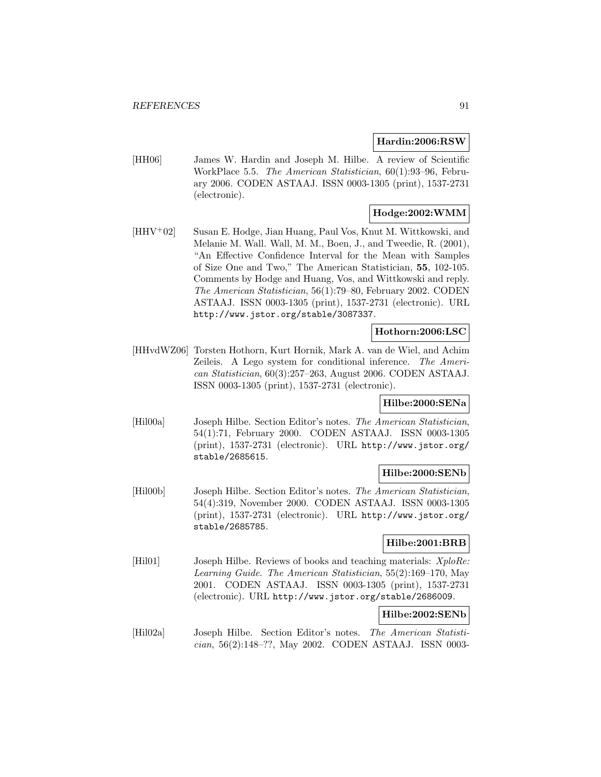### **Hardin:2006:RSW**

[HH06] James W. Hardin and Joseph M. Hilbe. A review of Scientific WorkPlace 5.5. The American Statistician, 60(1):93–96, February 2006. CODEN ASTAAJ. ISSN 0003-1305 (print), 1537-2731 (electronic).

# **Hodge:2002:WMM**

[HHV<sup>+</sup>02] Susan E. Hodge, Jian Huang, Paul Vos, Knut M. Wittkowski, and Melanie M. Wall. Wall, M. M., Boen, J., and Tweedie, R. (2001), "An Effective Confidence Interval for the Mean with Samples of Size One and Two," The American Statistician, **55**, 102-105. Comments by Hodge and Huang, Vos, and Wittkowski and reply. The American Statistician, 56(1):79–80, February 2002. CODEN ASTAAJ. ISSN 0003-1305 (print), 1537-2731 (electronic). URL http://www.jstor.org/stable/3087337.

### **Hothorn:2006:LSC**

[HHvdWZ06] Torsten Hothorn, Kurt Hornik, Mark A. van de Wiel, and Achim Zeileis. A Lego system for conditional inference. The American Statistician, 60(3):257–263, August 2006. CODEN ASTAAJ. ISSN 0003-1305 (print), 1537-2731 (electronic).

# **Hilbe:2000:SENa**

[Hil00a] Joseph Hilbe. Section Editor's notes. The American Statistician, 54(1):71, February 2000. CODEN ASTAAJ. ISSN 0003-1305 (print), 1537-2731 (electronic). URL http://www.jstor.org/ stable/2685615.

### **Hilbe:2000:SENb**

[Hil00b] Joseph Hilbe. Section Editor's notes. The American Statistician, 54(4):319, November 2000. CODEN ASTAAJ. ISSN 0003-1305 (print), 1537-2731 (electronic). URL http://www.jstor.org/ stable/2685785.

# **Hilbe:2001:BRB**

[Hil01] Joseph Hilbe. Reviews of books and teaching materials:  $X p l o Re$ : Learning Guide. The American Statistician, 55(2):169–170, May 2001. CODEN ASTAAJ. ISSN 0003-1305 (print), 1537-2731 (electronic). URL http://www.jstor.org/stable/2686009.

## **Hilbe:2002:SENb**

[Hil02a] Joseph Hilbe. Section Editor's notes. The American Statistician, 56(2):148–??, May 2002. CODEN ASTAAJ. ISSN 0003-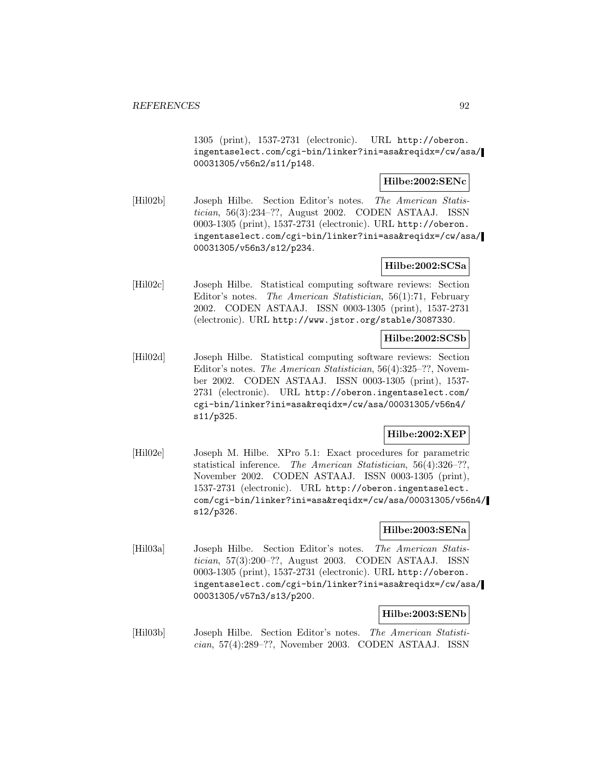1305 (print), 1537-2731 (electronic). URL http://oberon. ingentaselect.com/cgi-bin/linker?ini=asa&reqidx=/cw/asa/ 00031305/v56n2/s11/p148.

## **Hilbe:2002:SENc**

[Hil02b] Joseph Hilbe. Section Editor's notes. The American Statistician, 56(3):234–??, August 2002. CODEN ASTAAJ. ISSN 0003-1305 (print), 1537-2731 (electronic). URL http://oberon. ingentaselect.com/cgi-bin/linker?ini=asa&reqidx=/cw/asa/ 00031305/v56n3/s12/p234.

### **Hilbe:2002:SCSa**

[Hil02c] Joseph Hilbe. Statistical computing software reviews: Section Editor's notes. The American Statistician, 56(1):71, February 2002. CODEN ASTAAJ. ISSN 0003-1305 (print), 1537-2731 (electronic). URL http://www.jstor.org/stable/3087330.

## **Hilbe:2002:SCSb**

[Hil02d] Joseph Hilbe. Statistical computing software reviews: Section Editor's notes. The American Statistician, 56(4):325–??, November 2002. CODEN ASTAAJ. ISSN 0003-1305 (print), 1537- 2731 (electronic). URL http://oberon.ingentaselect.com/ cgi-bin/linker?ini=asa&reqidx=/cw/asa/00031305/v56n4/ s11/p325.

### **Hilbe:2002:XEP**

[Hil02e] Joseph M. Hilbe. XPro 5.1: Exact procedures for parametric statistical inference. The American Statistician, 56(4):326–??, November 2002. CODEN ASTAAJ. ISSN 0003-1305 (print), 1537-2731 (electronic). URL http://oberon.ingentaselect. com/cgi-bin/linker?ini=asa&reqidx=/cw/asa/00031305/v56n4/ s12/p326.

#### **Hilbe:2003:SENa**

[Hil03a] Joseph Hilbe. Section Editor's notes. The American Statistician, 57(3):200–??, August 2003. CODEN ASTAAJ. ISSN 0003-1305 (print), 1537-2731 (electronic). URL http://oberon. ingentaselect.com/cgi-bin/linker?ini=asa&reqidx=/cw/asa/ 00031305/v57n3/s13/p200.

## **Hilbe:2003:SENb**

[Hil03b] Joseph Hilbe. Section Editor's notes. The American Statistician, 57(4):289–??, November 2003. CODEN ASTAAJ. ISSN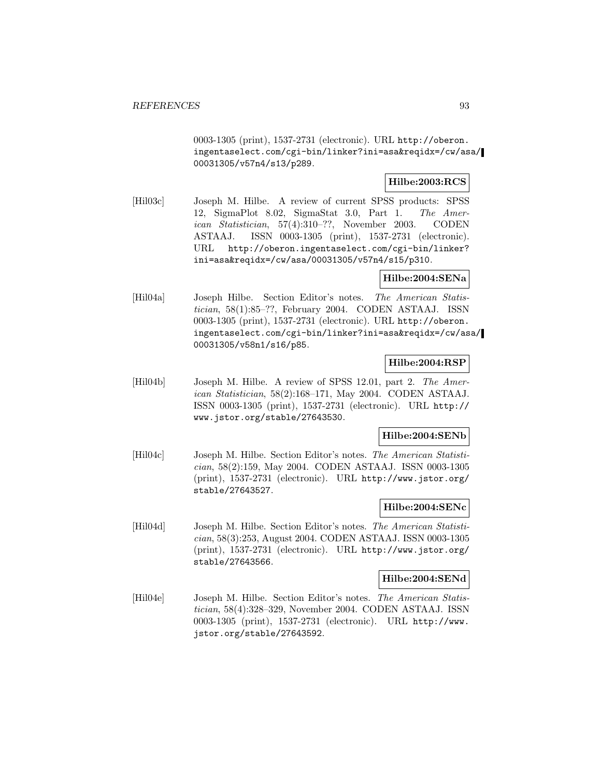0003-1305 (print), 1537-2731 (electronic). URL http://oberon. ingentaselect.com/cgi-bin/linker?ini=asa&reqidx=/cw/asa/ 00031305/v57n4/s13/p289.

### **Hilbe:2003:RCS**

[Hil03c] Joseph M. Hilbe. A review of current SPSS products: SPSS 12, SigmaPlot 8.02, SigmaStat 3.0, Part 1. The American Statistician, 57(4):310–??, November 2003. CODEN ASTAAJ. ISSN 0003-1305 (print), 1537-2731 (electronic). URL http://oberon.ingentaselect.com/cgi-bin/linker? ini=asa&reqidx=/cw/asa/00031305/v57n4/s15/p310.

# **Hilbe:2004:SENa**

[Hil04a] Joseph Hilbe. Section Editor's notes. The American Statistician, 58(1):85–??, February 2004. CODEN ASTAAJ. ISSN 0003-1305 (print), 1537-2731 (electronic). URL http://oberon. ingentaselect.com/cgi-bin/linker?ini=asa&reqidx=/cw/asa/ 00031305/v58n1/s16/p85.

### **Hilbe:2004:RSP**

[Hil04b] Joseph M. Hilbe. A review of SPSS 12.01, part 2. The American Statistician, 58(2):168–171, May 2004. CODEN ASTAAJ. ISSN 0003-1305 (print), 1537-2731 (electronic). URL http:// www.jstor.org/stable/27643530.

# **Hilbe:2004:SENb**

[Hil04c] Joseph M. Hilbe. Section Editor's notes. The American Statistician, 58(2):159, May 2004. CODEN ASTAAJ. ISSN 0003-1305 (print), 1537-2731 (electronic). URL http://www.jstor.org/ stable/27643527.

## **Hilbe:2004:SENc**

[Hil04d] Joseph M. Hilbe. Section Editor's notes. The American Statistician, 58(3):253, August 2004. CODEN ASTAAJ. ISSN 0003-1305 (print), 1537-2731 (electronic). URL http://www.jstor.org/ stable/27643566.

#### **Hilbe:2004:SENd**

[Hil04e] Joseph M. Hilbe. Section Editor's notes. The American Statistician, 58(4):328–329, November 2004. CODEN ASTAAJ. ISSN 0003-1305 (print), 1537-2731 (electronic). URL http://www. jstor.org/stable/27643592.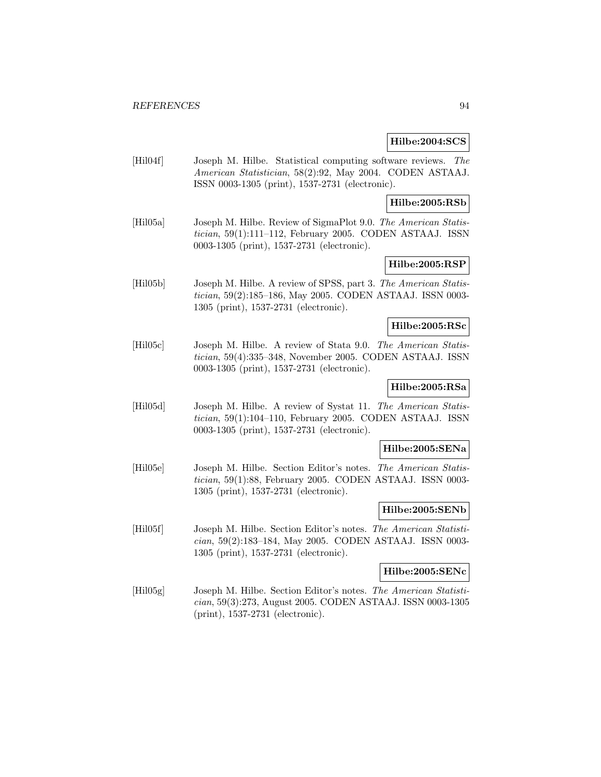#### **Hilbe:2004:SCS**

[Hil04f] Joseph M. Hilbe. Statistical computing software reviews. The American Statistician, 58(2):92, May 2004. CODEN ASTAAJ. ISSN 0003-1305 (print), 1537-2731 (electronic).

**Hilbe:2005:RSb**

[Hil05a] Joseph M. Hilbe. Review of SigmaPlot 9.0. The American Statistician, 59(1):111–112, February 2005. CODEN ASTAAJ. ISSN 0003-1305 (print), 1537-2731 (electronic).

# **Hilbe:2005:RSP**

[Hil05b] Joseph M. Hilbe. A review of SPSS, part 3. The American Statistician, 59(2):185–186, May 2005. CODEN ASTAAJ. ISSN 0003- 1305 (print), 1537-2731 (electronic).

### **Hilbe:2005:RSc**

[Hil05c] Joseph M. Hilbe. A review of Stata 9.0. The American Statistician, 59(4):335–348, November 2005. CODEN ASTAAJ. ISSN 0003-1305 (print), 1537-2731 (electronic).

# **Hilbe:2005:RSa**

[Hil05d] Joseph M. Hilbe. A review of Systat 11. The American Statistician, 59(1):104–110, February 2005. CODEN ASTAAJ. ISSN 0003-1305 (print), 1537-2731 (electronic).

#### **Hilbe:2005:SENa**

[Hil05e] Joseph M. Hilbe. Section Editor's notes. The American Statistician, 59(1):88, February 2005. CODEN ASTAAJ. ISSN 0003- 1305 (print), 1537-2731 (electronic).

#### **Hilbe:2005:SENb**

[Hil05f] Joseph M. Hilbe. Section Editor's notes. The American Statistician, 59(2):183–184, May 2005. CODEN ASTAAJ. ISSN 0003- 1305 (print), 1537-2731 (electronic).

#### **Hilbe:2005:SENc**

[Hil05g] Joseph M. Hilbe. Section Editor's notes. The American Statistician, 59(3):273, August 2005. CODEN ASTAAJ. ISSN 0003-1305 (print), 1537-2731 (electronic).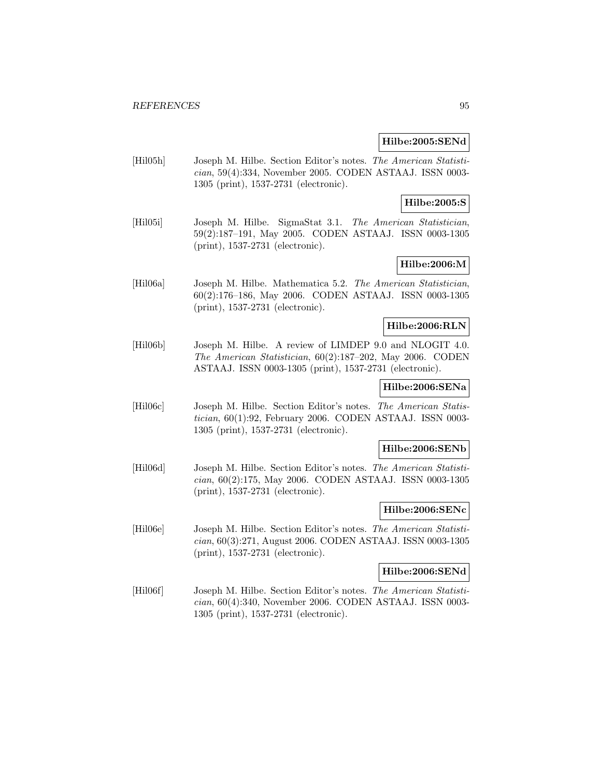#### **Hilbe:2005:SENd**

[Hil05h] Joseph M. Hilbe. Section Editor's notes. The American Statistician, 59(4):334, November 2005. CODEN ASTAAJ. ISSN 0003- 1305 (print), 1537-2731 (electronic).

# **Hilbe:2005:S**

[Hil05i] Joseph M. Hilbe. SigmaStat 3.1. The American Statistician, 59(2):187–191, May 2005. CODEN ASTAAJ. ISSN 0003-1305 (print), 1537-2731 (electronic).

# **Hilbe:2006:M**

[Hil06a] Joseph M. Hilbe. Mathematica 5.2. The American Statistician, 60(2):176–186, May 2006. CODEN ASTAAJ. ISSN 0003-1305 (print), 1537-2731 (electronic).

## **Hilbe:2006:RLN**

[Hil06b] Joseph M. Hilbe. A review of LIMDEP 9.0 and NLOGIT 4.0. The American Statistician, 60(2):187–202, May 2006. CODEN ASTAAJ. ISSN 0003-1305 (print), 1537-2731 (electronic).

# **Hilbe:2006:SENa**

[Hil06c] Joseph M. Hilbe. Section Editor's notes. The American Statistician, 60(1):92, February 2006. CODEN ASTAAJ. ISSN 0003- 1305 (print), 1537-2731 (electronic).

#### **Hilbe:2006:SENb**

[Hil06d] Joseph M. Hilbe. Section Editor's notes. The American Statistician, 60(2):175, May 2006. CODEN ASTAAJ. ISSN 0003-1305 (print), 1537-2731 (electronic).

#### **Hilbe:2006:SENc**

[Hil06e] Joseph M. Hilbe. Section Editor's notes. The American Statistician, 60(3):271, August 2006. CODEN ASTAAJ. ISSN 0003-1305 (print), 1537-2731 (electronic).

### **Hilbe:2006:SENd**

[Hil06f] Joseph M. Hilbe. Section Editor's notes. The American Statistician, 60(4):340, November 2006. CODEN ASTAAJ. ISSN 0003- 1305 (print), 1537-2731 (electronic).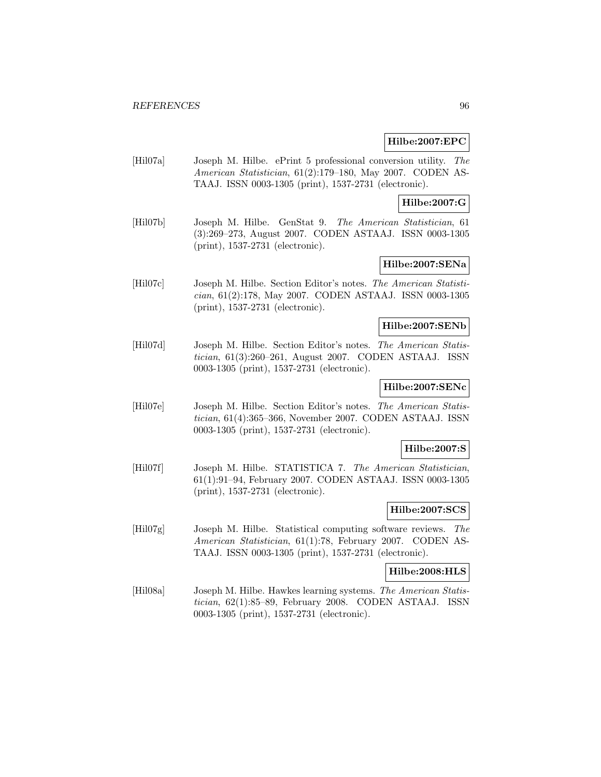#### **Hilbe:2007:EPC**

[Hil07a] Joseph M. Hilbe. ePrint 5 professional conversion utility. The American Statistician, 61(2):179–180, May 2007. CODEN AS-TAAJ. ISSN 0003-1305 (print), 1537-2731 (electronic).

### **Hilbe:2007:G**

[Hil07b] Joseph M. Hilbe. GenStat 9. The American Statistician, 61 (3):269–273, August 2007. CODEN ASTAAJ. ISSN 0003-1305 (print), 1537-2731 (electronic).

# **Hilbe:2007:SENa**

[Hil07c] Joseph M. Hilbe. Section Editor's notes. The American Statistician, 61(2):178, May 2007. CODEN ASTAAJ. ISSN 0003-1305 (print), 1537-2731 (electronic).

### **Hilbe:2007:SENb**

[Hil07d] Joseph M. Hilbe. Section Editor's notes. The American Statistician, 61(3):260–261, August 2007. CODEN ASTAAJ. ISSN 0003-1305 (print), 1537-2731 (electronic).

## **Hilbe:2007:SENc**

[Hil07e] Joseph M. Hilbe. Section Editor's notes. The American Statistician, 61(4):365–366, November 2007. CODEN ASTAAJ. ISSN 0003-1305 (print), 1537-2731 (electronic).

### **Hilbe:2007:S**

[Hil07f] Joseph M. Hilbe. STATISTICA 7. The American Statistician, 61(1):91–94, February 2007. CODEN ASTAAJ. ISSN 0003-1305 (print), 1537-2731 (electronic).

#### **Hilbe:2007:SCS**

[Hil07g] Joseph M. Hilbe. Statistical computing software reviews. The American Statistician, 61(1):78, February 2007. CODEN AS-TAAJ. ISSN 0003-1305 (print), 1537-2731 (electronic).

## **Hilbe:2008:HLS**

[Hil08a] Joseph M. Hilbe. Hawkes learning systems. The American Statistician, 62(1):85–89, February 2008. CODEN ASTAAJ. ISSN 0003-1305 (print), 1537-2731 (electronic).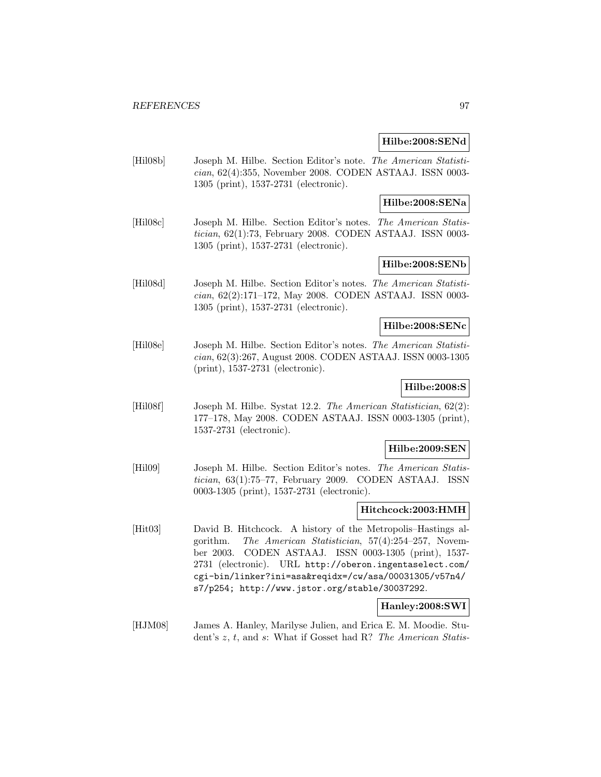#### **Hilbe:2008:SENd**

[Hil08b] Joseph M. Hilbe. Section Editor's note. The American Statistician, 62(4):355, November 2008. CODEN ASTAAJ. ISSN 0003- 1305 (print), 1537-2731 (electronic).

### **Hilbe:2008:SENa**

[Hil08c] Joseph M. Hilbe. Section Editor's notes. The American Statistician, 62(1):73, February 2008. CODEN ASTAAJ. ISSN 0003- 1305 (print), 1537-2731 (electronic).

# **Hilbe:2008:SENb**

[Hil08d] Joseph M. Hilbe. Section Editor's notes. The American Statistician, 62(2):171–172, May 2008. CODEN ASTAAJ. ISSN 0003- 1305 (print), 1537-2731 (electronic).

### **Hilbe:2008:SENc**

[Hil08e] Joseph M. Hilbe. Section Editor's notes. The American Statistician, 62(3):267, August 2008. CODEN ASTAAJ. ISSN 0003-1305 (print), 1537-2731 (electronic).

# **Hilbe:2008:S**

[Hil08f] Joseph M. Hilbe. Systat 12.2. The American Statistician, 62(2): 177–178, May 2008. CODEN ASTAAJ. ISSN 0003-1305 (print), 1537-2731 (electronic).

#### **Hilbe:2009:SEN**

[Hil09] Joseph M. Hilbe. Section Editor's notes. The American Statistician, 63(1):75–77, February 2009. CODEN ASTAAJ. ISSN 0003-1305 (print), 1537-2731 (electronic).

### **Hitchcock:2003:HMH**

[Hit03] David B. Hitchcock. A history of the Metropolis–Hastings algorithm. The American Statistician, 57(4):254–257, November 2003. CODEN ASTAAJ. ISSN 0003-1305 (print), 1537- 2731 (electronic). URL http://oberon.ingentaselect.com/ cgi-bin/linker?ini=asa&reqidx=/cw/asa/00031305/v57n4/ s7/p254; http://www.jstor.org/stable/30037292.

### **Hanley:2008:SWI**

[HJM08] James A. Hanley, Marilyse Julien, and Erica E. M. Moodie. Student's z, t, and s: What if Gosset had R? The American Statis-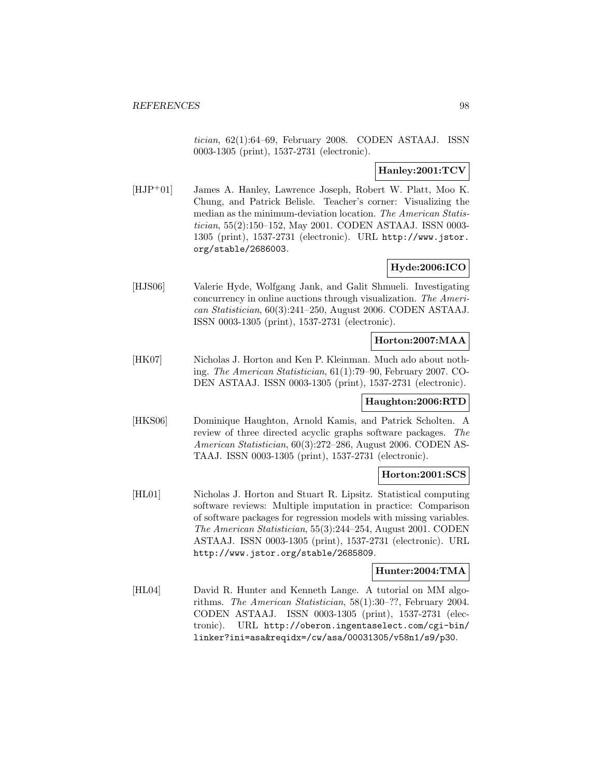tician, 62(1):64–69, February 2008. CODEN ASTAAJ. ISSN 0003-1305 (print), 1537-2731 (electronic).

# **Hanley:2001:TCV**

[HJP<sup>+</sup>01] James A. Hanley, Lawrence Joseph, Robert W. Platt, Moo K. Chung, and Patrick Belisle. Teacher's corner: Visualizing the median as the minimum-deviation location. The American Statistician, 55(2):150–152, May 2001. CODEN ASTAAJ. ISSN 0003- 1305 (print), 1537-2731 (electronic). URL http://www.jstor. org/stable/2686003.

### **Hyde:2006:ICO**

[HJS06] Valerie Hyde, Wolfgang Jank, and Galit Shmueli. Investigating concurrency in online auctions through visualization. The American Statistician, 60(3):241–250, August 2006. CODEN ASTAAJ. ISSN 0003-1305 (print), 1537-2731 (electronic).

## **Horton:2007:MAA**

[HK07] Nicholas J. Horton and Ken P. Kleinman. Much ado about nothing. The American Statistician, 61(1):79–90, February 2007. CO-DEN ASTAAJ. ISSN 0003-1305 (print), 1537-2731 (electronic).

### **Haughton:2006:RTD**

[HKS06] Dominique Haughton, Arnold Kamis, and Patrick Scholten. A review of three directed acyclic graphs software packages. The American Statistician, 60(3):272–286, August 2006. CODEN AS-TAAJ. ISSN 0003-1305 (print), 1537-2731 (electronic).

### **Horton:2001:SCS**

[HL01] Nicholas J. Horton and Stuart R. Lipsitz. Statistical computing software reviews: Multiple imputation in practice: Comparison of software packages for regression models with missing variables. The American Statistician, 55(3):244–254, August 2001. CODEN ASTAAJ. ISSN 0003-1305 (print), 1537-2731 (electronic). URL http://www.jstor.org/stable/2685809.

## **Hunter:2004:TMA**

[HL04] David R. Hunter and Kenneth Lange. A tutorial on MM algorithms. The American Statistician, 58(1):30–??, February 2004. CODEN ASTAAJ. ISSN 0003-1305 (print), 1537-2731 (electronic). URL http://oberon.ingentaselect.com/cgi-bin/ linker?ini=asa&reqidx=/cw/asa/00031305/v58n1/s9/p30.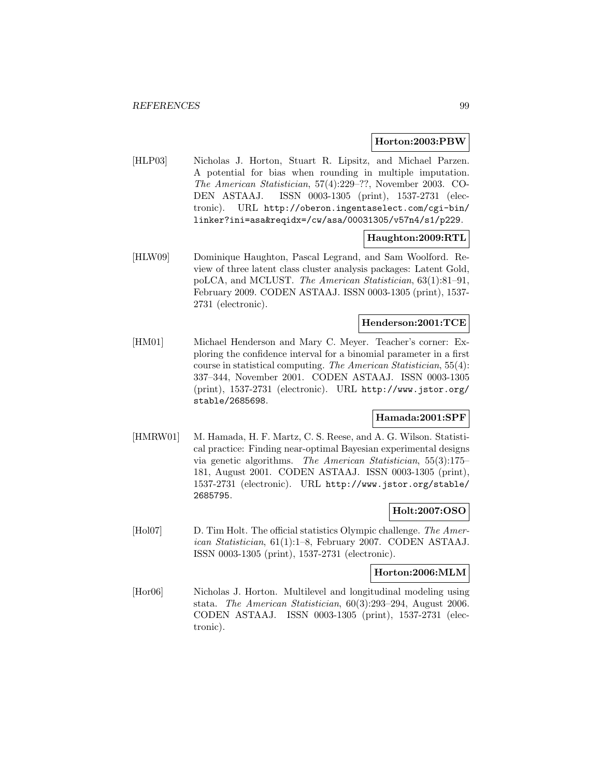#### **Horton:2003:PBW**

[HLP03] Nicholas J. Horton, Stuart R. Lipsitz, and Michael Parzen. A potential for bias when rounding in multiple imputation. The American Statistician, 57(4):229–??, November 2003. CO-DEN ASTAAJ. ISSN 0003-1305 (print), 1537-2731 (electronic). URL http://oberon.ingentaselect.com/cgi-bin/ linker?ini=asa&reqidx=/cw/asa/00031305/v57n4/s1/p229.

### **Haughton:2009:RTL**

[HLW09] Dominique Haughton, Pascal Legrand, and Sam Woolford. Review of three latent class cluster analysis packages: Latent Gold, poLCA, and MCLUST. The American Statistician, 63(1):81–91, February 2009. CODEN ASTAAJ. ISSN 0003-1305 (print), 1537- 2731 (electronic).

# **Henderson:2001:TCE**

[HM01] Michael Henderson and Mary C. Meyer. Teacher's corner: Exploring the confidence interval for a binomial parameter in a first course in statistical computing. The American Statistician, 55(4): 337–344, November 2001. CODEN ASTAAJ. ISSN 0003-1305 (print), 1537-2731 (electronic). URL http://www.jstor.org/ stable/2685698.

#### **Hamada:2001:SPF**

[HMRW01] M. Hamada, H. F. Martz, C. S. Reese, and A. G. Wilson. Statistical practice: Finding near-optimal Bayesian experimental designs via genetic algorithms. The American Statistician, 55(3):175– 181, August 2001. CODEN ASTAAJ. ISSN 0003-1305 (print), 1537-2731 (electronic). URL http://www.jstor.org/stable/ 2685795.

### **Holt:2007:OSO**

[Hol07] D. Tim Holt. The official statistics Olympic challenge. The American Statistician, 61(1):1–8, February 2007. CODEN ASTAAJ. ISSN 0003-1305 (print), 1537-2731 (electronic).

### **Horton:2006:MLM**

[Hor06] Nicholas J. Horton. Multilevel and longitudinal modeling using stata. The American Statistician, 60(3):293–294, August 2006. CODEN ASTAAJ. ISSN 0003-1305 (print), 1537-2731 (electronic).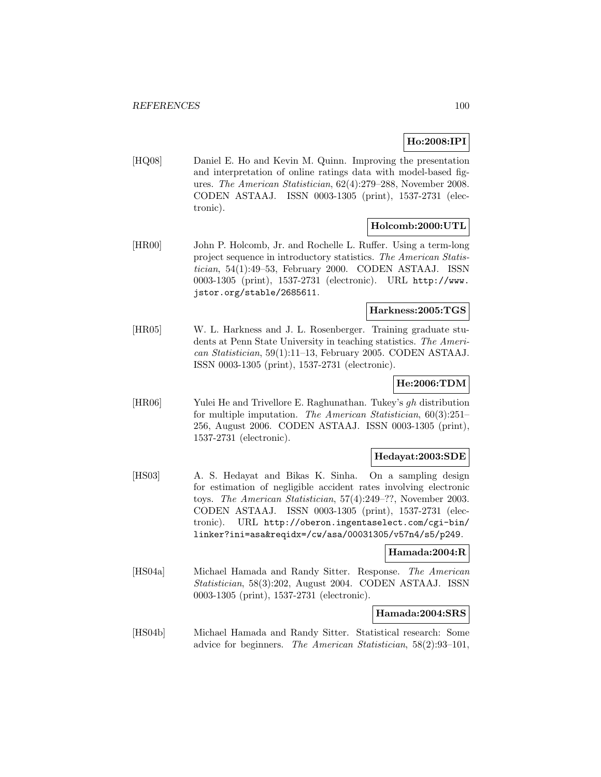# **Ho:2008:IPI**

[HQ08] Daniel E. Ho and Kevin M. Quinn. Improving the presentation and interpretation of online ratings data with model-based figures. The American Statistician, 62(4):279–288, November 2008. CODEN ASTAAJ. ISSN 0003-1305 (print), 1537-2731 (electronic).

# **Holcomb:2000:UTL**

[HR00] John P. Holcomb, Jr. and Rochelle L. Ruffer. Using a term-long project sequence in introductory statistics. The American Statistician, 54(1):49–53, February 2000. CODEN ASTAAJ. ISSN 0003-1305 (print), 1537-2731 (electronic). URL http://www. jstor.org/stable/2685611.

# **Harkness:2005:TGS**

[HR05] W. L. Harkness and J. L. Rosenberger. Training graduate students at Penn State University in teaching statistics. The American Statistician, 59(1):11–13, February 2005. CODEN ASTAAJ. ISSN 0003-1305 (print), 1537-2731 (electronic).

# **He:2006:TDM**

[HR06] Yulei He and Trivellore E. Raghunathan. Tukey's gh distribution for multiple imputation. The American Statistician, 60(3):251– 256, August 2006. CODEN ASTAAJ. ISSN 0003-1305 (print), 1537-2731 (electronic).

### **Hedayat:2003:SDE**

[HS03] A. S. Hedayat and Bikas K. Sinha. On a sampling design for estimation of negligible accident rates involving electronic toys. The American Statistician, 57(4):249–??, November 2003. CODEN ASTAAJ. ISSN 0003-1305 (print), 1537-2731 (electronic). URL http://oberon.ingentaselect.com/cgi-bin/ linker?ini=asa&reqidx=/cw/asa/00031305/v57n4/s5/p249.

### **Hamada:2004:R**

[HS04a] Michael Hamada and Randy Sitter. Response. The American Statistician, 58(3):202, August 2004. CODEN ASTAAJ. ISSN 0003-1305 (print), 1537-2731 (electronic).

# **Hamada:2004:SRS**

[HS04b] Michael Hamada and Randy Sitter. Statistical research: Some advice for beginners. The American Statistician, 58(2):93–101,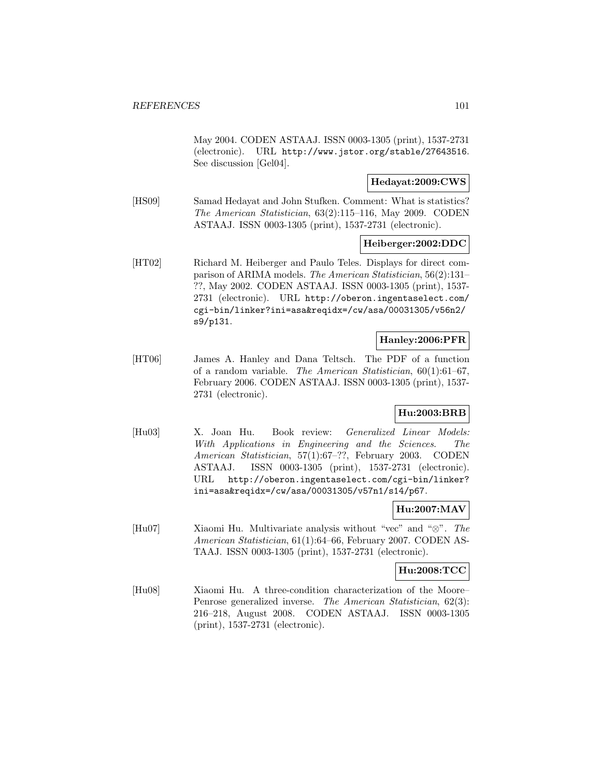May 2004. CODEN ASTAAJ. ISSN 0003-1305 (print), 1537-2731 (electronic). URL http://www.jstor.org/stable/27643516. See discussion [Gel04].

## **Hedayat:2009:CWS**

[HS09] Samad Hedayat and John Stufken. Comment: What is statistics? The American Statistician, 63(2):115–116, May 2009. CODEN ASTAAJ. ISSN 0003-1305 (print), 1537-2731 (electronic).

#### **Heiberger:2002:DDC**

[HT02] Richard M. Heiberger and Paulo Teles. Displays for direct comparison of ARIMA models. The American Statistician, 56(2):131– ??, May 2002. CODEN ASTAAJ. ISSN 0003-1305 (print), 1537- 2731 (electronic). URL http://oberon.ingentaselect.com/ cgi-bin/linker?ini=asa&reqidx=/cw/asa/00031305/v56n2/ s9/p131.

# **Hanley:2006:PFR**

[HT06] James A. Hanley and Dana Teltsch. The PDF of a function of a random variable. The American Statistician, 60(1):61–67, February 2006. CODEN ASTAAJ. ISSN 0003-1305 (print), 1537- 2731 (electronic).

# **Hu:2003:BRB**

[Hu03] X. Joan Hu. Book review: Generalized Linear Models: With Applications in Engineering and the Sciences. The American Statistician, 57(1):67–??, February 2003. CODEN ASTAAJ. ISSN 0003-1305 (print), 1537-2731 (electronic). URL http://oberon.ingentaselect.com/cgi-bin/linker? ini=asa&reqidx=/cw/asa/00031305/v57n1/s14/p67.

# **Hu:2007:MAV**

[Hu07] Xiaomi Hu. Multivariate analysis without "vec" and "⊗". The American Statistician, 61(1):64–66, February 2007. CODEN AS-TAAJ. ISSN 0003-1305 (print), 1537-2731 (electronic).

#### **Hu:2008:TCC**

[Hu08] Xiaomi Hu. A three-condition characterization of the Moore– Penrose generalized inverse. The American Statistician, 62(3): 216–218, August 2008. CODEN ASTAAJ. ISSN 0003-1305 (print), 1537-2731 (electronic).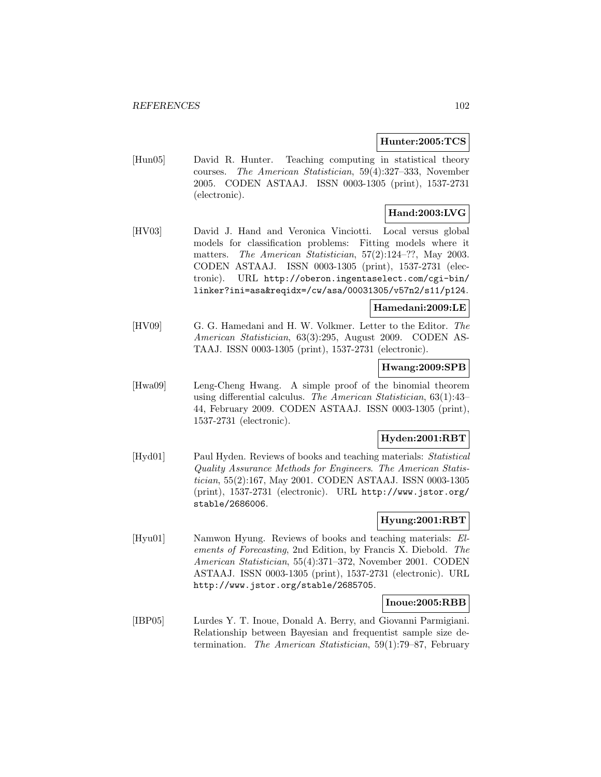### **Hunter:2005:TCS**

[Hun05] David R. Hunter. Teaching computing in statistical theory courses. The American Statistician, 59(4):327–333, November 2005. CODEN ASTAAJ. ISSN 0003-1305 (print), 1537-2731 (electronic).

# **Hand:2003:LVG**

[HV03] David J. Hand and Veronica Vinciotti. Local versus global models for classification problems: Fitting models where it matters. The American Statistician, 57(2):124–??, May 2003. CODEN ASTAAJ. ISSN 0003-1305 (print), 1537-2731 (electronic). URL http://oberon.ingentaselect.com/cgi-bin/ linker?ini=asa&reqidx=/cw/asa/00031305/v57n2/s11/p124.

# **Hamedani:2009:LE**

[HV09] G. G. Hamedani and H. W. Volkmer. Letter to the Editor. The American Statistician, 63(3):295, August 2009. CODEN AS-TAAJ. ISSN 0003-1305 (print), 1537-2731 (electronic).

#### **Hwang:2009:SPB**

[Hwa09] Leng-Cheng Hwang. A simple proof of the binomial theorem using differential calculus. The American Statistician, 63(1):43– 44, February 2009. CODEN ASTAAJ. ISSN 0003-1305 (print), 1537-2731 (electronic).

# **Hyden:2001:RBT**

[Hyd01] Paul Hyden. Reviews of books and teaching materials: Statistical Quality Assurance Methods for Engineers. The American Statistician, 55(2):167, May 2001. CODEN ASTAAJ. ISSN 0003-1305 (print), 1537-2731 (electronic). URL http://www.jstor.org/ stable/2686006.

### **Hyung:2001:RBT**

[Hyu01] Namwon Hyung. Reviews of books and teaching materials: Elements of Forecasting, 2nd Edition, by Francis X. Diebold. The American Statistician, 55(4):371–372, November 2001. CODEN ASTAAJ. ISSN 0003-1305 (print), 1537-2731 (electronic). URL http://www.jstor.org/stable/2685705.

### **Inoue:2005:RBB**

[IBP05] Lurdes Y. T. Inoue, Donald A. Berry, and Giovanni Parmigiani. Relationship between Bayesian and frequentist sample size determination. The American Statistician, 59(1):79–87, February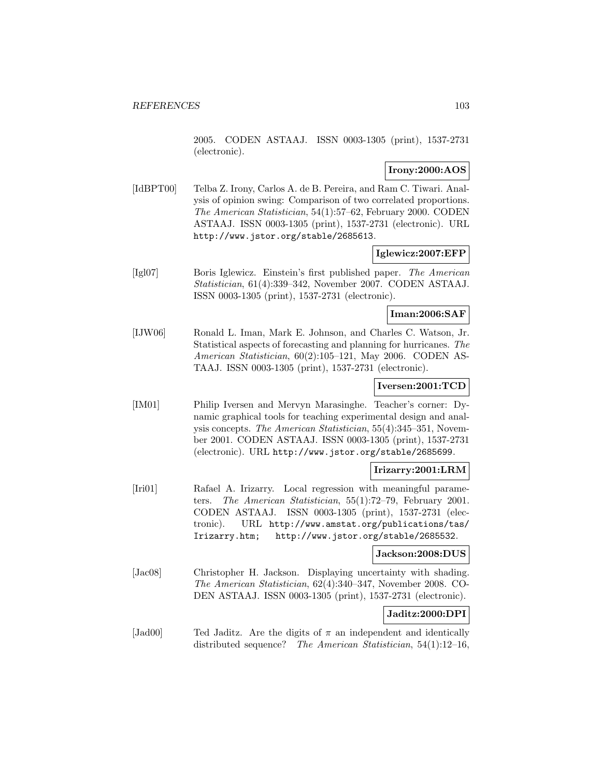2005. CODEN ASTAAJ. ISSN 0003-1305 (print), 1537-2731 (electronic).

## **Irony:2000:AOS**

[IdBPT00] Telba Z. Irony, Carlos A. de B. Pereira, and Ram C. Tiwari. Analysis of opinion swing: Comparison of two correlated proportions. The American Statistician, 54(1):57–62, February 2000. CODEN ASTAAJ. ISSN 0003-1305 (print), 1537-2731 (electronic). URL http://www.jstor.org/stable/2685613.

### **Iglewicz:2007:EFP**

[Igl07] Boris Iglewicz. Einstein's first published paper. The American Statistician, 61(4):339–342, November 2007. CODEN ASTAAJ. ISSN 0003-1305 (print), 1537-2731 (electronic).

### **Iman:2006:SAF**

[IJW06] Ronald L. Iman, Mark E. Johnson, and Charles C. Watson, Jr. Statistical aspects of forecasting and planning for hurricanes. The American Statistician, 60(2):105–121, May 2006. CODEN AS-TAAJ. ISSN 0003-1305 (print), 1537-2731 (electronic).

## **Iversen:2001:TCD**

[IM01] Philip Iversen and Mervyn Marasinghe. Teacher's corner: Dynamic graphical tools for teaching experimental design and analysis concepts. The American Statistician, 55(4):345–351, November 2001. CODEN ASTAAJ. ISSN 0003-1305 (print), 1537-2731 (electronic). URL http://www.jstor.org/stable/2685699.

### **Irizarry:2001:LRM**

[Iri01] Rafael A. Irizarry. Local regression with meaningful parameters. The American Statistician, 55(1):72–79, February 2001. CODEN ASTAAJ. ISSN 0003-1305 (print), 1537-2731 (electronic). URL http://www.amstat.org/publications/tas/ Irizarry.htm; http://www.jstor.org/stable/2685532.

### **Jackson:2008:DUS**

[Jac08] Christopher H. Jackson. Displaying uncertainty with shading. The American Statistician, 62(4):340–347, November 2008. CO-DEN ASTAAJ. ISSN 0003-1305 (print), 1537-2731 (electronic).

# **Jaditz:2000:DPI**

[Jad00] Ted Jaditz. Are the digits of  $\pi$  an independent and identically distributed sequence? The American Statistician, 54(1):12–16,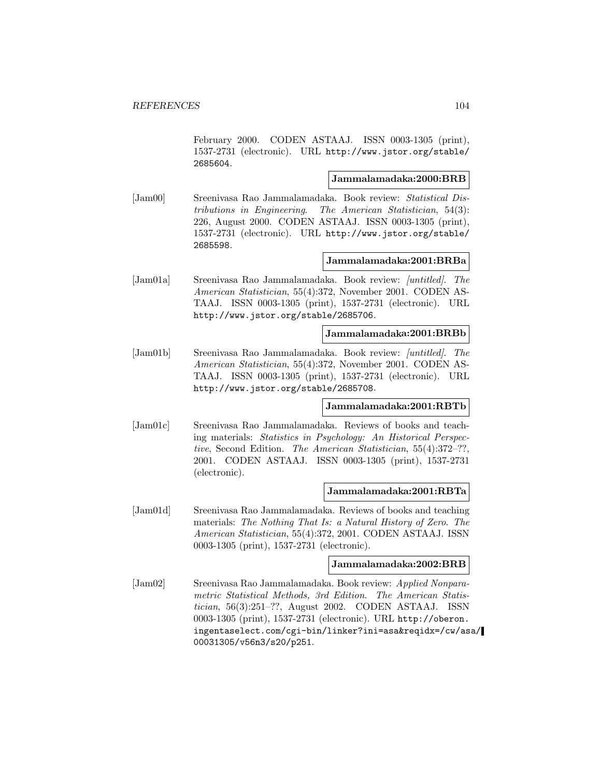February 2000. CODEN ASTAAJ. ISSN 0003-1305 (print), 1537-2731 (electronic). URL http://www.jstor.org/stable/ 2685604.

## **Jammalamadaka:2000:BRB**

[Jam00] Sreenivasa Rao Jammalamadaka. Book review: Statistical Distributions in Engineering. The American Statistician, 54(3): 226, August 2000. CODEN ASTAAJ. ISSN 0003-1305 (print), 1537-2731 (electronic). URL http://www.jstor.org/stable/ 2685598.

### **Jammalamadaka:2001:BRBa**

[Jam01a] Sreenivasa Rao Jammalamadaka. Book review: [untitled]. The American Statistician, 55(4):372, November 2001. CODEN AS-TAAJ. ISSN 0003-1305 (print), 1537-2731 (electronic). URL http://www.jstor.org/stable/2685706.

#### **Jammalamadaka:2001:BRBb**

[Jam01b] Sreenivasa Rao Jammalamadaka. Book review: [untitled]. The American Statistician, 55(4):372, November 2001. CODEN AS-TAAJ. ISSN 0003-1305 (print), 1537-2731 (electronic). URL http://www.jstor.org/stable/2685708.

### **Jammalamadaka:2001:RBTb**

[Jam01c] Sreenivasa Rao Jammalamadaka. Reviews of books and teaching materials: Statistics in Psychology: An Historical Perspective, Second Edition. The American Statistician, 55(4):372–??, 2001. CODEN ASTAAJ. ISSN 0003-1305 (print), 1537-2731 (electronic).

#### **Jammalamadaka:2001:RBTa**

[Jam01d] Sreenivasa Rao Jammalamadaka. Reviews of books and teaching materials: The Nothing That Is: a Natural History of Zero. The American Statistician, 55(4):372, 2001. CODEN ASTAAJ. ISSN 0003-1305 (print), 1537-2731 (electronic).

#### **Jammalamadaka:2002:BRB**

[Jam02] Sreenivasa Rao Jammalamadaka. Book review: Applied Nonparametric Statistical Methods, 3rd Edition. The American Statistician, 56(3):251–??, August 2002. CODEN ASTAAJ. ISSN 0003-1305 (print), 1537-2731 (electronic). URL http://oberon. ingentaselect.com/cgi-bin/linker?ini=asa&reqidx=/cw/asa/ 00031305/v56n3/s20/p251.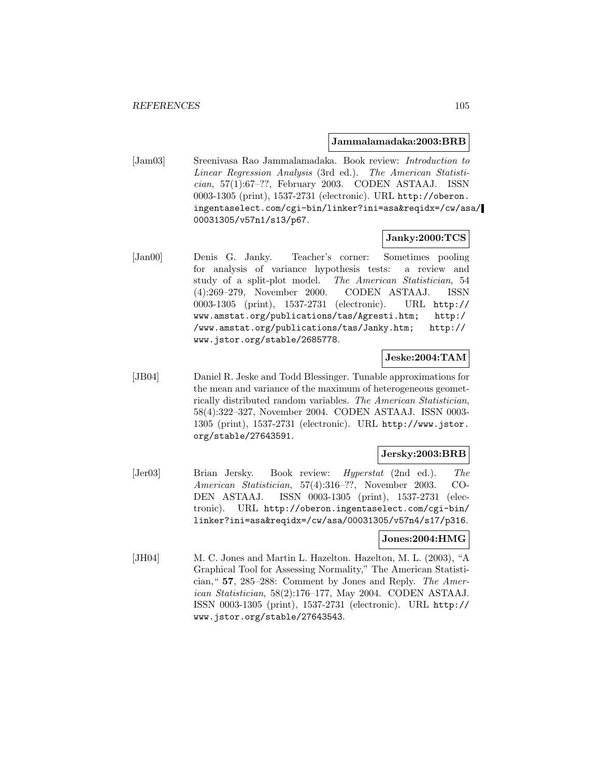#### **Jammalamadaka:2003:BRB**

[Jam03] Sreenivasa Rao Jammalamadaka. Book review: Introduction to Linear Regression Analysis (3rd ed.). The American Statistician, 57(1):67–??, February 2003. CODEN ASTAAJ. ISSN 0003-1305 (print), 1537-2731 (electronic). URL http://oberon. ingentaselect.com/cgi-bin/linker?ini=asa&reqidx=/cw/asa/ 00031305/v57n1/s13/p67.

### **Janky:2000:TCS**

[Jan00] Denis G. Janky. Teacher's corner: Sometimes pooling for analysis of variance hypothesis tests: a review and study of a split-plot model. The American Statistician, 54 (4):269–279, November 2000. CODEN ASTAAJ. ISSN 0003-1305 (print), 1537-2731 (electronic). URL http:// www.amstat.org/publications/tas/Agresti.htm; http:/ /www.amstat.org/publications/tas/Janky.htm; http:// www.jstor.org/stable/2685778.

# **Jeske:2004:TAM**

[JB04] Daniel R. Jeske and Todd Blessinger. Tunable approximations for the mean and variance of the maximum of heterogeneous geometrically distributed random variables. The American Statistician, 58(4):322–327, November 2004. CODEN ASTAAJ. ISSN 0003- 1305 (print), 1537-2731 (electronic). URL http://www.jstor. org/stable/27643591.

# **Jersky:2003:BRB**

[Jer03] Brian Jersky. Book review: Hyperstat (2nd ed.). The American Statistician, 57(4):316–??, November 2003. CO-DEN ASTAAJ. ISSN 0003-1305 (print), 1537-2731 (electronic). URL http://oberon.ingentaselect.com/cgi-bin/ linker?ini=asa&reqidx=/cw/asa/00031305/v57n4/s17/p316.

#### **Jones:2004:HMG**

[JH04] M. C. Jones and Martin L. Hazelton. Hazelton, M. L. (2003), "A Graphical Tool for Assessing Normality," The American Statistician," **57**, 285–288: Comment by Jones and Reply. The American Statistician, 58(2):176–177, May 2004. CODEN ASTAAJ. ISSN 0003-1305 (print), 1537-2731 (electronic). URL http:// www.jstor.org/stable/27643543.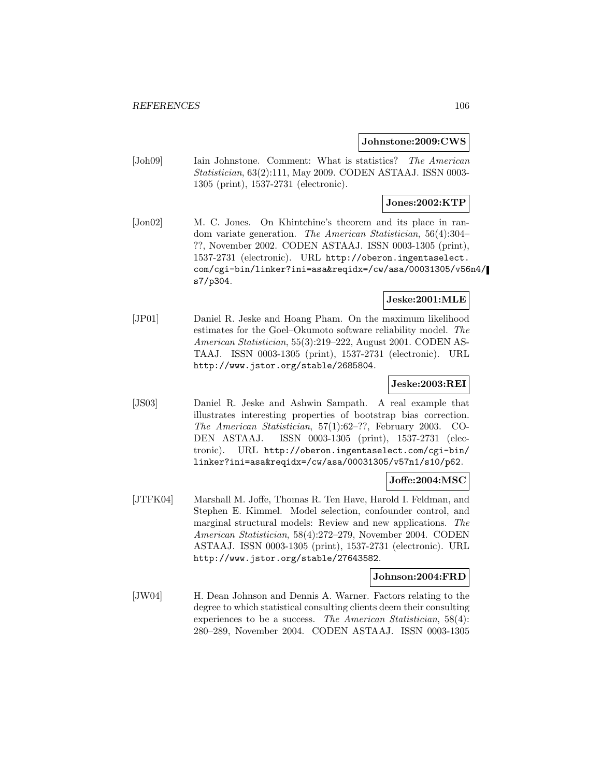#### **Johnstone:2009:CWS**

[Joh09] Iain Johnstone. Comment: What is statistics? The American Statistician, 63(2):111, May 2009. CODEN ASTAAJ. ISSN 0003- 1305 (print), 1537-2731 (electronic).

# **Jones:2002:KTP**

[Jon02] M. C. Jones. On Khintchine's theorem and its place in random variate generation. The American Statistician, 56(4):304– ??, November 2002. CODEN ASTAAJ. ISSN 0003-1305 (print), 1537-2731 (electronic). URL http://oberon.ingentaselect. com/cgi-bin/linker?ini=asa&reqidx=/cw/asa/00031305/v56n4/ s7/p304.

### **Jeske:2001:MLE**

[JP01] Daniel R. Jeske and Hoang Pham. On the maximum likelihood estimates for the Goel–Okumoto software reliability model. The American Statistician, 55(3):219–222, August 2001. CODEN AS-TAAJ. ISSN 0003-1305 (print), 1537-2731 (electronic). URL http://www.jstor.org/stable/2685804.

## **Jeske:2003:REI**

[JS03] Daniel R. Jeske and Ashwin Sampath. A real example that illustrates interesting properties of bootstrap bias correction. The American Statistician, 57(1):62–??, February 2003. CO-DEN ASTAAJ. ISSN 0003-1305 (print), 1537-2731 (electronic). URL http://oberon.ingentaselect.com/cgi-bin/ linker?ini=asa&reqidx=/cw/asa/00031305/v57n1/s10/p62.

## **Joffe:2004:MSC**

[JTFK04] Marshall M. Joffe, Thomas R. Ten Have, Harold I. Feldman, and Stephen E. Kimmel. Model selection, confounder control, and marginal structural models: Review and new applications. The American Statistician, 58(4):272–279, November 2004. CODEN ASTAAJ. ISSN 0003-1305 (print), 1537-2731 (electronic). URL http://www.jstor.org/stable/27643582.

#### **Johnson:2004:FRD**

[JW04] H. Dean Johnson and Dennis A. Warner. Factors relating to the degree to which statistical consulting clients deem their consulting experiences to be a success. The American Statistician, 58(4): 280–289, November 2004. CODEN ASTAAJ. ISSN 0003-1305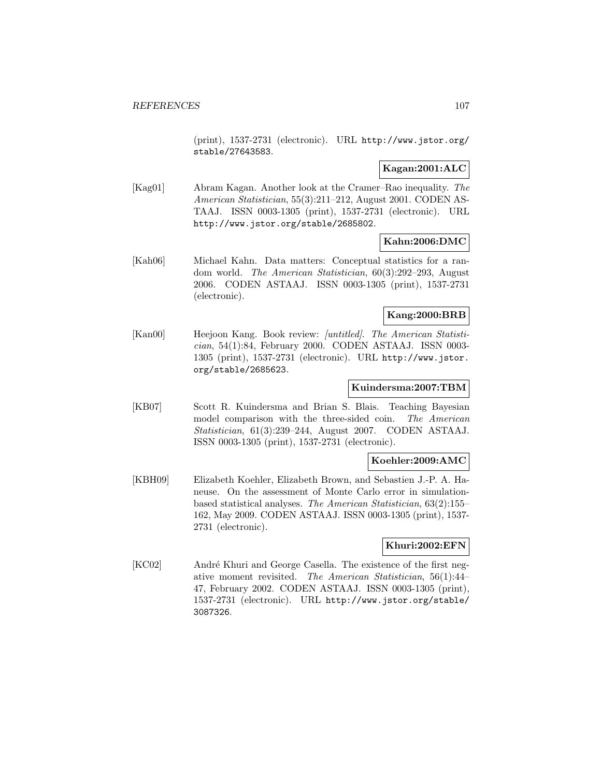(print), 1537-2731 (electronic). URL http://www.jstor.org/ stable/27643583.

# **Kagan:2001:ALC**

[Kag01] Abram Kagan. Another look at the Cramer–Rao inequality. The American Statistician, 55(3):211–212, August 2001. CODEN AS-TAAJ. ISSN 0003-1305 (print), 1537-2731 (electronic). URL http://www.jstor.org/stable/2685802.

## **Kahn:2006:DMC**

[Kah06] Michael Kahn. Data matters: Conceptual statistics for a random world. The American Statistician, 60(3):292–293, August 2006. CODEN ASTAAJ. ISSN 0003-1305 (print), 1537-2731 (electronic).

### **Kang:2000:BRB**

[Kan00] Heejoon Kang. Book review: [untitled]. The American Statistician, 54(1):84, February 2000. CODEN ASTAAJ. ISSN 0003- 1305 (print), 1537-2731 (electronic). URL http://www.jstor. org/stable/2685623.

### **Kuindersma:2007:TBM**

[KB07] Scott R. Kuindersma and Brian S. Blais. Teaching Bayesian model comparison with the three-sided coin. The American Statistician, 61(3):239–244, August 2007. CODEN ASTAAJ. ISSN 0003-1305 (print), 1537-2731 (electronic).

### **Koehler:2009:AMC**

[KBH09] Elizabeth Koehler, Elizabeth Brown, and Sebastien J.-P. A. Haneuse. On the assessment of Monte Carlo error in simulationbased statistical analyses. The American Statistician, 63(2):155– 162, May 2009. CODEN ASTAAJ. ISSN 0003-1305 (print), 1537- 2731 (electronic).

### **Khuri:2002:EFN**

[KC02] André Khuri and George Casella. The existence of the first negative moment revisited. The American Statistician, 56(1):44– 47, February 2002. CODEN ASTAAJ. ISSN 0003-1305 (print), 1537-2731 (electronic). URL http://www.jstor.org/stable/ 3087326.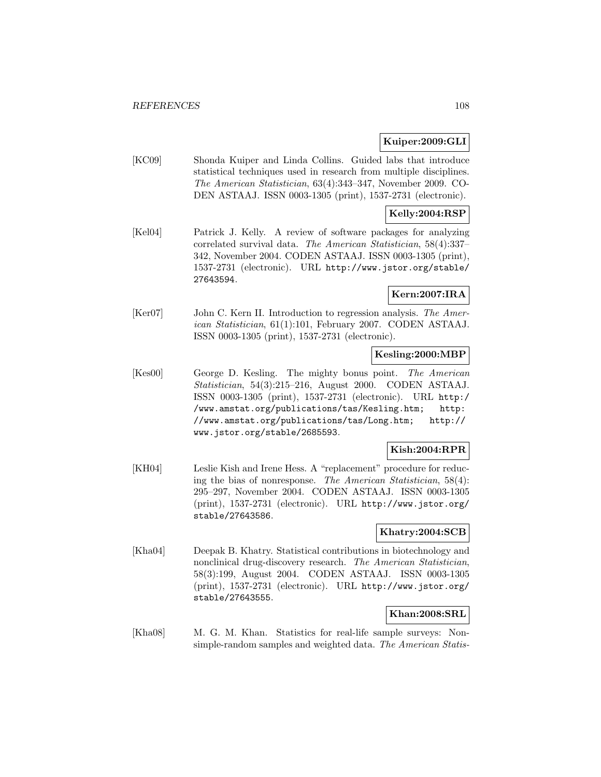# **Kuiper:2009:GLI**

[KC09] Shonda Kuiper and Linda Collins. Guided labs that introduce statistical techniques used in research from multiple disciplines. The American Statistician, 63(4):343–347, November 2009. CO-DEN ASTAAJ. ISSN 0003-1305 (print), 1537-2731 (electronic).

# **Kelly:2004:RSP**

[Kel04] Patrick J. Kelly. A review of software packages for analyzing correlated survival data. The American Statistician, 58(4):337– 342, November 2004. CODEN ASTAAJ. ISSN 0003-1305 (print), 1537-2731 (electronic). URL http://www.jstor.org/stable/ 27643594.

# **Kern:2007:IRA**

[Ker07] John C. Kern II. Introduction to regression analysis. The American Statistician, 61(1):101, February 2007. CODEN ASTAAJ. ISSN 0003-1305 (print), 1537-2731 (electronic).

# **Kesling:2000:MBP**

[Kes00] George D. Kesling. The mighty bonus point. The American Statistician, 54(3):215–216, August 2000. CODEN ASTAAJ. ISSN 0003-1305 (print), 1537-2731 (electronic). URL http:/ /www.amstat.org/publications/tas/Kesling.htm; http: //www.amstat.org/publications/tas/Long.htm; http:// www.jstor.org/stable/2685593.

### **Kish:2004:RPR**

[KH04] Leslie Kish and Irene Hess. A "replacement" procedure for reducing the bias of nonresponse. The American Statistician, 58(4): 295–297, November 2004. CODEN ASTAAJ. ISSN 0003-1305 (print), 1537-2731 (electronic). URL http://www.jstor.org/ stable/27643586.

# **Khatry:2004:SCB**

[Kha04] Deepak B. Khatry. Statistical contributions in biotechnology and nonclinical drug-discovery research. The American Statistician, 58(3):199, August 2004. CODEN ASTAAJ. ISSN 0003-1305 (print), 1537-2731 (electronic). URL http://www.jstor.org/ stable/27643555.

# **Khan:2008:SRL**

[Kha08] M. G. M. Khan. Statistics for real-life sample surveys: Nonsimple-random samples and weighted data. The American Statis-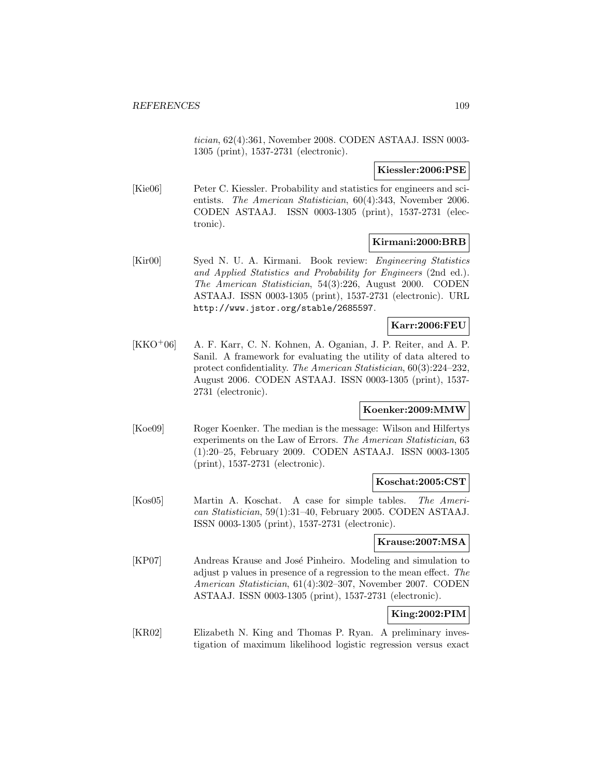tician, 62(4):361, November 2008. CODEN ASTAAJ. ISSN 0003- 1305 (print), 1537-2731 (electronic).

#### **Kiessler:2006:PSE**

[Kie06] Peter C. Kiessler. Probability and statistics for engineers and scientists. The American Statistician, 60(4):343, November 2006. CODEN ASTAAJ. ISSN 0003-1305 (print), 1537-2731 (electronic).

## **Kirmani:2000:BRB**

[Kir00] Syed N. U. A. Kirmani. Book review: Engineering Statistics and Applied Statistics and Probability for Engineers (2nd ed.). The American Statistician, 54(3):226, August 2000. CODEN ASTAAJ. ISSN 0003-1305 (print), 1537-2731 (electronic). URL http://www.jstor.org/stable/2685597.

#### **Karr:2006:FEU**

[KKO<sup>+</sup>06] A. F. Karr, C. N. Kohnen, A. Oganian, J. P. Reiter, and A. P. Sanil. A framework for evaluating the utility of data altered to protect confidentiality. The American Statistician, 60(3):224–232, August 2006. CODEN ASTAAJ. ISSN 0003-1305 (print), 1537- 2731 (electronic).

### **Koenker:2009:MMW**

[Koe09] Roger Koenker. The median is the message: Wilson and Hilfertys experiments on the Law of Errors. The American Statistician, 63 (1):20–25, February 2009. CODEN ASTAAJ. ISSN 0003-1305 (print), 1537-2731 (electronic).

#### **Koschat:2005:CST**

[Kos05] Martin A. Koschat. A case for simple tables. The American Statistician, 59(1):31–40, February 2005. CODEN ASTAAJ. ISSN 0003-1305 (print), 1537-2731 (electronic).

#### **Krause:2007:MSA**

[KP07] Andreas Krause and José Pinheiro. Modeling and simulation to adjust p values in presence of a regression to the mean effect. The American Statistician, 61(4):302–307, November 2007. CODEN ASTAAJ. ISSN 0003-1305 (print), 1537-2731 (electronic).

## **King:2002:PIM**

[KR02] Elizabeth N. King and Thomas P. Ryan. A preliminary investigation of maximum likelihood logistic regression versus exact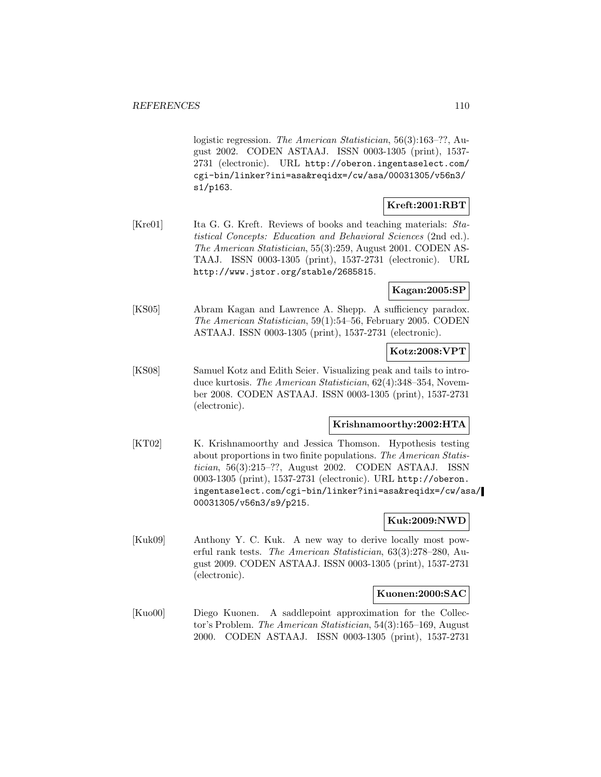logistic regression. The American Statistician, 56(3):163–??, August 2002. CODEN ASTAAJ. ISSN 0003-1305 (print), 1537- 2731 (electronic). URL http://oberon.ingentaselect.com/ cgi-bin/linker?ini=asa&reqidx=/cw/asa/00031305/v56n3/ s1/p163.

# **Kreft:2001:RBT**

[Kre01] Ita G. G. Kreft. Reviews of books and teaching materials: Statistical Concepts: Education and Behavioral Sciences (2nd ed.). The American Statistician, 55(3):259, August 2001. CODEN AS-TAAJ. ISSN 0003-1305 (print), 1537-2731 (electronic). URL http://www.jstor.org/stable/2685815.

# **Kagan:2005:SP**

[KS05] Abram Kagan and Lawrence A. Shepp. A sufficiency paradox. The American Statistician, 59(1):54–56, February 2005. CODEN ASTAAJ. ISSN 0003-1305 (print), 1537-2731 (electronic).

### **Kotz:2008:VPT**

[KS08] Samuel Kotz and Edith Seier. Visualizing peak and tails to introduce kurtosis. The American Statistician, 62(4):348–354, November 2008. CODEN ASTAAJ. ISSN 0003-1305 (print), 1537-2731 (electronic).

### **Krishnamoorthy:2002:HTA**

[KT02] K. Krishnamoorthy and Jessica Thomson. Hypothesis testing about proportions in two finite populations. The American Statistician, 56(3):215–??, August 2002. CODEN ASTAAJ. ISSN 0003-1305 (print), 1537-2731 (electronic). URL http://oberon. ingentaselect.com/cgi-bin/linker?ini=asa&reqidx=/cw/asa/ 00031305/v56n3/s9/p215.

# **Kuk:2009:NWD**

[Kuk09] Anthony Y. C. Kuk. A new way to derive locally most powerful rank tests. The American Statistician, 63(3):278–280, August 2009. CODEN ASTAAJ. ISSN 0003-1305 (print), 1537-2731 (electronic).

### **Kuonen:2000:SAC**

[Kuo00] Diego Kuonen. A saddlepoint approximation for the Collector's Problem. The American Statistician, 54(3):165–169, August 2000. CODEN ASTAAJ. ISSN 0003-1305 (print), 1537-2731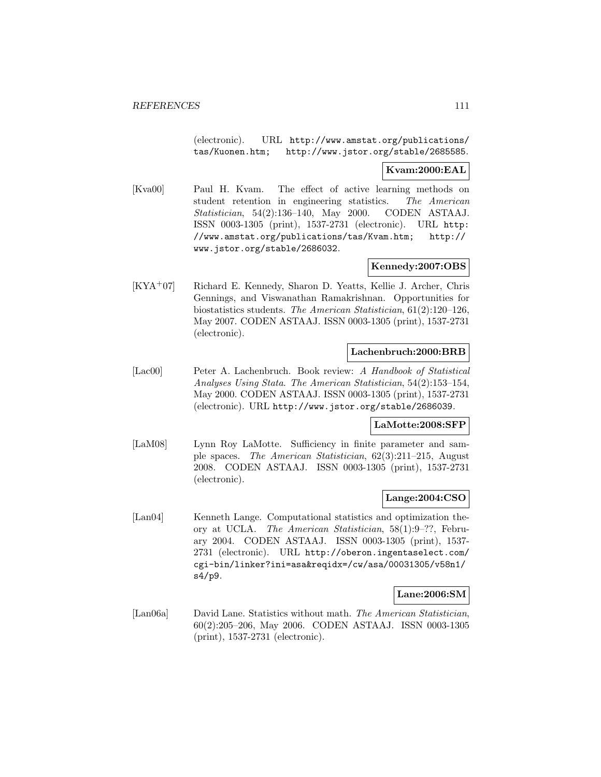(electronic). URL http://www.amstat.org/publications/ tas/Kuonen.htm; http://www.jstor.org/stable/2685585.

# **Kvam:2000:EAL**

[Kva00] Paul H. Kvam. The effect of active learning methods on student retention in engineering statistics. The American Statistician, 54(2):136–140, May 2000. CODEN ASTAAJ. ISSN 0003-1305 (print), 1537-2731 (electronic). URL http: //www.amstat.org/publications/tas/Kvam.htm; http:// www.jstor.org/stable/2686032.

## **Kennedy:2007:OBS**

[KYA<sup>+</sup>07] Richard E. Kennedy, Sharon D. Yeatts, Kellie J. Archer, Chris Gennings, and Viswanathan Ramakrishnan. Opportunities for biostatistics students. The American Statistician, 61(2):120–126, May 2007. CODEN ASTAAJ. ISSN 0003-1305 (print), 1537-2731 (electronic).

#### **Lachenbruch:2000:BRB**

[Lac00] Peter A. Lachenbruch. Book review: A Handbook of Statistical Analyses Using Stata. The American Statistician, 54(2):153–154, May 2000. CODEN ASTAAJ. ISSN 0003-1305 (print), 1537-2731 (electronic). URL http://www.jstor.org/stable/2686039.

### **LaMotte:2008:SFP**

[LaM08] Lynn Roy LaMotte. Sufficiency in finite parameter and sample spaces. The American Statistician, 62(3):211–215, August 2008. CODEN ASTAAJ. ISSN 0003-1305 (print), 1537-2731 (electronic).

### **Lange:2004:CSO**

[Lan04] Kenneth Lange. Computational statistics and optimization theory at UCLA. The American Statistician, 58(1):9–??, February 2004. CODEN ASTAAJ. ISSN 0003-1305 (print), 1537- 2731 (electronic). URL http://oberon.ingentaselect.com/ cgi-bin/linker?ini=asa&reqidx=/cw/asa/00031305/v58n1/ s4/p9.

#### **Lane:2006:SM**

[Lan06a] David Lane. Statistics without math. The American Statistician, 60(2):205–206, May 2006. CODEN ASTAAJ. ISSN 0003-1305 (print), 1537-2731 (electronic).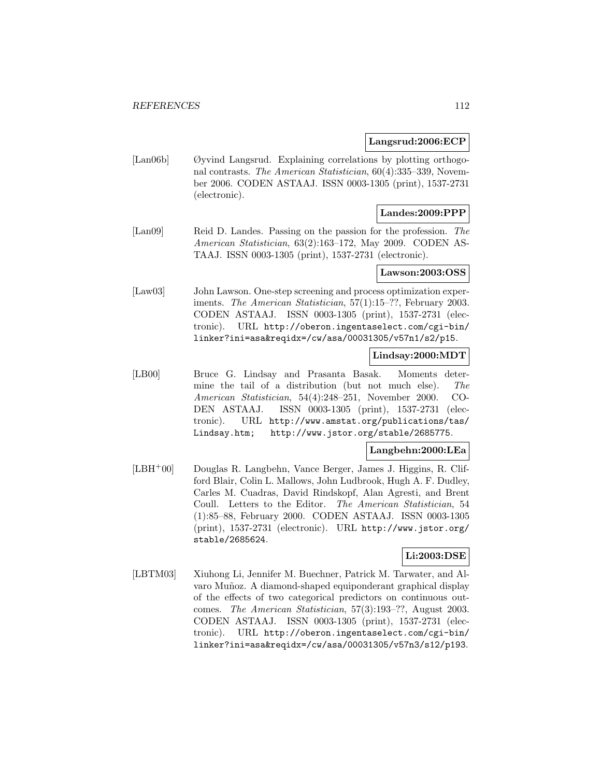### **Langsrud:2006:ECP**

[Lan06b] Øyvind Langsrud. Explaining correlations by plotting orthogonal contrasts. The American Statistician, 60(4):335–339, November 2006. CODEN ASTAAJ. ISSN 0003-1305 (print), 1537-2731 (electronic).

## **Landes:2009:PPP**

[Lan09] Reid D. Landes. Passing on the passion for the profession. The American Statistician, 63(2):163–172, May 2009. CODEN AS-TAAJ. ISSN 0003-1305 (print), 1537-2731 (electronic).

# **Lawson:2003:OSS**

[Law03] John Lawson. One-step screening and process optimization experiments. The American Statistician, 57(1):15–??, February 2003. CODEN ASTAAJ. ISSN 0003-1305 (print), 1537-2731 (electronic). URL http://oberon.ingentaselect.com/cgi-bin/ linker?ini=asa&reqidx=/cw/asa/00031305/v57n1/s2/p15.

# **Lindsay:2000:MDT**

[LB00] Bruce G. Lindsay and Prasanta Basak. Moments determine the tail of a distribution (but not much else). The American Statistician, 54(4):248–251, November 2000. CO-DEN ASTAAJ. ISSN 0003-1305 (print), 1537-2731 (electronic). URL http://www.amstat.org/publications/tas/ Lindsay.htm; http://www.jstor.org/stable/2685775.

### **Langbehn:2000:LEa**

[LBH<sup>+</sup>00] Douglas R. Langbehn, Vance Berger, James J. Higgins, R. Clifford Blair, Colin L. Mallows, John Ludbrook, Hugh A. F. Dudley, Carles M. Cuadras, David Rindskopf, Alan Agresti, and Brent Coull. Letters to the Editor. The American Statistician, 54 (1):85–88, February 2000. CODEN ASTAAJ. ISSN 0003-1305 (print), 1537-2731 (electronic). URL http://www.jstor.org/ stable/2685624.

### **Li:2003:DSE**

[LBTM03] Xiuhong Li, Jennifer M. Buechner, Patrick M. Tarwater, and Alvaro Muñoz. A diamond-shaped equiponderant graphical display of the effects of two categorical predictors on continuous outcomes. The American Statistician, 57(3):193–??, August 2003. CODEN ASTAAJ. ISSN 0003-1305 (print), 1537-2731 (electronic). URL http://oberon.ingentaselect.com/cgi-bin/ linker?ini=asa&reqidx=/cw/asa/00031305/v57n3/s12/p193.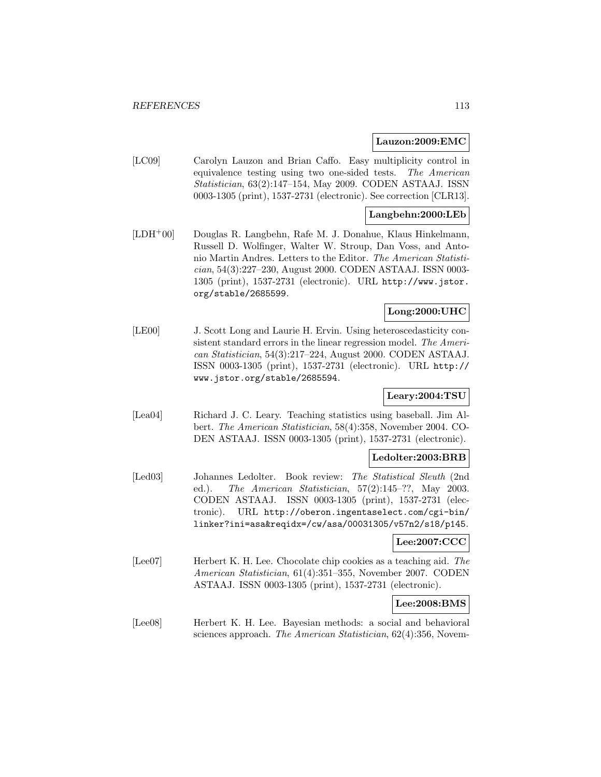#### **Lauzon:2009:EMC**

[LC09] Carolyn Lauzon and Brian Caffo. Easy multiplicity control in equivalence testing using two one-sided tests. The American Statistician, 63(2):147–154, May 2009. CODEN ASTAAJ. ISSN 0003-1305 (print), 1537-2731 (electronic). See correction [CLR13].

### **Langbehn:2000:LEb**

[LDH<sup>+</sup>00] Douglas R. Langbehn, Rafe M. J. Donahue, Klaus Hinkelmann, Russell D. Wolfinger, Walter W. Stroup, Dan Voss, and Antonio Martin Andres. Letters to the Editor. The American Statistician, 54(3):227–230, August 2000. CODEN ASTAAJ. ISSN 0003- 1305 (print), 1537-2731 (electronic). URL http://www.jstor. org/stable/2685599.

# **Long:2000:UHC**

[LE00] J. Scott Long and Laurie H. Ervin. Using heteroscedasticity consistent standard errors in the linear regression model. The American Statistician, 54(3):217–224, August 2000. CODEN ASTAAJ. ISSN 0003-1305 (print), 1537-2731 (electronic). URL http:// www.jstor.org/stable/2685594.

# **Leary:2004:TSU**

[Lea04] Richard J. C. Leary. Teaching statistics using baseball. Jim Albert. The American Statistician, 58(4):358, November 2004. CO-DEN ASTAAJ. ISSN 0003-1305 (print), 1537-2731 (electronic).

# **Ledolter:2003:BRB**

[Led03] Johannes Ledolter. Book review: The Statistical Sleuth (2nd ed.). The American Statistician, 57(2):145–??, May 2003. CODEN ASTAAJ. ISSN 0003-1305 (print), 1537-2731 (electronic). URL http://oberon.ingentaselect.com/cgi-bin/ linker?ini=asa&reqidx=/cw/asa/00031305/v57n2/s18/p145.

# **Lee:2007:CCC**

[Lee07] Herbert K. H. Lee. Chocolate chip cookies as a teaching aid. The American Statistician, 61(4):351–355, November 2007. CODEN ASTAAJ. ISSN 0003-1305 (print), 1537-2731 (electronic).

### **Lee:2008:BMS**

[Lee08] Herbert K. H. Lee. Bayesian methods: a social and behavioral sciences approach. The American Statistician, 62(4):356, Novem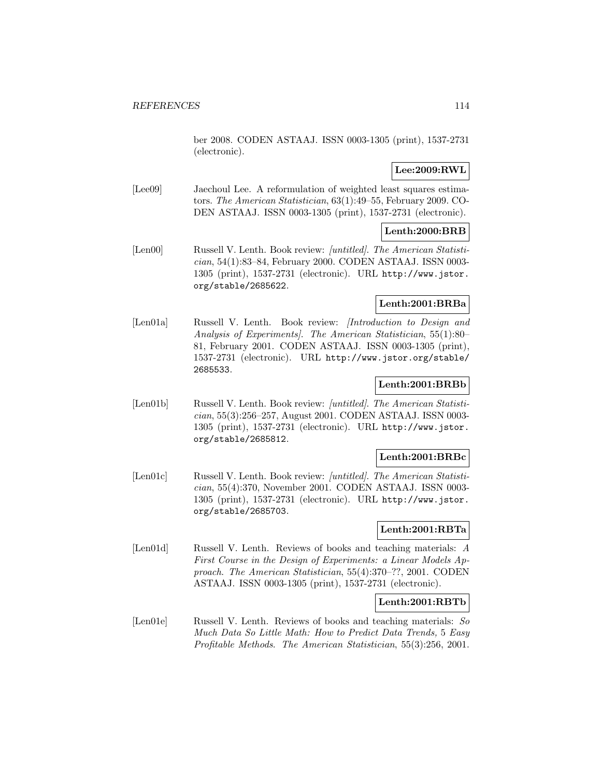ber 2008. CODEN ASTAAJ. ISSN 0003-1305 (print), 1537-2731 (electronic).

# **Lee:2009:RWL**

[Lee09] Jaechoul Lee. A reformulation of weighted least squares estimators. The American Statistician, 63(1):49–55, February 2009. CO-DEN ASTAAJ. ISSN 0003-1305 (print), 1537-2731 (electronic).

# **Lenth:2000:BRB**

[Len00] Russell V. Lenth. Book review: [untitled]. The American Statistician, 54(1):83–84, February 2000. CODEN ASTAAJ. ISSN 0003- 1305 (print), 1537-2731 (electronic). URL http://www.jstor. org/stable/2685622.

### **Lenth:2001:BRBa**

[Len01a] Russell V. Lenth. Book review: *[Introduction to Design and* Analysis of Experiments]. The American Statistician, 55(1):80– 81, February 2001. CODEN ASTAAJ. ISSN 0003-1305 (print), 1537-2731 (electronic). URL http://www.jstor.org/stable/ 2685533.

#### **Lenth:2001:BRBb**

[Len01b] Russell V. Lenth. Book review: [untitled]. The American Statistician, 55(3):256–257, August 2001. CODEN ASTAAJ. ISSN 0003- 1305 (print), 1537-2731 (electronic). URL http://www.jstor. org/stable/2685812.

### **Lenth:2001:BRBc**

[Len01c] Russell V. Lenth. Book review: [untitled]. The American Statistician, 55(4):370, November 2001. CODEN ASTAAJ. ISSN 0003- 1305 (print), 1537-2731 (electronic). URL http://www.jstor. org/stable/2685703.

### **Lenth:2001:RBTa**

[Len01d] Russell V. Lenth. Reviews of books and teaching materials: A First Course in the Design of Experiments: a Linear Models Approach. The American Statistician, 55(4):370–??, 2001. CODEN ASTAAJ. ISSN 0003-1305 (print), 1537-2731 (electronic).

### **Lenth:2001:RBTb**

[Len01e] Russell V. Lenth. Reviews of books and teaching materials: So Much Data So Little Math: How to Predict Data Trends, 5 Easy Profitable Methods. The American Statistician, 55(3):256, 2001.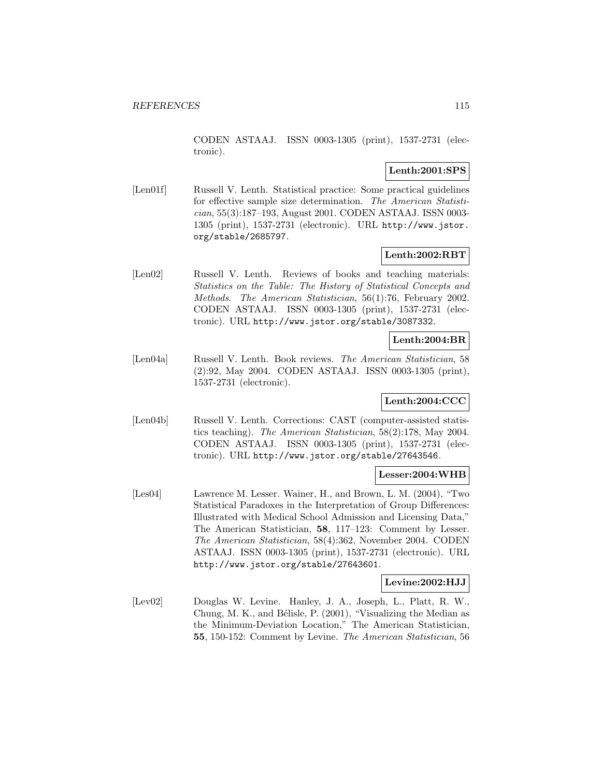CODEN ASTAAJ. ISSN 0003-1305 (print), 1537-2731 (electronic).

# **Lenth:2001:SPS**

[Len01f] Russell V. Lenth. Statistical practice: Some practical guidelines for effective sample size determination. The American Statistician, 55(3):187–193, August 2001. CODEN ASTAAJ. ISSN 0003- 1305 (print), 1537-2731 (electronic). URL http://www.jstor. org/stable/2685797.

## **Lenth:2002:RBT**

[Len02] Russell V. Lenth. Reviews of books and teaching materials: Statistics on the Table: The History of Statistical Concepts and Methods. The American Statistician, 56(1):76, February 2002. CODEN ASTAAJ. ISSN 0003-1305 (print), 1537-2731 (electronic). URL http://www.jstor.org/stable/3087332.

# **Lenth:2004:BR**

[Len04a] Russell V. Lenth. Book reviews. The American Statistician, 58 (2):92, May 2004. CODEN ASTAAJ. ISSN 0003-1305 (print), 1537-2731 (electronic).

### **Lenth:2004:CCC**

[Len04b] Russell V. Lenth. Corrections: CAST (computer-assisted statistics teaching). The American Statistician, 58(2):178, May 2004. CODEN ASTAAJ. ISSN 0003-1305 (print), 1537-2731 (electronic). URL http://www.jstor.org/stable/27643546.

#### **Lesser:2004:WHB**

[Les04] Lawrence M. Lesser. Wainer, H., and Brown, L. M. (2004), "Two Statistical Paradoxes in the Interpretation of Group Differences: Illustrated with Medical School Admission and Licensing Data," The American Statistician, **58**, 117–123: Comment by Lesser. The American Statistician, 58(4):362, November 2004. CODEN ASTAAJ. ISSN 0003-1305 (print), 1537-2731 (electronic). URL http://www.jstor.org/stable/27643601.

### **Levine:2002:HJJ**

[Lev02] Douglas W. Levine. Hanley, J. A., Joseph, L., Platt, R. W., Chung, M. K., and Bélisle, P.  $(2001)$ , "Visualizing the Median as the Minimum-Deviation Location," The American Statistician, **55**, 150-152: Comment by Levine. The American Statistician, 56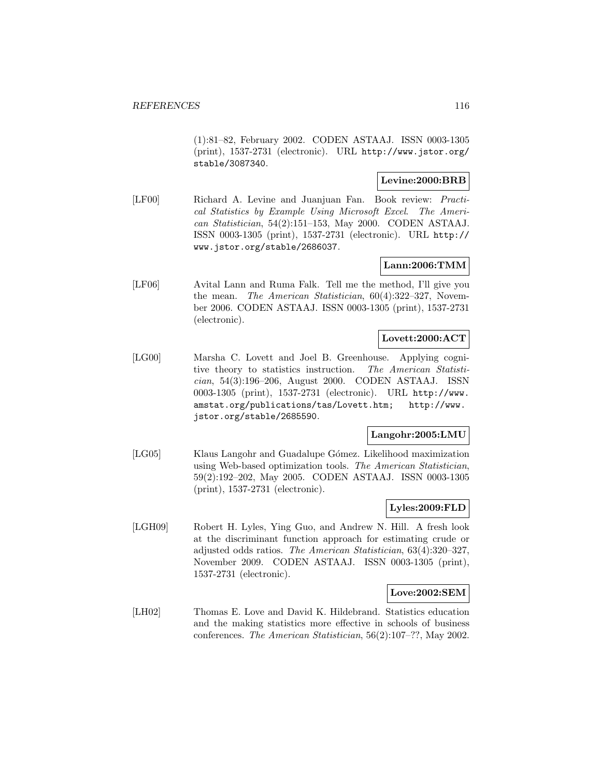(1):81–82, February 2002. CODEN ASTAAJ. ISSN 0003-1305 (print), 1537-2731 (electronic). URL http://www.jstor.org/ stable/3087340.

### **Levine:2000:BRB**

[LF00] Richard A. Levine and Juanjuan Fan. Book review: Practical Statistics by Example Using Microsoft Excel. The American Statistician, 54(2):151–153, May 2000. CODEN ASTAAJ. ISSN 0003-1305 (print), 1537-2731 (electronic). URL http:// www.jstor.org/stable/2686037.

# **Lann:2006:TMM**

[LF06] Avital Lann and Ruma Falk. Tell me the method, I'll give you the mean. The American Statistician, 60(4):322–327, November 2006. CODEN ASTAAJ. ISSN 0003-1305 (print), 1537-2731 (electronic).

# **Lovett:2000:ACT**

[LG00] Marsha C. Lovett and Joel B. Greenhouse. Applying cognitive theory to statistics instruction. The American Statistician, 54(3):196–206, August 2000. CODEN ASTAAJ. ISSN 0003-1305 (print), 1537-2731 (electronic). URL http://www. amstat.org/publications/tas/Lovett.htm; http://www. jstor.org/stable/2685590.

### **Langohr:2005:LMU**

[LG05] Klaus Langohr and Guadalupe Gómez. Likelihood maximization using Web-based optimization tools. The American Statistician, 59(2):192–202, May 2005. CODEN ASTAAJ. ISSN 0003-1305 (print), 1537-2731 (electronic).

### **Lyles:2009:FLD**

[LGH09] Robert H. Lyles, Ying Guo, and Andrew N. Hill. A fresh look at the discriminant function approach for estimating crude or adjusted odds ratios. The American Statistician, 63(4):320–327, November 2009. CODEN ASTAAJ. ISSN 0003-1305 (print), 1537-2731 (electronic).

### **Love:2002:SEM**

[LH02] Thomas E. Love and David K. Hildebrand. Statistics education and the making statistics more effective in schools of business conferences. The American Statistician, 56(2):107–??, May 2002.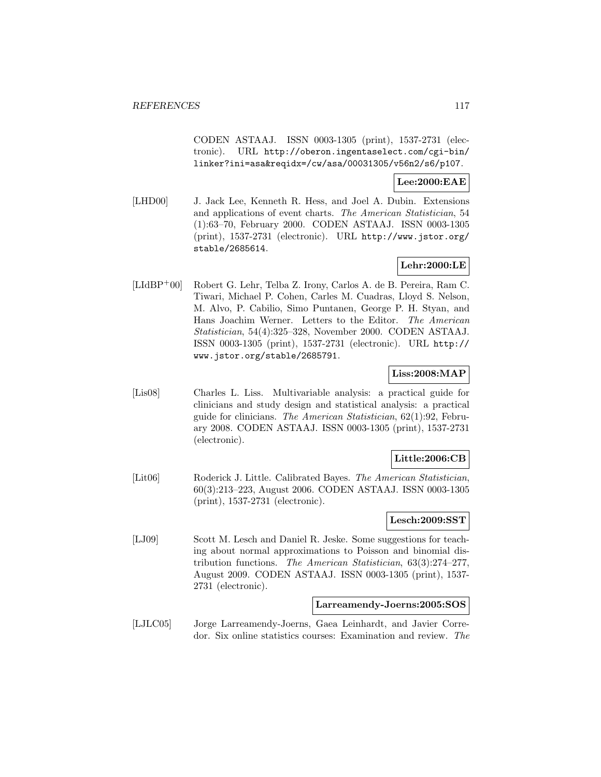CODEN ASTAAJ. ISSN 0003-1305 (print), 1537-2731 (electronic). URL http://oberon.ingentaselect.com/cgi-bin/ linker?ini=asa&reqidx=/cw/asa/00031305/v56n2/s6/p107.

### **Lee:2000:EAE**

[LHD00] J. Jack Lee, Kenneth R. Hess, and Joel A. Dubin. Extensions and applications of event charts. The American Statistician, 54 (1):63–70, February 2000. CODEN ASTAAJ. ISSN 0003-1305 (print), 1537-2731 (electronic). URL http://www.jstor.org/ stable/2685614.

# **Lehr:2000:LE**

[LIdBP<sup>+</sup>00] Robert G. Lehr, Telba Z. Irony, Carlos A. de B. Pereira, Ram C. Tiwari, Michael P. Cohen, Carles M. Cuadras, Lloyd S. Nelson, M. Alvo, P. Cabilio, Simo Puntanen, George P. H. Styan, and Hans Joachim Werner. Letters to the Editor. The American Statistician, 54(4):325–328, November 2000. CODEN ASTAAJ. ISSN 0003-1305 (print), 1537-2731 (electronic). URL http:// www.jstor.org/stable/2685791.

# **Liss:2008:MAP**

[Lis08] Charles L. Liss. Multivariable analysis: a practical guide for clinicians and study design and statistical analysis: a practical guide for clinicians. The American Statistician, 62(1):92, February 2008. CODEN ASTAAJ. ISSN 0003-1305 (print), 1537-2731 (electronic).

### **Little:2006:CB**

[Lit06] Roderick J. Little. Calibrated Bayes. The American Statistician, 60(3):213–223, August 2006. CODEN ASTAAJ. ISSN 0003-1305 (print), 1537-2731 (electronic).

### **Lesch:2009:SST**

[LJ09] Scott M. Lesch and Daniel R. Jeske. Some suggestions for teaching about normal approximations to Poisson and binomial distribution functions. The American Statistician, 63(3):274–277, August 2009. CODEN ASTAAJ. ISSN 0003-1305 (print), 1537- 2731 (electronic).

#### **Larreamendy-Joerns:2005:SOS**

[LJLC05] Jorge Larreamendy-Joerns, Gaea Leinhardt, and Javier Corredor. Six online statistics courses: Examination and review. The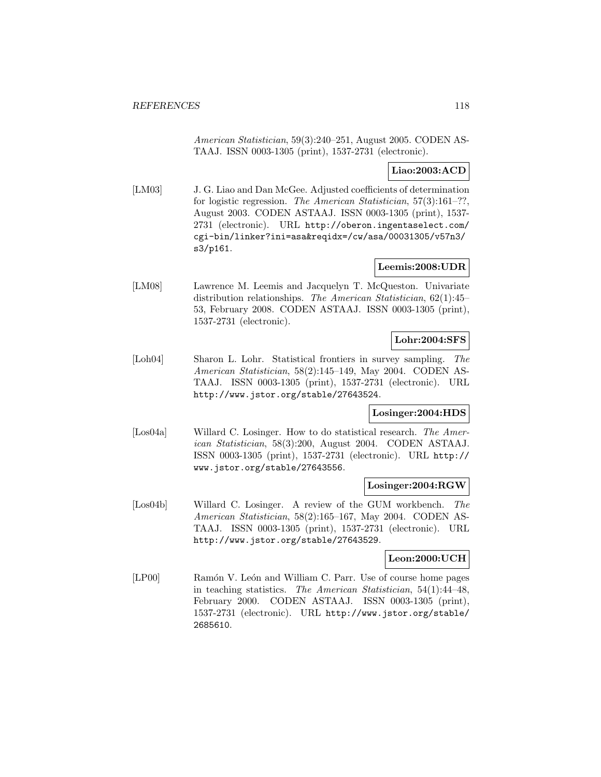American Statistician, 59(3):240–251, August 2005. CODEN AS-TAAJ. ISSN 0003-1305 (print), 1537-2731 (electronic).

# **Liao:2003:ACD**

[LM03] J. G. Liao and Dan McGee. Adjusted coefficients of determination for logistic regression. The American Statistician, 57(3):161–??, August 2003. CODEN ASTAAJ. ISSN 0003-1305 (print), 1537- 2731 (electronic). URL http://oberon.ingentaselect.com/ cgi-bin/linker?ini=asa&reqidx=/cw/asa/00031305/v57n3/ s3/p161.

## **Leemis:2008:UDR**

[LM08] Lawrence M. Leemis and Jacquelyn T. McQueston. Univariate distribution relationships. The American Statistician, 62(1):45– 53, February 2008. CODEN ASTAAJ. ISSN 0003-1305 (print), 1537-2731 (electronic).

# **Lohr:2004:SFS**

[Loh04] Sharon L. Lohr. Statistical frontiers in survey sampling. The American Statistician, 58(2):145–149, May 2004. CODEN AS-TAAJ. ISSN 0003-1305 (print), 1537-2731 (electronic). URL http://www.jstor.org/stable/27643524.

### **Losinger:2004:HDS**

[Los04a] Willard C. Losinger. How to do statistical research. The American Statistician, 58(3):200, August 2004. CODEN ASTAAJ. ISSN 0003-1305 (print), 1537-2731 (electronic). URL http:// www.jstor.org/stable/27643556.

### **Losinger:2004:RGW**

[Los04b] Willard C. Losinger. A review of the GUM workbench. The American Statistician, 58(2):165–167, May 2004. CODEN AS-TAAJ. ISSN 0003-1305 (print), 1537-2731 (electronic). URL http://www.jstor.org/stable/27643529.

### **Leon:2000:UCH**

[LP00] Ramón V. León and William C. Parr. Use of course home pages in teaching statistics. The American Statistician, 54(1):44–48, February 2000. CODEN ASTAAJ. ISSN 0003-1305 (print), 1537-2731 (electronic). URL http://www.jstor.org/stable/ 2685610.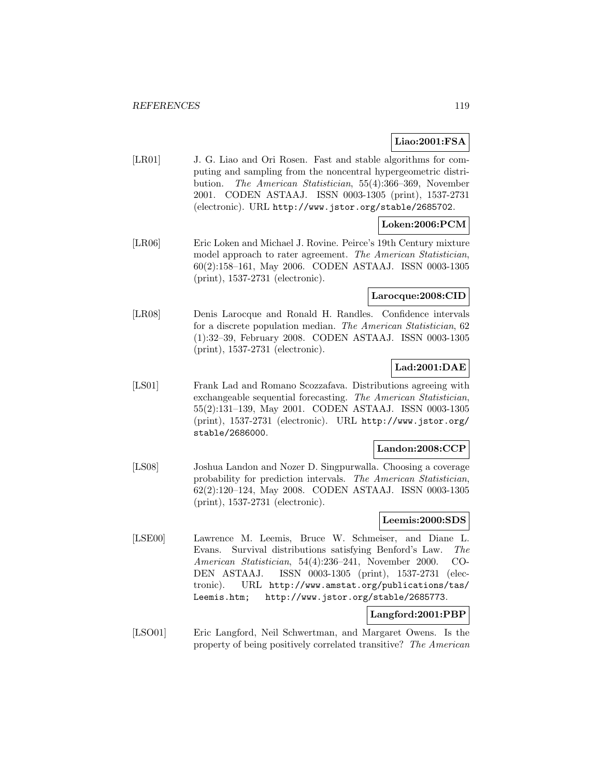# **Liao:2001:FSA**

[LR01] J. G. Liao and Ori Rosen. Fast and stable algorithms for computing and sampling from the noncentral hypergeometric distribution. The American Statistician, 55(4):366–369, November 2001. CODEN ASTAAJ. ISSN 0003-1305 (print), 1537-2731 (electronic). URL http://www.jstor.org/stable/2685702.

# **Loken:2006:PCM**

[LR06] Eric Loken and Michael J. Rovine. Peirce's 19th Century mixture model approach to rater agreement. The American Statistician, 60(2):158–161, May 2006. CODEN ASTAAJ. ISSN 0003-1305 (print), 1537-2731 (electronic).

# **Larocque:2008:CID**

[LR08] Denis Larocque and Ronald H. Randles. Confidence intervals for a discrete population median. The American Statistician, 62 (1):32–39, February 2008. CODEN ASTAAJ. ISSN 0003-1305 (print), 1537-2731 (electronic).

## **Lad:2001:DAE**

[LS01] Frank Lad and Romano Scozzafava. Distributions agreeing with exchangeable sequential forecasting. The American Statistician, 55(2):131–139, May 2001. CODEN ASTAAJ. ISSN 0003-1305 (print), 1537-2731 (electronic). URL http://www.jstor.org/ stable/2686000.

#### **Landon:2008:CCP**

[LS08] Joshua Landon and Nozer D. Singpurwalla. Choosing a coverage probability for prediction intervals. The American Statistician, 62(2):120–124, May 2008. CODEN ASTAAJ. ISSN 0003-1305 (print), 1537-2731 (electronic).

### **Leemis:2000:SDS**

[LSE00] Lawrence M. Leemis, Bruce W. Schmeiser, and Diane L. Evans. Survival distributions satisfying Benford's Law. The American Statistician, 54(4):236–241, November 2000. CO-DEN ASTAAJ. ISSN 0003-1305 (print), 1537-2731 (electronic). URL http://www.amstat.org/publications/tas/ Leemis.htm; http://www.jstor.org/stable/2685773.

# **Langford:2001:PBP**

[LSO01] Eric Langford, Neil Schwertman, and Margaret Owens. Is the property of being positively correlated transitive? The American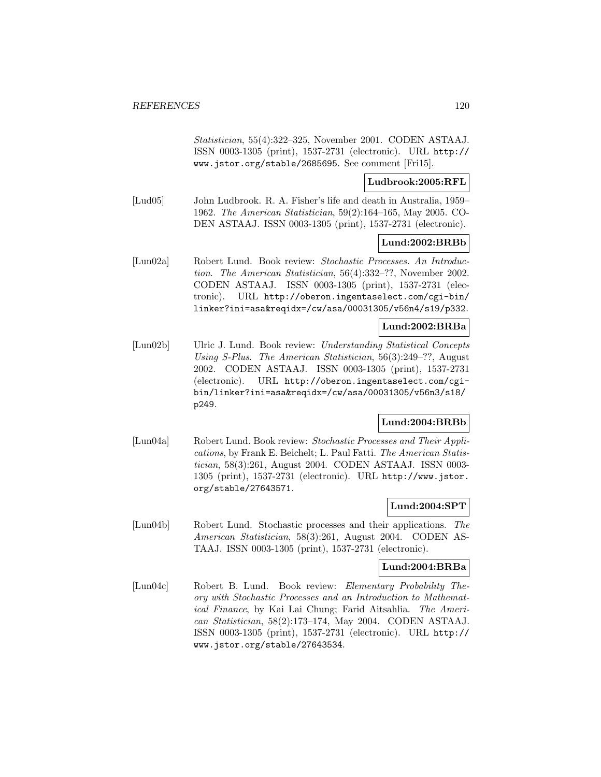Statistician, 55(4):322–325, November 2001. CODEN ASTAAJ. ISSN 0003-1305 (print), 1537-2731 (electronic). URL http:// www.jstor.org/stable/2685695. See comment [Fri15].

# **Ludbrook:2005:RFL**

[Lud05] John Ludbrook. R. A. Fisher's life and death in Australia, 1959– 1962. The American Statistician, 59(2):164–165, May 2005. CO-DEN ASTAAJ. ISSN 0003-1305 (print), 1537-2731 (electronic).

## **Lund:2002:BRBb**

[Lun02a] Robert Lund. Book review: Stochastic Processes. An Introduction. The American Statistician, 56(4):332–??, November 2002. CODEN ASTAAJ. ISSN 0003-1305 (print), 1537-2731 (electronic). URL http://oberon.ingentaselect.com/cgi-bin/ linker?ini=asa&reqidx=/cw/asa/00031305/v56n4/s19/p332.

# **Lund:2002:BRBa**

[Lun02b] Ulric J. Lund. Book review: Understanding Statistical Concepts Using S-Plus. The American Statistician, 56(3):249–??, August 2002. CODEN ASTAAJ. ISSN 0003-1305 (print), 1537-2731 (electronic). URL http://oberon.ingentaselect.com/cgibin/linker?ini=asa&reqidx=/cw/asa/00031305/v56n3/s18/ p249.

# **Lund:2004:BRBb**

[Lun04a] Robert Lund. Book review: Stochastic Processes and Their Applications, by Frank E. Beichelt; L. Paul Fatti. The American Statistician, 58(3):261, August 2004. CODEN ASTAAJ. ISSN 0003- 1305 (print), 1537-2731 (electronic). URL http://www.jstor. org/stable/27643571.

# **Lund:2004:SPT**

[Lun04b] Robert Lund. Stochastic processes and their applications. The American Statistician, 58(3):261, August 2004. CODEN AS-TAAJ. ISSN 0003-1305 (print), 1537-2731 (electronic).

# **Lund:2004:BRBa**

[Lun04c] Robert B. Lund. Book review: Elementary Probability Theory with Stochastic Processes and an Introduction to Mathematical Finance, by Kai Lai Chung; Farid Aitsahlia. The American Statistician, 58(2):173–174, May 2004. CODEN ASTAAJ. ISSN 0003-1305 (print), 1537-2731 (electronic). URL http:// www.jstor.org/stable/27643534.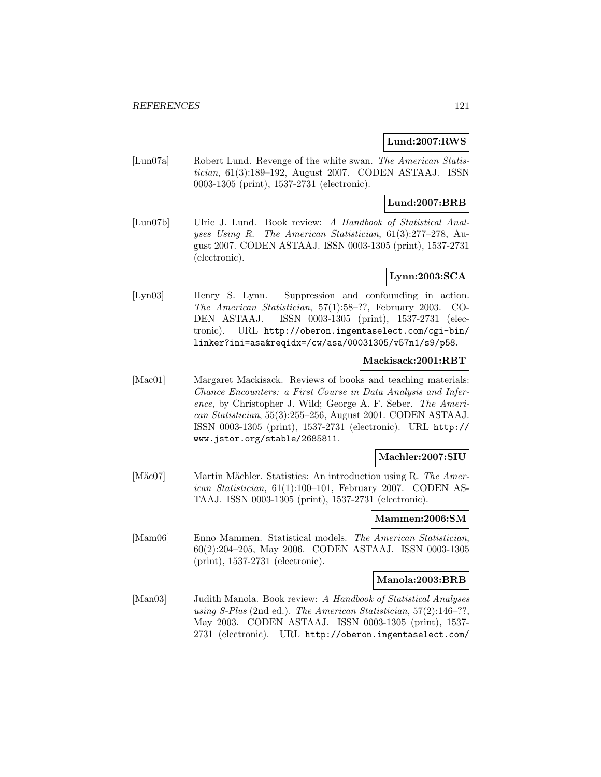## **Lund:2007:RWS**

[Lun07a] Robert Lund. Revenge of the white swan. The American Statistician, 61(3):189–192, August 2007. CODEN ASTAAJ. ISSN 0003-1305 (print), 1537-2731 (electronic).

# **Lund:2007:BRB**

[Lun07b] Ulric J. Lund. Book review: A Handbook of Statistical Analyses Using R. The American Statistician, 61(3):277–278, August 2007. CODEN ASTAAJ. ISSN 0003-1305 (print), 1537-2731 (electronic).

# **Lynn:2003:SCA**

[Lyn03] Henry S. Lynn. Suppression and confounding in action. The American Statistician, 57(1):58–??, February 2003. CO-DEN ASTAAJ. ISSN 0003-1305 (print), 1537-2731 (electronic). URL http://oberon.ingentaselect.com/cgi-bin/ linker?ini=asa&reqidx=/cw/asa/00031305/v57n1/s9/p58.

### **Mackisack:2001:RBT**

[Mac01] Margaret Mackisack. Reviews of books and teaching materials: Chance Encounters: a First Course in Data Analysis and Inference, by Christopher J. Wild; George A. F. Seber. The American Statistician, 55(3):255–256, August 2001. CODEN ASTAAJ. ISSN 0003-1305 (print), 1537-2731 (electronic). URL http:// www.jstor.org/stable/2685811.

### **Machler:2007:SIU**

[Mäc07] Martin Mächler. Statistics: An introduction using R. The American Statistician, 61(1):100–101, February 2007. CODEN AS-TAAJ. ISSN 0003-1305 (print), 1537-2731 (electronic).

### **Mammen:2006:SM**

[Mam06] Enno Mammen. Statistical models. The American Statistician, 60(2):204–205, May 2006. CODEN ASTAAJ. ISSN 0003-1305 (print), 1537-2731 (electronic).

#### **Manola:2003:BRB**

[Man03] Judith Manola. Book review: A Handbook of Statistical Analyses using S-Plus (2nd ed.). The American Statistician,  $57(2)$ :146-??. May 2003. CODEN ASTAAJ. ISSN 0003-1305 (print), 1537- 2731 (electronic). URL http://oberon.ingentaselect.com/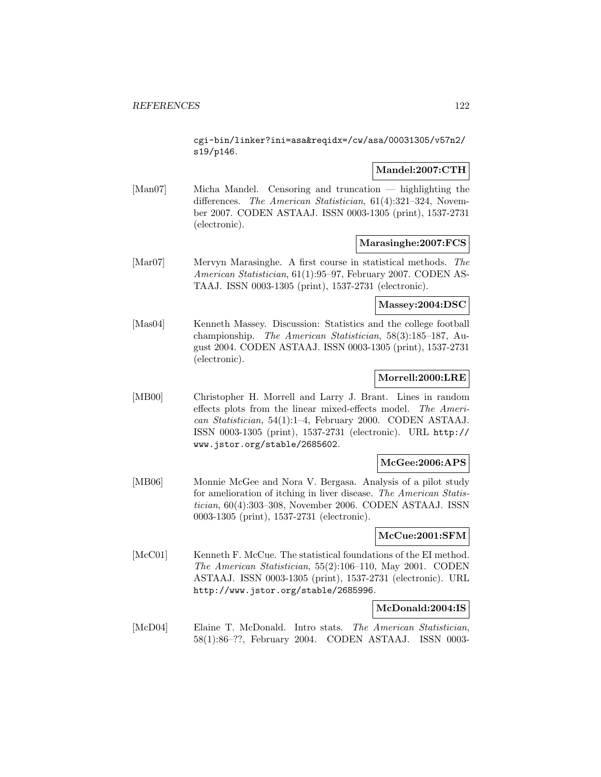cgi-bin/linker?ini=asa&reqidx=/cw/asa/00031305/v57n2/ s19/p146.

## **Mandel:2007:CTH**

[Man07] Micha Mandel. Censoring and truncation — highlighting the differences. The American Statistician, 61(4):321–324, November 2007. CODEN ASTAAJ. ISSN 0003-1305 (print), 1537-2731 (electronic).

### **Marasinghe:2007:FCS**

[Mar07] Mervyn Marasinghe. A first course in statistical methods. The American Statistician, 61(1):95–97, February 2007. CODEN AS-TAAJ. ISSN 0003-1305 (print), 1537-2731 (electronic).

### **Massey:2004:DSC**

[Mas04] Kenneth Massey. Discussion: Statistics and the college football championship. The American Statistician, 58(3):185–187, August 2004. CODEN ASTAAJ. ISSN 0003-1305 (print), 1537-2731 (electronic).

# **Morrell:2000:LRE**

[MB00] Christopher H. Morrell and Larry J. Brant. Lines in random effects plots from the linear mixed-effects model. The American Statistician, 54(1):1–4, February 2000. CODEN ASTAAJ. ISSN 0003-1305 (print), 1537-2731 (electronic). URL http:// www.jstor.org/stable/2685602.

# **McGee:2006:APS**

[MB06] Monnie McGee and Nora V. Bergasa. Analysis of a pilot study for amelioration of itching in liver disease. The American Statistician, 60(4):303–308, November 2006. CODEN ASTAAJ. ISSN 0003-1305 (print), 1537-2731 (electronic).

### **McCue:2001:SFM**

[McC01] Kenneth F. McCue. The statistical foundations of the EI method. The American Statistician, 55(2):106–110, May 2001. CODEN ASTAAJ. ISSN 0003-1305 (print), 1537-2731 (electronic). URL http://www.jstor.org/stable/2685996.

# **McDonald:2004:IS**

[McD04] Elaine T. McDonald. Intro stats. The American Statistician, 58(1):86–??, February 2004. CODEN ASTAAJ. ISSN 0003-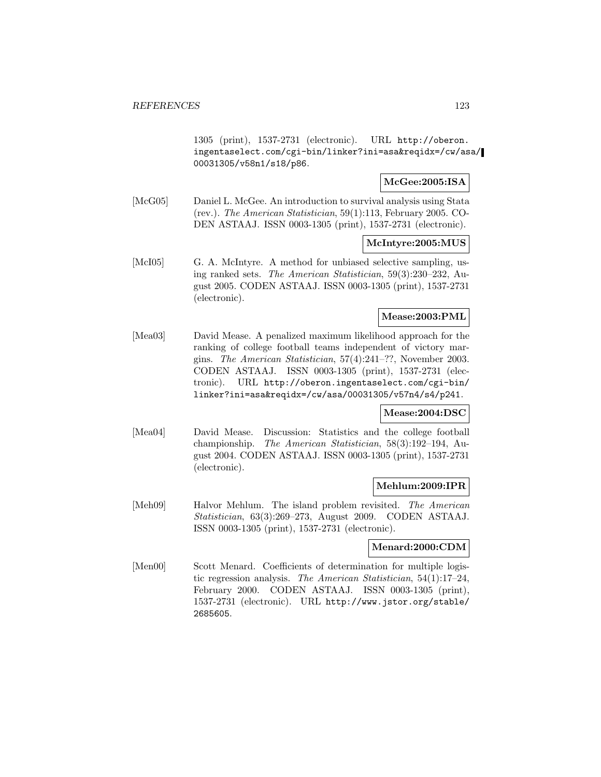1305 (print), 1537-2731 (electronic). URL http://oberon. ingentaselect.com/cgi-bin/linker?ini=asa&reqidx=/cw/asa/ 00031305/v58n1/s18/p86.

## **McGee:2005:ISA**

[McG05] Daniel L. McGee. An introduction to survival analysis using Stata (rev.). The American Statistician, 59(1):113, February 2005. CO-DEN ASTAAJ. ISSN 0003-1305 (print), 1537-2731 (electronic).

### **McIntyre:2005:MUS**

[McI05] G. A. McIntyre. A method for unbiased selective sampling, using ranked sets. The American Statistician, 59(3):230–232, August 2005. CODEN ASTAAJ. ISSN 0003-1305 (print), 1537-2731 (electronic).

### **Mease:2003:PML**

[Mea03] David Mease. A penalized maximum likelihood approach for the ranking of college football teams independent of victory margins. The American Statistician, 57(4):241–??, November 2003. CODEN ASTAAJ. ISSN 0003-1305 (print), 1537-2731 (electronic). URL http://oberon.ingentaselect.com/cgi-bin/ linker?ini=asa&reqidx=/cw/asa/00031305/v57n4/s4/p241.

### **Mease:2004:DSC**

[Mea04] David Mease. Discussion: Statistics and the college football championship. The American Statistician, 58(3):192–194, August 2004. CODEN ASTAAJ. ISSN 0003-1305 (print), 1537-2731 (electronic).

### **Mehlum:2009:IPR**

[Meh09] Halvor Mehlum. The island problem revisited. The American Statistician, 63(3):269–273, August 2009. CODEN ASTAAJ. ISSN 0003-1305 (print), 1537-2731 (electronic).

#### **Menard:2000:CDM**

[Men00] Scott Menard. Coefficients of determination for multiple logistic regression analysis. The American Statistician, 54(1):17–24, February 2000. CODEN ASTAAJ. ISSN 0003-1305 (print), 1537-2731 (electronic). URL http://www.jstor.org/stable/ 2685605.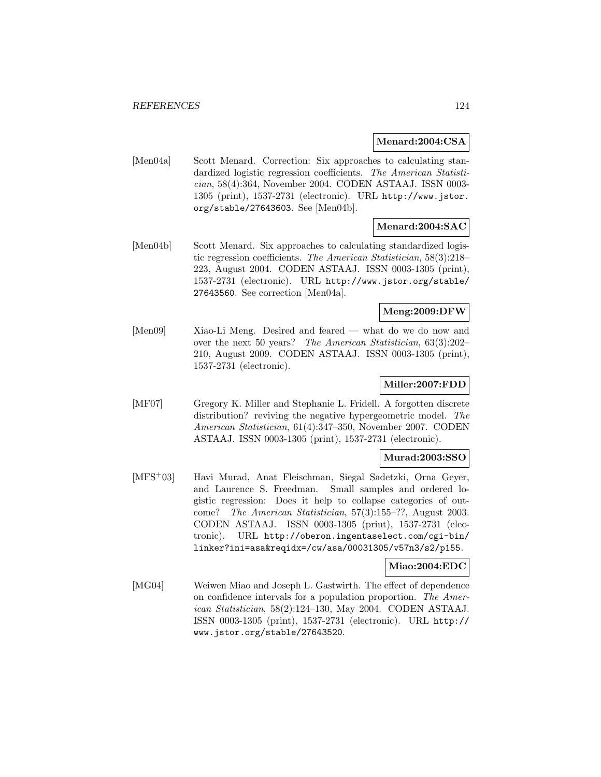#### **Menard:2004:CSA**

[Men04a] Scott Menard. Correction: Six approaches to calculating standardized logistic regression coefficients. The American Statistician, 58(4):364, November 2004. CODEN ASTAAJ. ISSN 0003- 1305 (print), 1537-2731 (electronic). URL http://www.jstor. org/stable/27643603. See [Men04b].

# **Menard:2004:SAC**

[Men04b] Scott Menard. Six approaches to calculating standardized logistic regression coefficients. The American Statistician, 58(3):218– 223, August 2004. CODEN ASTAAJ. ISSN 0003-1305 (print), 1537-2731 (electronic). URL http://www.jstor.org/stable/ 27643560. See correction [Men04a].

## **Meng:2009:DFW**

[Men09] Xiao-Li Meng. Desired and feared — what do we do now and over the next 50 years? The American Statistician, 63(3):202– 210, August 2009. CODEN ASTAAJ. ISSN 0003-1305 (print), 1537-2731 (electronic).

# **Miller:2007:FDD**

[MF07] Gregory K. Miller and Stephanie L. Fridell. A forgotten discrete distribution? reviving the negative hypergeometric model. The American Statistician, 61(4):347–350, November 2007. CODEN ASTAAJ. ISSN 0003-1305 (print), 1537-2731 (electronic).

### **Murad:2003:SSO**

[MFS<sup>+</sup>03] Havi Murad, Anat Fleischman, Siegal Sadetzki, Orna Geyer, and Laurence S. Freedman. Small samples and ordered logistic regression: Does it help to collapse categories of outcome? The American Statistician, 57(3):155–??, August 2003. CODEN ASTAAJ. ISSN 0003-1305 (print), 1537-2731 (electronic). URL http://oberon.ingentaselect.com/cgi-bin/ linker?ini=asa&reqidx=/cw/asa/00031305/v57n3/s2/p155.

### **Miao:2004:EDC**

[MG04] Weiwen Miao and Joseph L. Gastwirth. The effect of dependence on confidence intervals for a population proportion. The American Statistician, 58(2):124–130, May 2004. CODEN ASTAAJ. ISSN 0003-1305 (print), 1537-2731 (electronic). URL http:// www.jstor.org/stable/27643520.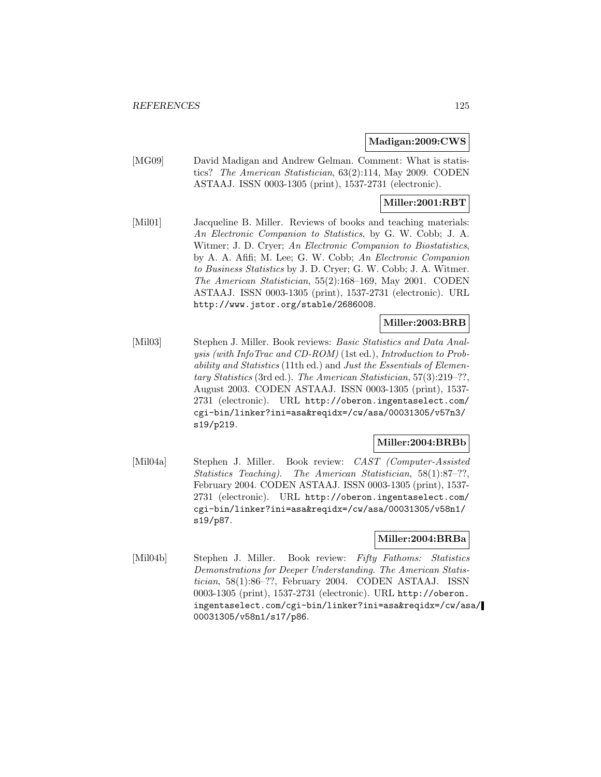#### **Madigan:2009:CWS**

[MG09] David Madigan and Andrew Gelman. Comment: What is statistics? The American Statistician, 63(2):114, May 2009. CODEN ASTAAJ. ISSN 0003-1305 (print), 1537-2731 (electronic).

# **Miller:2001:RBT**

[Mil01] Jacqueline B. Miller. Reviews of books and teaching materials: An Electronic Companion to Statistics, by G. W. Cobb; J. A. Witmer; J. D. Cryer; An Electronic Companion to Biostatistics, by A. A. Afifi; M. Lee; G. W. Cobb; An Electronic Companion to Business Statistics by J. D. Cryer; G. W. Cobb; J. A. Witmer. The American Statistician, 55(2):168–169, May 2001. CODEN ASTAAJ. ISSN 0003-1305 (print), 1537-2731 (electronic). URL http://www.jstor.org/stable/2686008.

# **Miller:2003:BRB**

[Mil03] Stephen J. Miller. Book reviews: Basic Statistics and Data Analysis (with InfoTrac and CD-ROM) (1st ed.), Introduction to Probability and Statistics (11th ed.) and Just the Essentials of Elementary Statistics (3rd ed.). The American Statistician, 57(3):219–??, August 2003. CODEN ASTAAJ. ISSN 0003-1305 (print), 1537- 2731 (electronic). URL http://oberon.ingentaselect.com/ cgi-bin/linker?ini=asa&reqidx=/cw/asa/00031305/v57n3/ s19/p219.

### **Miller:2004:BRBb**

[Mil04a] Stephen J. Miller. Book review: CAST (Computer-Assisted Statistics Teaching). The American Statistician, 58(1):87–??, February 2004. CODEN ASTAAJ. ISSN 0003-1305 (print), 1537- 2731 (electronic). URL http://oberon.ingentaselect.com/ cgi-bin/linker?ini=asa&reqidx=/cw/asa/00031305/v58n1/ s19/p87.

# **Miller:2004:BRBa**

[Mil04b] Stephen J. Miller. Book review: Fifty Fathoms: Statistics Demonstrations for Deeper Understanding. The American Statistician, 58(1):86–??, February 2004. CODEN ASTAAJ. ISSN 0003-1305 (print), 1537-2731 (electronic). URL http://oberon. ingentaselect.com/cgi-bin/linker?ini=asa&reqidx=/cw/asa/ 00031305/v58n1/s17/p86.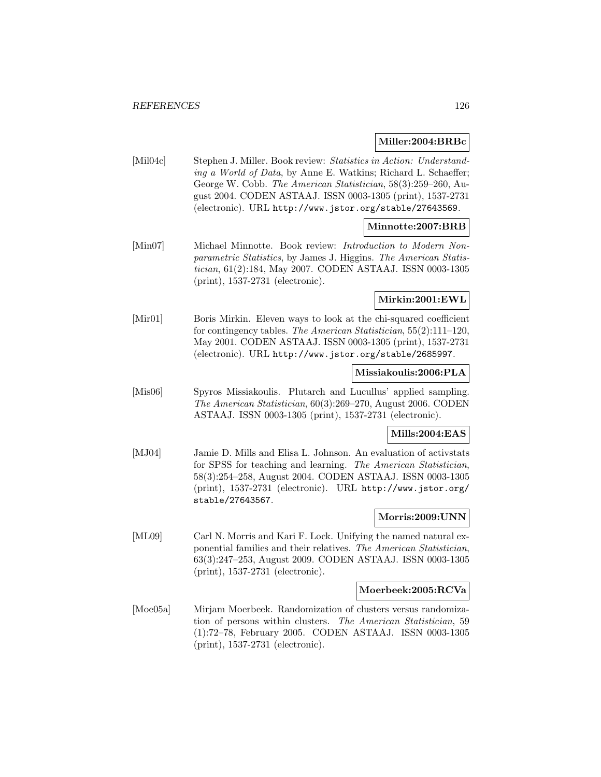#### **Miller:2004:BRBc**

[Mil04c] Stephen J. Miller. Book review: Statistics in Action: Understanding a World of Data, by Anne E. Watkins; Richard L. Schaeffer; George W. Cobb. The American Statistician, 58(3):259–260, August 2004. CODEN ASTAAJ. ISSN 0003-1305 (print), 1537-2731 (electronic). URL http://www.jstor.org/stable/27643569.

## **Minnotte:2007:BRB**

[Min07] Michael Minnotte. Book review: Introduction to Modern Nonparametric Statistics, by James J. Higgins. The American Statistician, 61(2):184, May 2007. CODEN ASTAAJ. ISSN 0003-1305 (print), 1537-2731 (electronic).

### **Mirkin:2001:EWL**

[Mir01] Boris Mirkin. Eleven ways to look at the chi-squared coefficient for contingency tables. The American Statistician, 55(2):111–120, May 2001. CODEN ASTAAJ. ISSN 0003-1305 (print), 1537-2731 (electronic). URL http://www.jstor.org/stable/2685997.

### **Missiakoulis:2006:PLA**

[Mis06] Spyros Missiakoulis. Plutarch and Lucullus' applied sampling. The American Statistician, 60(3):269–270, August 2006. CODEN ASTAAJ. ISSN 0003-1305 (print), 1537-2731 (electronic).

#### **Mills:2004:EAS**

[MJ04] Jamie D. Mills and Elisa L. Johnson. An evaluation of activstats for SPSS for teaching and learning. The American Statistician, 58(3):254–258, August 2004. CODEN ASTAAJ. ISSN 0003-1305 (print), 1537-2731 (electronic). URL http://www.jstor.org/ stable/27643567.

### **Morris:2009:UNN**

[ML09] Carl N. Morris and Kari F. Lock. Unifying the named natural exponential families and their relatives. The American Statistician, 63(3):247–253, August 2009. CODEN ASTAAJ. ISSN 0003-1305 (print), 1537-2731 (electronic).

#### **Moerbeek:2005:RCVa**

[Moe05a] Mirjam Moerbeek. Randomization of clusters versus randomization of persons within clusters. The American Statistician, 59 (1):72–78, February 2005. CODEN ASTAAJ. ISSN 0003-1305 (print), 1537-2731 (electronic).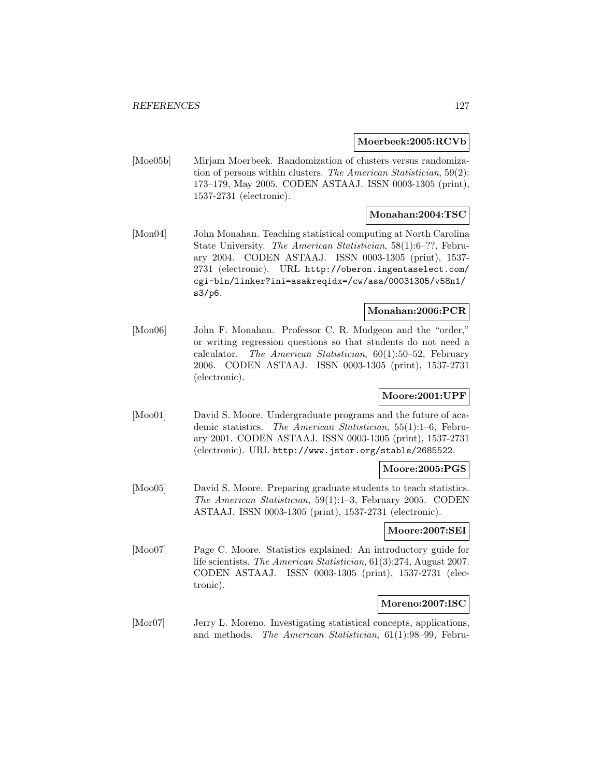#### **Moerbeek:2005:RCVb**

[Moe05b] Mirjam Moerbeek. Randomization of clusters versus randomization of persons within clusters. The American Statistician, 59(2): 173–179, May 2005. CODEN ASTAAJ. ISSN 0003-1305 (print), 1537-2731 (electronic).

# **Monahan:2004:TSC**

[Mon04] John Monahan. Teaching statistical computing at North Carolina State University. The American Statistician, 58(1):6–??, February 2004. CODEN ASTAAJ. ISSN 0003-1305 (print), 1537- 2731 (electronic). URL http://oberon.ingentaselect.com/ cgi-bin/linker?ini=asa&reqidx=/cw/asa/00031305/v58n1/ s3/p6.

# **Monahan:2006:PCR**

[Mon06] John F. Monahan. Professor C. R. Mudgeon and the "order," or writing regression questions so that students do not need a calculator. The American Statistician, 60(1):50–52, February 2006. CODEN ASTAAJ. ISSN 0003-1305 (print), 1537-2731 (electronic).

# **Moore:2001:UPF**

[Moo01] David S. Moore. Undergraduate programs and the future of academic statistics. The American Statistician, 55(1):1–6, February 2001. CODEN ASTAAJ. ISSN 0003-1305 (print), 1537-2731 (electronic). URL http://www.jstor.org/stable/2685522.

### **Moore:2005:PGS**

[Moo05] David S. Moore. Preparing graduate students to teach statistics. The American Statistician, 59(1):1–3, February 2005. CODEN ASTAAJ. ISSN 0003-1305 (print), 1537-2731 (electronic).

#### **Moore:2007:SEI**

[Moo07] Page C. Moore. Statistics explained: An introductory guide for life scientists. The American Statistician, 61(3):274, August 2007. CODEN ASTAAJ. ISSN 0003-1305 (print), 1537-2731 (electronic).

### **Moreno:2007:ISC**

[Mor07] Jerry L. Moreno. Investigating statistical concepts, applications, and methods. The American Statistician, 61(1):98–99, Febru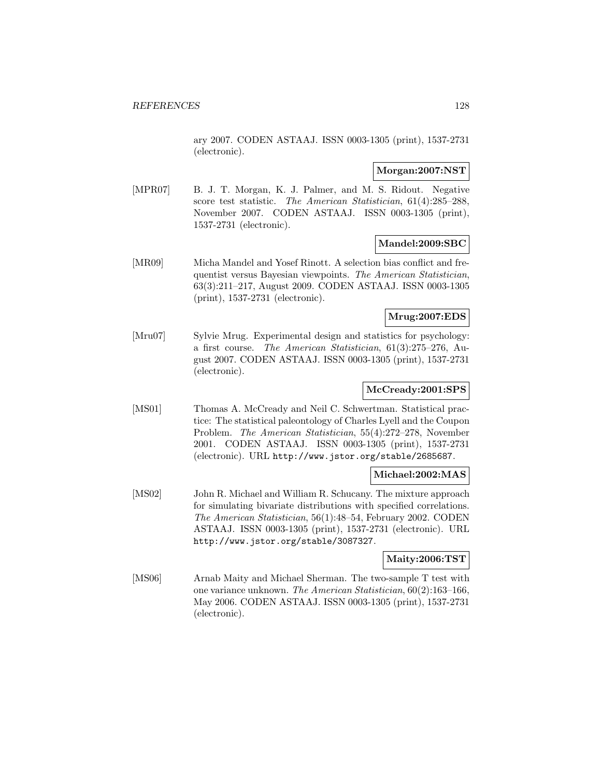ary 2007. CODEN ASTAAJ. ISSN 0003-1305 (print), 1537-2731 (electronic).

## **Morgan:2007:NST**

[MPR07] B. J. T. Morgan, K. J. Palmer, and M. S. Ridout. Negative score test statistic. The American Statistician, 61(4):285–288, November 2007. CODEN ASTAAJ. ISSN 0003-1305 (print), 1537-2731 (electronic).

### **Mandel:2009:SBC**

[MR09] Micha Mandel and Yosef Rinott. A selection bias conflict and frequentist versus Bayesian viewpoints. The American Statistician, 63(3):211–217, August 2009. CODEN ASTAAJ. ISSN 0003-1305 (print), 1537-2731 (electronic).

## **Mrug:2007:EDS**

[Mru07] Sylvie Mrug. Experimental design and statistics for psychology: a first course. The American Statistician, 61(3):275–276, August 2007. CODEN ASTAAJ. ISSN 0003-1305 (print), 1537-2731 (electronic).

# **McCready:2001:SPS**

[MS01] Thomas A. McCready and Neil C. Schwertman. Statistical practice: The statistical paleontology of Charles Lyell and the Coupon Problem. The American Statistician, 55(4):272–278, November 2001. CODEN ASTAAJ. ISSN 0003-1305 (print), 1537-2731 (electronic). URL http://www.jstor.org/stable/2685687.

### **Michael:2002:MAS**

[MS02] John R. Michael and William R. Schucany. The mixture approach for simulating bivariate distributions with specified correlations. The American Statistician, 56(1):48–54, February 2002. CODEN ASTAAJ. ISSN 0003-1305 (print), 1537-2731 (electronic). URL http://www.jstor.org/stable/3087327.

# **Maity:2006:TST**

[MS06] Arnab Maity and Michael Sherman. The two-sample T test with one variance unknown. The American Statistician, 60(2):163–166, May 2006. CODEN ASTAAJ. ISSN 0003-1305 (print), 1537-2731 (electronic).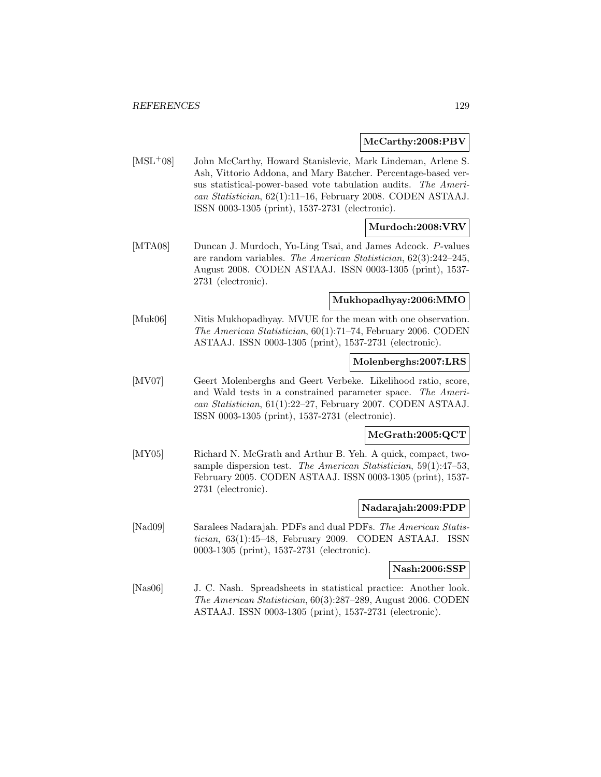#### **McCarthy:2008:PBV**

[MSL<sup>+</sup>08] John McCarthy, Howard Stanislevic, Mark Lindeman, Arlene S. Ash, Vittorio Addona, and Mary Batcher. Percentage-based versus statistical-power-based vote tabulation audits. The American Statistician, 62(1):11–16, February 2008. CODEN ASTAAJ. ISSN 0003-1305 (print), 1537-2731 (electronic).

## **Murdoch:2008:VRV**

[MTA08] Duncan J. Murdoch, Yu-Ling Tsai, and James Adcock. P-values are random variables. The American Statistician, 62(3):242–245, August 2008. CODEN ASTAAJ. ISSN 0003-1305 (print), 1537- 2731 (electronic).

#### **Mukhopadhyay:2006:MMO**

[Muk06] Nitis Mukhopadhyay. MVUE for the mean with one observation. The American Statistician, 60(1):71–74, February 2006. CODEN ASTAAJ. ISSN 0003-1305 (print), 1537-2731 (electronic).

### **Molenberghs:2007:LRS**

[MV07] Geert Molenberghs and Geert Verbeke. Likelihood ratio, score, and Wald tests in a constrained parameter space. The American Statistician, 61(1):22–27, February 2007. CODEN ASTAAJ. ISSN 0003-1305 (print), 1537-2731 (electronic).

### **McGrath:2005:QCT**

[MY05] Richard N. McGrath and Arthur B. Yeh. A quick, compact, twosample dispersion test. The American Statistician, 59(1):47–53, February 2005. CODEN ASTAAJ. ISSN 0003-1305 (print), 1537- 2731 (electronic).

### **Nadarajah:2009:PDP**

[Nad09] Saralees Nadarajah. PDFs and dual PDFs. The American Statistician, 63(1):45–48, February 2009. CODEN ASTAAJ. ISSN 0003-1305 (print), 1537-2731 (electronic).

#### **Nash:2006:SSP**

[Nas06] J. C. Nash. Spreadsheets in statistical practice: Another look. The American Statistician, 60(3):287–289, August 2006. CODEN ASTAAJ. ISSN 0003-1305 (print), 1537-2731 (electronic).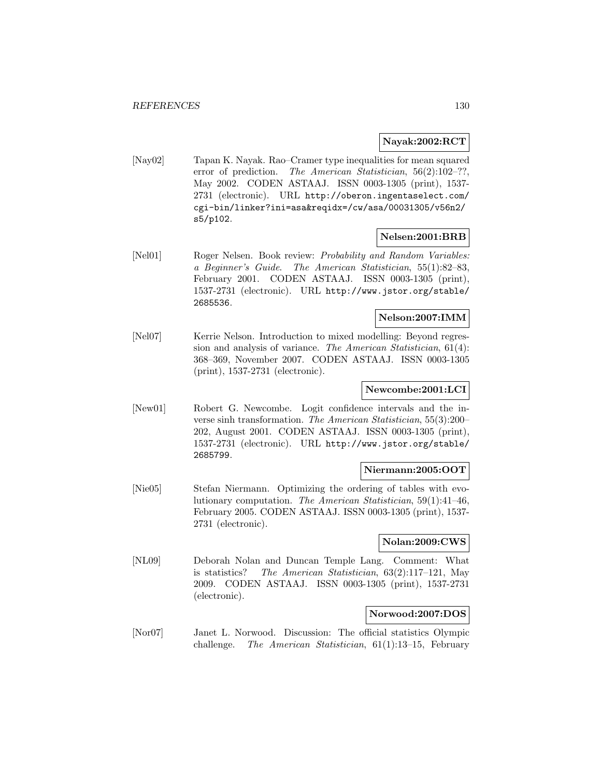### **Nayak:2002:RCT**

[Nay02] Tapan K. Nayak. Rao–Cramer type inequalities for mean squared error of prediction. The American Statistician, 56(2):102–??, May 2002. CODEN ASTAAJ. ISSN 0003-1305 (print), 1537- 2731 (electronic). URL http://oberon.ingentaselect.com/ cgi-bin/linker?ini=asa&reqidx=/cw/asa/00031305/v56n2/ s5/p102.

### **Nelsen:2001:BRB**

[Nel01] Roger Nelsen. Book review: Probability and Random Variables: a Beginner's Guide. The American Statistician, 55(1):82–83, February 2001. CODEN ASTAAJ. ISSN 0003-1305 (print), 1537-2731 (electronic). URL http://www.jstor.org/stable/ 2685536.

#### **Nelson:2007:IMM**

[Nel07] Kerrie Nelson. Introduction to mixed modelling: Beyond regression and analysis of variance. The American Statistician, 61(4): 368–369, November 2007. CODEN ASTAAJ. ISSN 0003-1305 (print), 1537-2731 (electronic).

# **Newcombe:2001:LCI**

[New01] Robert G. Newcombe. Logit confidence intervals and the inverse sinh transformation. The American Statistician, 55(3):200– 202, August 2001. CODEN ASTAAJ. ISSN 0003-1305 (print), 1537-2731 (electronic). URL http://www.jstor.org/stable/ 2685799.

# **Niermann:2005:OOT**

[Nie05] Stefan Niermann. Optimizing the ordering of tables with evolutionary computation. The American Statistician, 59(1):41–46, February 2005. CODEN ASTAAJ. ISSN 0003-1305 (print), 1537- 2731 (electronic).

### **Nolan:2009:CWS**

[NL09] Deborah Nolan and Duncan Temple Lang. Comment: What is statistics? The American Statistician, 63(2):117–121, May 2009. CODEN ASTAAJ. ISSN 0003-1305 (print), 1537-2731 (electronic).

# **Norwood:2007:DOS**

[Nor07] Janet L. Norwood. Discussion: The official statistics Olympic challenge. The American Statistician, 61(1):13–15, February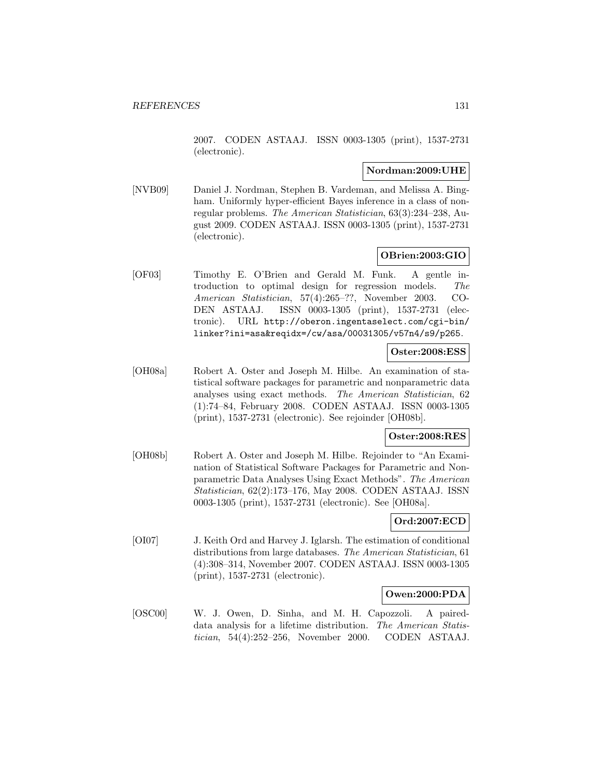2007. CODEN ASTAAJ. ISSN 0003-1305 (print), 1537-2731 (electronic).

#### **Nordman:2009:UHE**

[NVB09] Daniel J. Nordman, Stephen B. Vardeman, and Melissa A. Bingham. Uniformly hyper-efficient Bayes inference in a class of nonregular problems. The American Statistician, 63(3):234–238, August 2009. CODEN ASTAAJ. ISSN 0003-1305 (print), 1537-2731 (electronic).

### **OBrien:2003:GIO**

[OF03] Timothy E. O'Brien and Gerald M. Funk. A gentle introduction to optimal design for regression models. The American Statistician, 57(4):265–??, November 2003. CO-DEN ASTAAJ. ISSN 0003-1305 (print), 1537-2731 (electronic). URL http://oberon.ingentaselect.com/cgi-bin/ linker?ini=asa&reqidx=/cw/asa/00031305/v57n4/s9/p265.

#### **Oster:2008:ESS**

[OH08a] Robert A. Oster and Joseph M. Hilbe. An examination of statistical software packages for parametric and nonparametric data analyses using exact methods. The American Statistician, 62 (1):74–84, February 2008. CODEN ASTAAJ. ISSN 0003-1305 (print), 1537-2731 (electronic). See rejoinder [OH08b].

# **Oster:2008:RES**

[OH08b] Robert A. Oster and Joseph M. Hilbe. Rejoinder to "An Examination of Statistical Software Packages for Parametric and Nonparametric Data Analyses Using Exact Methods". The American Statistician, 62(2):173–176, May 2008. CODEN ASTAAJ. ISSN 0003-1305 (print), 1537-2731 (electronic). See [OH08a].

### **Ord:2007:ECD**

[OI07] J. Keith Ord and Harvey J. Iglarsh. The estimation of conditional distributions from large databases. The American Statistician, 61 (4):308–314, November 2007. CODEN ASTAAJ. ISSN 0003-1305 (print), 1537-2731 (electronic).

### **Owen:2000:PDA**

[OSC00] W. J. Owen, D. Sinha, and M. H. Capozzoli. A paireddata analysis for a lifetime distribution. The American Statistician, 54(4):252–256, November 2000. CODEN ASTAAJ.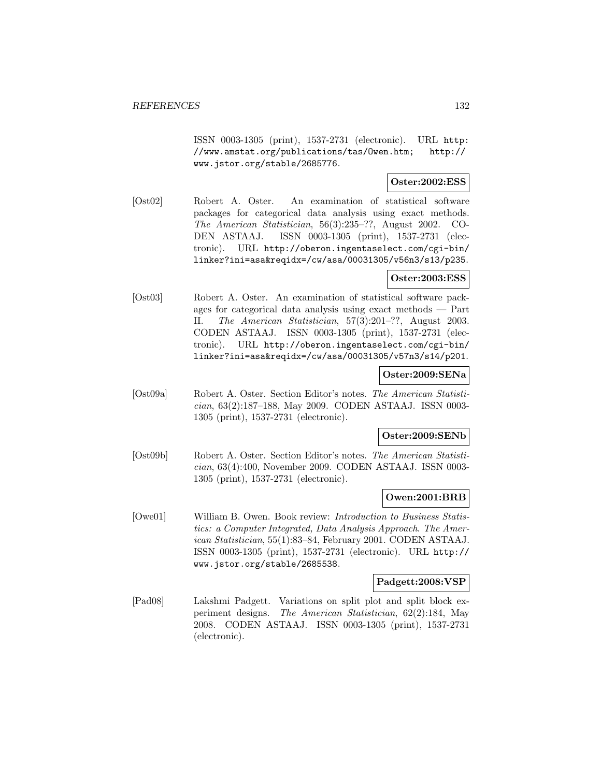ISSN 0003-1305 (print), 1537-2731 (electronic). URL http: //www.amstat.org/publications/tas/Owen.htm; http:// www.jstor.org/stable/2685776.

### **Oster:2002:ESS**

[Ost02] Robert A. Oster. An examination of statistical software packages for categorical data analysis using exact methods. The American Statistician, 56(3):235–??, August 2002. CO-DEN ASTAAJ. ISSN 0003-1305 (print), 1537-2731 (electronic). URL http://oberon.ingentaselect.com/cgi-bin/ linker?ini=asa&reqidx=/cw/asa/00031305/v56n3/s13/p235.

# **Oster:2003:ESS**

[Ost03] Robert A. Oster. An examination of statistical software packages for categorical data analysis using exact methods — Part II. The American Statistician, 57(3):201–??, August 2003. CODEN ASTAAJ. ISSN 0003-1305 (print), 1537-2731 (electronic). URL http://oberon.ingentaselect.com/cgi-bin/ linker?ini=asa&reqidx=/cw/asa/00031305/v57n3/s14/p201.

#### **Oster:2009:SENa**

[Ost09a] Robert A. Oster. Section Editor's notes. The American Statistician, 63(2):187–188, May 2009. CODEN ASTAAJ. ISSN 0003- 1305 (print), 1537-2731 (electronic).

# **Oster:2009:SENb**

[Ost09b] Robert A. Oster. Section Editor's notes. The American Statistician, 63(4):400, November 2009. CODEN ASTAAJ. ISSN 0003- 1305 (print), 1537-2731 (electronic).

### **Owen:2001:BRB**

[Owe01] William B. Owen. Book review: Introduction to Business Statistics: a Computer Integrated, Data Analysis Approach. The American Statistician, 55(1):83–84, February 2001. CODEN ASTAAJ. ISSN 0003-1305 (print), 1537-2731 (electronic). URL http:// www.jstor.org/stable/2685538.

#### **Padgett:2008:VSP**

[Pad08] Lakshmi Padgett. Variations on split plot and split block experiment designs. The American Statistician, 62(2):184, May 2008. CODEN ASTAAJ. ISSN 0003-1305 (print), 1537-2731 (electronic).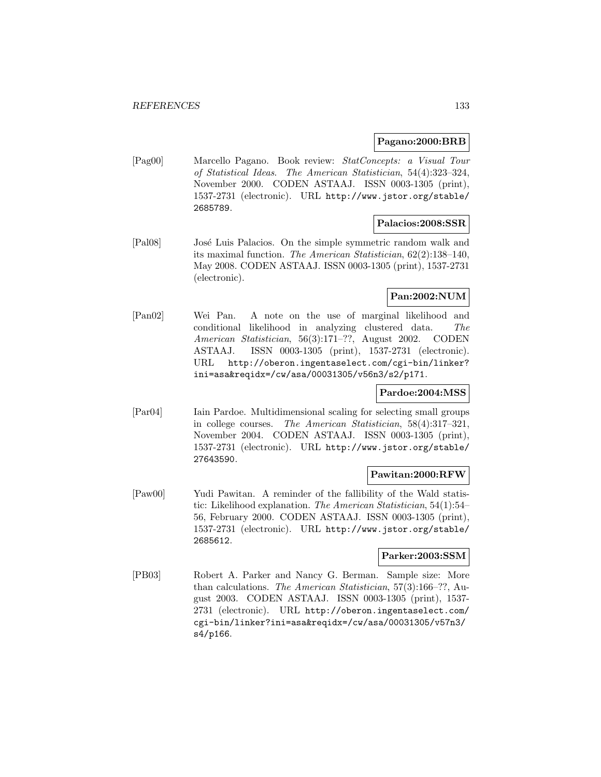#### **Pagano:2000:BRB**

[Pag00] Marcello Pagano. Book review: StatConcepts: a Visual Tour of Statistical Ideas. The American Statistician, 54(4):323–324, November 2000. CODEN ASTAAJ. ISSN 0003-1305 (print), 1537-2731 (electronic). URL http://www.jstor.org/stable/ 2685789.

#### **Palacios:2008:SSR**

[Pal08] José Luis Palacios. On the simple symmetric random walk and its maximal function. The American Statistician, 62(2):138–140, May 2008. CODEN ASTAAJ. ISSN 0003-1305 (print), 1537-2731 (electronic).

# **Pan:2002:NUM**

[Pan02] Wei Pan. A note on the use of marginal likelihood and conditional likelihood in analyzing clustered data. The American Statistician, 56(3):171–??, August 2002. CODEN ASTAAJ. ISSN 0003-1305 (print), 1537-2731 (electronic). URL http://oberon.ingentaselect.com/cgi-bin/linker? ini=asa&reqidx=/cw/asa/00031305/v56n3/s2/p171.

## **Pardoe:2004:MSS**

[Par04] Iain Pardoe. Multidimensional scaling for selecting small groups in college courses. The American Statistician, 58(4):317–321, November 2004. CODEN ASTAAJ. ISSN 0003-1305 (print), 1537-2731 (electronic). URL http://www.jstor.org/stable/ 27643590.

### **Pawitan:2000:RFW**

[Paw00] Yudi Pawitan. A reminder of the fallibility of the Wald statistic: Likelihood explanation. The American Statistician, 54(1):54– 56, February 2000. CODEN ASTAAJ. ISSN 0003-1305 (print), 1537-2731 (electronic). URL http://www.jstor.org/stable/ 2685612.

#### **Parker:2003:SSM**

[PB03] Robert A. Parker and Nancy G. Berman. Sample size: More than calculations. The American Statistician, 57(3):166–??, August 2003. CODEN ASTAAJ. ISSN 0003-1305 (print), 1537- 2731 (electronic). URL http://oberon.ingentaselect.com/ cgi-bin/linker?ini=asa&reqidx=/cw/asa/00031305/v57n3/ s4/p166.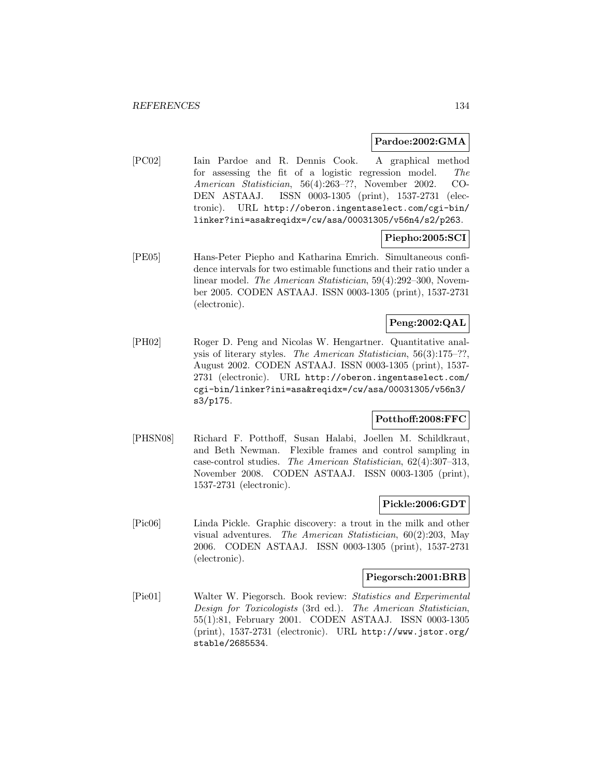#### **Pardoe:2002:GMA**

[PC02] Iain Pardoe and R. Dennis Cook. A graphical method for assessing the fit of a logistic regression model. The American Statistician, 56(4):263–??, November 2002. CO-DEN ASTAAJ. ISSN 0003-1305 (print), 1537-2731 (electronic). URL http://oberon.ingentaselect.com/cgi-bin/ linker?ini=asa&reqidx=/cw/asa/00031305/v56n4/s2/p263.

# **Piepho:2005:SCI**

[PE05] Hans-Peter Piepho and Katharina Emrich. Simultaneous confidence intervals for two estimable functions and their ratio under a linear model. The American Statistician, 59(4):292–300, November 2005. CODEN ASTAAJ. ISSN 0003-1305 (print), 1537-2731 (electronic).

# **Peng:2002:QAL**

[PH02] Roger D. Peng and Nicolas W. Hengartner. Quantitative analysis of literary styles. The American Statistician, 56(3):175–??, August 2002. CODEN ASTAAJ. ISSN 0003-1305 (print), 1537- 2731 (electronic). URL http://oberon.ingentaselect.com/ cgi-bin/linker?ini=asa&reqidx=/cw/asa/00031305/v56n3/ s3/p175.

### **Potthoff:2008:FFC**

[PHSN08] Richard F. Potthoff, Susan Halabi, Joellen M. Schildkraut, and Beth Newman. Flexible frames and control sampling in case-control studies. The American Statistician, 62(4):307–313, November 2008. CODEN ASTAAJ. ISSN 0003-1305 (print), 1537-2731 (electronic).

#### **Pickle:2006:GDT**

[Pic06] Linda Pickle. Graphic discovery: a trout in the milk and other visual adventures. The American Statistician, 60(2):203, May 2006. CODEN ASTAAJ. ISSN 0003-1305 (print), 1537-2731 (electronic).

#### **Piegorsch:2001:BRB**

[Pie01] Walter W. Piegorsch. Book review: Statistics and Experimental Design for Toxicologists (3rd ed.). The American Statistician, 55(1):81, February 2001. CODEN ASTAAJ. ISSN 0003-1305 (print), 1537-2731 (electronic). URL http://www.jstor.org/ stable/2685534.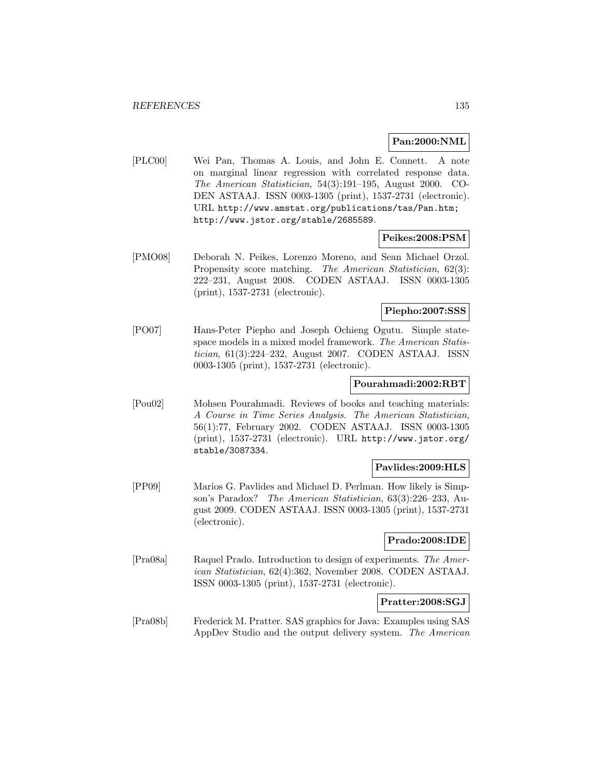## **Pan:2000:NML**

[PLC00] Wei Pan, Thomas A. Louis, and John E. Connett. A note on marginal linear regression with correlated response data. The American Statistician, 54(3):191–195, August 2000. CO-DEN ASTAAJ. ISSN 0003-1305 (print), 1537-2731 (electronic). URL http://www.amstat.org/publications/tas/Pan.htm; http://www.jstor.org/stable/2685589.

### **Peikes:2008:PSM**

[PMO08] Deborah N. Peikes, Lorenzo Moreno, and Sean Michael Orzol. Propensity score matching. The American Statistician, 62(3): 222–231, August 2008. CODEN ASTAAJ. ISSN 0003-1305 (print), 1537-2731 (electronic).

# **Piepho:2007:SSS**

[PO07] Hans-Peter Piepho and Joseph Ochieng Ogutu. Simple statespace models in a mixed model framework. The American Statistician, 61(3):224–232, August 2007. CODEN ASTAAJ. ISSN 0003-1305 (print), 1537-2731 (electronic).

#### **Pourahmadi:2002:RBT**

[Pou02] Mohsen Pourahmadi. Reviews of books and teaching materials: A Course in Time Series Analysis. The American Statistician, 56(1):77, February 2002. CODEN ASTAAJ. ISSN 0003-1305 (print), 1537-2731 (electronic). URL http://www.jstor.org/ stable/3087334.

### **Pavlides:2009:HLS**

[PP09] Marios G. Pavlides and Michael D. Perlman. How likely is Simpson's Paradox? The American Statistician, 63(3):226–233, August 2009. CODEN ASTAAJ. ISSN 0003-1305 (print), 1537-2731 (electronic).

### **Prado:2008:IDE**

[Pra08a] Raquel Prado. Introduction to design of experiments. The American Statistician, 62(4):362, November 2008. CODEN ASTAAJ. ISSN 0003-1305 (print), 1537-2731 (electronic).

## **Pratter:2008:SGJ**

[Pra08b] Frederick M. Pratter. SAS graphics for Java: Examples using SAS AppDev Studio and the output delivery system. The American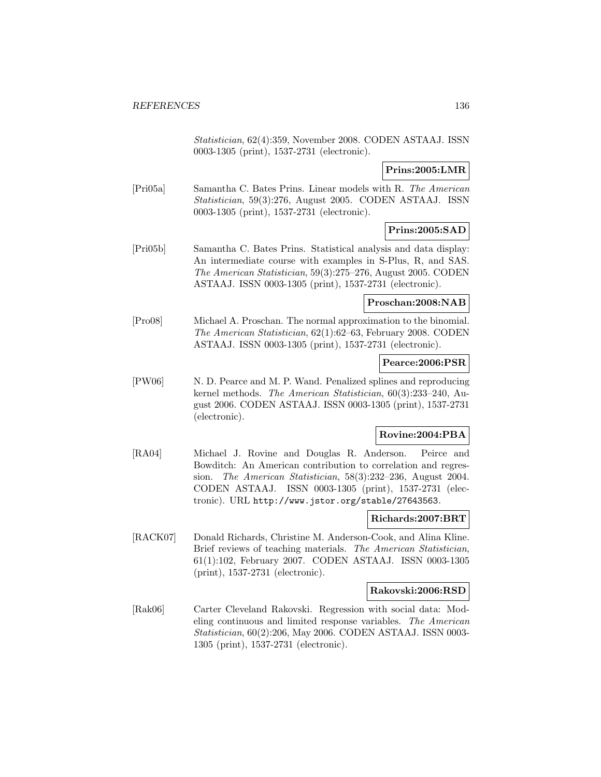Statistician, 62(4):359, November 2008. CODEN ASTAAJ. ISSN 0003-1305 (print), 1537-2731 (electronic).

# **Prins:2005:LMR**

[Pri05a] Samantha C. Bates Prins. Linear models with R. The American Statistician, 59(3):276, August 2005. CODEN ASTAAJ. ISSN 0003-1305 (print), 1537-2731 (electronic).

# **Prins:2005:SAD**

[Pri05b] Samantha C. Bates Prins. Statistical analysis and data display: An intermediate course with examples in S-Plus, R, and SAS. The American Statistician, 59(3):275–276, August 2005. CODEN ASTAAJ. ISSN 0003-1305 (print), 1537-2731 (electronic).

## **Proschan:2008:NAB**

[Pro08] Michael A. Proschan. The normal approximation to the binomial. The American Statistician, 62(1):62–63, February 2008. CODEN ASTAAJ. ISSN 0003-1305 (print), 1537-2731 (electronic).

### **Pearce:2006:PSR**

[PW06] N. D. Pearce and M. P. Wand. Penalized splines and reproducing kernel methods. The American Statistician, 60(3):233–240, August 2006. CODEN ASTAAJ. ISSN 0003-1305 (print), 1537-2731 (electronic).

### **Rovine:2004:PBA**

[RA04] Michael J. Rovine and Douglas R. Anderson. Peirce and Bowditch: An American contribution to correlation and regression. The American Statistician, 58(3):232–236, August 2004. CODEN ASTAAJ. ISSN 0003-1305 (print), 1537-2731 (electronic). URL http://www.jstor.org/stable/27643563.

# **Richards:2007:BRT**

[RACK07] Donald Richards, Christine M. Anderson-Cook, and Alina Kline. Brief reviews of teaching materials. The American Statistician, 61(1):102, February 2007. CODEN ASTAAJ. ISSN 0003-1305 (print), 1537-2731 (electronic).

### **Rakovski:2006:RSD**

[Rak06] Carter Cleveland Rakovski. Regression with social data: Modeling continuous and limited response variables. The American Statistician, 60(2):206, May 2006. CODEN ASTAAJ. ISSN 0003- 1305 (print), 1537-2731 (electronic).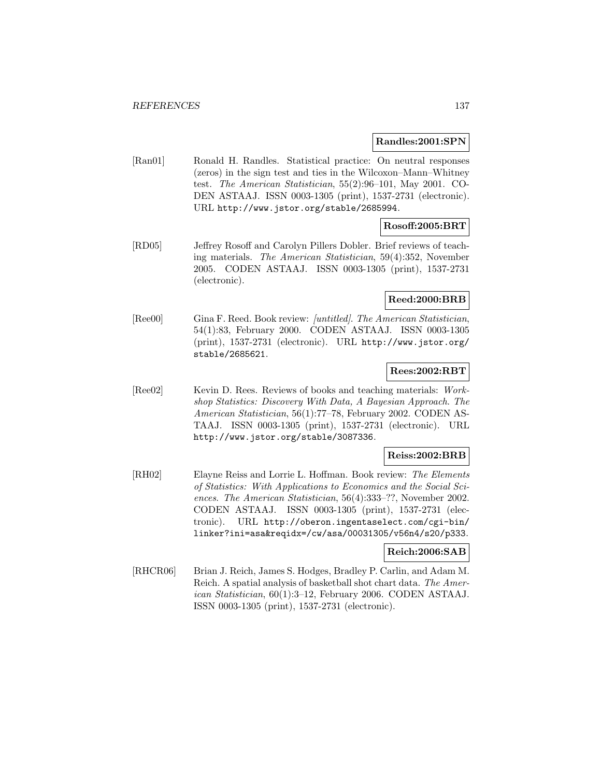#### **Randles:2001:SPN**

[Ran01] Ronald H. Randles. Statistical practice: On neutral responses (zeros) in the sign test and ties in the Wilcoxon–Mann–Whitney test. The American Statistician, 55(2):96–101, May 2001. CO-DEN ASTAAJ. ISSN 0003-1305 (print), 1537-2731 (electronic). URL http://www.jstor.org/stable/2685994.

# **Rosoff:2005:BRT**

[RD05] Jeffrey Rosoff and Carolyn Pillers Dobler. Brief reviews of teaching materials. The American Statistician, 59(4):352, November 2005. CODEN ASTAAJ. ISSN 0003-1305 (print), 1537-2731 (electronic).

## **Reed:2000:BRB**

[Ree00] Gina F. Reed. Book review: [untitled]. The American Statistician, 54(1):83, February 2000. CODEN ASTAAJ. ISSN 0003-1305 (print), 1537-2731 (electronic). URL http://www.jstor.org/ stable/2685621.

# **Rees:2002:RBT**

[Ree02] Kevin D. Rees. Reviews of books and teaching materials: Workshop Statistics: Discovery With Data, A Bayesian Approach. The American Statistician, 56(1):77–78, February 2002. CODEN AS-TAAJ. ISSN 0003-1305 (print), 1537-2731 (electronic). URL http://www.jstor.org/stable/3087336.

### **Reiss:2002:BRB**

[RH02] Elayne Reiss and Lorrie L. Hoffman. Book review: The Elements of Statistics: With Applications to Economics and the Social Sciences. The American Statistician, 56(4):333–??, November 2002. CODEN ASTAAJ. ISSN 0003-1305 (print), 1537-2731 (electronic). URL http://oberon.ingentaselect.com/cgi-bin/ linker?ini=asa&reqidx=/cw/asa/00031305/v56n4/s20/p333.

## **Reich:2006:SAB**

[RHCR06] Brian J. Reich, James S. Hodges, Bradley P. Carlin, and Adam M. Reich. A spatial analysis of basketball shot chart data. The American Statistician, 60(1):3–12, February 2006. CODEN ASTAAJ. ISSN 0003-1305 (print), 1537-2731 (electronic).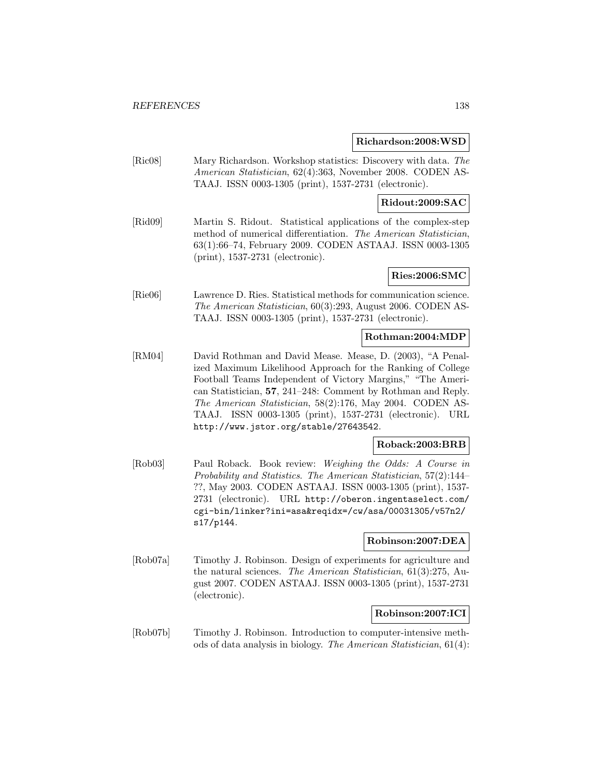#### **Richardson:2008:WSD**

[Ric08] Mary Richardson. Workshop statistics: Discovery with data. The American Statistician, 62(4):363, November 2008. CODEN AS-TAAJ. ISSN 0003-1305 (print), 1537-2731 (electronic).

# **Ridout:2009:SAC**

[Rid09] Martin S. Ridout. Statistical applications of the complex-step method of numerical differentiation. The American Statistician, 63(1):66–74, February 2009. CODEN ASTAAJ. ISSN 0003-1305 (print), 1537-2731 (electronic).

## **Ries:2006:SMC**

[Rie06] Lawrence D. Ries. Statistical methods for communication science. The American Statistician, 60(3):293, August 2006. CODEN AS-TAAJ. ISSN 0003-1305 (print), 1537-2731 (electronic).

# **Rothman:2004:MDP**

[RM04] David Rothman and David Mease. Mease, D. (2003), "A Penalized Maximum Likelihood Approach for the Ranking of College Football Teams Independent of Victory Margins," "The American Statistician, **57**, 241–248: Comment by Rothman and Reply. The American Statistician, 58(2):176, May 2004. CODEN AS-TAAJ. ISSN 0003-1305 (print), 1537-2731 (electronic). URL http://www.jstor.org/stable/27643542.

### **Roback:2003:BRB**

[Rob03] Paul Roback. Book review: Weighing the Odds: A Course in Probability and Statistics. The American Statistician, 57(2):144– ??, May 2003. CODEN ASTAAJ. ISSN 0003-1305 (print), 1537- 2731 (electronic). URL http://oberon.ingentaselect.com/ cgi-bin/linker?ini=asa&reqidx=/cw/asa/00031305/v57n2/ s17/p144.

### **Robinson:2007:DEA**

[Rob07a] Timothy J. Robinson. Design of experiments for agriculture and the natural sciences. The American Statistician, 61(3):275, August 2007. CODEN ASTAAJ. ISSN 0003-1305 (print), 1537-2731 (electronic).

### **Robinson:2007:ICI**

[Rob07b] Timothy J. Robinson. Introduction to computer-intensive methods of data analysis in biology. The American Statistician, 61(4):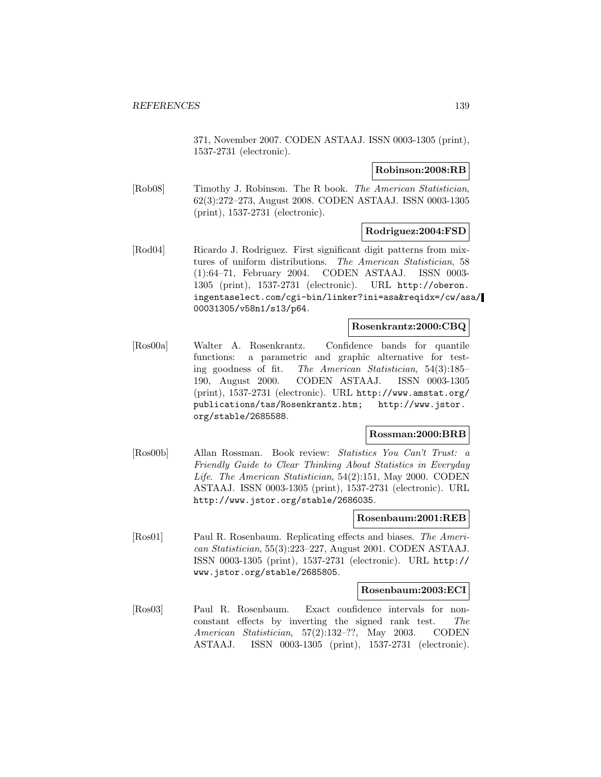371, November 2007. CODEN ASTAAJ. ISSN 0003-1305 (print), 1537-2731 (electronic).

### **Robinson:2008:RB**

[Rob08] Timothy J. Robinson. The R book. The American Statistician, 62(3):272–273, August 2008. CODEN ASTAAJ. ISSN 0003-1305 (print), 1537-2731 (electronic).

## **Rodriguez:2004:FSD**

[Rod04] Ricardo J. Rodriguez. First significant digit patterns from mixtures of uniform distributions. The American Statistician, 58 (1):64–71, February 2004. CODEN ASTAAJ. ISSN 0003- 1305 (print), 1537-2731 (electronic). URL http://oberon. ingentaselect.com/cgi-bin/linker?ini=asa&reqidx=/cw/asa/ 00031305/v58n1/s13/p64.

# **Rosenkrantz:2000:CBQ**

[Ros00a] Walter A. Rosenkrantz. Confidence bands for quantile functions: a parametric and graphic alternative for testing goodness of fit. The American Statistician, 54(3):185– 190, August 2000. CODEN ASTAAJ. ISSN 0003-1305 (print), 1537-2731 (electronic). URL http://www.amstat.org/ publications/tas/Rosenkrantz.htm; http://www.jstor. org/stable/2685588.

### **Rossman:2000:BRB**

[Ros00b] Allan Rossman. Book review: Statistics You Can't Trust: a Friendly Guide to Clear Thinking About Statistics in Everyday Life. The American Statistician, 54(2):151, May 2000. CODEN ASTAAJ. ISSN 0003-1305 (print), 1537-2731 (electronic). URL http://www.jstor.org/stable/2686035.

### **Rosenbaum:2001:REB**

[Ros01] Paul R. Rosenbaum. Replicating effects and biases. The American Statistician, 55(3):223–227, August 2001. CODEN ASTAAJ. ISSN 0003-1305 (print), 1537-2731 (electronic). URL http:// www.jstor.org/stable/2685805.

### **Rosenbaum:2003:ECI**

[Ros03] Paul R. Rosenbaum. Exact confidence intervals for nonconstant effects by inverting the signed rank test. The American Statistician, 57(2):132–??, May 2003. CODEN ASTAAJ. ISSN 0003-1305 (print), 1537-2731 (electronic).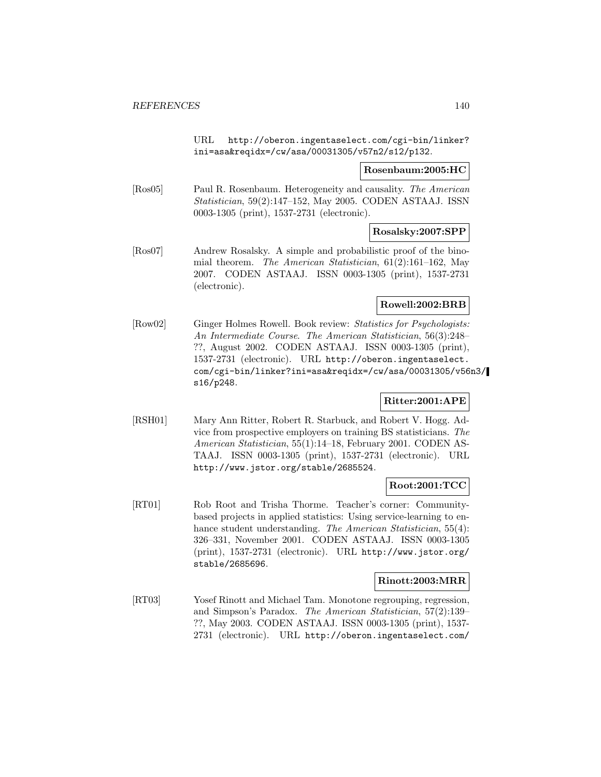URL http://oberon.ingentaselect.com/cgi-bin/linker? ini=asa&reqidx=/cw/asa/00031305/v57n2/s12/p132.

### **Rosenbaum:2005:HC**

[Ros05] Paul R. Rosenbaum. Heterogeneity and causality. The American Statistician, 59(2):147–152, May 2005. CODEN ASTAAJ. ISSN 0003-1305 (print), 1537-2731 (electronic).

# **Rosalsky:2007:SPP**

[Ros07] Andrew Rosalsky. A simple and probabilistic proof of the binomial theorem. The American Statistician, 61(2):161–162, May 2007. CODEN ASTAAJ. ISSN 0003-1305 (print), 1537-2731 (electronic).

## **Rowell:2002:BRB**

[Row02] Ginger Holmes Rowell. Book review: Statistics for Psychologists: An Intermediate Course. The American Statistician, 56(3):248– ??, August 2002. CODEN ASTAAJ. ISSN 0003-1305 (print), 1537-2731 (electronic). URL http://oberon.ingentaselect. com/cgi-bin/linker?ini=asa&reqidx=/cw/asa/00031305/v56n3/ s16/p248.

### **Ritter:2001:APE**

[RSH01] Mary Ann Ritter, Robert R. Starbuck, and Robert V. Hogg. Advice from prospective employers on training BS statisticians. The American Statistician, 55(1):14–18, February 2001. CODEN AS-TAAJ. ISSN 0003-1305 (print), 1537-2731 (electronic). URL http://www.jstor.org/stable/2685524.

# **Root:2001:TCC**

[RT01] Rob Root and Trisha Thorme. Teacher's corner: Communitybased projects in applied statistics: Using service-learning to enhance student understanding. The American Statistician, 55(4): 326–331, November 2001. CODEN ASTAAJ. ISSN 0003-1305 (print), 1537-2731 (electronic). URL http://www.jstor.org/ stable/2685696.

### **Rinott:2003:MRR**

[RT03] Yosef Rinott and Michael Tam. Monotone regrouping, regression, and Simpson's Paradox. The American Statistician, 57(2):139– ??, May 2003. CODEN ASTAAJ. ISSN 0003-1305 (print), 1537- 2731 (electronic). URL http://oberon.ingentaselect.com/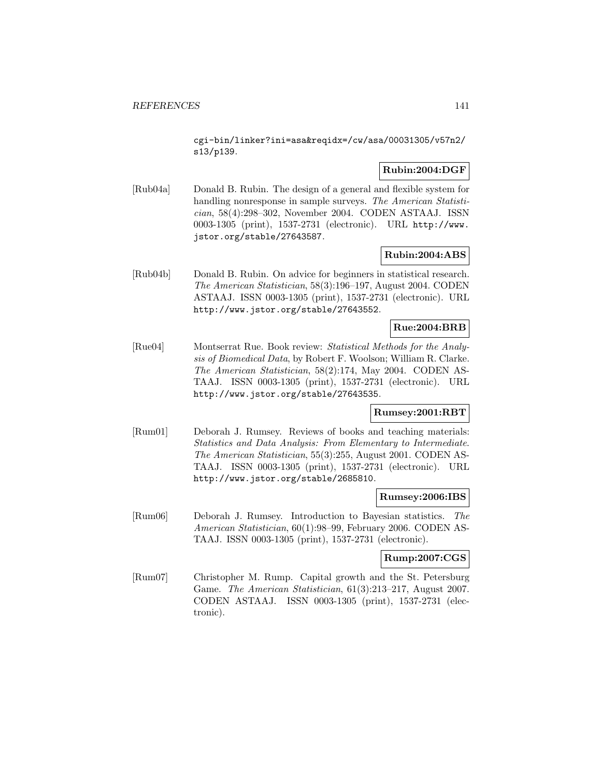cgi-bin/linker?ini=asa&reqidx=/cw/asa/00031305/v57n2/ s13/p139.

# **Rubin:2004:DGF**

[Rub04a] Donald B. Rubin. The design of a general and flexible system for handling nonresponse in sample surveys. The American Statistician, 58(4):298–302, November 2004. CODEN ASTAAJ. ISSN 0003-1305 (print), 1537-2731 (electronic). URL http://www. jstor.org/stable/27643587.

### **Rubin:2004:ABS**

[Rub04b] Donald B. Rubin. On advice for beginners in statistical research. The American Statistician, 58(3):196–197, August 2004. CODEN ASTAAJ. ISSN 0003-1305 (print), 1537-2731 (electronic). URL http://www.jstor.org/stable/27643552.

## **Rue:2004:BRB**

[Rue04] Montserrat Rue. Book review: Statistical Methods for the Analysis of Biomedical Data, by Robert F. Woolson; William R. Clarke. The American Statistician, 58(2):174, May 2004. CODEN AS-TAAJ. ISSN 0003-1305 (print), 1537-2731 (electronic). URL http://www.jstor.org/stable/27643535.

### **Rumsey:2001:RBT**

[Rum01] Deborah J. Rumsey. Reviews of books and teaching materials: Statistics and Data Analysis: From Elementary to Intermediate. The American Statistician, 55(3):255, August 2001. CODEN AS-TAAJ. ISSN 0003-1305 (print), 1537-2731 (electronic). URL http://www.jstor.org/stable/2685810.

### **Rumsey:2006:IBS**

[Rum06] Deborah J. Rumsey. Introduction to Bayesian statistics. The American Statistician, 60(1):98–99, February 2006. CODEN AS-TAAJ. ISSN 0003-1305 (print), 1537-2731 (electronic).

### **Rump:2007:CGS**

[Rum07] Christopher M. Rump. Capital growth and the St. Petersburg Game. The American Statistician, 61(3):213–217, August 2007. CODEN ASTAAJ. ISSN 0003-1305 (print), 1537-2731 (electronic).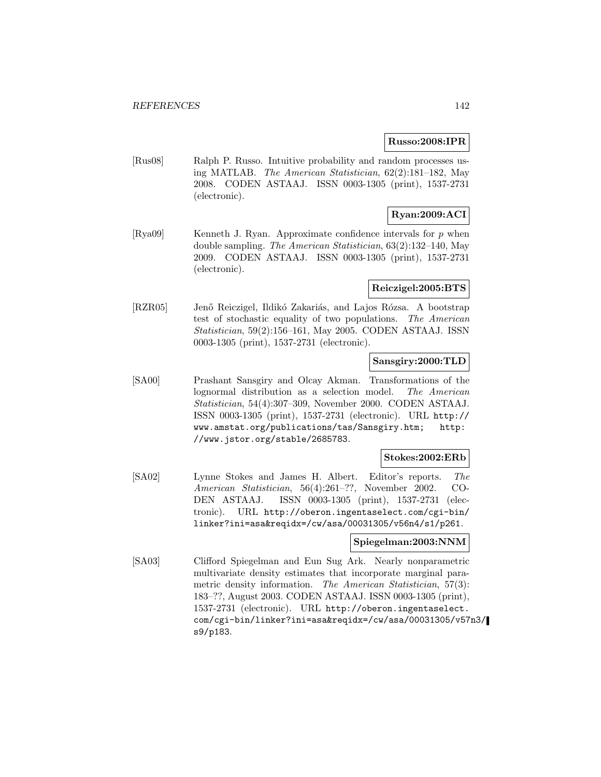#### **Russo:2008:IPR**

[Rus08] Ralph P. Russo. Intuitive probability and random processes using MATLAB. The American Statistician, 62(2):181–182, May 2008. CODEN ASTAAJ. ISSN 0003-1305 (print), 1537-2731 (electronic).

# **Ryan:2009:ACI**

[Rya09] Kenneth J. Ryan. Approximate confidence intervals for  $p$  when double sampling. The American Statistician, 63(2):132–140, May 2009. CODEN ASTAAJ. ISSN 0003-1305 (print), 1537-2731 (electronic).

#### **Reiczigel:2005:BTS**

[RZR05] Jenő Reiczigel, Ildikó Zakariás, and Lajos Rózsa. A bootstrap test of stochastic equality of two populations. The American Statistician, 59(2):156–161, May 2005. CODEN ASTAAJ. ISSN 0003-1305 (print), 1537-2731 (electronic).

## **Sansgiry:2000:TLD**

[SA00] Prashant Sansgiry and Olcay Akman. Transformations of the lognormal distribution as a selection model. The American Statistician, 54(4):307–309, November 2000. CODEN ASTAAJ. ISSN 0003-1305 (print), 1537-2731 (electronic). URL http:// www.amstat.org/publications/tas/Sansgiry.htm; http: //www.jstor.org/stable/2685783.

## **Stokes:2002:ERb**

[SA02] Lynne Stokes and James H. Albert. Editor's reports. The American Statistician, 56(4):261–??, November 2002. CO-DEN ASTAAJ. ISSN 0003-1305 (print), 1537-2731 (electronic). URL http://oberon.ingentaselect.com/cgi-bin/ linker?ini=asa&reqidx=/cw/asa/00031305/v56n4/s1/p261.

# **Spiegelman:2003:NNM**

[SA03] Clifford Spiegelman and Eun Sug Ark. Nearly nonparametric multivariate density estimates that incorporate marginal parametric density information. The American Statistician, 57(3): 183–??, August 2003. CODEN ASTAAJ. ISSN 0003-1305 (print), 1537-2731 (electronic). URL http://oberon.ingentaselect. com/cgi-bin/linker?ini=asa&reqidx=/cw/asa/00031305/v57n3/ s9/p183.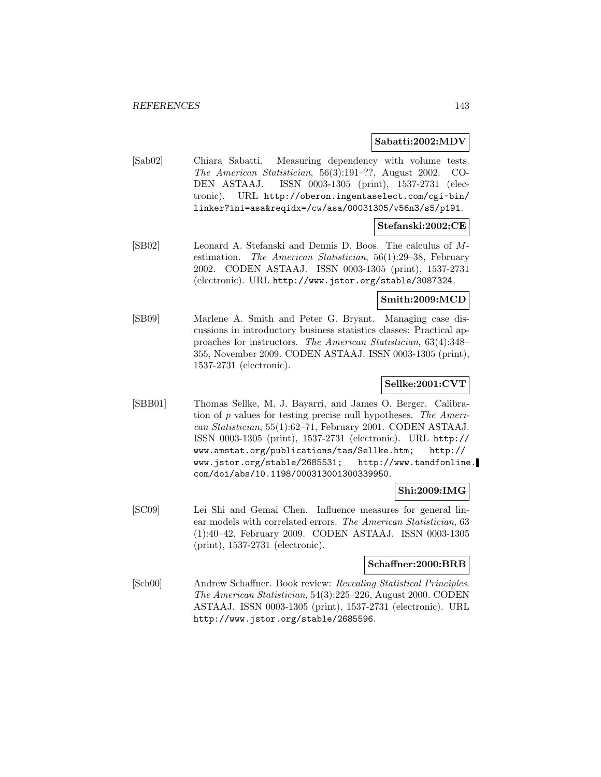### **Sabatti:2002:MDV**

[Sab02] Chiara Sabatti. Measuring dependency with volume tests. The American Statistician, 56(3):191–??, August 2002. CO-DEN ASTAAJ. ISSN 0003-1305 (print), 1537-2731 (electronic). URL http://oberon.ingentaselect.com/cgi-bin/ linker?ini=asa&reqidx=/cw/asa/00031305/v56n3/s5/p191.

## **Stefanski:2002:CE**

[SB02] Leonard A. Stefanski and Dennis D. Boos. The calculus of Mestimation. The American Statistician, 56(1):29–38, February 2002. CODEN ASTAAJ. ISSN 0003-1305 (print), 1537-2731 (electronic). URL http://www.jstor.org/stable/3087324.

### **Smith:2009:MCD**

[SB09] Marlene A. Smith and Peter G. Bryant. Managing case discussions in introductory business statistics classes: Practical approaches for instructors. The American Statistician, 63(4):348– 355, November 2009. CODEN ASTAAJ. ISSN 0003-1305 (print), 1537-2731 (electronic).

### **Sellke:2001:CVT**

[SBB01] Thomas Sellke, M. J. Bayarri, and James O. Berger. Calibration of p values for testing precise null hypotheses. The American Statistician, 55(1):62–71, February 2001. CODEN ASTAAJ. ISSN 0003-1305 (print), 1537-2731 (electronic). URL http:// www.amstat.org/publications/tas/Sellke.htm; http:// www.jstor.org/stable/2685531; http://www.tandfonline. com/doi/abs/10.1198/000313001300339950.

### **Shi:2009:IMG**

[SC09] Lei Shi and Gemai Chen. Influence measures for general linear models with correlated errors. The American Statistician, 63 (1):40–42, February 2009. CODEN ASTAAJ. ISSN 0003-1305 (print), 1537-2731 (electronic).

#### **Schaffner:2000:BRB**

[Sch00] Andrew Schaffner. Book review: Revealing Statistical Principles. The American Statistician, 54(3):225–226, August 2000. CODEN ASTAAJ. ISSN 0003-1305 (print), 1537-2731 (electronic). URL http://www.jstor.org/stable/2685596.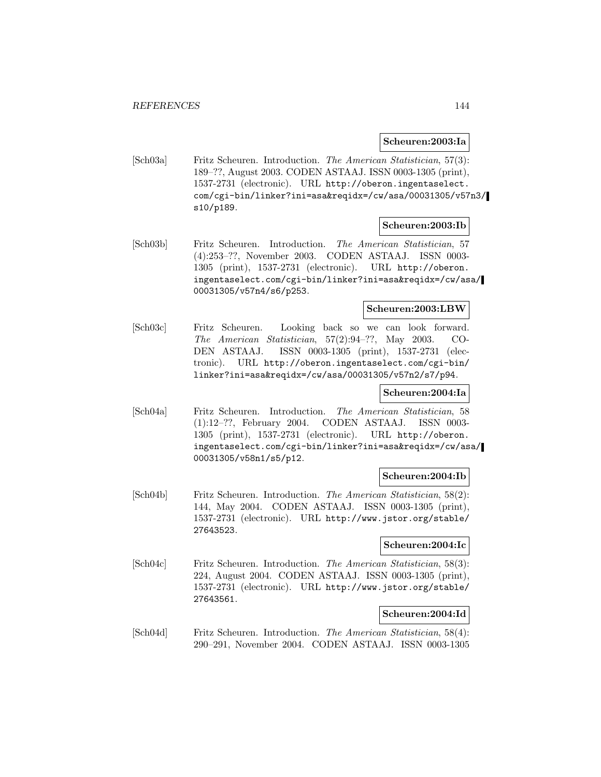#### **Scheuren:2003:Ia**

[Sch03a] Fritz Scheuren. Introduction. The American Statistician, 57(3): 189–??, August 2003. CODEN ASTAAJ. ISSN 0003-1305 (print), 1537-2731 (electronic). URL http://oberon.ingentaselect. com/cgi-bin/linker?ini=asa&reqidx=/cw/asa/00031305/v57n3/ s10/p189.

#### **Scheuren:2003:Ib**

[Sch03b] Fritz Scheuren. Introduction. The American Statistician, 57 (4):253–??, November 2003. CODEN ASTAAJ. ISSN 0003- 1305 (print), 1537-2731 (electronic). URL http://oberon. ingentaselect.com/cgi-bin/linker?ini=asa&reqidx=/cw/asa/ 00031305/v57n4/s6/p253.

## **Scheuren:2003:LBW**

[Sch03c] Fritz Scheuren. Looking back so we can look forward. The American Statistician, 57(2):94–??, May 2003. CO-DEN ASTAAJ. ISSN 0003-1305 (print), 1537-2731 (electronic). URL http://oberon.ingentaselect.com/cgi-bin/ linker?ini=asa&reqidx=/cw/asa/00031305/v57n2/s7/p94.

# **Scheuren:2004:Ia**

[Sch04a] Fritz Scheuren. Introduction. The American Statistician, 58 (1):12–??, February 2004. CODEN ASTAAJ. ISSN 0003- 1305 (print), 1537-2731 (electronic). URL http://oberon. ingentaselect.com/cgi-bin/linker?ini=asa&reqidx=/cw/asa/ 00031305/v58n1/s5/p12.

### **Scheuren:2004:Ib**

[Sch04b] Fritz Scheuren. Introduction. The American Statistician, 58(2): 144, May 2004. CODEN ASTAAJ. ISSN 0003-1305 (print), 1537-2731 (electronic). URL http://www.jstor.org/stable/ 27643523.

#### **Scheuren:2004:Ic**

[Sch04c] Fritz Scheuren. Introduction. The American Statistician, 58(3): 224, August 2004. CODEN ASTAAJ. ISSN 0003-1305 (print), 1537-2731 (electronic). URL http://www.jstor.org/stable/ 27643561.

#### **Scheuren:2004:Id**

[Sch04d] Fritz Scheuren. Introduction. The American Statistician, 58(4): 290–291, November 2004. CODEN ASTAAJ. ISSN 0003-1305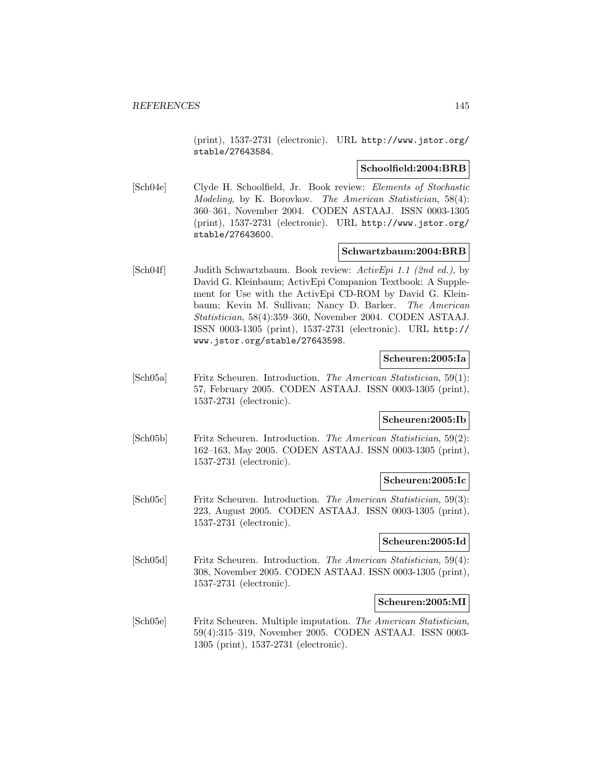(print), 1537-2731 (electronic). URL http://www.jstor.org/ stable/27643584.

### **Schoolfield:2004:BRB**

[Sch04e] Clyde H. Schoolfield, Jr. Book review: Elements of Stochastic Modeling, by K. Borovkov. The American Statistician, 58(4): 360–361, November 2004. CODEN ASTAAJ. ISSN 0003-1305 (print), 1537-2731 (electronic). URL http://www.jstor.org/ stable/27643600.

### **Schwartzbaum:2004:BRB**

[Sch04f] Judith Schwartzbaum. Book review: ActivEpi 1.1 (2nd ed.), by David G. Kleinbaum; ActivEpi Companion Textbook: A Supplement for Use with the ActivEpi CD-ROM by David G. Kleinbaum; Kevin M. Sullivan; Nancy D. Barker. The American Statistician, 58(4):359–360, November 2004. CODEN ASTAAJ. ISSN 0003-1305 (print), 1537-2731 (electronic). URL http:// www.jstor.org/stable/27643598.

### **Scheuren:2005:Ia**

[Sch05a] Fritz Scheuren. Introduction. The American Statistician, 59(1): 57, February 2005. CODEN ASTAAJ. ISSN 0003-1305 (print), 1537-2731 (electronic).

# **Scheuren:2005:Ib**

[Sch05b] Fritz Scheuren. Introduction. The American Statistician, 59(2): 162–163, May 2005. CODEN ASTAAJ. ISSN 0003-1305 (print), 1537-2731 (electronic).

#### **Scheuren:2005:Ic**

[Sch05c] Fritz Scheuren. Introduction. The American Statistician, 59(3): 223, August 2005. CODEN ASTAAJ. ISSN 0003-1305 (print), 1537-2731 (electronic).

### **Scheuren:2005:Id**

[Sch05d] Fritz Scheuren. Introduction. The American Statistician, 59(4): 308, November 2005. CODEN ASTAAJ. ISSN 0003-1305 (print), 1537-2731 (electronic).

#### **Scheuren:2005:MI**

[Sch05e] Fritz Scheuren. Multiple imputation. The American Statistician, 59(4):315–319, November 2005. CODEN ASTAAJ. ISSN 0003- 1305 (print), 1537-2731 (electronic).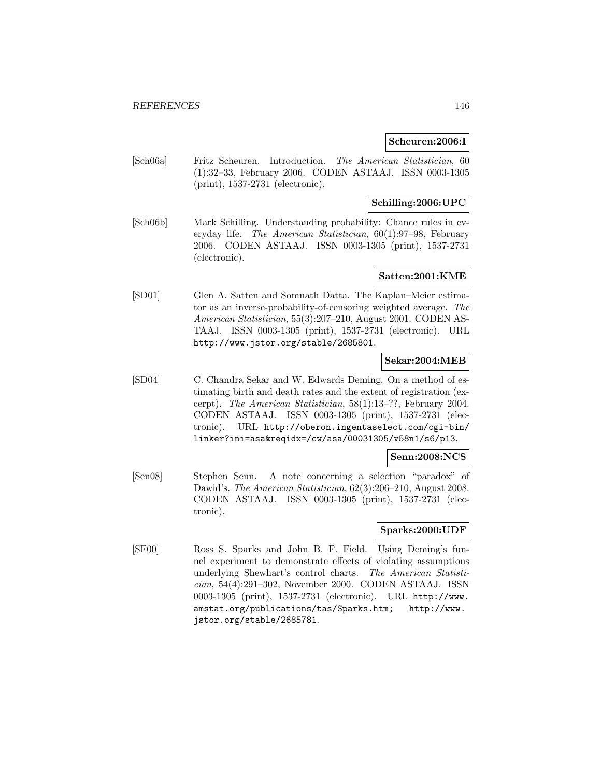### **Scheuren:2006:I**

[Sch06a] Fritz Scheuren. Introduction. The American Statistician, 60 (1):32–33, February 2006. CODEN ASTAAJ. ISSN 0003-1305 (print), 1537-2731 (electronic).

# **Schilling:2006:UPC**

[Sch06b] Mark Schilling. Understanding probability: Chance rules in everyday life. The American Statistician, 60(1):97–98, February 2006. CODEN ASTAAJ. ISSN 0003-1305 (print), 1537-2731 (electronic).

# **Satten:2001:KME**

[SD01] Glen A. Satten and Somnath Datta. The Kaplan–Meier estimator as an inverse-probability-of-censoring weighted average. The American Statistician, 55(3):207–210, August 2001. CODEN AS-TAAJ. ISSN 0003-1305 (print), 1537-2731 (electronic). URL http://www.jstor.org/stable/2685801.

## **Sekar:2004:MEB**

[SD04] C. Chandra Sekar and W. Edwards Deming. On a method of estimating birth and death rates and the extent of registration (excerpt). The American Statistician, 58(1):13–??, February 2004. CODEN ASTAAJ. ISSN 0003-1305 (print), 1537-2731 (electronic). URL http://oberon.ingentaselect.com/cgi-bin/ linker?ini=asa&reqidx=/cw/asa/00031305/v58n1/s6/p13.

#### **Senn:2008:NCS**

[Sen08] Stephen Senn. A note concerning a selection "paradox" of Dawid's. The American Statistician, 62(3):206–210, August 2008. CODEN ASTAAJ. ISSN 0003-1305 (print), 1537-2731 (electronic).

#### **Sparks:2000:UDF**

[SF00] Ross S. Sparks and John B. F. Field. Using Deming's funnel experiment to demonstrate effects of violating assumptions underlying Shewhart's control charts. The American Statistician, 54(4):291–302, November 2000. CODEN ASTAAJ. ISSN 0003-1305 (print), 1537-2731 (electronic). URL http://www. amstat.org/publications/tas/Sparks.htm; http://www. jstor.org/stable/2685781.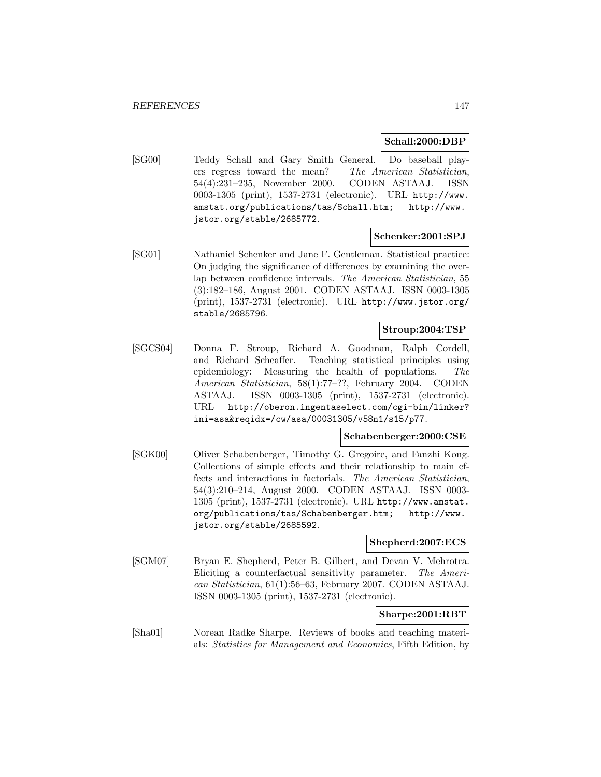### **Schall:2000:DBP**

[SG00] Teddy Schall and Gary Smith General. Do baseball players regress toward the mean? The American Statistician, 54(4):231–235, November 2000. CODEN ASTAAJ. ISSN 0003-1305 (print), 1537-2731 (electronic). URL http://www. amstat.org/publications/tas/Schall.htm; http://www. jstor.org/stable/2685772.

# **Schenker:2001:SPJ**

[SG01] Nathaniel Schenker and Jane F. Gentleman. Statistical practice: On judging the significance of differences by examining the overlap between confidence intervals. The American Statistician, 55 (3):182–186, August 2001. CODEN ASTAAJ. ISSN 0003-1305 (print), 1537-2731 (electronic). URL http://www.jstor.org/ stable/2685796.

# **Stroup:2004:TSP**

[SGCS04] Donna F. Stroup, Richard A. Goodman, Ralph Cordell, and Richard Scheaffer. Teaching statistical principles using epidemiology: Measuring the health of populations. The American Statistician, 58(1):77–??, February 2004. CODEN ASTAAJ. ISSN 0003-1305 (print), 1537-2731 (electronic). URL http://oberon.ingentaselect.com/cgi-bin/linker? ini=asa&reqidx=/cw/asa/00031305/v58n1/s15/p77.

# **Schabenberger:2000:CSE**

[SGK00] Oliver Schabenberger, Timothy G. Gregoire, and Fanzhi Kong. Collections of simple effects and their relationship to main effects and interactions in factorials. The American Statistician, 54(3):210–214, August 2000. CODEN ASTAAJ. ISSN 0003- 1305 (print), 1537-2731 (electronic). URL http://www.amstat. org/publications/tas/Schabenberger.htm; http://www. jstor.org/stable/2685592.

### **Shepherd:2007:ECS**

[SGM07] Bryan E. Shepherd, Peter B. Gilbert, and Devan V. Mehrotra. Eliciting a counterfactual sensitivity parameter. The American Statistician, 61(1):56–63, February 2007. CODEN ASTAAJ. ISSN 0003-1305 (print), 1537-2731 (electronic).

## **Sharpe:2001:RBT**

[Sha01] Norean Radke Sharpe. Reviews of books and teaching materials: Statistics for Management and Economics, Fifth Edition, by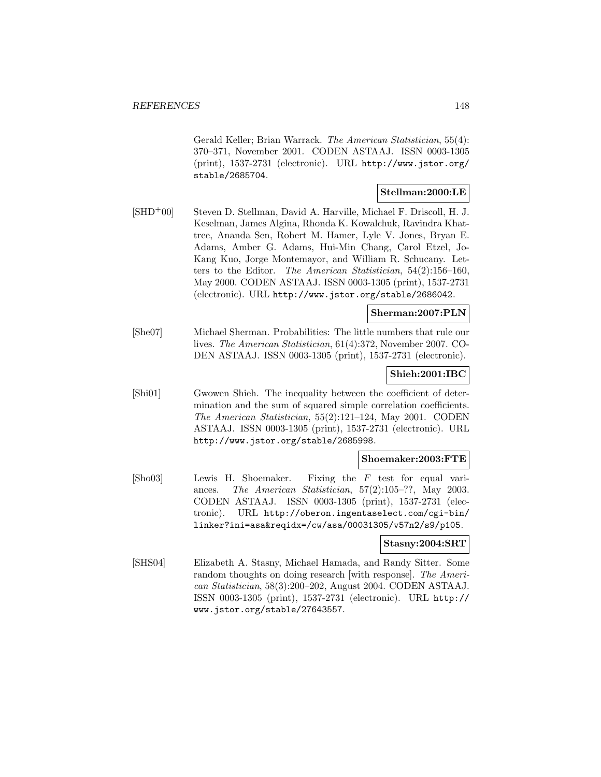Gerald Keller; Brian Warrack. The American Statistician, 55(4): 370–371, November 2001. CODEN ASTAAJ. ISSN 0003-1305 (print), 1537-2731 (electronic). URL http://www.jstor.org/ stable/2685704.

# **Stellman:2000:LE**

[SHD<sup>+</sup>00] Steven D. Stellman, David A. Harville, Michael F. Driscoll, H. J. Keselman, James Algina, Rhonda K. Kowalchuk, Ravindra Khattree, Ananda Sen, Robert M. Hamer, Lyle V. Jones, Bryan E. Adams, Amber G. Adams, Hui-Min Chang, Carol Etzel, Jo-Kang Kuo, Jorge Montemayor, and William R. Schucany. Letters to the Editor. The American Statistician, 54(2):156–160, May 2000. CODEN ASTAAJ. ISSN 0003-1305 (print), 1537-2731 (electronic). URL http://www.jstor.org/stable/2686042.

## **Sherman:2007:PLN**

[She07] Michael Sherman. Probabilities: The little numbers that rule our lives. The American Statistician, 61(4):372, November 2007. CO-DEN ASTAAJ. ISSN 0003-1305 (print), 1537-2731 (electronic).

### **Shieh:2001:IBC**

[Shi01] Gwowen Shieh. The inequality between the coefficient of determination and the sum of squared simple correlation coefficients. The American Statistician, 55(2):121–124, May 2001. CODEN ASTAAJ. ISSN 0003-1305 (print), 1537-2731 (electronic). URL http://www.jstor.org/stable/2685998.

### **Shoemaker:2003:FTE**

[Sho03] Lewis H. Shoemaker. Fixing the F test for equal variances. The American Statistician, 57(2):105–??, May 2003. CODEN ASTAAJ. ISSN 0003-1305 (print), 1537-2731 (electronic). URL http://oberon.ingentaselect.com/cgi-bin/ linker?ini=asa&reqidx=/cw/asa/00031305/v57n2/s9/p105.

#### **Stasny:2004:SRT**

[SHS04] Elizabeth A. Stasny, Michael Hamada, and Randy Sitter. Some random thoughts on doing research with response. The American Statistician, 58(3):200–202, August 2004. CODEN ASTAAJ. ISSN 0003-1305 (print), 1537-2731 (electronic). URL http:// www.jstor.org/stable/27643557.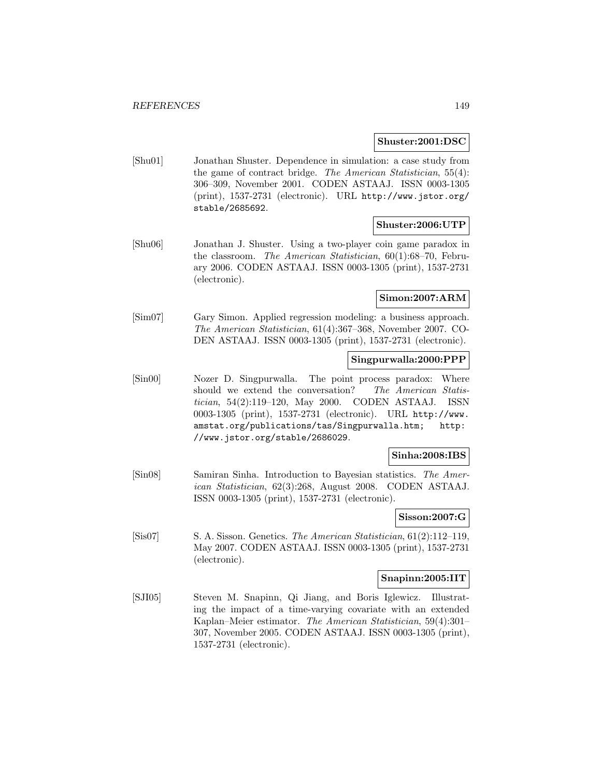### **Shuster:2001:DSC**

[Shu01] Jonathan Shuster. Dependence in simulation: a case study from the game of contract bridge. The American Statistician, 55(4): 306–309, November 2001. CODEN ASTAAJ. ISSN 0003-1305 (print), 1537-2731 (electronic). URL http://www.jstor.org/ stable/2685692.

### **Shuster:2006:UTP**

[Shu06] Jonathan J. Shuster. Using a two-player coin game paradox in the classroom. The American Statistician, 60(1):68–70, February 2006. CODEN ASTAAJ. ISSN 0003-1305 (print), 1537-2731 (electronic).

# **Simon:2007:ARM**

[Sim07] Gary Simon. Applied regression modeling: a business approach. The American Statistician, 61(4):367–368, November 2007. CO-DEN ASTAAJ. ISSN 0003-1305 (print), 1537-2731 (electronic).

# **Singpurwalla:2000:PPP**

[Sin00] Nozer D. Singpurwalla. The point process paradox: Where should we extend the conversation? The American Statistician, 54(2):119–120, May 2000. CODEN ASTAAJ. ISSN 0003-1305 (print), 1537-2731 (electronic). URL http://www. amstat.org/publications/tas/Singpurwalla.htm; http: //www.jstor.org/stable/2686029.

# **Sinha:2008:IBS**

[Sin08] Samiran Sinha. Introduction to Bayesian statistics. The American Statistician, 62(3):268, August 2008. CODEN ASTAAJ. ISSN 0003-1305 (print), 1537-2731 (electronic).

# **Sisson:2007:G**

[Sis07] S. A. Sisson. Genetics. The American Statistician, 61(2):112–119, May 2007. CODEN ASTAAJ. ISSN 0003-1305 (print), 1537-2731 (electronic).

### **Snapinn:2005:IIT**

[SJI05] Steven M. Snapinn, Qi Jiang, and Boris Iglewicz. Illustrating the impact of a time-varying covariate with an extended Kaplan–Meier estimator. The American Statistician, 59(4):301– 307, November 2005. CODEN ASTAAJ. ISSN 0003-1305 (print), 1537-2731 (electronic).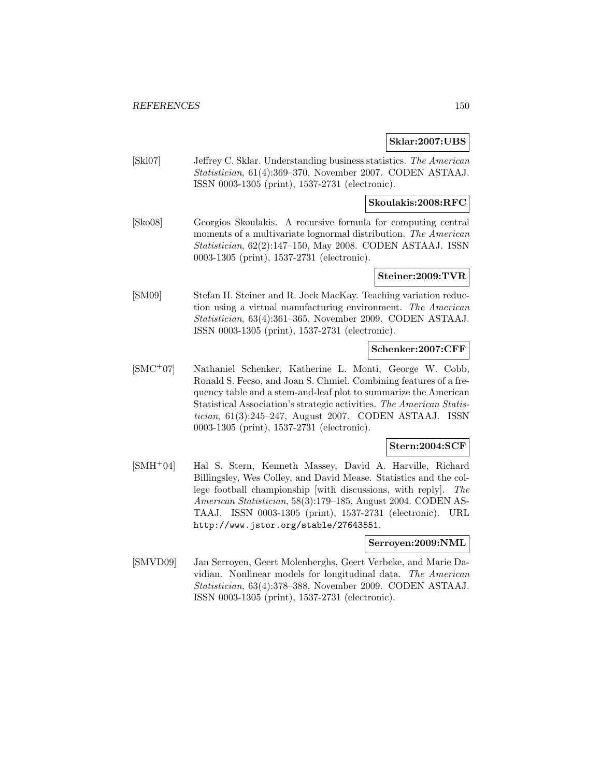## **Sklar:2007:UBS**

[Skl07] Jeffrey C. Sklar. Understanding business statistics. The American Statistician, 61(4):369–370, November 2007. CODEN ASTAAJ. ISSN 0003-1305 (print), 1537-2731 (electronic).

### **Skoulakis:2008:RFC**

[Sko08] Georgios Skoulakis. A recursive formula for computing central moments of a multivariate lognormal distribution. The American Statistician, 62(2):147–150, May 2008. CODEN ASTAAJ. ISSN 0003-1305 (print), 1537-2731 (electronic).

# **Steiner:2009:TVR**

[SM09] Stefan H. Steiner and R. Jock MacKay. Teaching variation reduction using a virtual manufacturing environment. The American Statistician, 63(4):361–365, November 2009. CODEN ASTAAJ. ISSN 0003-1305 (print), 1537-2731 (electronic).

## **Schenker:2007:CFF**

[SMC<sup>+</sup>07] Nathaniel Schenker, Katherine L. Monti, George W. Cobb, Ronald S. Fecso, and Joan S. Chmiel. Combining features of a frequency table and a stem-and-leaf plot to summarize the American Statistical Association's strategic activities. The American Statistician, 61(3):245–247, August 2007. CODEN ASTAAJ. ISSN 0003-1305 (print), 1537-2731 (electronic).

### **Stern:2004:SCF**

[SMH<sup>+</sup>04] Hal S. Stern, Kenneth Massey, David A. Harville, Richard Billingsley, Wes Colley, and David Mease. Statistics and the college football championship [with discussions, with reply]. The American Statistician, 58(3):179–185, August 2004. CODEN AS-TAAJ. ISSN 0003-1305 (print), 1537-2731 (electronic). URL http://www.jstor.org/stable/27643551.

## **Serroyen:2009:NML**

[SMVD09] Jan Serroyen, Geert Molenberghs, Geert Verbeke, and Marie Davidian. Nonlinear models for longitudinal data. The American Statistician, 63(4):378–388, November 2009. CODEN ASTAAJ. ISSN 0003-1305 (print), 1537-2731 (electronic).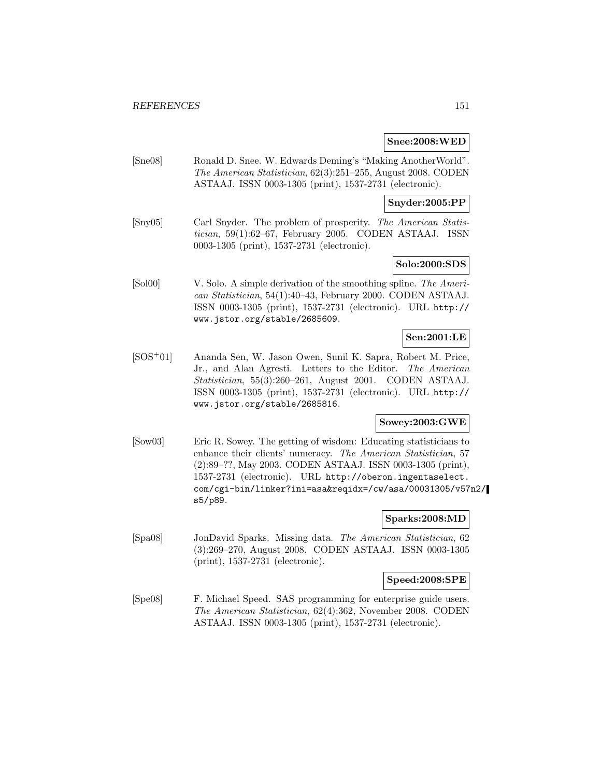### **Snee:2008:WED**

[Sne08] Ronald D. Snee. W. Edwards Deming's "Making AnotherWorld". The American Statistician, 62(3):251–255, August 2008. CODEN ASTAAJ. ISSN 0003-1305 (print), 1537-2731 (electronic).

# **Snyder:2005:PP**

[Sny05] Carl Snyder. The problem of prosperity. The American Statistician, 59(1):62–67, February 2005. CODEN ASTAAJ. ISSN 0003-1305 (print), 1537-2731 (electronic).

# **Solo:2000:SDS**

[Sol00] V. Solo. A simple derivation of the smoothing spline. The American Statistician, 54(1):40–43, February 2000. CODEN ASTAAJ. ISSN 0003-1305 (print), 1537-2731 (electronic). URL http:// www.jstor.org/stable/2685609.

# **Sen:2001:LE**

[SOS<sup>+</sup>01] Ananda Sen, W. Jason Owen, Sunil K. Sapra, Robert M. Price, Jr., and Alan Agresti. Letters to the Editor. The American Statistician, 55(3):260–261, August 2001. CODEN ASTAAJ. ISSN 0003-1305 (print), 1537-2731 (electronic). URL http:// www.jstor.org/stable/2685816.

# **Sowey:2003:GWE**

[Sow03] Eric R. Sowey. The getting of wisdom: Educating statisticians to enhance their clients' numeracy. The American Statistician, 57 (2):89–??, May 2003. CODEN ASTAAJ. ISSN 0003-1305 (print), 1537-2731 (electronic). URL http://oberon.ingentaselect. com/cgi-bin/linker?ini=asa&reqidx=/cw/asa/00031305/v57n2/ s5/p89.

# **Sparks:2008:MD**

[Spa08] JonDavid Sparks. Missing data. The American Statistician, 62 (3):269–270, August 2008. CODEN ASTAAJ. ISSN 0003-1305 (print), 1537-2731 (electronic).

## **Speed:2008:SPE**

[Spe08] F. Michael Speed. SAS programming for enterprise guide users. The American Statistician, 62(4):362, November 2008. CODEN ASTAAJ. ISSN 0003-1305 (print), 1537-2731 (electronic).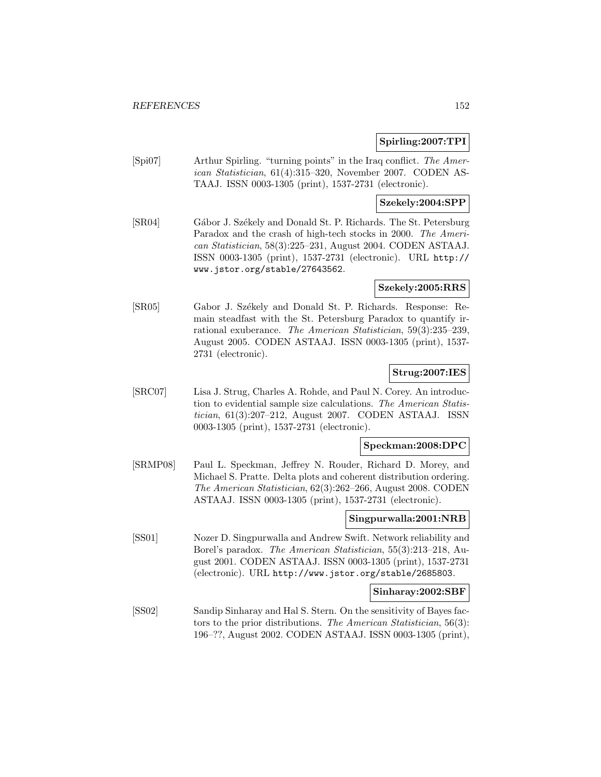## **Spirling:2007:TPI**

[Spi07] Arthur Spirling. "turning points" in the Iraq conflict. The American Statistician, 61(4):315–320, November 2007. CODEN AS-TAAJ. ISSN 0003-1305 (print), 1537-2731 (electronic).

# **Szekely:2004:SPP**

[SR04] Gábor J. Székely and Donald St. P. Richards. The St. Petersburg Paradox and the crash of high-tech stocks in 2000. The American Statistician, 58(3):225–231, August 2004. CODEN ASTAAJ. ISSN 0003-1305 (print), 1537-2731 (electronic). URL http:// www.jstor.org/stable/27643562.

## **Szekely:2005:RRS**

[SR05] Gabor J. Székely and Donald St. P. Richards. Response: Remain steadfast with the St. Petersburg Paradox to quantify irrational exuberance. The American Statistician, 59(3):235–239, August 2005. CODEN ASTAAJ. ISSN 0003-1305 (print), 1537- 2731 (electronic).

# **Strug:2007:IES**

[SRC07] Lisa J. Strug, Charles A. Rohde, and Paul N. Corey. An introduction to evidential sample size calculations. The American Statistician, 61(3):207–212, August 2007. CODEN ASTAAJ. ISSN 0003-1305 (print), 1537-2731 (electronic).

## **Speckman:2008:DPC**

[SRMP08] Paul L. Speckman, Jeffrey N. Rouder, Richard D. Morey, and Michael S. Pratte. Delta plots and coherent distribution ordering. The American Statistician, 62(3):262–266, August 2008. CODEN ASTAAJ. ISSN 0003-1305 (print), 1537-2731 (electronic).

## **Singpurwalla:2001:NRB**

[SS01] Nozer D. Singpurwalla and Andrew Swift. Network reliability and Borel's paradox. The American Statistician, 55(3):213–218, August 2001. CODEN ASTAAJ. ISSN 0003-1305 (print), 1537-2731 (electronic). URL http://www.jstor.org/stable/2685803.

### **Sinharay:2002:SBF**

[SS02] Sandip Sinharay and Hal S. Stern. On the sensitivity of Bayes factors to the prior distributions. The American Statistician, 56(3): 196–??, August 2002. CODEN ASTAAJ. ISSN 0003-1305 (print),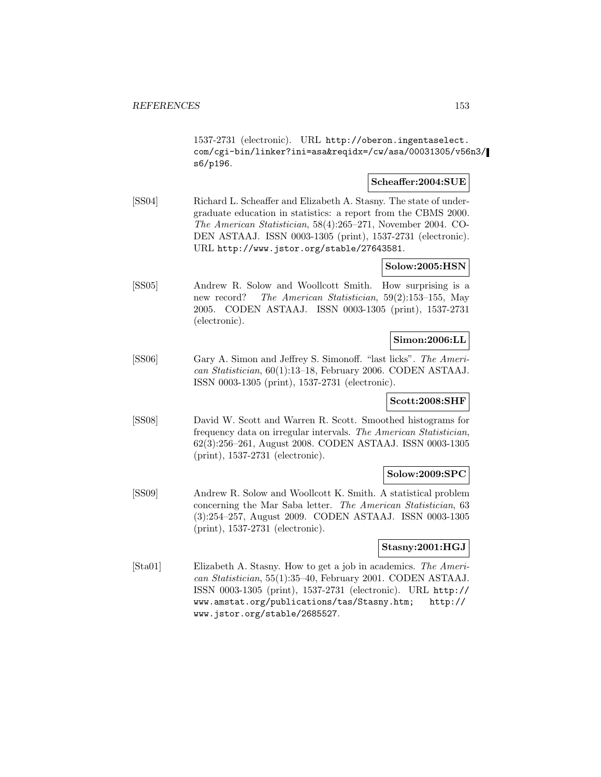1537-2731 (electronic). URL http://oberon.ingentaselect. com/cgi-bin/linker?ini=asa&reqidx=/cw/asa/00031305/v56n3/ s6/p196.

## **Scheaffer:2004:SUE**

[SS04] Richard L. Scheaffer and Elizabeth A. Stasny. The state of undergraduate education in statistics: a report from the CBMS 2000. The American Statistician, 58(4):265–271, November 2004. CO-DEN ASTAAJ. ISSN 0003-1305 (print), 1537-2731 (electronic). URL http://www.jstor.org/stable/27643581.

# **Solow:2005:HSN**

[SS05] Andrew R. Solow and Woollcott Smith. How surprising is a new record? The American Statistician, 59(2):153–155, May 2005. CODEN ASTAAJ. ISSN 0003-1305 (print), 1537-2731 (electronic).

# **Simon:2006:LL**

[SS06] Gary A. Simon and Jeffrey S. Simonoff. "last licks". The American Statistician, 60(1):13–18, February 2006. CODEN ASTAAJ. ISSN 0003-1305 (print), 1537-2731 (electronic).

#### **Scott:2008:SHF**

[SS08] David W. Scott and Warren R. Scott. Smoothed histograms for frequency data on irregular intervals. The American Statistician, 62(3):256–261, August 2008. CODEN ASTAAJ. ISSN 0003-1305 (print), 1537-2731 (electronic).

### **Solow:2009:SPC**

[SS09] Andrew R. Solow and Woollcott K. Smith. A statistical problem concerning the Mar Saba letter. The American Statistician, 63 (3):254–257, August 2009. CODEN ASTAAJ. ISSN 0003-1305 (print), 1537-2731 (electronic).

#### **Stasny:2001:HGJ**

[Sta01] Elizabeth A. Stasny. How to get a job in academics. The American Statistician, 55(1):35–40, February 2001. CODEN ASTAAJ. ISSN 0003-1305 (print), 1537-2731 (electronic). URL http:// www.amstat.org/publications/tas/Stasny.htm; http:// www.jstor.org/stable/2685527.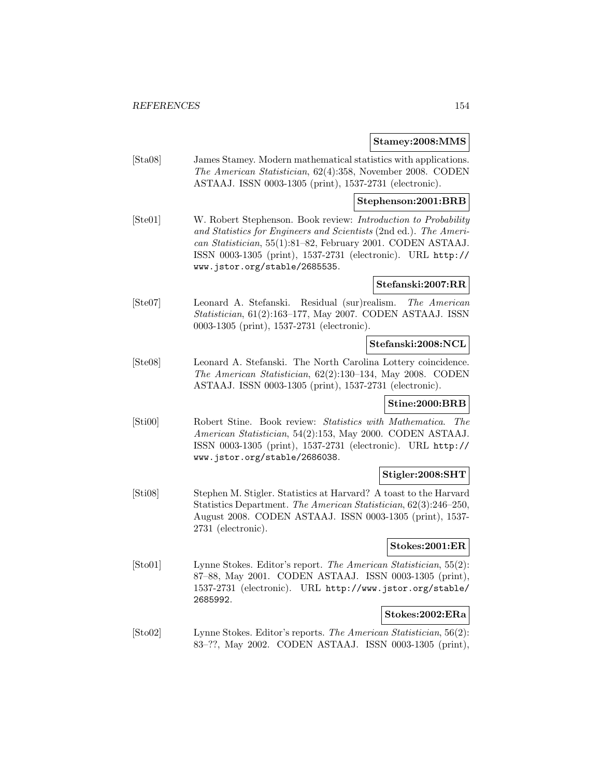### **Stamey:2008:MMS**

[Sta08] James Stamey. Modern mathematical statistics with applications. The American Statistician, 62(4):358, November 2008. CODEN ASTAAJ. ISSN 0003-1305 (print), 1537-2731 (electronic).

### **Stephenson:2001:BRB**

[Ste01] W. Robert Stephenson. Book review: Introduction to Probability and Statistics for Engineers and Scientists (2nd ed.). The American Statistician, 55(1):81–82, February 2001. CODEN ASTAAJ. ISSN 0003-1305 (print), 1537-2731 (electronic). URL http:// www.jstor.org/stable/2685535.

### **Stefanski:2007:RR**

[Ste07] Leonard A. Stefanski. Residual (sur)realism. The American Statistician, 61(2):163–177, May 2007. CODEN ASTAAJ. ISSN 0003-1305 (print), 1537-2731 (electronic).

## **Stefanski:2008:NCL**

[Ste08] Leonard A. Stefanski. The North Carolina Lottery coincidence. The American Statistician, 62(2):130–134, May 2008. CODEN ASTAAJ. ISSN 0003-1305 (print), 1537-2731 (electronic).

# **Stine:2000:BRB**

[Sti00] Robert Stine. Book review: Statistics with Mathematica. The American Statistician, 54(2):153, May 2000. CODEN ASTAAJ. ISSN 0003-1305 (print), 1537-2731 (electronic). URL http:// www.jstor.org/stable/2686038.

# **Stigler:2008:SHT**

[Sti08] Stephen M. Stigler. Statistics at Harvard? A toast to the Harvard Statistics Department. The American Statistician, 62(3):246–250, August 2008. CODEN ASTAAJ. ISSN 0003-1305 (print), 1537- 2731 (electronic).

#### **Stokes:2001:ER**

[Sto01] Lynne Stokes. Editor's report. The American Statistician, 55(2): 87–88, May 2001. CODEN ASTAAJ. ISSN 0003-1305 (print), 1537-2731 (electronic). URL http://www.jstor.org/stable/ 2685992.

## **Stokes:2002:ERa**

[Sto02] Lynne Stokes. Editor's reports. The American Statistician, 56(2): 83–??, May 2002. CODEN ASTAAJ. ISSN 0003-1305 (print),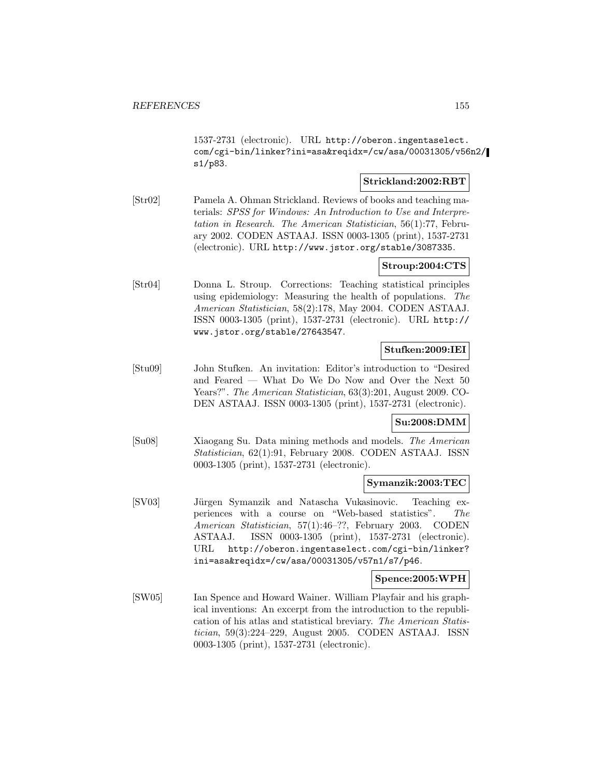1537-2731 (electronic). URL http://oberon.ingentaselect. com/cgi-bin/linker?ini=asa&reqidx=/cw/asa/00031305/v56n2/ s1/p83.

# **Strickland:2002:RBT**

[Str02] Pamela A. Ohman Strickland. Reviews of books and teaching materials: SPSS for Windows: An Introduction to Use and Interpretation in Research. The American Statistician, 56(1):77, February 2002. CODEN ASTAAJ. ISSN 0003-1305 (print), 1537-2731 (electronic). URL http://www.jstor.org/stable/3087335.

# **Stroup:2004:CTS**

[Str04] Donna L. Stroup. Corrections: Teaching statistical principles using epidemiology: Measuring the health of populations. The American Statistician, 58(2):178, May 2004. CODEN ASTAAJ. ISSN 0003-1305 (print), 1537-2731 (electronic). URL http:// www.jstor.org/stable/27643547.

# **Stufken:2009:IEI**

[Stu09] John Stufken. An invitation: Editor's introduction to "Desired and Feared — What Do We Do Now and Over the Next 50 Years?". The American Statistician, 63(3):201, August 2009. CO-DEN ASTAAJ. ISSN 0003-1305 (print), 1537-2731 (electronic).

# **Su:2008:DMM**

[Su08] Xiaogang Su. Data mining methods and models. The American Statistician, 62(1):91, February 2008. CODEN ASTAAJ. ISSN 0003-1305 (print), 1537-2731 (electronic).

### **Symanzik:2003:TEC**

[SV03] Jürgen Symanzik and Natascha Vukasinovic. Teaching experiences with a course on "Web-based statistics". The American Statistician, 57(1):46–??, February 2003. CODEN ASTAAJ. ISSN 0003-1305 (print), 1537-2731 (electronic). URL http://oberon.ingentaselect.com/cgi-bin/linker? ini=asa&reqidx=/cw/asa/00031305/v57n1/s7/p46.

## **Spence:2005:WPH**

[SW05] Ian Spence and Howard Wainer. William Playfair and his graphical inventions: An excerpt from the introduction to the republication of his atlas and statistical breviary. The American Statistician, 59(3):224–229, August 2005. CODEN ASTAAJ. ISSN 0003-1305 (print), 1537-2731 (electronic).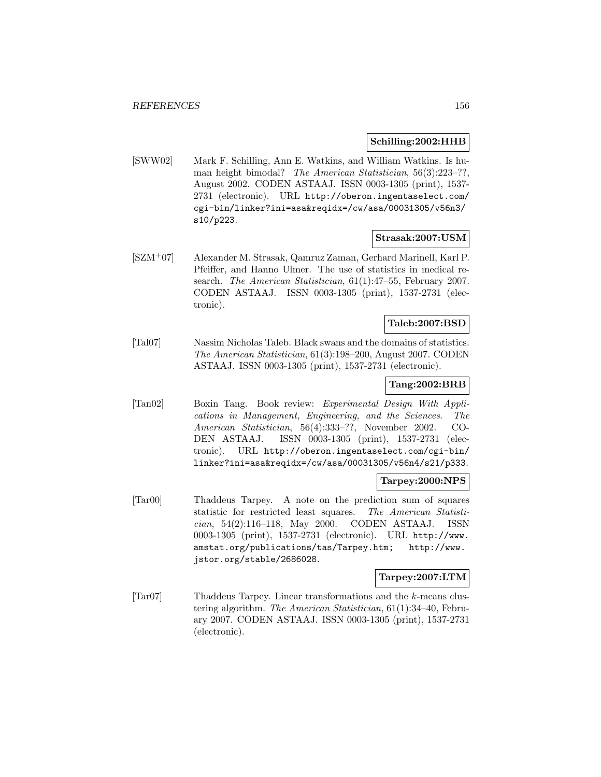### **Schilling:2002:HHB**

[SWW02] Mark F. Schilling, Ann E. Watkins, and William Watkins. Is human height bimodal? The American Statistician, 56(3):223-??, August 2002. CODEN ASTAAJ. ISSN 0003-1305 (print), 1537- 2731 (electronic). URL http://oberon.ingentaselect.com/ cgi-bin/linker?ini=asa&reqidx=/cw/asa/00031305/v56n3/ s10/p223.

### **Strasak:2007:USM**

[SZM<sup>+</sup>07] Alexander M. Strasak, Qamruz Zaman, Gerhard Marinell, Karl P. Pfeiffer, and Hanno Ulmer. The use of statistics in medical research. The American Statistician, 61(1):47–55, February 2007. CODEN ASTAAJ. ISSN 0003-1305 (print), 1537-2731 (electronic).

# **Taleb:2007:BSD**

[Tal07] Nassim Nicholas Taleb. Black swans and the domains of statistics. The American Statistician, 61(3):198–200, August 2007. CODEN ASTAAJ. ISSN 0003-1305 (print), 1537-2731 (electronic).

# **Tang:2002:BRB**

[Tan02] Boxin Tang. Book review: Experimental Design With Applications in Management, Engineering, and the Sciences. The American Statistician, 56(4):333–??, November 2002. CO-DEN ASTAAJ. ISSN 0003-1305 (print), 1537-2731 (electronic). URL http://oberon.ingentaselect.com/cgi-bin/ linker?ini=asa&reqidx=/cw/asa/00031305/v56n4/s21/p333.

## **Tarpey:2000:NPS**

[Tar00] Thaddeus Tarpey. A note on the prediction sum of squares statistic for restricted least squares. The American Statistician, 54(2):116–118, May 2000. CODEN ASTAAJ. ISSN 0003-1305 (print), 1537-2731 (electronic). URL http://www. amstat.org/publications/tas/Tarpey.htm; http://www. jstor.org/stable/2686028.

### **Tarpey:2007:LTM**

[Tar07] Thaddeus Tarpey. Linear transformations and the k-means clustering algorithm. The American Statistician, 61(1):34–40, February 2007. CODEN ASTAAJ. ISSN 0003-1305 (print), 1537-2731 (electronic).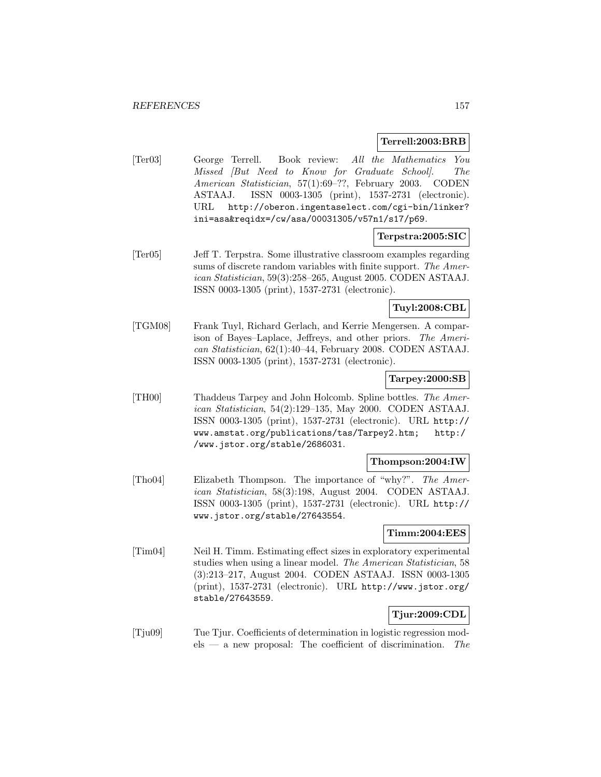### **Terrell:2003:BRB**

[Ter03] George Terrell. Book review: All the Mathematics You Missed [But Need to Know for Graduate School]. The American Statistician, 57(1):69–??, February 2003. CODEN ASTAAJ. ISSN 0003-1305 (print), 1537-2731 (electronic). URL http://oberon.ingentaselect.com/cgi-bin/linker? ini=asa&reqidx=/cw/asa/00031305/v57n1/s17/p69.

# **Terpstra:2005:SIC**

[Ter05] Jeff T. Terpstra. Some illustrative classroom examples regarding sums of discrete random variables with finite support. The American Statistician, 59(3):258–265, August 2005. CODEN ASTAAJ. ISSN 0003-1305 (print), 1537-2731 (electronic).

**Tuyl:2008:CBL**

[TGM08] Frank Tuyl, Richard Gerlach, and Kerrie Mengersen. A comparison of Bayes–Laplace, Jeffreys, and other priors. The American Statistician, 62(1):40–44, February 2008. CODEN ASTAAJ. ISSN 0003-1305 (print), 1537-2731 (electronic).

### **Tarpey:2000:SB**

[TH00] Thaddeus Tarpey and John Holcomb. Spline bottles. The American Statistician, 54(2):129–135, May 2000. CODEN ASTAAJ. ISSN 0003-1305 (print), 1537-2731 (electronic). URL http:// www.amstat.org/publications/tas/Tarpey2.htm; http:/ /www.jstor.org/stable/2686031.

### **Thompson:2004:IW**

[Tho04] Elizabeth Thompson. The importance of "why?". The American Statistician, 58(3):198, August 2004. CODEN ASTAAJ. ISSN 0003-1305 (print), 1537-2731 (electronic). URL http:// www.jstor.org/stable/27643554.

# **Timm:2004:EES**

[Tim04] Neil H. Timm. Estimating effect sizes in exploratory experimental studies when using a linear model. The American Statistician, 58 (3):213–217, August 2004. CODEN ASTAAJ. ISSN 0003-1305 (print), 1537-2731 (electronic). URL http://www.jstor.org/ stable/27643559.

# **Tjur:2009:CDL**

[Tju09] Tue Tjur. Coefficients of determination in logistic regression mod $els$  — a new proposal: The coefficient of discrimination. The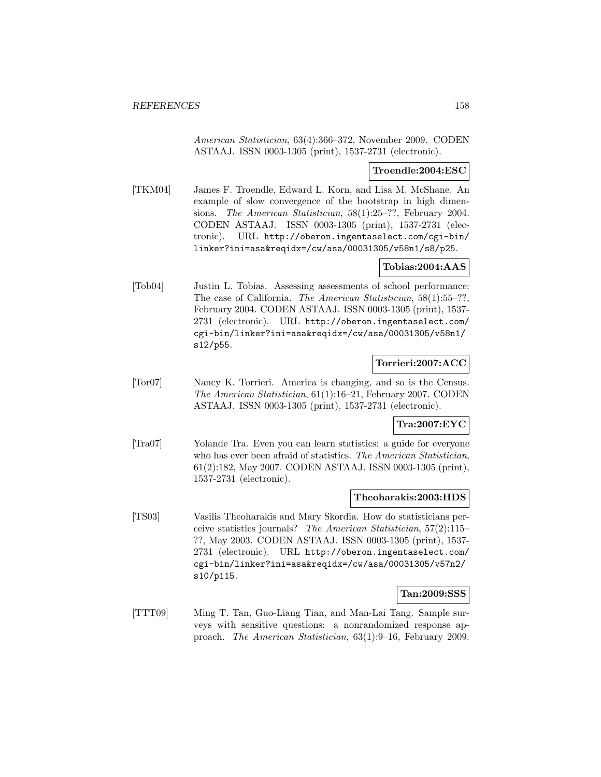American Statistician, 63(4):366–372, November 2009. CODEN ASTAAJ. ISSN 0003-1305 (print), 1537-2731 (electronic).

## **Troendle:2004:ESC**

[TKM04] James F. Troendle, Edward L. Korn, and Lisa M. McShane. An example of slow convergence of the bootstrap in high dimensions. The American Statistician, 58(1):25–??, February 2004. CODEN ASTAAJ. ISSN 0003-1305 (print), 1537-2731 (electronic). URL http://oberon.ingentaselect.com/cgi-bin/ linker?ini=asa&reqidx=/cw/asa/00031305/v58n1/s8/p25.

# **Tobias:2004:AAS**

[Tob04] Justin L. Tobias. Assessing assessments of school performance: The case of California. The American Statistician, 58(1):55–??, February 2004. CODEN ASTAAJ. ISSN 0003-1305 (print), 1537- 2731 (electronic). URL http://oberon.ingentaselect.com/ cgi-bin/linker?ini=asa&reqidx=/cw/asa/00031305/v58n1/ s12/p55.

# **Torrieri:2007:ACC**

[Tor07] Nancy K. Torrieri. America is changing, and so is the Census. The American Statistician, 61(1):16–21, February 2007. CODEN ASTAAJ. ISSN 0003-1305 (print), 1537-2731 (electronic).

# **Tra:2007:EYC**

[Tra07] Yolande Tra. Even you can learn statistics: a guide for everyone who has ever been afraid of statistics. The American Statistician, 61(2):182, May 2007. CODEN ASTAAJ. ISSN 0003-1305 (print), 1537-2731 (electronic).

### **Theoharakis:2003:HDS**

[TS03] Vasilis Theoharakis and Mary Skordia. How do statisticians perceive statistics journals? The American Statistician, 57(2):115– ??, May 2003. CODEN ASTAAJ. ISSN 0003-1305 (print), 1537- 2731 (electronic). URL http://oberon.ingentaselect.com/ cgi-bin/linker?ini=asa&reqidx=/cw/asa/00031305/v57n2/ s10/p115.

## **Tan:2009:SSS**

[TTT09] Ming T. Tan, Guo-Liang Tian, and Man-Lai Tang. Sample surveys with sensitive questions: a nonrandomized response approach. The American Statistician, 63(1):9–16, February 2009.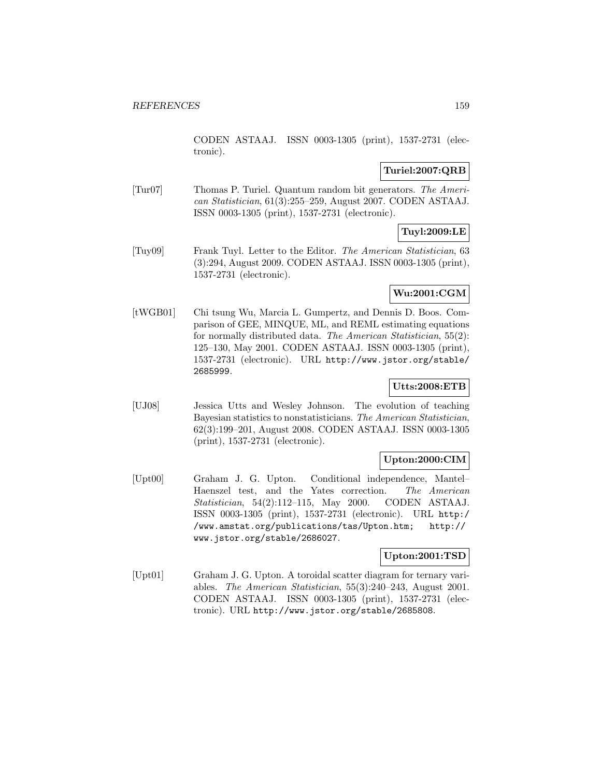CODEN ASTAAJ. ISSN 0003-1305 (print), 1537-2731 (electronic).

# **Turiel:2007:QRB**

[Tur07] Thomas P. Turiel. Quantum random bit generators. The American Statistician, 61(3):255–259, August 2007. CODEN ASTAAJ. ISSN 0003-1305 (print), 1537-2731 (electronic).

# **Tuyl:2009:LE**

[Tuy09] Frank Tuyl. Letter to the Editor. The American Statistician, 63 (3):294, August 2009. CODEN ASTAAJ. ISSN 0003-1305 (print), 1537-2731 (electronic).

# **Wu:2001:CGM**

[tWGB01] Chi tsung Wu, Marcia L. Gumpertz, and Dennis D. Boos. Comparison of GEE, MINQUE, ML, and REML estimating equations for normally distributed data. The American Statistician, 55(2): 125–130, May 2001. CODEN ASTAAJ. ISSN 0003-1305 (print), 1537-2731 (electronic). URL http://www.jstor.org/stable/ 2685999.

# **Utts:2008:ETB**

[UJ08] Jessica Utts and Wesley Johnson. The evolution of teaching Bayesian statistics to nonstatisticians. The American Statistician, 62(3):199–201, August 2008. CODEN ASTAAJ. ISSN 0003-1305 (print), 1537-2731 (electronic).

# **Upton:2000:CIM**

[Upt00] Graham J. G. Upton. Conditional independence, Mantel– Haenszel test, and the Yates correction. The American Statistician, 54(2):112–115, May 2000. CODEN ASTAAJ. ISSN 0003-1305 (print), 1537-2731 (electronic). URL http:/ /www.amstat.org/publications/tas/Upton.htm; http:// www.jstor.org/stable/2686027.

# **Upton:2001:TSD**

[Upt01] Graham J. G. Upton. A toroidal scatter diagram for ternary variables. The American Statistician, 55(3):240–243, August 2001. CODEN ASTAAJ. ISSN 0003-1305 (print), 1537-2731 (electronic). URL http://www.jstor.org/stable/2685808.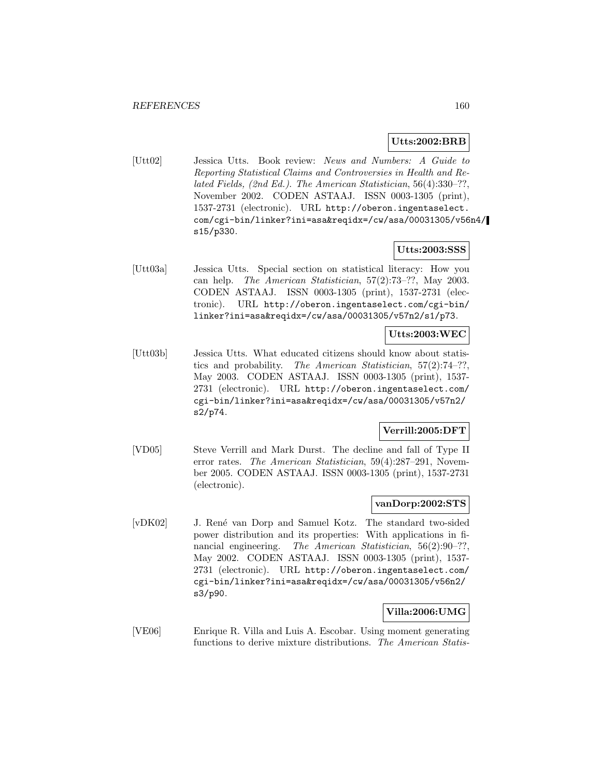### **Utts:2002:BRB**

[Utt02] Jessica Utts. Book review: News and Numbers: A Guide to Reporting Statistical Claims and Controversies in Health and Related Fields, (2nd Ed.). The American Statistician, 56(4):330–??, November 2002. CODEN ASTAAJ. ISSN 0003-1305 (print), 1537-2731 (electronic). URL http://oberon.ingentaselect. com/cgi-bin/linker?ini=asa&reqidx=/cw/asa/00031305/v56n4/ s15/p330.

### **Utts:2003:SSS**

[Utt03a] Jessica Utts. Special section on statistical literacy: How you can help. The American Statistician, 57(2):73–??, May 2003. CODEN ASTAAJ. ISSN 0003-1305 (print), 1537-2731 (electronic). URL http://oberon.ingentaselect.com/cgi-bin/ linker?ini=asa&reqidx=/cw/asa/00031305/v57n2/s1/p73.

# **Utts:2003:WEC**

[Utt03b] Jessica Utts. What educated citizens should know about statistics and probability. The American Statistician, 57(2):74–??, May 2003. CODEN ASTAAJ. ISSN 0003-1305 (print), 1537- 2731 (electronic). URL http://oberon.ingentaselect.com/ cgi-bin/linker?ini=asa&reqidx=/cw/asa/00031305/v57n2/ s2/p74.

# **Verrill:2005:DFT**

[VD05] Steve Verrill and Mark Durst. The decline and fall of Type II error rates. The American Statistician, 59(4):287–291, November 2005. CODEN ASTAAJ. ISSN 0003-1305 (print), 1537-2731 (electronic).

# **vanDorp:2002:STS**

[vDK02] J. René van Dorp and Samuel Kotz. The standard two-sided power distribution and its properties: With applications in financial engineering. The American Statistician, 56(2):90-??, May 2002. CODEN ASTAAJ. ISSN 0003-1305 (print), 1537- 2731 (electronic). URL http://oberon.ingentaselect.com/ cgi-bin/linker?ini=asa&reqidx=/cw/asa/00031305/v56n2/ s3/p90.

# **Villa:2006:UMG**

[VE06] Enrique R. Villa and Luis A. Escobar. Using moment generating functions to derive mixture distributions. The American Statis-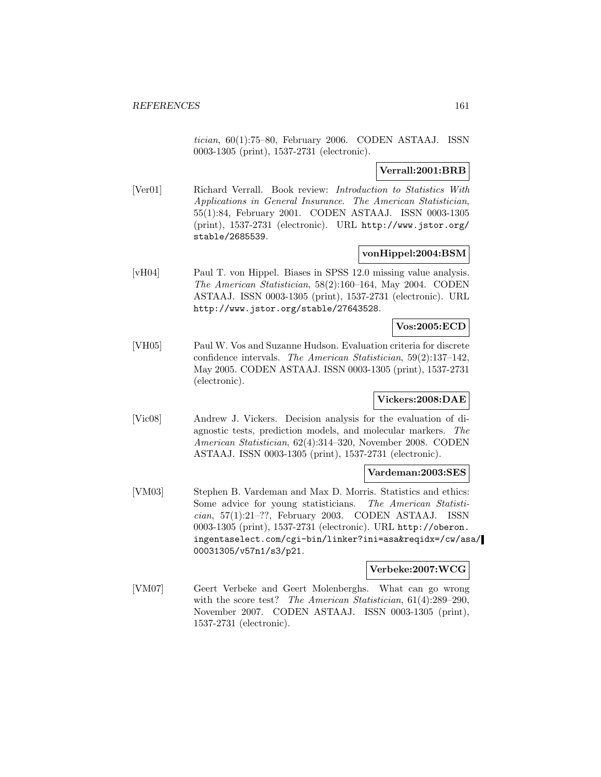tician, 60(1):75–80, February 2006. CODEN ASTAAJ. ISSN 0003-1305 (print), 1537-2731 (electronic).

# **Verrall:2001:BRB**

[Ver01] Richard Verrall. Book review: Introduction to Statistics With Applications in General Insurance. The American Statistician, 55(1):84, February 2001. CODEN ASTAAJ. ISSN 0003-1305 (print), 1537-2731 (electronic). URL http://www.jstor.org/ stable/2685539.

### **vonHippel:2004:BSM**

[vH04] Paul T. von Hippel. Biases in SPSS 12.0 missing value analysis. The American Statistician, 58(2):160–164, May 2004. CODEN ASTAAJ. ISSN 0003-1305 (print), 1537-2731 (electronic). URL http://www.jstor.org/stable/27643528.

# **Vos:2005:ECD**

[VH05] Paul W. Vos and Suzanne Hudson. Evaluation criteria for discrete confidence intervals. The American Statistician, 59(2):137–142, May 2005. CODEN ASTAAJ. ISSN 0003-1305 (print), 1537-2731 (electronic).

# **Vickers:2008:DAE**

[Vic08] Andrew J. Vickers. Decision analysis for the evaluation of diagnostic tests, prediction models, and molecular markers. The American Statistician, 62(4):314–320, November 2008. CODEN ASTAAJ. ISSN 0003-1305 (print), 1537-2731 (electronic).

#### **Vardeman:2003:SES**

[VM03] Stephen B. Vardeman and Max D. Morris. Statistics and ethics: Some advice for young statisticians. The American Statistician, 57(1):21–??, February 2003. CODEN ASTAAJ. ISSN 0003-1305 (print), 1537-2731 (electronic). URL http://oberon. ingentaselect.com/cgi-bin/linker?ini=asa&reqidx=/cw/asa/ 00031305/v57n1/s3/p21.

#### **Verbeke:2007:WCG**

[VM07] Geert Verbeke and Geert Molenberghs. What can go wrong with the score test? The American Statistician, 61(4):289–290, November 2007. CODEN ASTAAJ. ISSN 0003-1305 (print), 1537-2731 (electronic).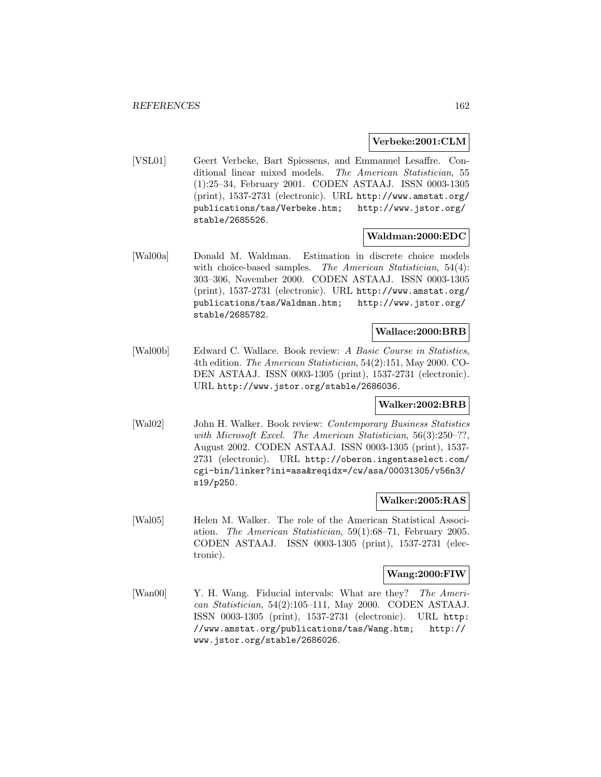### **Verbeke:2001:CLM**

[VSL01] Geert Verbeke, Bart Spiessens, and Emmanuel Lesaffre. Conditional linear mixed models. The American Statistician, 55 (1):25–34, February 2001. CODEN ASTAAJ. ISSN 0003-1305 (print), 1537-2731 (electronic). URL http://www.amstat.org/ publications/tas/Verbeke.htm; http://www.jstor.org/ stable/2685526.

### **Waldman:2000:EDC**

[Wal00a] Donald M. Waldman. Estimation in discrete choice models with choice-based samples. The American Statistician, 54(4): 303–306, November 2000. CODEN ASTAAJ. ISSN 0003-1305 (print), 1537-2731 (electronic). URL http://www.amstat.org/ publications/tas/Waldman.htm; http://www.jstor.org/ stable/2685782.

### **Wallace:2000:BRB**

[Wal00b] Edward C. Wallace. Book review: A Basic Course in Statistics, 4th edition. The American Statistician, 54(2):151, May 2000. CO-DEN ASTAAJ. ISSN 0003-1305 (print), 1537-2731 (electronic). URL http://www.jstor.org/stable/2686036.

# **Walker:2002:BRB**

[Wal02] John H. Walker. Book review: Contemporary Business Statistics with Microsoft Excel. The American Statistician, 56(3):250-??, August 2002. CODEN ASTAAJ. ISSN 0003-1305 (print), 1537- 2731 (electronic). URL http://oberon.ingentaselect.com/ cgi-bin/linker?ini=asa&reqidx=/cw/asa/00031305/v56n3/ s19/p250.

# **Walker:2005:RAS**

[Wal05] Helen M. Walker. The role of the American Statistical Association. The American Statistician, 59(1):68–71, February 2005. CODEN ASTAAJ. ISSN 0003-1305 (print), 1537-2731 (electronic).

### **Wang:2000:FIW**

[Wan00] Y. H. Wang. Fiducial intervals: What are they? The American Statistician, 54(2):105–111, May 2000. CODEN ASTAAJ. ISSN 0003-1305 (print), 1537-2731 (electronic). URL http: //www.amstat.org/publications/tas/Wang.htm; http:// www.jstor.org/stable/2686026.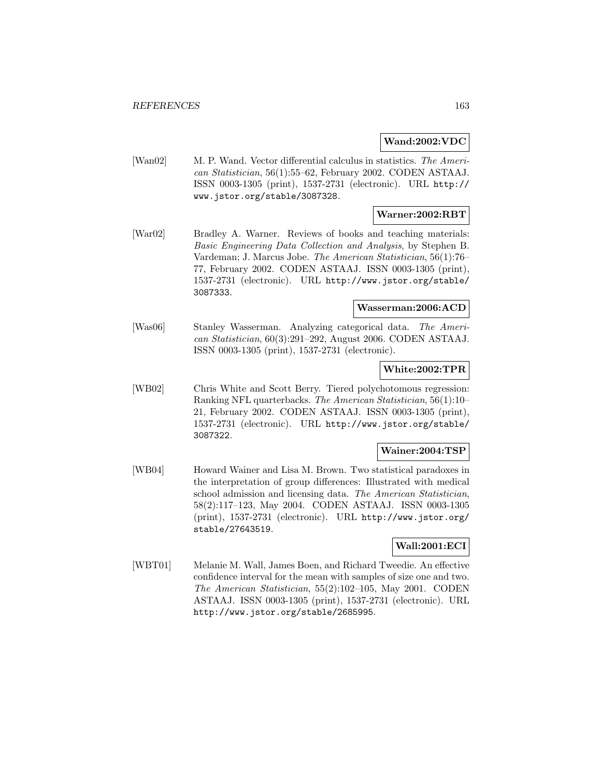### **Wand:2002:VDC**

[Wan02] M. P. Wand. Vector differential calculus in statistics. The American Statistician, 56(1):55–62, February 2002. CODEN ASTAAJ. ISSN 0003-1305 (print), 1537-2731 (electronic). URL http:// www.jstor.org/stable/3087328.

### **Warner:2002:RBT**

[War02] Bradley A. Warner. Reviews of books and teaching materials: Basic Engineering Data Collection and Analysis, by Stephen B. Vardeman; J. Marcus Jobe. The American Statistician, 56(1):76– 77, February 2002. CODEN ASTAAJ. ISSN 0003-1305 (print), 1537-2731 (electronic). URL http://www.jstor.org/stable/ 3087333.

# **Wasserman:2006:ACD**

[Was06] Stanley Wasserman. Analyzing categorical data. The American Statistician, 60(3):291–292, August 2006. CODEN ASTAAJ. ISSN 0003-1305 (print), 1537-2731 (electronic).

# **White:2002:TPR**

[WB02] Chris White and Scott Berry. Tiered polychotomous regression: Ranking NFL quarterbacks. The American Statistician, 56(1):10– 21, February 2002. CODEN ASTAAJ. ISSN 0003-1305 (print), 1537-2731 (electronic). URL http://www.jstor.org/stable/ 3087322.

### **Wainer:2004:TSP**

[WB04] Howard Wainer and Lisa M. Brown. Two statistical paradoxes in the interpretation of group differences: Illustrated with medical school admission and licensing data. The American Statistician, 58(2):117–123, May 2004. CODEN ASTAAJ. ISSN 0003-1305 (print), 1537-2731 (electronic). URL http://www.jstor.org/ stable/27643519.

## **Wall:2001:ECI**

[WBT01] Melanie M. Wall, James Boen, and Richard Tweedie. An effective confidence interval for the mean with samples of size one and two. The American Statistician, 55(2):102–105, May 2001. CODEN ASTAAJ. ISSN 0003-1305 (print), 1537-2731 (electronic). URL http://www.jstor.org/stable/2685995.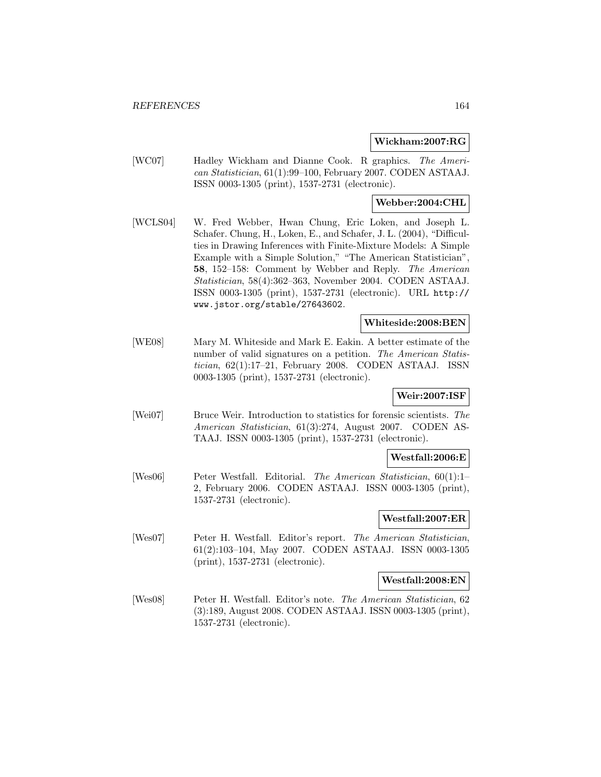### **Wickham:2007:RG**

[WC07] Hadley Wickham and Dianne Cook. R graphics. The American Statistician, 61(1):99–100, February 2007. CODEN ASTAAJ. ISSN 0003-1305 (print), 1537-2731 (electronic).

# **Webber:2004:CHL**

[WCLS04] W. Fred Webber, Hwan Chung, Eric Loken, and Joseph L. Schafer. Chung, H., Loken, E., and Schafer, J. L. (2004), "Difficulties in Drawing Inferences with Finite-Mixture Models: A Simple Example with a Simple Solution," "The American Statistician", **58**, 152–158: Comment by Webber and Reply. The American Statistician, 58(4):362–363, November 2004. CODEN ASTAAJ. ISSN 0003-1305 (print), 1537-2731 (electronic). URL http:// www.jstor.org/stable/27643602.

## **Whiteside:2008:BEN**

[WE08] Mary M. Whiteside and Mark E. Eakin. A better estimate of the number of valid signatures on a petition. The American Statistician, 62(1):17–21, February 2008. CODEN ASTAAJ. ISSN 0003-1305 (print), 1537-2731 (electronic).

## **Weir:2007:ISF**

[Wei07] Bruce Weir. Introduction to statistics for forensic scientists. The American Statistician, 61(3):274, August 2007. CODEN AS-TAAJ. ISSN 0003-1305 (print), 1537-2731 (electronic).

## **Westfall:2006:E**

[Wes06] Peter Westfall. Editorial. The American Statistician, 60(1):1– 2, February 2006. CODEN ASTAAJ. ISSN 0003-1305 (print), 1537-2731 (electronic).

# **Westfall:2007:ER**

[Wes07] Peter H. Westfall. Editor's report. The American Statistician, 61(2):103–104, May 2007. CODEN ASTAAJ. ISSN 0003-1305 (print), 1537-2731 (electronic).

### **Westfall:2008:EN**

[Wes08] Peter H. Westfall. Editor's note. The American Statistician, 62 (3):189, August 2008. CODEN ASTAAJ. ISSN 0003-1305 (print), 1537-2731 (electronic).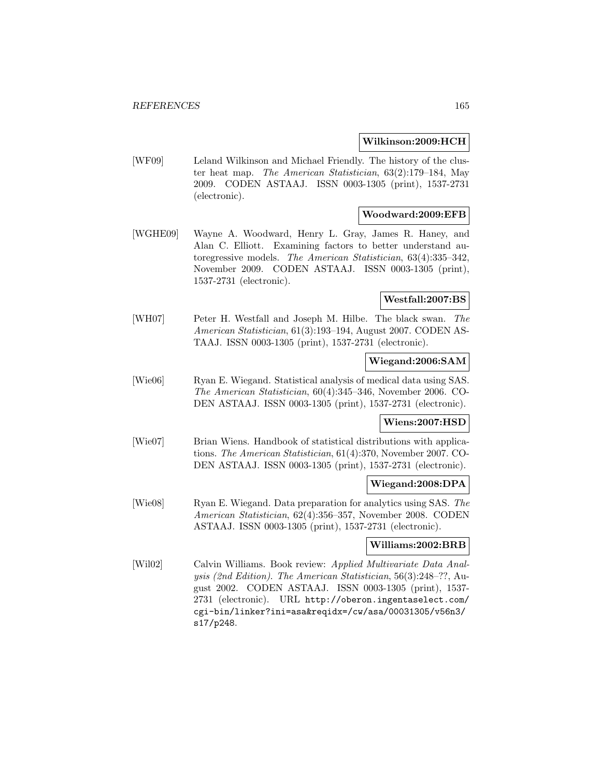### **Wilkinson:2009:HCH**

[WF09] Leland Wilkinson and Michael Friendly. The history of the cluster heat map. The American Statistician, 63(2):179–184, May 2009. CODEN ASTAAJ. ISSN 0003-1305 (print), 1537-2731 (electronic).

### **Woodward:2009:EFB**

[WGHE09] Wayne A. Woodward, Henry L. Gray, James R. Haney, and Alan C. Elliott. Examining factors to better understand autoregressive models. The American Statistician, 63(4):335–342, November 2009. CODEN ASTAAJ. ISSN 0003-1305 (print), 1537-2731 (electronic).

# **Westfall:2007:BS**

[WH07] Peter H. Westfall and Joseph M. Hilbe. The black swan. The American Statistician, 61(3):193–194, August 2007. CODEN AS-TAAJ. ISSN 0003-1305 (print), 1537-2731 (electronic).

### **Wiegand:2006:SAM**

[Wie06] Ryan E. Wiegand. Statistical analysis of medical data using SAS. The American Statistician, 60(4):345–346, November 2006. CO-DEN ASTAAJ. ISSN 0003-1305 (print), 1537-2731 (electronic).

# **Wiens:2007:HSD**

[Wie07] Brian Wiens. Handbook of statistical distributions with applications. The American Statistician, 61(4):370, November 2007. CO-DEN ASTAAJ. ISSN 0003-1305 (print), 1537-2731 (electronic).

### **Wiegand:2008:DPA**

[Wie08] Ryan E. Wiegand. Data preparation for analytics using SAS. The American Statistician, 62(4):356–357, November 2008. CODEN ASTAAJ. ISSN 0003-1305 (print), 1537-2731 (electronic).

# **Williams:2002:BRB**

[Wil02] Calvin Williams. Book review: Applied Multivariate Data Analysis (2nd Edition). The American Statistician, 56(3):248–??, August 2002. CODEN ASTAAJ. ISSN 0003-1305 (print), 1537- 2731 (electronic). URL http://oberon.ingentaselect.com/ cgi-bin/linker?ini=asa&reqidx=/cw/asa/00031305/v56n3/ s17/p248.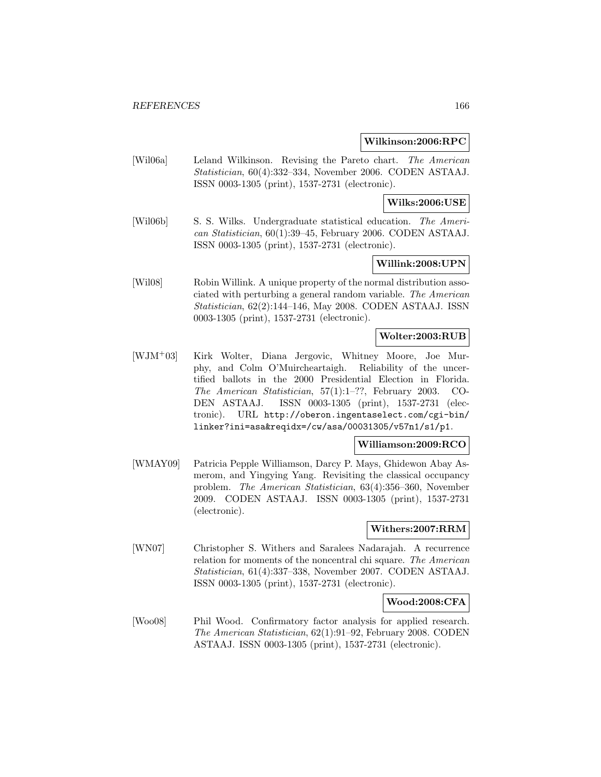#### **Wilkinson:2006:RPC**

[Wil06a] Leland Wilkinson. Revising the Pareto chart. The American Statistician, 60(4):332–334, November 2006. CODEN ASTAAJ. ISSN 0003-1305 (print), 1537-2731 (electronic).

# **Wilks:2006:USE**

[Wil06b] S. S. Wilks. Undergraduate statistical education. The American Statistician, 60(1):39–45, February 2006. CODEN ASTAAJ. ISSN 0003-1305 (print), 1537-2731 (electronic).

# **Willink:2008:UPN**

[Wil08] Robin Willink. A unique property of the normal distribution associated with perturbing a general random variable. The American Statistician, 62(2):144–146, May 2008. CODEN ASTAAJ. ISSN 0003-1305 (print), 1537-2731 (electronic).

### **Wolter:2003:RUB**

[WJM<sup>+</sup>03] Kirk Wolter, Diana Jergovic, Whitney Moore, Joe Murphy, and Colm O'Muircheartaigh. Reliability of the uncertified ballots in the 2000 Presidential Election in Florida. The American Statistician, 57(1):1–??, February 2003. CO-DEN ASTAAJ. ISSN 0003-1305 (print), 1537-2731 (electronic). URL http://oberon.ingentaselect.com/cgi-bin/ linker?ini=asa&reqidx=/cw/asa/00031305/v57n1/s1/p1.

### **Williamson:2009:RCO**

[WMAY09] Patricia Pepple Williamson, Darcy P. Mays, Ghidewon Abay Asmerom, and Yingying Yang. Revisiting the classical occupancy problem. The American Statistician, 63(4):356–360, November 2009. CODEN ASTAAJ. ISSN 0003-1305 (print), 1537-2731 (electronic).

## **Withers:2007:RRM**

[WN07] Christopher S. Withers and Saralees Nadarajah. A recurrence relation for moments of the noncentral chi square. The American Statistician, 61(4):337–338, November 2007. CODEN ASTAAJ. ISSN 0003-1305 (print), 1537-2731 (electronic).

## **Wood:2008:CFA**

[Woo08] Phil Wood. Confirmatory factor analysis for applied research. The American Statistician, 62(1):91–92, February 2008. CODEN ASTAAJ. ISSN 0003-1305 (print), 1537-2731 (electronic).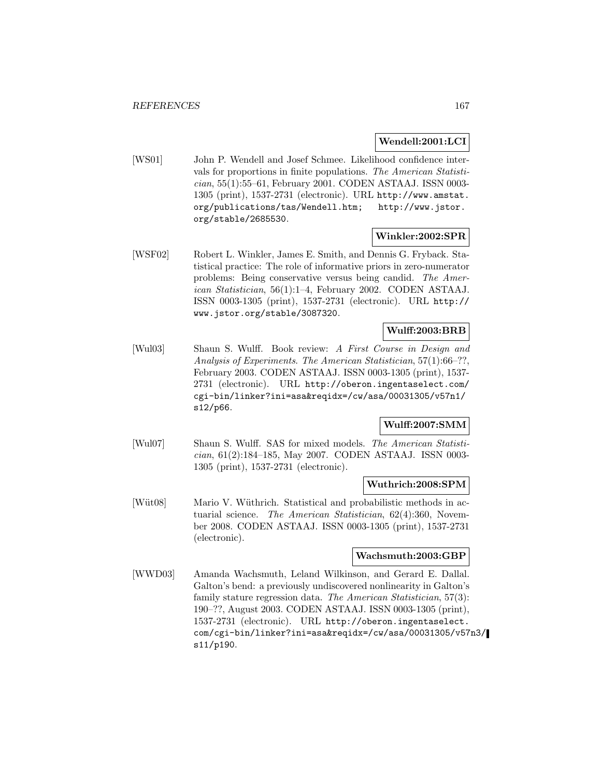# **Wendell:2001:LCI**

[WS01] John P. Wendell and Josef Schmee. Likelihood confidence intervals for proportions in finite populations. The American Statistician, 55(1):55–61, February 2001. CODEN ASTAAJ. ISSN 0003- 1305 (print), 1537-2731 (electronic). URL http://www.amstat. org/publications/tas/Wendell.htm; http://www.jstor. org/stable/2685530.

# **Winkler:2002:SPR**

[WSF02] Robert L. Winkler, James E. Smith, and Dennis G. Fryback. Statistical practice: The role of informative priors in zero-numerator problems: Being conservative versus being candid. The American Statistician, 56(1):1–4, February 2002. CODEN ASTAAJ. ISSN 0003-1305 (print), 1537-2731 (electronic). URL http:// www.jstor.org/stable/3087320.

# **Wulff:2003:BRB**

[Wul03] Shaun S. Wulff. Book review: A First Course in Design and Analysis of Experiments. The American Statistician, 57(1):66–??, February 2003. CODEN ASTAAJ. ISSN 0003-1305 (print), 1537- 2731 (electronic). URL http://oberon.ingentaselect.com/ cgi-bin/linker?ini=asa&reqidx=/cw/asa/00031305/v57n1/ s12/p66.

# **Wulff:2007:SMM**

[Wul07] Shaun S. Wulff. SAS for mixed models. The American Statistician, 61(2):184–185, May 2007. CODEN ASTAAJ. ISSN 0003- 1305 (print), 1537-2731 (electronic).

## **Wuthrich:2008:SPM**

[Wüt08] Mario V. Wüthrich. Statistical and probabilistic methods in actuarial science. The American Statistician, 62(4):360, November 2008. CODEN ASTAAJ. ISSN 0003-1305 (print), 1537-2731 (electronic).

### **Wachsmuth:2003:GBP**

[WWD03] Amanda Wachsmuth, Leland Wilkinson, and Gerard E. Dallal. Galton's bend: a previously undiscovered nonlinearity in Galton's family stature regression data. The American Statistician, 57(3): 190–??, August 2003. CODEN ASTAAJ. ISSN 0003-1305 (print), 1537-2731 (electronic). URL http://oberon.ingentaselect. com/cgi-bin/linker?ini=asa&reqidx=/cw/asa/00031305/v57n3/ s11/p190.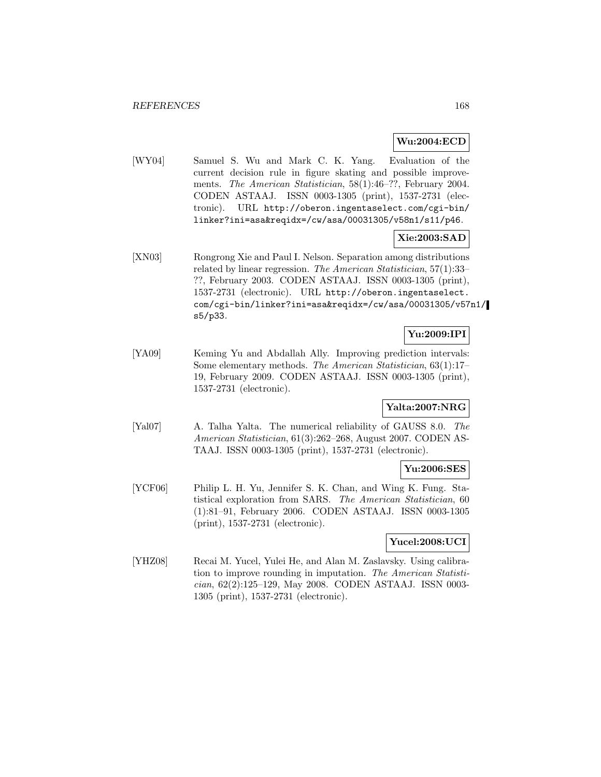# **Wu:2004:ECD**

[WY04] Samuel S. Wu and Mark C. K. Yang. Evaluation of the current decision rule in figure skating and possible improvements. The American Statistician, 58(1):46–??, February 2004. CODEN ASTAAJ. ISSN 0003-1305 (print), 1537-2731 (electronic). URL http://oberon.ingentaselect.com/cgi-bin/ linker?ini=asa&reqidx=/cw/asa/00031305/v58n1/s11/p46.

# **Xie:2003:SAD**

[XN03] Rongrong Xie and Paul I. Nelson. Separation among distributions related by linear regression. The American Statistician, 57(1):33– ??, February 2003. CODEN ASTAAJ. ISSN 0003-1305 (print), 1537-2731 (electronic). URL http://oberon.ingentaselect. com/cgi-bin/linker?ini=asa&reqidx=/cw/asa/00031305/v57n1/ s5/p33.

# **Yu:2009:IPI**

[YA09] Keming Yu and Abdallah Ally. Improving prediction intervals: Some elementary methods. The American Statistician, 63(1):17– 19, February 2009. CODEN ASTAAJ. ISSN 0003-1305 (print), 1537-2731 (electronic).

# **Yalta:2007:NRG**

[Yal07] A. Talha Yalta. The numerical reliability of GAUSS 8.0. The American Statistician, 61(3):262–268, August 2007. CODEN AS-TAAJ. ISSN 0003-1305 (print), 1537-2731 (electronic).

# **Yu:2006:SES**

[YCF06] Philip L. H. Yu, Jennifer S. K. Chan, and Wing K. Fung. Statistical exploration from SARS. The American Statistician, 60 (1):81–91, February 2006. CODEN ASTAAJ. ISSN 0003-1305 (print), 1537-2731 (electronic).

## **Yucel:2008:UCI**

[YHZ08] Recai M. Yucel, Yulei He, and Alan M. Zaslavsky. Using calibration to improve rounding in imputation. The American Statistician, 62(2):125–129, May 2008. CODEN ASTAAJ. ISSN 0003- 1305 (print), 1537-2731 (electronic).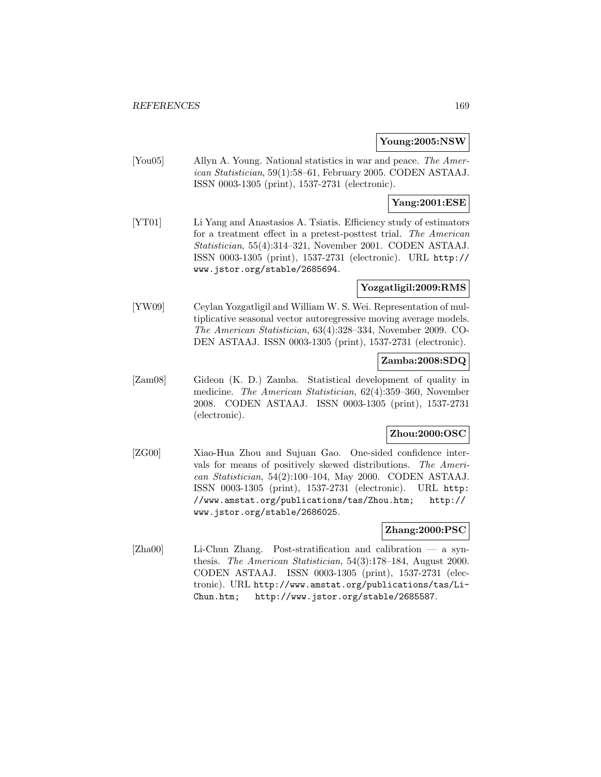### **Young:2005:NSW**

[You05] Allyn A. Young. National statistics in war and peace. The American Statistician, 59(1):58–61, February 2005. CODEN ASTAAJ. ISSN 0003-1305 (print), 1537-2731 (electronic).

# **Yang:2001:ESE**

[YT01] Li Yang and Anastasios A. Tsiatis. Efficiency study of estimators for a treatment effect in a pretest-posttest trial. The American Statistician, 55(4):314–321, November 2001. CODEN ASTAAJ. ISSN 0003-1305 (print), 1537-2731 (electronic). URL http:// www.jstor.org/stable/2685694.

## **Yozgatligil:2009:RMS**

[YW09] Ceylan Yozgatligil and William W. S. Wei. Representation of multiplicative seasonal vector autoregressive moving average models. The American Statistician, 63(4):328–334, November 2009. CO-DEN ASTAAJ. ISSN 0003-1305 (print), 1537-2731 (electronic).

# **Zamba:2008:SDQ**

[Zam08] Gideon (K. D.) Zamba. Statistical development of quality in medicine. The American Statistician, 62(4):359–360, November 2008. CODEN ASTAAJ. ISSN 0003-1305 (print), 1537-2731 (electronic).

## **Zhou:2000:OSC**

[ZG00] Xiao-Hua Zhou and Sujuan Gao. One-sided confidence intervals for means of positively skewed distributions. The American Statistician, 54(2):100–104, May 2000. CODEN ASTAAJ. ISSN 0003-1305 (print), 1537-2731 (electronic). URL http: //www.amstat.org/publications/tas/Zhou.htm; http:// www.jstor.org/stable/2686025.

## **Zhang:2000:PSC**

[Zha00] Li-Chun Zhang. Post-stratification and calibration — a synthesis. The American Statistician, 54(3):178–184, August 2000. CODEN ASTAAJ. ISSN 0003-1305 (print), 1537-2731 (electronic). URL http://www.amstat.org/publications/tas/Li-Chun.htm; http://www.jstor.org/stable/2685587.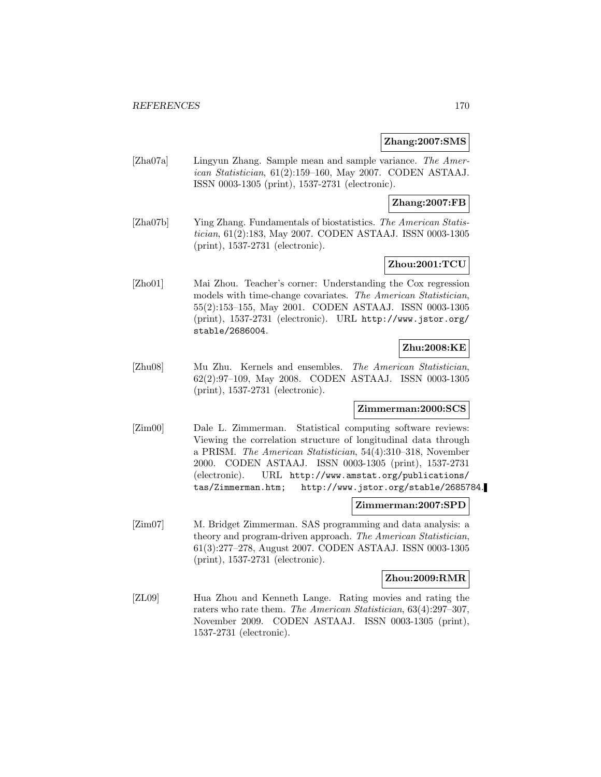### **Zhang:2007:SMS**

[Zha07a] Lingyun Zhang. Sample mean and sample variance. The American Statistician, 61(2):159–160, May 2007. CODEN ASTAAJ. ISSN 0003-1305 (print), 1537-2731 (electronic).

# **Zhang:2007:FB**

[Zha07b] Ying Zhang. Fundamentals of biostatistics. The American Statistician, 61(2):183, May 2007. CODEN ASTAAJ. ISSN 0003-1305 (print), 1537-2731 (electronic).

# **Zhou:2001:TCU**

[Zho01] Mai Zhou. Teacher's corner: Understanding the Cox regression models with time-change covariates. The American Statistician, 55(2):153–155, May 2001. CODEN ASTAAJ. ISSN 0003-1305 (print), 1537-2731 (electronic). URL http://www.jstor.org/ stable/2686004.

# **Zhu:2008:KE**

[Zhu08] Mu Zhu. Kernels and ensembles. The American Statistician, 62(2):97–109, May 2008. CODEN ASTAAJ. ISSN 0003-1305 (print), 1537-2731 (electronic).

# **Zimmerman:2000:SCS**

[Zim00] Dale L. Zimmerman. Statistical computing software reviews: Viewing the correlation structure of longitudinal data through a PRISM. The American Statistician, 54(4):310–318, November 2000. CODEN ASTAAJ. ISSN 0003-1305 (print), 1537-2731 (electronic). URL http://www.amstat.org/publications/ tas/Zimmerman.htm; http://www.jstor.org/stable/2685784.

### **Zimmerman:2007:SPD**

[Zim07] M. Bridget Zimmerman. SAS programming and data analysis: a theory and program-driven approach. The American Statistician, 61(3):277–278, August 2007. CODEN ASTAAJ. ISSN 0003-1305 (print), 1537-2731 (electronic).

#### **Zhou:2009:RMR**

[ZL09] Hua Zhou and Kenneth Lange. Rating movies and rating the raters who rate them. The American Statistician, 63(4):297–307, November 2009. CODEN ASTAAJ. ISSN 0003-1305 (print), 1537-2731 (electronic).